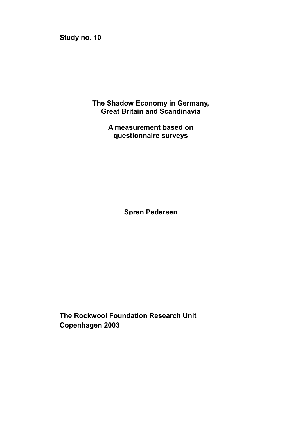**The Shadow Economy in Germany, Great Britain and Scandinavia** 

> **A measurement based on questionnaire surveys**

> > **Søren Pedersen**

**The Rockwool Foundation Research Unit Copenhagen 2003**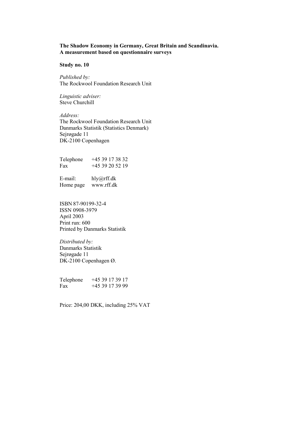# **The Shadow Economy in Germany, Great Britain and Scandinavia. A measurement based on questionnaire surveys**

**Study no. 10**

*Published by:*  The Rockwool Foundation Research Unit

*Linguistic adviser:*  Steve Churchill

*Address:*  The Rockwool Foundation Research Unit Danmarks Statistik (Statistics Denmark) Sejrøgade 11 DK-2100 Copenhagen

Telephone +45 39 17 38 32 Fax +45 39 20 52 19

E-mail: hly@rff.dk Home page www.rff.dk

ISBN 87-90199-32-4 ISSN 0908-3979 April 2003 Print run: 600 Printed by Danmarks Statistik

*Distributed by:*  Danmarks Statistik Sejrøgade 11 DK-2100 Copenhagen Ø.

Telephone +45 39 17 39 17 Fax +45 39 17 39 99

Price: 204,00 DKK, including 25% VAT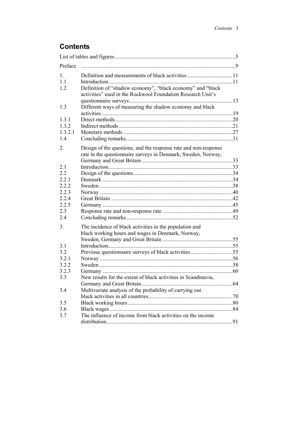# **Contents**

| Preface              |                                                                                                                           |  |
|----------------------|---------------------------------------------------------------------------------------------------------------------------|--|
| $\mathbf{1}_{\cdot}$ |                                                                                                                           |  |
| 11                   |                                                                                                                           |  |
| 1.2                  | Definition of "shadow economy", "black economy" and "black<br>activities" used in the Rockwool Foundation Research Unit's |  |
| 1.3                  | Different ways of measuring the shadow economy and black                                                                  |  |
|                      |                                                                                                                           |  |
| 1.3.1                |                                                                                                                           |  |
| 1.3.2                |                                                                                                                           |  |
| 1.3.2.1              |                                                                                                                           |  |
| 1.4                  |                                                                                                                           |  |
| $\overline{2}$ .     | Design of the questions, and the response rate and non-response                                                           |  |
|                      | rate in the questionnaire surveys in Denmark, Sweden, Norway,                                                             |  |
|                      |                                                                                                                           |  |
| 21                   |                                                                                                                           |  |
| 2.2                  |                                                                                                                           |  |
| 2.2.1                |                                                                                                                           |  |
| 2.2.2                |                                                                                                                           |  |
| 2.2.3                |                                                                                                                           |  |
| 2.2.4                |                                                                                                                           |  |
| 2.2.5                |                                                                                                                           |  |
| 2.3                  |                                                                                                                           |  |
| 2.4                  |                                                                                                                           |  |
| 3.                   | The incidence of black activities in the population and                                                                   |  |
|                      | black working hours and wages in Denmark, Norway,                                                                         |  |
|                      |                                                                                                                           |  |
| 3.1                  |                                                                                                                           |  |
| 3.2                  |                                                                                                                           |  |
| 3.2.1                |                                                                                                                           |  |
| 3.2.2                |                                                                                                                           |  |
| 3.2.3                |                                                                                                                           |  |
| 3.3                  | New results for the extent of black activities in Scandinavia,                                                            |  |
|                      |                                                                                                                           |  |
| 3.4                  | Multivariate analysis of the probability of carrying out                                                                  |  |
|                      |                                                                                                                           |  |
| 3.5                  |                                                                                                                           |  |
| 3.6                  |                                                                                                                           |  |
| 3.7                  | The influence of income from black activities on the income                                                               |  |
|                      |                                                                                                                           |  |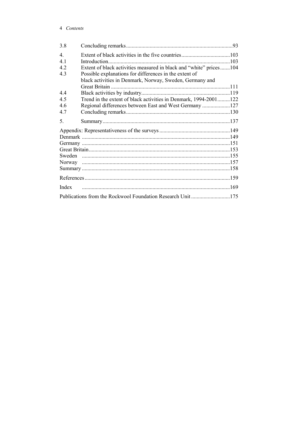## 4 Contents

| 3.8            |                                                                    |  |
|----------------|--------------------------------------------------------------------|--|
| $\overline{4}$ |                                                                    |  |
| 4 1            |                                                                    |  |
| 42             | Extent of black activities measured in black and "white" prices104 |  |
| 4.3            | Possible explanations for differences in the extent of             |  |
|                | black activities in Denmark, Norway, Sweden, Germany and           |  |
|                | <b>Great Britain</b>                                               |  |
| 44             |                                                                    |  |
| 4.5            | Trend in the extent of black activities in Denmark, 1994-2001122   |  |
| 46             |                                                                    |  |
| 4.7            |                                                                    |  |
| 5.             |                                                                    |  |
|                |                                                                    |  |
|                |                                                                    |  |
|                |                                                                    |  |
|                |                                                                    |  |
|                |                                                                    |  |
|                |                                                                    |  |
|                |                                                                    |  |
|                |                                                                    |  |
| Index          |                                                                    |  |
|                |                                                                    |  |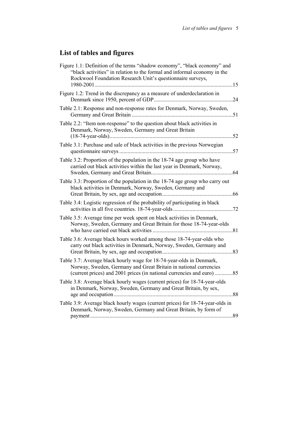# **List of tables and figures**

| Figure 1.1: Definition of the terms "shadow economy", "black economy" and<br>"black activities" in relation to the formal and informal economy in the<br>Rockwool Foundation Research Unit's questionnaire surveys,<br>1980-2001<br>. 15 |  |
|------------------------------------------------------------------------------------------------------------------------------------------------------------------------------------------------------------------------------------------|--|
| Figure 1.2: Trend in the discrepancy as a measure of underdeclaration in                                                                                                                                                                 |  |
| Table 2.1: Response and non-response rates for Denmark, Norway, Sweden,                                                                                                                                                                  |  |
| Table 2.2: "Item non-response" to the question about black activities in<br>Denmark, Norway, Sweden, Germany and Great Britain<br>52                                                                                                     |  |
| Table 3.1: Purchase and sale of black activities in the previous Norwegian                                                                                                                                                               |  |
| Table 3.2: Proportion of the population in the 18-74 age group who have<br>carried out black activities within the last year in Denmark, Norway,                                                                                         |  |
| Table 3.3: Proportion of the population in the 18-74 age group who carry out<br>black activities in Denmark, Norway, Sweden, Germany and                                                                                                 |  |
| Table 3.4: Logistic regression of the probability of participating in black                                                                                                                                                              |  |
| Table 3.5: Average time per week spent on black activities in Denmark,<br>Norway, Sweden, Germany and Great Britain for those 18-74-year-olds                                                                                            |  |
| Table 3.6: Average black hours worked among those 18-74-year-olds who<br>carry out black activities in Denmark, Norway, Sweden, Germany and                                                                                              |  |
| Table 3.7: Average black hourly wage for 18-74-year-olds in Denmark,<br>Norway, Sweden, Germany and Great Britain in national currencies                                                                                                 |  |
| Table 3.8: Average black hourly wages (current prices) for 18-74-year-olds<br>in Denmark, Norway, Sweden, Germany and Great Britain, by sex,                                                                                             |  |
| Table 3.9: Average black hourly wages (current prices) for 18-74-year-olds in<br>Denmark, Norway, Sweden, Germany and Great Britain, by form of                                                                                          |  |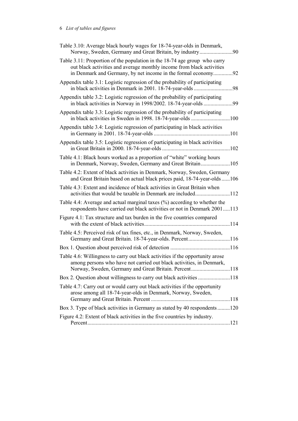| Table 3.10: Average black hourly wages for 18-74-year-olds in Denmark,<br>Norway, Sweden, Germany and Great Britain, by industry90                                                                                  |
|---------------------------------------------------------------------------------------------------------------------------------------------------------------------------------------------------------------------|
| Table 3.11: Proportion of the population in the 18-74 age group who carry<br>out black activities and average monthly income from black activities<br>in Denmark and Germany, by net income in the formal economy92 |
| Appendix table 3.1: Logistic regression of the probability of participating<br>in black activities in Denmark in 2001. 18-74-year-olds<br>98                                                                        |
| Appendix table 3.2: Logistic regression of the probability of participating<br>in black activities in Norway in 1998/2002. 18-74-year-olds 99                                                                       |
| Appendix table 3.3: Logistic regression of the probability of participating<br>in black activities in Sweden in 1998. 18-74-year-olds 100                                                                           |
| Appendix table 3.4: Logistic regression of participating in black activities                                                                                                                                        |
| Appendix table 3.5: Logistic regression of participating in black activities                                                                                                                                        |
| Table 4.1: Black hours worked as a proportion of "white" working hours<br>in Denmark, Norway, Sweden, Germany and Great Britain105                                                                                  |
| Table 4.2: Extent of black activities in Denmark, Norway, Sweden, Germany<br>and Great Britain based on actual black prices paid, 18-74-year-olds 106                                                               |
| Table 4.3: Extent and incidence of black activities in Great Britain when<br>activities that would be taxable in Denmark are included112                                                                            |
| Table 4.4: Average and actual marginal taxes $(\% )$ according to whether the<br>respondents have carried out black activities or not in Denmark 2001113                                                            |
| Figure 4.1: Tax structure and tax burden in the five countries compared                                                                                                                                             |
| Table 4.5: Perceived risk of tax fines, etc., in Denmark, Norway, Sweden,<br>Germany and Great Britain. 18-74-year-olds. Percent116                                                                                 |
|                                                                                                                                                                                                                     |
| Table 4.6: Willingness to carry out black activities if the opportunity arose<br>among persons who have not carried out black activities, in Denmark,<br>Norway, Sweden, Germany and Great Britain. Percent118      |
|                                                                                                                                                                                                                     |
| Table 4.7: Carry out or would carry out black activities if the opportunity<br>arose among all 18-74-year-olds in Denmark, Norway, Sweden,                                                                          |
| Box 3. Type of black activities in Germany as stated by 40 respondents 120                                                                                                                                          |
| Figure 4.2: Extent of black activities in the five countries by industry.                                                                                                                                           |
|                                                                                                                                                                                                                     |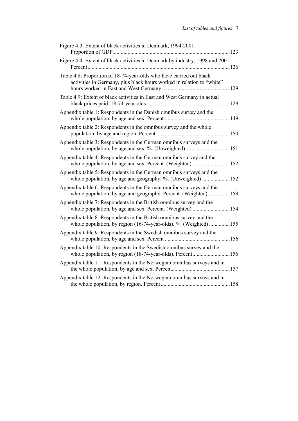| Figure 4.3: Extent of black activities in Denmark, 1994-2001.                                                                                |  |
|----------------------------------------------------------------------------------------------------------------------------------------------|--|
| Figure 4.4: Extent of black activities in Denmark by industry, 1998 and 2001.                                                                |  |
| Table 4.8: Proportion of 18-74-year-olds who have carried out black<br>activities in Germany, plus black hours worked in relation to "white" |  |
| Table 4.9: Extent of black activities in East and West Germany in actual                                                                     |  |
| Appendix table 1: Respondents in the Danish omnibus survey and the                                                                           |  |
| Appendix table 2: Respondents in the omnibus survey and the whole                                                                            |  |
| Appendix table 3: Respondents in the German omnibus surveys and the<br>whole population, by age and sex. %. (Unweighted)151                  |  |
| Appendix table 4: Respondents in the German omnibus survey and the<br>whole population, by age and sex. Percent. (Weighted) 152              |  |
| Appendix table 5: Respondents in the German omnibus surveys and the<br>whole population, by age and geography. %. (Unweighted) 152           |  |
| Appendix table 6: Respondents in the German omnibus surveys and the<br>whole population, by age and geography. Percent. (Weighted)153        |  |
| Appendix table 7: Respondents in the British omnibus survey and the<br>whole population, by age and sex. Percent. (Weighted) 154             |  |
| Appendix table 8: Respondents in the British omnibus survey and the<br>whole population, by region (16-74-year-olds). %. (Weighted)155       |  |
| Appendix table 9: Respondents in the Swedish omnibus survey and the                                                                          |  |
| Appendix table 10: Respondents in the Swedish omnibus survey and the<br>whole population, by region (18-74-year-olds). Percent156            |  |
| Appendix table 11: Respondents in the Norwegian omnibus surveys and in                                                                       |  |
| Appendix table 12: Respondents in the Norwegian omnibus surveys and in                                                                       |  |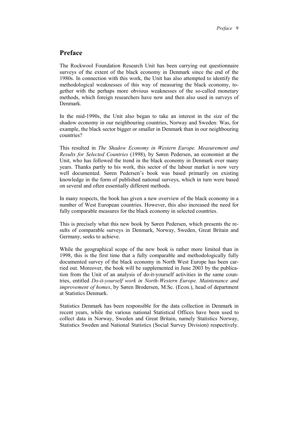# **Preface**

The Rockwool Foundation Research Unit has been carrying out questionnaire surveys of the extent of the black economy in Denmark since the end of the 1980s. In connection with this work, the Unit has also attempted to identify the methodological weaknesses of this way of measuring the black economy, together with the perhaps more obvious weaknesses of the so-called monetary methods, which foreign researchers have now and then also used in surveys of Denmark.

In the mid-1990s, the Unit also began to take an interest in the size of the shadow economy in our neighbouring countries, Norway and Sweden: Was, for example, the black sector bigger or smaller in Denmark than in our neighbouring countries?

This resulted in *The Shadow Economy in Western Europe. Measurement and Results for Selected Countries* (1998), by Søren Pedersen, an economist at the Unit, who has followed the trend in the black economy in Denmark over many years. Thanks partly to his work, this sector of the labour market is now very well documented. Søren Pedersen's book was based primarily on existing knowledge in the form of published national surveys, which in turn were based on several and often essentially different methods.

In many respects, the book has given a new overview of the black economy in a number of West European countries. However, this also increased the need for fully comparable measures for the black economy in selected countries.

This is precisely what this new book by Søren Pedersen, which presents the results of comparable surveys in Denmark, Norway, Sweden, Great Britain and Germany, seeks to achieve.

While the geographical scope of the new book is rather more limited than in 1998, this is the first time that a fully comparable and methodologically fully documented survey of the black economy in North West Europe has been carried out. Moreover, the book will be supplemented in June 2003 by the publication from the Unit of an analysis of do-it-yourself activities in the same countries, entitled *Do-it-yourself work in North-Western Europe. Maintenance and improvement of homes*, by Søren Brodersen, M.Sc. (Econ.), head of department at Statistics Denmark.

Statistics Denmark has been responsible for the data collection in Denmark in recent years, while the various national Statistical Offices have been used to collect data in Norway, Sweden and Great Britain, namely Statistics Norway, Statistics Sweden and National Statistics (Social Survey Division) respectively.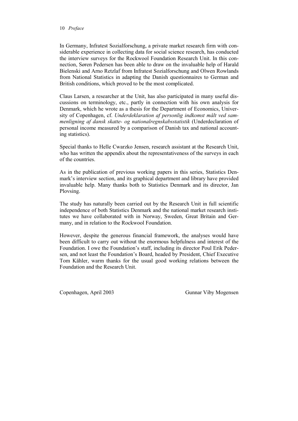#### 10 *Preface*

In Germany, Infratest Sozialforschung, a private market research firm with considerable experience in collecting data for social science research, has conducted the interview surveys for the Rockwool Foundation Research Unit. In this connection, Søren Pedersen has been able to draw on the invaluable help of Harald Bielenski and Arno Retzlaf from Infratest Sozialforschung and Olwen Rowlands from National Statistics in adapting the Danish questionnaires to German and British conditions, which proved to be the most complicated.

Claus Larsen, a researcher at the Unit, has also participated in many useful discussions on terminology, etc., partly in connection with his own analysis for Denmark, which he wrote as a thesis for the Department of Economics, University of Copenhagen, cf. *Underdeklaration af personlig indkomst målt ved sammenligning af dansk skatte- og nationalregnskabsstatistik* (Underdeclaration of personal income measured by a comparison of Danish tax and national accounting statistics).

Special thanks to Helle Cwarzko Jensen, research assistant at the Research Unit, who has written the appendix about the representativeness of the surveys in each of the countries.

As in the publication of previous working papers in this series, Statistics Denmark's interview section, and its graphical department and library have provided invaluable help. Many thanks both to Statistics Denmark and its director, Jan Plovsing.

The study has naturally been carried out by the Research Unit in full scientific independence of both Statistics Denmark and the national market research institutes we have collaborated with in Norway, Sweden, Great Britain and Germany, and in relation to the Rockwool Foundation.

However, despite the generous financial framework, the analyses would have been difficult to carry out without the enormous helpfulness and interest of the Foundation. I owe the Foundation's staff, including its director Poul Erik Pedersen, and not least the Foundation's Board, headed by President, Chief Executive Tom Kähler, warm thanks for the usual good working relations between the Foundation and the Research Unit.

Copenhagen, April 2003 Gunnar Viby Mogensen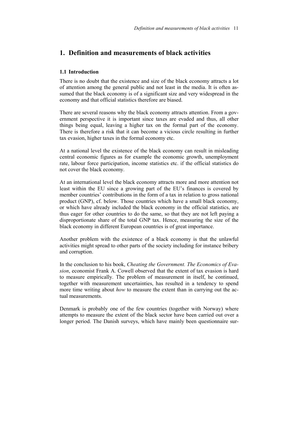# **1. Definition and measurements of black activities**

## **1.1 Introduction**

There is no doubt that the existence and size of the black economy attracts a lot of attention among the general public and not least in the media. It is often assumed that the black economy is of a significant size and very widespread in the economy and that official statistics therefore are biased.

There are several reasons why the black economy attracts attention. From a government perspective it is important since taxes are evaded and thus, all other things being equal, leaving a higher tax on the formal part of the economy. There is therefore a risk that it can become a vicious circle resulting in further tax evasion, higher taxes in the formal economy etc.

At a national level the existence of the black economy can result in misleading central economic figures as for example the economic growth, unemployment rate, labour force participation, income statistics etc. if the official statistics do not cover the black economy.

At an international level the black economy attracts more and more attention not least within the EU since a growing part of the EU's finances is covered by member countries' contributions in the form of a tax in relation to gross national product (GNP), cf. below. Those countries which have a small black economy, or which have already included the black economy in the official statistics, are thus eager for other countries to do the same, so that they are not left paying a disproportionate share of the total GNP tax. Hence, measuring the size of the black economy in different European countries is of great importance.

Another problem with the existence of a black economy is that the unlawful activities might spread to other parts of the society including for instance bribery and corruption.

In the conclusion to his book, *Cheating the Government. The Economics of Evasion*, economist Frank A. Cowell observed that the extent of tax evasion is hard to measure empirically. The problem of measurement in itself, he continued, together with measurement uncertainties, has resulted in a tendency to spend more time writing about *how* to measure the extent than in carrying out the actual measurements.

Denmark is probably one of the few countries (together with Norway) where attempts to measure the extent of the black sector have been carried out over a longer period. The Danish surveys, which have mainly been questionnaire sur-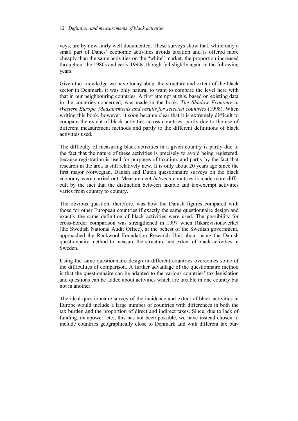#### 12 *Definition and measurements of black activities*

veys, are by now fairly well documented. These surveys show that, while only a small part of Danes' economic activities avoids taxation and is offered more cheaply than the same activities on the "white" market, the proportion increased throughout the 1980s and early 1990s, though fell slightly again in the following years.

Given the knowledge we have today about the structure and extent of the black sector in Denmark, it was only natural to want to compare the level here with that in our neighbouring countries. A first attempt at this, based on existing data in the countries concerned, was made in the book, *The Shadow Economy in Western Europe. Measurements and results for selected countries* (1998). When writing this book, however, it soon became clear that it is extremely difficult to compare the extent of black activities across countries, partly due to the use of different measurement methods and partly to the different definitions of black activities used.

The difficulty of measuring black activities in a given country is partly due to the fact that the nature of these activities is precisely to avoid being registered, because registration is used for purposes of taxation, and partly by the fact that research in the area is still relatively new. It is only about 20 years ago since the first major Norwegian, Danish and Dutch questionnaire surveys on the black economy were carried out. Measurement *between* countries is made more difficult by the fact that the distinction between taxable and tax-exempt activities varies from country to country.

The obvious question, therefore, was how the Danish figures compared with those for other European countries if exactly the same questionnaire design and exactly the same definition of black activities were used. The possibility for cross-border comparison was strengthened in 1997 when Riksrevisionsverket (the Swedish National Audit Office), at the behest of the Swedish government, approached the Rockwool Foundation Research Unit about using the Danish questionnaire method to measure the structure and extent of black activities in Sweden.

Using the same questionnaire design in different countries overcomes some of the difficulties of comparison. A further advantage of the questionnaire method is that the questionnaire can be adapted to the various countries' tax legislation and questions can be added about activities which are taxable in one country but not in another.

The ideal questionnaire survey of the incidence and extent of black activities in Europe would include a large number of countries with differences in both the tax burden and the proportion of direct and indirect taxes. Since, due to lack of funding, manpower, etc., this has not been possible, we have instead chosen to include countries geographically close to Denmark and with different tax bur-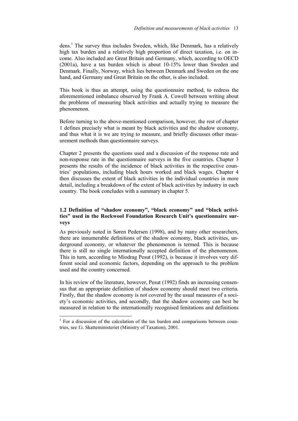dens.<sup>1</sup> The survey thus includes Sweden, which, like Denmark, has a relatively high tax burden and a relatively high proportion of direct taxation, i.e. on income. Also included are Great Britain and Germany, which, according to OECD (2001a), have a tax burden which is about 10-15% lower than Sweden and Denmark. Finally, Norway, which lies between Denmark and Sweden on the one hand, and Germany and Great Britain on the other, is also included.

This book is thus an attempt, using the questionnaire method, to redress the aforementioned imbalance observed by Frank A. Cowell between writing about the problems of measuring black activities and actually trying to measure the phenomenon.

Before turning to the above-mentioned comparison, however, the rest of chapter 1 defines precisely what is meant by black activities and the shadow economy, and thus what it is we are trying to measure, and briefly discusses other measurement methods than questionnaire surveys.

Chapter 2 presents the questions used and a discussion of the response rate and non-response rate in the questionnaire surveys in the five countries. Chapter 3 presents the results of the incidence of black activities in the respective countries' populations, including black hours worked and black wages. Chapter 4 then discusses the extent of black activities in the individual countries in more detail, including a breakdown of the extent of black activities by industry in each country. The book concludes with a summary in chapter 5.

# **1.2 Definition of "shadow economy", "black economy" and "black activities" used in the Rockwool Foundation Research Unit's questionnaire surveys**

As previously noted in Søren Pedersen (1998), and by many other researchers, there are innumerable definitions of the shadow economy, black activities, underground economy, or whatever the phenomenon is termed. This is because there is still no single internationally accepted definition of the phenomenon. This in turn, according to Miodrag Pesut (1992), is because it involves very different social and economic factors, depending on the approach to the problem used and the country concerned.

In his review of the literature, however, Pesut (1992) finds an increasing consensus that an appropriate definition of shadow economy should meet two criteria. Firstly, that the shadow economy is not covered by the usual measures of a society's economic activities, and secondly, that the shadow economy can best be measured in relation to the internationally recognised limitations and definitions

<sup>&</sup>lt;sup>1</sup> For a discussion of the calculation of the tax burden and comparisons between countries, see f.i. Skatteministeriet (Ministry of Taxation), 2001.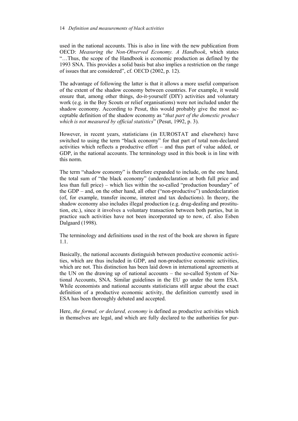used in the national accounts. This is also in line with the new publication from OECD: *Measuring the Non-Observed Economy. A Handbook*, which states "…Thus, the scope of the Handbook is economic production as defined by the 1993 SNA. This provides a solid basis but also implies a restriction on the range of issues that are considered", cf. OECD (2002, p. 12).

The advantage of following the latter is that it allows a more useful comparison of the extent of the shadow economy between countries. For example, it would ensure that, among other things, do-it-yourself (DIY) activities and voluntary work (e.g. in the Boy Scouts or relief organisations) were not included under the shadow economy. According to Pesut, this would probably give the most acceptable definition of the shadow economy as "*that part of the domestic product which is not measured by official statistics*" (Pesut, 1992, p. 3).

However, in recent years, statisticians (in EUROSTAT and elsewhere) have switched to using the term "black economy" for that part of total non-declared activities which reflects a productive effort – and thus part of value added, or GDP, in the national accounts. The terminology used in this book is in line with this norm.

The term "shadow economy" is therefore expanded to include, on the one hand, the total sum of "the black economy" (underdeclaration at both full price and less than full price) – which lies within the so-called "production boundary" of the GDP – and, on the other hand, all other ("non-productive") underdeclaration (of, for example, transfer income, interest and tax deductions). In theory, the shadow economy also includes illegal production (e.g. drug-dealing and prostitution, etc.), since it involves a voluntary transaction between both parties, but in practice such activities have not been incorporated up to now, cf. also Esben Dalgaard (1998).

The terminology and definitions used in the rest of the book are shown in figure 1.1.

Basically, the national accounts distinguish between productive economic activities, which are thus included in GDP, and non-productive economic activities, which are not. This distinction has been laid down in international agreements at the UN on the drawing up of national accounts – the so-called System of National Accounts, SNA. Similar guidelines in the EU go under the term ESA. While economists and national accounts statisticians still argue about the exact definition of a productive economic activity, the definition currently used in ESA has been thoroughly debated and accepted.

Here, *the formal, or declared, economy* is defined as productive activities which in themselves are legal, and which are fully declared to the authorities for pur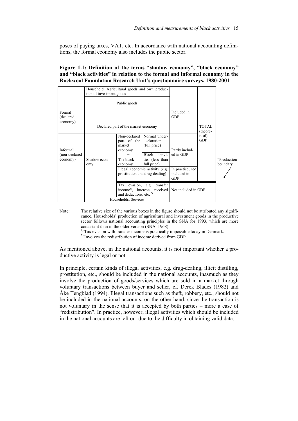poses of paying taxes, VAT, etc. In accordance with national accounting definitions, the formal economy also includes the public sector.

# **Figure 1.1: Definition of the terms "shadow economy", "black economy" and "black activities" in relation to the formal and informal economy in the Rockwool Foundation Research Unit's questionnaire surveys, 1980-2001**

|                           | Household: Agricultural goods and own produc-<br>tion of investment goods |                                                                   |                                                                         |                                               |                      |                          |
|---------------------------|---------------------------------------------------------------------------|-------------------------------------------------------------------|-------------------------------------------------------------------------|-----------------------------------------------|----------------------|--------------------------|
|                           | Public goods                                                              |                                                                   |                                                                         |                                               |                      |                          |
| Formal<br>(declared       |                                                                           |                                                                   |                                                                         | Included in<br><b>GDP</b>                     |                      |                          |
| economy)                  | Declared part of the market economy                                       |                                                                   |                                                                         |                                               | TOTAL.<br>(theore-   |                          |
| Informal<br>(non-declared |                                                                           | Non-declared<br>part of the<br>market<br>economy                  | Normal under-<br>declaration<br>(full price)<br>activi-<br><b>Black</b> | Partly includ-<br>ed in GDP                   | tical)<br><b>GDP</b> |                          |
| economy)                  | Shadow econ-<br>omy                                                       | The black<br>economy                                              | ties (less than<br>full price)                                          |                                               |                      | "Production<br>boundary" |
|                           |                                                                           | Illegal economic activity (e.g.<br>prostitution and drug-dealing) |                                                                         | In practice, not<br>included in<br><b>GDP</b> |                      |                          |
|                           |                                                                           | evasion, e.g.<br>Tax<br>and deductions, etc. <sup>2)</sup>        | transfer<br>income <sup>1)</sup> , interests received                   | Not included in GDP                           |                      |                          |
|                           | Households: Services                                                      |                                                                   |                                                                         |                                               |                      |                          |

Note: The relative size of the various boxes in the figure should not be attributed any significance. Households' production of agricultural and investment goods in the productive sector follows national accounting principles in the SNA for 1993, which are more consistent than in the older version (SNA, 1968).

 $<sup>1</sup>$  Tax evasion with transfer income is practically impossible today in Denmark.</sup>

2) Involves the redistribution of income derived from GDP.

As mentioned above, in the national accounts, it is not important whether a productive activity is legal or not.

In principle, certain kinds of illegal activities, e.g. drug-dealing, illicit distilling, prostitution, etc., should be included in the national accounts, inasmuch as they involve the production of goods/services which are sold in a market through voluntary transactions between buyer and seller, cf. Derek Blades (1982) and Åke Tengblad (1994). Illegal transactions such as theft, robbery, etc., should not be included in the national accounts, on the other hand, since the transaction is not voluntary in the sense that it is accepted by both parties – more a case of "redistribution". In practice, however, illegal activities which should be included in the national accounts are left out due to the difficulty in obtaining valid data.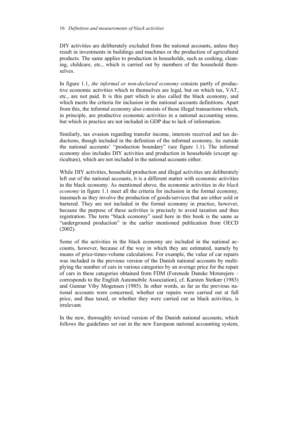#### 16 *Definition and measurements of black activities*

DIY activities are deliberately excluded from the national accounts, unless they result in investments in buildings and machines or the production of agricultural products. The same applies to production in households, such as cooking, cleaning, childcare, etc., which is carried out by members of the household themselves.

In figure 1.1, *the informal or non-declared economy* consists partly of productive economic activities which in themselves are legal, but on which tax, VAT, etc., are not paid. It is this part which is also called the black economy, and which meets the criteria for inclusion in the national accounts definitions. Apart from this, the informal economy also consists of those illegal transactions which, in principle, are productive economic activities in a national accounting sense, but which in practice are not included in GDP due to lack of information.

Similarly, tax evasion regarding transfer income, interests received and tax deductions, though included in the definition of the informal economy, lie outside the national accounts' "production boundary" (see figure 1.1). The informal economy also includes DIY activities and production in households (except agriculture), which are not included in the national accounts either.

While DIY activities, household production and illegal activities are deliberately left out of the national accounts, it is a different matter with economic activities in the black economy. As mentioned above, the economic activities in *the black economy* in figure 1.1 meet all the criteria for inclusion in the formal economy, inasmuch as they involve the production of goods/services that are either sold or bartered. They are not included in the formal economy in practice, however, because the purpose of these activities is precisely to avoid taxation and thus registration. The term "black economy" used here in this book is the same as "underground production" in the earlier mentioned publication from OECD (2002).

Some of the activities in the black economy are included in the national accounts, however, because of the way in which they are estimated, namely by means of price-times-volume calculations. For example, the value of car repairs was included in the previous version of the Danish national accounts by multiplying the number of cars in various categories by an average price for the repair of cars in these categories obtained from FDM (Forenede Danske Motorejere – corresponds to the English Automobile Association), cf. Karsten Stetkær (1983) and Gunnar Viby Mogensen (1985). In other words, as far as the previous national accounts were concerned, whether car repairs were carried out at full price, and thus taxed, or whether they were carried out as black activities, is irrelevant.

In the new, thoroughly revised version of the Danish national accounts, which follows the guidelines set out in the new European national accounting system,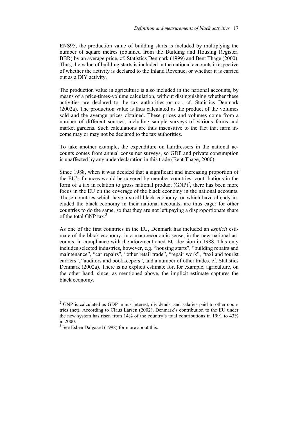ENS95, the production value of building starts is included by multiplying the number of square metres (obtained from the Building and Housing Register, BBR) by an average price, cf. Statistics Denmark (1999) and Bent Thage (2000). Thus, the value of building starts is included in the national accounts irrespective of whether the activity is declared to the Inland Revenue, or whether it is carried out as a DIY activity.

The production value in agriculture is also included in the national accounts, by means of a price-times-volume calculation, without distinguishing whether these activities are declared to the tax authorities or not, cf. Statistics Denmark (2002a). The production value is thus calculated as the product of the volumes sold and the average prices obtained. These prices and volumes come from a number of different sources, including sample surveys of various farms and market gardens. Such calculations are thus insensitive to the fact that farm income may or may not be declared to the tax authorities.

To take another example, the expenditure on hairdressers in the national accounts comes from annual consumer surveys, so GDP and private consumption is unaffected by any underdeclaration in this trade (Bent Thage, 2000).

Since 1988, when it was decided that a significant and increasing proportion of the EU's finances would be covered by member countries' contributions in the form of a tax in relation to gross national product  $(GNP)^2$ , there has been more focus in the EU on the coverage of the black economy in the national accounts. Those countries which have a small black economy, or which have already included the black economy in their national accounts, are thus eager for other countries to do the same, so that they are not left paying a disproportionate share of the total GNP tax $^3$ .

As one of the first countries in the EU, Denmark has included an *explicit* estimate of the black economy, in a macroeconomic sense, in the new national accounts, in compliance with the aforementioned EU decision in 1988. This only includes selected industries, however, e.g. "housing starts", "building repairs and maintenance", "car repairs", "other retail trade", "repair work", "taxi and tourist carriers", "auditors and bookkeepers", and a number of other trades, cf. Statistics Denmark (2002a). There is no explicit estimate for, for example, agriculture, on the other hand, since, as mentioned above, the implicit estimate captures the black economy.

<sup>&</sup>lt;sup>2</sup> GNP is calculated as GDP minus interest, dividends, and salaries paid to other countries (net). According to Claus Larsen (2002), Denmark's contribution to the EU under the new system has risen from 14% of the country's total contributions in 1991 to 43% in 2000.

<sup>&</sup>lt;sup>3</sup> See Esben Dalgaard (1998) for more about this.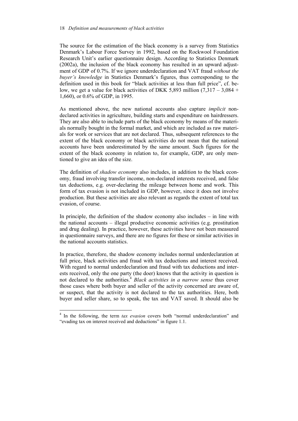The source for the estimation of the black economy is a survey from Statistics Denmark's Labour Force Survey in 1992, based on the Rockwool Foundation Research Unit's earlier questionnaire design. According to Statistics Denmark (2002a), the inclusion of the black economy has resulted in an upward adjustment of GDP of 0.7%. If we ignore underdeclaration and VAT fraud *without the buyer's knowledge* in Statistics Denmark's figures, thus corresponding to the definition used in this book for "black activities at less than full price", cf. below, we get a value for black activities of DKK 5,893 million  $(7.317 - 3.084 +$ 1,660), or 0.6% of GDP, in 1995.

As mentioned above, the new national accounts also capture *implicit* nondeclared activities in agriculture, building starts and expenditure on hairdressers. They are also able to include parts of the black economy by means of the materials normally bought in the formal market, and which are included as raw materials for work or services that are not declared. Thus, subsequent references to the extent of the black economy or black activities do not mean that the national accounts have been underestimated by the same amount. Such figures for the extent of the black economy in relation to, for example, GDP, are only mentioned to give an idea of the size.

The definition of *shadow economy* also includes, in addition to the black economy, fraud involving transfer income, non-declared interests received, and false tax deductions, e.g. over-declaring the mileage between home and work. This form of tax evasion is not included in GDP, however, since it does not involve production. But these activities are also relevant as regards the extent of total tax evasion, of course.

In principle, the definition of the shadow economy also includes – in line with the national accounts – illegal productive economic activities (e.g. prostitution and drug dealing). In practice, however, these activities have not been measured in questionnaire surveys, and there are no figures for these or similar activities in the national accounts statistics.

In practice, therefore, the shadow economy includes normal underdeclaration at full price, black activities and fraud with tax deductions and interest received. With regard to normal underdeclaration and fraud with tax deductions and interests received, only the one party (the doer) knows that the activity in question is not declared to the authorities.<sup>4</sup> *Black activities in a narrow sense* thus cover those cases where both buyer and seller of the activity concerned are aware of, or suspect, that the activity is not declared to the tax authorities. Here, both buyer and seller share, so to speak, the tax and VAT saved. It should also be

 $\overline{\phantom{a}}$ 

<sup>&</sup>lt;sup>4</sup> In the following, the term *tax evasion* covers both "normal underdeclaration" and "evading tax on interest received and deductions" in figure 1.1.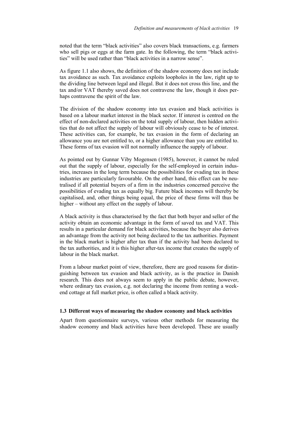noted that the term "black activities" also covers black transactions, e.g. farmers who sell pigs or eggs at the farm gate. In the following, the term "black activities" will be used rather than "black activities in a narrow sense".

As figure 1.1 also shows, the definition of the shadow economy does not include tax avoidance as such. Tax avoidance exploits loopholes in the law, right up to the dividing line between legal and illegal. But it does not cross this line, and the tax and/or VAT thereby saved does not contravene the law, though it does perhaps contravene the spirit of the law.

The division of the shadow economy into tax evasion and black activities is based on a labour market interest in the black sector. If interest is centred on the effect of non-declared activities on the total supply of labour, then hidden activities that do not affect the supply of labour will obviously cease to be of interest. These activities can, for example, be tax evasion in the form of declaring an allowance you are not entitled to, or a higher allowance than you are entitled to. These forms of tax evasion will not normally influence the supply of labour.

As pointed out by Gunnar Viby Mogensen (1985), however, it cannot be ruled out that the supply of labour, especially for the self-employed in certain industries, increases in the long term because the possibilities for evading tax in these industries are particularly favourable. On the other hand, this effect can be neutralised if all potential buyers of a firm in the industries concerned perceive the possibilities of evading tax as equally big. Future black incomes will thereby be capitalised, and, other things being equal, the price of these firms will thus be higher – without any effect on the supply of labour.

A black activity is thus characterised by the fact that both buyer and seller of the activity obtain an economic advantage in the form of saved tax and VAT. This results in a particular demand for black activities, because the buyer also derives an advantage from the activity not being declared to the tax authorities. Payment in the black market is higher after tax than if the activity had been declared to the tax authorities, and it is this higher after-tax income that creates the supply of labour in the black market.

From a labour market point of view, therefore, there are good reasons for distinguishing between tax evasion and black activity, as is the practice in Danish research. This does not always seem to apply in the public debate, however, where ordinary tax evasion, e.g. not declaring the income from renting a weekend cottage at full market price, is often called a black activity.

#### **1.3 Different ways of measuring the shadow economy and black activities**

Apart from questionnaire surveys, various other methods for measuring the shadow economy and black activities have been developed. These are usually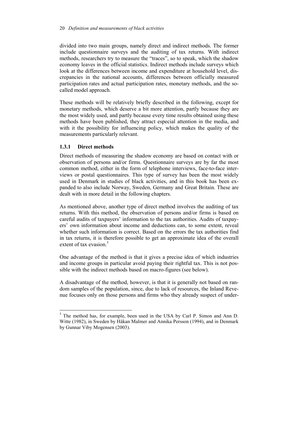divided into two main groups, namely direct and indirect methods. The former include questionnaire surveys and the auditing of tax returns. With indirect methods, researchers try to measure the "traces", so to speak, which the shadow economy leaves in the official statistics. Indirect methods include surveys which look at the differences between income and expenditure at household level, discrepancies in the national accounts, differences between officially measured participation rates and actual participation rates, monetary methods, and the socalled model approach.

These methods will be relatively briefly described in the following, except for monetary methods, which deserve a bit more attention, partly because they are the most widely used, and partly because every time results obtained using these methods have been published, they attract especial attention in the media, and with it the possibility for influencing policy, which makes the quality of the measurements particularly relevant.

# **1.3.1 Direct methods**

 $\overline{\phantom{a}}$ 

Direct methods of measuring the shadow economy are based on contact with or observation of persons and/or firms. Questionnaire surveys are by far the most common method, either in the form of telephone interviews, face-to-face interviews or postal questionnaires. This type of survey has been the most widely used in Denmark in studies of black activities, and in this book has been expanded to also include Norway, Sweden, Germany and Great Britain. These are dealt with in more detail in the following chapters.

As mentioned above, another type of direct method involves the auditing of tax returns. With this method, the observation of persons and/or firms is based on careful audits of taxpayers' information to the tax authorities. Audits of taxpayers' own information about income and deductions can, to some extent, reveal whether such information is correct. Based on the errors the tax authorities find in tax returns, it is therefore possible to get an approximate idea of the overall extent of tax evasion  $\frac{5}{5}$ 

One advantage of the method is that it gives a precise idea of which industries and income groups in particular avoid paying their rightful tax. This is not possible with the indirect methods based on macro-figures (see below).

A disadvantage of the method, however, is that it is generally not based on random samples of the population, since, due to lack of resources, the Inland Revenue focuses only on those persons and firms who they already suspect of under-

 $<sup>5</sup>$  The method has, for example, been used in the USA by Carl P. Simon and Ann D.</sup> Witte (1982), in Sweden by Håkan Malmer and Annika Persson (1994), and in Denmark by Gunnar Viby Mogensen (2003).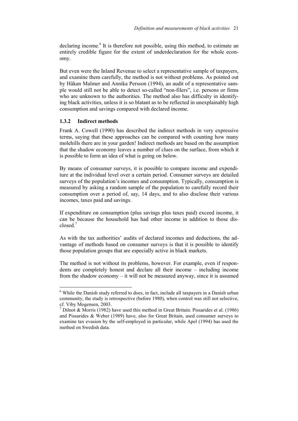declaring income.<sup>6</sup> It is therefore not possible, using this method, to estimate an entirely credible figure for the extent of underdeclaration for the whole economy.

But even were the Inland Revenue to select a representative sample of taxpayers, and examine them carefully, the method is not without problems. As pointed out by Håkan Malmer and Annika Persson (1994), an audit of a representative sample would still not be able to detect so-called "non-filers", i.e. persons or firms who are unknown to the authorities. The method also has difficulty in identifying black activities, unless it is so blatant as to be reflected in unexplainably high consumption and savings compared with declared income.

### **1.3.2 Indirect methods**

l

Frank A. Cowell (1990) has described the indirect methods in very expressive terms, saying that these approaches can be compared with counting how many molehills there are in your garden! Indirect methods are based on the assumption that the shadow economy leaves a number of clues on the surface, from which it is possible to form an idea of what is going on below.

By means of consumer surveys, it is possible to compare income and expenditure at the individual level over a certain period. Consumer surveys are detailed surveys of the population's incomes and consumption. Typically, consumption is measured by asking a random sample of the population to carefully record their consumption over a period of, say, 14 days, and to also disclose their various incomes, taxes paid and savings.

If expenditure on consumption (plus savings plus taxes paid) exceed income, it can be because the household has had other income in addition to those disclosed $<sup>7</sup>$ </sup>

As with the tax authorities' audits of declared incomes and deductions, the advantage of methods based on consumer surveys is that it is possible to identify those population groups that are especially active in black markets.

The method is not without its problems, however. For example, even if respondents are completely honest and declare all their income – including income from the shadow economy – it will not be measured anyway, since it is assumed

<sup>&</sup>lt;sup>6</sup> While the Danish study referred to does, in fact, include all taxpayers in a Danish urban community, the study is retrospective (before 1980), when control was still not selective, cf. Viby Mogensen, 2003.

<sup>&</sup>lt;sup>7</sup> Dilnot & Morris (1982) have used this method in Great Britain. Pissarides et al. (1986) and Pissarides & Weber (1989) have, also for Great Britain, used consumer surveys to examine tax evasion by the self-employed in particular, while Apel (1994) has used the method on Swedish data.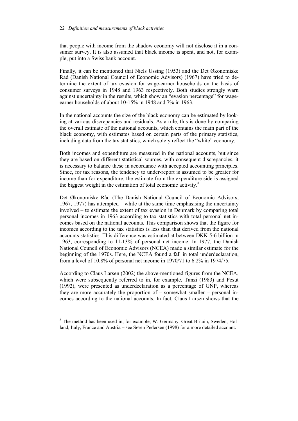#### 22 *Definition and measurements of black activities*

that people with income from the shadow economy will not disclose it in a consumer survey. It is also assumed that black income is spent, and not, for example, put into a Swiss bank account.

Finally, it can be mentioned that Niels Ussing (1953) and the Det Økonomiske Råd (Danish National Council of Economic Advisors) (1967) have tried to determine the extent of tax evasion for wage-earner households on the basis of consumer surveys in 1948 and 1963 respectively. Both studies strongly warn against uncertainty in the results, which show an "evasion percentage" for wageearner households of about 10-15% in 1948 and 7% in 1963.

In the national accounts the size of the black economy can be estimated by looking at various discrepancies and residuals. As a rule, this is done by comparing the overall estimate of the national accounts, which contains the main part of the black economy, with estimates based on certain parts of the primary statistics, including data from the tax statistics, which solely reflect the "white" economy.

Both incomes and expenditure are measured in the national accounts, but since they are based on different statistical sources, with consequent discrepancies, it is necessary to balance these in accordance with accepted accounting principles. Since, for tax reasons, the tendency to under-report is assumed to be greater for income than for expenditure, the estimate from the expenditure side is assigned the biggest weight in the estimation of total economic activity. $8$ 

Det Økonomiske Råd (The Danish National Council of Economic Advisors, 1967, 1977) has attempted – while at the same time emphasising the uncertainty involved – to estimate the extent of tax evasion in Denmark by comparing total personal incomes in 1963 according to tax statistics with total personal net incomes based on the national accounts. This comparison shows that the figure for incomes according to the tax statistics is less than that derived from the national accounts statistics. This difference was estimated at between DKK 5-6 billion in 1963, corresponding to 11-13% of personal net income. In 1977, the Danish National Council of Economic Advisors (NCEA) made a similar estimate for the beginning of the 1970s. Here, the NCEA found a fall in total underdeclaration, from a level of 10.8% of personal net income in 1970/71 to 6.2% in 1974/75.

According to Claus Larsen (2002) the above-mentioned figures from the NCEA, which were subsequently referred to in, for example, Tanzi (1983) and Pesut (1992), were presented as underdeclaration as a percentage of GNP, whereas they are more accurately the proportion of – somewhat smaller – personal incomes according to the national accounts. In fact, Claus Larsen shows that the

<sup>&</sup>lt;sup>8</sup> The method has been used in, for example, W. Germany, Great Britain, Sweden, Holland, Italy, France and Austria – see Søren Pedersen (1998) for a more detailed account.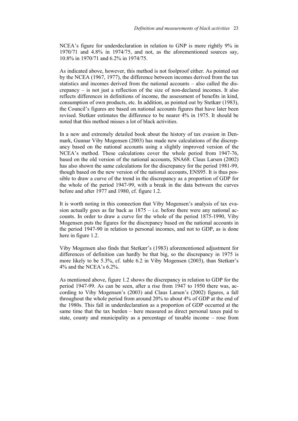NCEA's figure for underdeclaration in relation to GNP is more rightly 9% in 1970/71 and 4.8% in 1974/75, and not, as the aforementioned sources say, 10.8% in 1970/71 and 6.2% in 1974/75.

As indicated above, however, this method is not foolproof either. As pointed out by the NCEA (1967, 1977), the difference between incomes derived from the tax statistics and incomes derived from the national accounts – also called the discrepancy – is not just a reflection of the size of non-declared incomes. It also reflects differences in definitions of income, the assessment of benefits in kind, consumption of own products, etc. In addition, as pointed out by Stetkær (1983), the Council's figures are based on national accounts figures that have later been revised. Stetkær estimates the difference to be nearer 4% in 1975. It should be noted that this method misses a lot of black activities.

In a new and extremely detailed book about the history of tax evasion in Denmark, Gunnar Viby Mogensen (2003) has made new calculations of the discrepancy based on the national accounts using a slightly improved version of the NCEA's method. These calculations cover the whole period from 1947-76, based on the old version of the national accounts, SNA68. Claus Larsen (2002) has also shown the same calculations for the discrepancy for the period 1981-99, though based on the new version of the national accounts, ENS95. It is thus possible to draw a curve of the trend in the discrepancy as a proportion of GDP for the whole of the period 1947-99, with a break in the data between the curves before and after 1977 and 1980, cf. figure 1.2.

It is worth noting in this connection that Viby Mogensen's analysis of tax evasion actually goes as far back as  $1875 - i.e.$  before there were any national accounts. In order to draw a curve for the whole of the period 1875-1990, Viby Mogensen puts the figures for the discrepancy based on the national accounts in the period 1947-90 in relation to personal incomes, and not to GDP, as is done here in figure 1.2.

Viby Mogensen also finds that Stetkær's (1983) aforementioned adjustment for differences of definition can hardly be that big, so the discrepancy in 1975 is more likely to be 5.3%, cf. table 6.2 in Viby Mogensen (2003), than Stetkær's 4% and the NCEA's 6.2%.

As mentioned above, figure 1.2 shows the discrepancy in relation to GDP for the period 1947-99. As can be seen, after a rise from 1947 to 1950 there was, according to Viby Mogensen's (2003) and Claus Larsen's (2002) figures, a fall throughout the whole period from around 20% to about 4% of GDP at the end of the 1980s. This fall in underdeclaration as a proportion of GDP occurred at the same time that the tax burden – here measured as direct personal taxes paid to state, county and municipality as a percentage of taxable income – rose from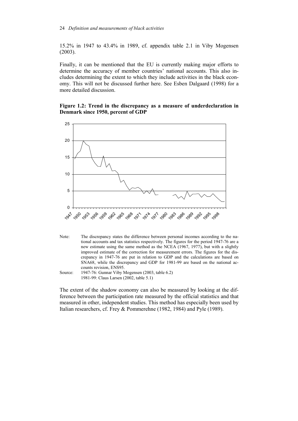15.2% in 1947 to 43.4% in 1989, cf. appendix table 2.1 in Viby Mogensen (2003).

Finally, it can be mentioned that the EU is currently making major efforts to determine the accuracy of member countries' national accounts. This also includes determining the extent to which they include activities in the black economy. This will not be discussed further here. See Esben Dalgaard (1998) for a more detailed discussion.

## **Figure 1.2: Trend in the discrepancy as a measure of underdeclaration in Denmark since 1950, percent of GDP**





Source: 1947-76: Gunnar Viby Mogensen (2003, table 6.2) 1981-99: Claus Larsen (2002, table 5.1)

The extent of the shadow economy can also be measured by looking at the difference between the participation rate measured by the official statistics and that measured in other, independent studies. This method has especially been used by Italian researchers, cf. Frey & Pommerehne (1982, 1984) and Pyle (1989).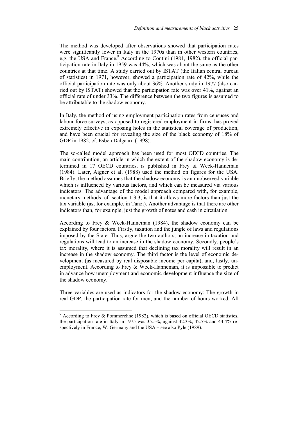The method was developed after observations showed that participation rates were significantly lower in Italy in the 1970s than in other western countries, e.g. the USA and France.<sup>9</sup> According to Contini (1981, 1982), the official participation rate in Italy in 1959 was 44%, which was about the same as the other countries at that time. A study carried out by ISTAT (the Italian central bureau of statistics) in 1971, however, showed a participation rate of 42%, while the official participation rate was only about 36%. Another study in 1977 (also carried out by ISTAT) showed that the participation rate was over 41%, against an official rate of under 33%. The difference between the two figures is assumed to be attributable to the shadow economy.

In Italy, the method of using employment participation rates from censuses and labour force surveys, as opposed to registered employment in firms, has proved extremely effective in exposing holes in the statistical coverage of production, and have been crucial for revealing the size of the black economy of 18% of GDP in 1982, cf. Esben Dalgaard (1998).

The so-called model approach has been used for most OECD countries. The main contribution, an article in which the extent of the shadow economy is determined in 17 OECD countries, is published in Frey & Weck-Hanneman (1984). Later, Aigner et al. (1988) used the method on figures for the USA. Briefly, the method assumes that the shadow economy is an unobserved variable which is influenced by various factors, and which can be measured via various indicators. The advantage of the model approach compared with, for example, monetary methods, cf. section 1.3.3, is that it allows more factors than just the tax variable (as, for example, in Tanzi). Another advantage is that there are other indicators than, for example, just the growth of notes and cash in circulation.

According to Frey & Weck-Hanneman (1984), the shadow economy can be explained by four factors. Firstly, taxation and the jungle of laws and regulations imposed by the State. Thus, argue the two authors, an increase in taxation and regulations will lead to an increase in the shadow economy. Secondly, people's tax morality, where it is assumed that declining tax morality will result in an increase in the shadow economy. The third factor is the level of economic development (as measured by real disposable income per capita), and, lastly, unemployment. According to Frey & Weck-Hanneman, it is impossible to predict in advance how unemployment and economic development influence the size of the shadow economy.

Three variables are used as indicators for the shadow economy: The growth in real GDP, the participation rate for men, and the number of hours worked. All

 $\overline{\phantom{a}}$ 

 $9$  According to Frey & Pommerehne (1982), which is based on official OECD statistics, the participation rate in Italy in 1975 was 35.5%, against 42.3%, 42.7% and 44.4% respectively in France, W. Germany and the USA – see also Pyle (1989).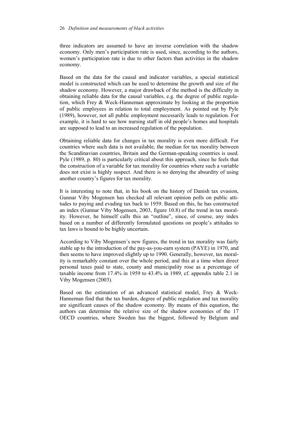three indicators are assumed to have an inverse correlation with the shadow economy. Only men's participation rate is used, since, according to the authors, women's participation rate is due to other factors than activities in the shadow economy.

Based on the data for the causal and indicator variables, a special statistical model is constructed which can be used to determine the growth and size of the shadow economy. However, a major drawback of the method is the difficulty in obtaining reliable data for the causal variables, e.g. the degree of public regulation, which Frey & Weck-Hanneman approximate by looking at the proportion of public employees in relation to total employment. As pointed out by Pyle (1989), however, not all public employment necessarily leads to regulation. For example, it is hard to see how nursing staff in old people's homes and hospitals are supposed to lead to an increased regulation of the population.

Obtaining reliable data for changes in tax morality is even more difficult. For countries where such data is not available, the median for tax morality between the Scandinavian countries, Britain and the German-speaking countries is used. Pyle (1989, p. 80) is particularly critical about this approach, since he feels that the construction of a variable for tax morality for countries where such a variable does not exist is highly suspect. And there is no denying the absurdity of using another country's figures for tax morality.

It is interesting to note that, in his book on the history of Danish tax evasion, Gunnar Viby Mogensen has checked all relevant opinion polls on public attitudes to paying and evading tax back to 1959. Based on this, he has constructed an index (Gunnar Viby Mogensen, 2003, figure 10.8) of the trend in tax morality. However, he himself calls this an "outline", since, of course, any index based on a number of differently formulated questions on people's attitudes to tax laws is bound to be highly uncertain.

According to Viby Mogensen's new figures, the trend in tax morality was fairly stable up to the introduction of the pay-as-you-earn system (PAYE) in 1970, and then seems to have improved slightly up to 1990. Generally, however, tax morality is remarkably constant over the whole period, and this at a time when direct personal taxes paid to state, county and municipality rose as a percentage of taxable income from 17.4% in 1959 to 43.4% in 1989, cf. appendix table 2.1 in Viby Mogensen (2003).

Based on the estimation of an advanced statistical model, Frey & Weck-Hanneman find that the tax burden, degree of public regulation and tax morality are significant causes of the shadow economy. By means of this equation, the authors can determine the relative size of the shadow economies of the 17 OECD countries, where Sweden has the biggest, followed by Belgium and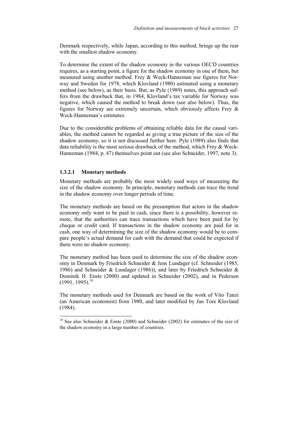Denmark respectively, while Japan, according to this method, brings up the rear with the smallest shadow economy.

To determine the extent of the shadow economy in the various OECD countries requires, as a starting point, a figure for the shadow economy in one of them, but measured using another method. Frey & Weck-Hanneman use figures for Norway and Sweden for 1978, which Klovland (1980) estimated using a monetary method (see below), as their basis. But, as Pyle (1989) notes, this approach suffers from the drawback that, in 1984, Klovland's tax variable for Norway was negative, which caused the method to break down (see also below). Thus, the figures for Norway are extremely uncertain, which obviously affects Frey & Weck-Hanneman's estimates.

Due to the considerable problems of obtaining reliable data for the causal variables, the method cannot be regarded as giving a true picture of the size of the shadow economy, so it is not discussed further here. Pyle (1989) also finds that data reliability is the most serious drawback of the method, which Frey & Weck-Hanneman (1984, p. 47) themselves point out (see also Schneider, 1997, note 3).

### **1.3.2.1 Monetary methods**

 $\overline{a}$ 

Monetary methods are probably the most widely used ways of measuring the size of the shadow economy. In principle, monetary methods can trace the trend in the shadow economy over longer periods of time.

The monetary methods are based on the presumption that actors in the shadow economy only want to be paid in cash, since there is a possibility, however remote, that the authorities can trace transactions which have been paid for by cheque or credit card. If transactions in the shadow economy are paid for in cash, one way of determining the size of the shadow economy would be to compare people's actual demand for cash with the demand that could be expected if there were no shadow economy.

The monetary method has been used to determine the size of the shadow economy in Denmark by Friedrich Schneider & Jens Lundager (cf. Schneider (1985, 1986) and Schneider & Lundager (1986)), and later by Friedrich Schneider & Dominik H. Enste (2000) and updated in Schneider (2002), and in Pedersen  $(1991, 1995)^{10}$ 

The monetary methods used for Denmark are based on the work of Vito Tanzi (an American economist) from 1980, and later modified by Jan Tore Klovland (1984).

<sup>&</sup>lt;sup>10</sup> See also Schneider & Enste (2000) and Schneider (2002) for estimates of the size of the shadow economy in a large number of countries.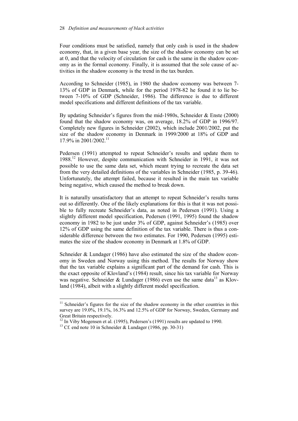Four conditions must be satisfied, namely that only cash is used in the shadow economy, that, in a given base year, the size of the shadow economy can be set at 0, and that the velocity of circulation for cash is the same in the shadow economy as in the formal economy. Finally, it is assumed that the sole cause of activities in the shadow economy is the trend in the tax burden.

According to Schneider (1985), in 1980 the shadow economy was between 7- 13% of GDP in Denmark, while for the period 1978-82 he found it to lie between 7-10% of GDP (Schneider, 1986). The difference is due to different model specifications and different definitions of the tax variable.

By updating Schneider's figures from the mid-1980s, Schneider & Enste (2000) found that the shadow economy was, on average, 18.2% of GDP in 1996/97. Completely new figures in Schneider (2002), which include 2001/2002, put the size of the shadow economy in Denmark in 1999/2000 at 18% of GDP and 17.9% in 2001/2002<sup>11</sup>

Pedersen (1991) attempted to repeat Schneider's results and update them to 1988.12 However, despite communication with Schneider in 1991, it was not possible to use the same data set, which meant trying to recreate the data set from the very detailed definitions of the variables in Schneider (1985, p. 39-46). Unfortunately, the attempt failed, because it resulted in the main tax variable being negative, which caused the method to break down.

It is naturally unsatisfactory that an attempt to repeat Schneider's results turns out so differently. One of the likely explanations for this is that it was not possible to fully recreate Schneider's data, as noted in Pedersen (1991). Using a slightly different model specification, Pedersen (1991, 1995) found the shadow economy in 1982 to be just under 3% of GDP, against Schneider's (1985) over 12% of GDP using the same definition of the tax variable. There is thus a considerable difference between the two estimates. For 1990, Pedersen (1995) estimates the size of the shadow economy in Denmark at 1.8% of GDP.

Schneider & Lundager (1986) have also estimated the size of the shadow economy in Sweden and Norway using this method. The results for Norway show that the tax variable explains a significant part of the demand for cash. This is the exact opposite of Klovland's (1984) result, since his tax variable for Norway was negative. Schneider & Lundager (1986) even use the same data<sup>13</sup> as Klovland (1984), albeit with a slightly different model specification.

 $\overline{\phantom{a}}$ 

 $11$  Schneider's figures for the size of the shadow economy in the other countries in this survey are 19.0%, 19.1%, 16.3% and 12.5% of GDP for Norway, Sweden, Germany and Great Britain respectively.

 $12 \text{ In}$  Viby Mogensen et al. (1995), Pedersen's (1991) results are updated to 1990.

<sup>&</sup>lt;sup>13</sup> Cf. end note 10 in Schneider & Lundager (1986, pp. 30-31)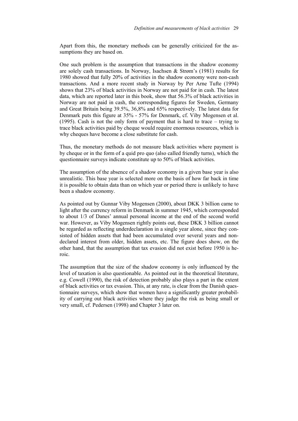Apart from this, the monetary methods can be generally criticized for the assumptions they are based on.

One such problem is the assumption that transactions in the shadow economy are solely cash transactions. In Norway, Isachsen & Strøm's (1981) results for 1980 showed that fully 20% of activities in the shadow economy were non-cash transactions. And a more recent study in Norway by Per Arne Tufte (1994) shows that 23% of black activities in Norway are not paid for in cash. The latest data, which are reported later in this book, show that  $56.3\%$  of black activities in Norway are not paid in cash, the corresponding figures for Sweden, Germany and Great Britain being 39.5%, 36,8% and 65% respectively. The latest data for Denmark puts this figure at 35% - 57% for Denmark, cf. Viby Mogensen et al. (1995). Cash is not the only form of payment that is hard to trace – trying to trace black activities paid by cheque would require enormous resources, which is why cheques have become a close substitute for cash.

Thus, the monetary methods do not measure black activities where payment is by cheque or in the form of a quid pro quo (also called friendly turns), which the questionnaire surveys indicate constitute up to 50% of black activities.

The assumption of the absence of a shadow economy in a given base year is also unrealistic. This base year is selected more on the basis of how far back in time it is possible to obtain data than on which year or period there is unlikely to have been a shadow economy.

As pointed out by Gunnar Viby Mogensen (2000), about DKK 3 billion came to light after the currency reform in Denmark in summer 1945, which corresponded to about 1/3 of Danes' annual personal income at the end of the second world war. However, as Viby Mogensen rightly points out, these DKK 3 billion cannot be regarded as reflecting underdeclaration in a single year alone, since they consisted of hidden assets that had been accumulated over several years and nondeclared interest from older, hidden assets, etc. The figure does show, on the other hand, that the assumption that tax evasion did not exist before 1950 is heroic.

The assumption that the size of the shadow economy is only influenced by the level of taxation is also questionable. As pointed out in the theoretical literature, e.g. Cowell (1990), the risk of detection probably also plays a part in the extent of black activities or tax evasion. This, at any rate, is clear from the Danish questionnaire surveys, which show that women have a significantly greater probability of carrying out black activities where they judge the risk as being small or very small, cf. Pedersen (1998) and Chapter 3 later on.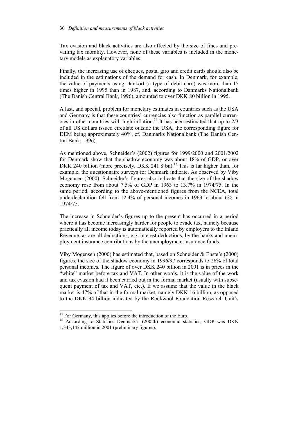Tax evasion and black activities are also affected by the size of fines and prevailing tax morality. However, none of these variables is included in the monetary models as explanatory variables.

Finally, the increasing use of cheques, postal giro and credit cards should also be included in the estimations of the demand for cash. In Denmark, for example, the value of payments using Dankort (a type of debit card) was more than 15 times higher in 1995 than in 1987, and, according to Danmarks Nationalbank (The Danish Central Bank, 1996), amounted to over DKK 80 billion in 1995.

A last, and special, problem for monetary estimates in countries such as the USA and Germany is that these countries' currencies also function as parallel currencies in other countries with high inflation.<sup>14</sup> It has been estimated that up to  $2/3$ of all US dollars issued circulate outside the USA, the corresponding figure for DEM being approximately 40%, cf. Danmarks Nationalbank (The Danish Central Bank, 1996).

As mentioned above, Schneider's (2002) figures for 1999/2000 and 2001/2002 for Denmark show that the shadow economy was about 18% of GDP, or over DKK 240 billion (more precisely, DKK 241.8 bn).<sup>15</sup> This is far higher than, for example, the questionnaire surveys for Denmark indicate. As observed by Viby Mogensen (2000), Schneider's figures also indicate that the size of the shadow economy rose from about 7.5% of GDP in 1963 to 13.7% in 1974/75. In the same period, according to the above-mentioned figures from the NCEA, total underdeclaration fell from 12.4% of personal incomes in 1963 to about 6% in 1974/75.

The increase in Schneider's figures up to the present has occurred in a period where it has become increasingly harder for people to evade tax, namely because practically all income today is automatically reported by employers to the Inland Revenue, as are all deductions, e.g. interest deductions, by the banks and unemployment insurance contributions by the unemployment insurance funds.

Viby Mogensen (2000) has estimated that, based on Schneider & Enste's (2000) figures, the size of the shadow economy in 1996/97 corresponds to 26% of total personal incomes. The figure of over DKK 240 billion in 2001 is in prices in the "white" market before tax and VAT. In other words, it is the value of the work and tax evasion had it been carried out in the formal market (usually with subsequent payment of tax and VAT, etc.). If we assume that the value in the black market is 47% of that in the formal market, namely DKK 16 billion, as opposed to the DKK 34 billion indicated by the Rockwool Foundation Research Unit's

 $\overline{\phantom{a}}$ 

 $14$  For Germany, this applies before the introduction of the Euro.

<sup>&</sup>lt;sup>15</sup> According to Statistics Denmark's (2002b) economic statistics, GDP was DKK 1,343,142 million in 2001 (preliminary figures).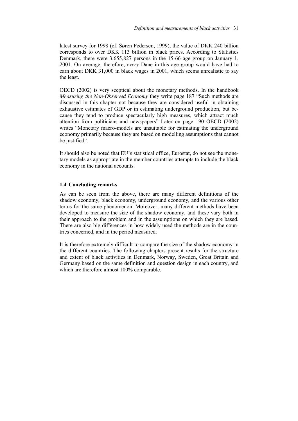latest survey for 1998 (cf. Søren Pedersen, 1999), the value of DKK 240 billion corresponds to over DKK 113 billion in black prices. According to Statistics Denmark, there were 3,655,827 persons in the 15-66 age group on January 1, 2001. On average, therefore, *every* Dane in this age group would have had to earn about DKK 31,000 in black wages in 2001, which seems unrealistic to say the least.

OECD (2002) is very sceptical about the monetary methods. In the handbook *Measuring the Non-Observed Economy* they write page 187 "Such methods are discussed in this chapter not because they are considered useful in obtaining exhaustive estimates of GDP or in estimating underground production, but because they tend to produce spectacularly high measures, which attract much attention from politicians and newspapers" Later on page 190 OECD (2002) writes "Monetary macro-models are unsuitable for estimating the underground economy primarily because they are based on modelling assumptions that cannot be justified".

It should also be noted that EU's statistical office, Eurostat, do not see the monetary models as appropriate in the member countries attempts to include the black economy in the national accounts.

#### **1.4 Concluding remarks**

As can be seen from the above, there are many different definitions of the shadow economy, black economy, underground economy, and the various other terms for the same phenomenon. Moreover, many different methods have been developed to measure the size of the shadow economy, and these vary both in their approach to the problem and in the assumptions on which they are based. There are also big differences in how widely used the methods are in the countries concerned, and in the period measured.

It is therefore extremely difficult to compare the size of the shadow economy in the different countries. The following chapters present results for the structure and extent of black activities in Denmark, Norway, Sweden, Great Britain and Germany based on the same definition and question design in each country, and which are therefore almost 100% comparable.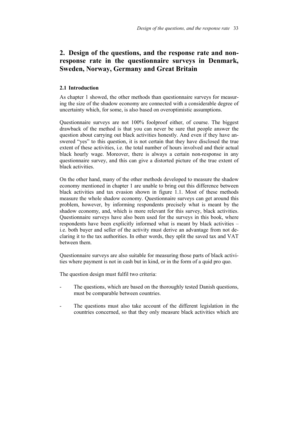# **2. Design of the questions, and the response rate and nonresponse rate in the questionnaire surveys in Denmark, Sweden, Norway, Germany and Great Britain**

## **2.1 Introduction**

As chapter 1 showed, the other methods than questionnaire surveys for measuring the size of the shadow economy are connected with a considerable degree of uncertainty which, for some, is also based on overoptimistic assumptions.

Questionnaire surveys are not 100% foolproof either, of course. The biggest drawback of the method is that you can never be sure that people answer the question about carrying out black activities honestly. And even if they have answered "yes" to this question, it is not certain that they have disclosed the true extent of these activities, i.e. the total number of hours involved and their actual black hourly wage. Moreover, there is always a certain non-response in any questionnaire survey, and this can give a distorted picture of the true extent of black activities.

On the other hand, many of the other methods developed to measure the shadow economy mentioned in chapter 1 are unable to bring out this difference between black activities and tax evasion shown in figure 1.1. Most of these methods measure the whole shadow economy. Questionnaire surveys can get around this problem, however, by informing respondents precisely what is meant by the shadow economy, and, which is more relevant for this survey, black activities. Questionnaire surveys have also been used for the surveys in this book, where respondents have been explicitly informed what is meant by black activities – i.e. both buyer and seller of the activity must derive an advantage from not declaring it to the tax authorities. In other words, they split the saved tax and VAT between them.

Questionnaire surveys are also suitable for measuring those parts of black activities where payment is not in cash but in kind, or in the form of a quid pro quo.

The question design must fulfil two criteria:

- The questions, which are based on the thoroughly tested Danish questions, must be comparable between countries.
- The questions must also take account of the different legislation in the countries concerned, so that they only measure black activities which are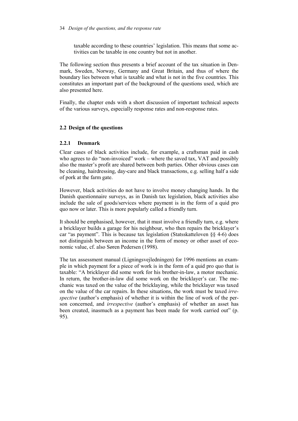#### 34 *Design of the questions, and the response rate*

taxable according to these countries' legislation. This means that some activities can be taxable in one country but not in another.

The following section thus presents a brief account of the tax situation in Denmark, Sweden, Norway, Germany and Great Britain, and thus of where the boundary lies between what is taxable and what is not in the five countries. This constitutes an important part of the background of the questions used, which are also presented here.

Finally, the chapter ends with a short discussion of important technical aspects of the various surveys, especially response rates and non-response rates.

# **2.2 Design of the questions**

# **2.2.1 Denmark**

Clear cases of black activities include, for example, a craftsman paid in cash who agrees to do "non-invoiced" work – where the saved tax, VAT and possibly also the master's profit are shared between both parties. Other obvious cases can be cleaning, hairdressing, day-care and black transactions, e.g. selling half a side of pork at the farm gate.

However, black activities do not have to involve money changing hands. In the Danish questionnaire surveys, as in Danish tax legislation, black activities also include the sale of goods/services where payment is in the form of a quid pro quo now or later. This is more popularly called a friendly turn.

It should be emphasised, however, that it must involve a friendly turn, e.g. where a bricklayer builds a garage for his neighbour, who then repairs the bricklayer's car "as payment". This is because tax legislation (Statsskatteloven §§ 4-6) does not distinguish between an income in the form of money or other asset of economic value, cf. also Søren Pedersen (1998).

The tax assessment manual (Ligningsvejledningen) for 1996 mentions an example in which payment for a piece of work is in the form of a quid pro quo that is taxable: "A bricklayer did some work for his brother-in-law, a motor mechanic. In return, the brother-in-law did some work on the bricklayer's car. The mechanic was taxed on the value of the bricklaying, while the bricklayer was taxed on the value of the car repairs. In these situations, the work must be taxed *irrespective* (author's emphasis) of whether it is within the line of work of the person concerned, and *irrespective* (author's emphasis) of whether an asset has been created, inasmuch as a payment has been made for work carried out" (p. 95).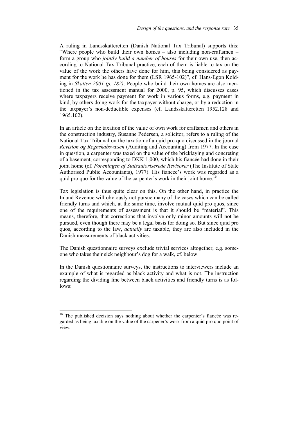A ruling in Landsskatteretten (Danish National Tax Tribunal) supports this: "Where people who build their own homes – also including non-craftsmen – form a group who *jointly build a number of houses* for their own use, then according to National Tax Tribunal practice, each of them is liable to tax on the value of the work the others have done for him, this being considered as payment for the work he has done for them (LSR 1965-102)", cf. Hans-Egon Kolding in *Skatten 2001 (p. 182)*: People who build their own homes are also mentioned in the tax assessment manual for 2000, p. 95, which discusses cases where taxpayers receive payment for work in various forms, e.g. payment in kind, by others doing work for the taxpayer without charge, or by a reduction in the taxpayer's non-deductible expenses (cf. Landsskatteretten 1952.128 and 1965.102).

In an article on the taxation of the value of own work for craftsmen and others in the construction industry, Susanne Pedersen, a solicitor, refers to a ruling of the National Tax Tribunal on the taxation of a quid pro quo discussed in the journal *Revision og Regnskabsvæsen* (Auditing and Accounting) from 1977. In the case in question, a carpenter was taxed on the value of the bricklaying and concreting of a basement, corresponding to DKK 1,000, which his fiancée had done in their joint home (cf. *Foreningen af Statsautoriserede Revisorer* (The Institute of State Authorised Public Accountants), 1977). His fiancée's work was regarded as a quid pro quo for the value of the carpenter's work in their joint home.<sup>16</sup>

Tax legislation is thus quite clear on this. On the other hand, in practice the Inland Revenue will obviously not pursue many of the cases which can be called friendly turns and which, at the same time, involve mutual quid pro quos, since one of the requirements of assessment is that it should be "material". This means, therefore, that corrections that involve only minor amounts will not be pursued, even though there may be a legal basis for doing so. But since quid pro quos, according to the law, *actually* are taxable, they are also included in the Danish measurements of black activities.

The Danish questionnaire surveys exclude trivial services altogether, e.g. someone who takes their sick neighbour's dog for a walk, cf. below.

In the Danish questionnaire surveys, the instructions to interviewers include an example of what is regarded as black activity and what is not. The instruction regarding the dividing line between black activities and friendly turns is as follows:

 $\overline{\phantom{a}}$ 

 $16$  The published decision says nothing about whether the carpenter's fiancée was regarded as being taxable on the value of the carpener's work from a quid pro quo point of view.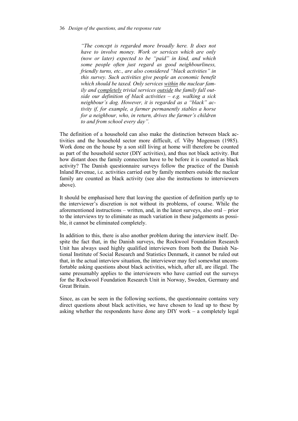*"The concept is regarded more broadly here. It does not have to involve money. Work or services which are only (now or later) expected to be "paid" in kind, and which some people often just regard as good neighbourliness, friendly turns, etc., are also considered "black activities" in this survey. Such activities give people an economic benefit which should be taxed. Only services within the nuclear family and completely trivial services outside the family fall outside our definition of black activities – e.g. walking a sick neighbour's dog. However, it is regarded as a "black" activity if, for example, a farmer permanently stables a horse for a neighbour, who, in return, drives the farmer's children to and from school every day".*

The definition of a household can also make the distinction between black activities and the household sector more difficult, cf. Viby Mogensen (1985). Work done on the house by a son still living at home will therefore be counted as part of the household sector (DIY activities), and thus not black activity. But how distant does the family connection have to be before it is counted as black activity? The Danish questionnaire surveys follow the practice of the Danish Inland Revenue, i.e. activities carried out by family members outside the nuclear family are counted as black activity (see also the instructions to interviewers above).

It should be emphasised here that leaving the question of definition partly up to the interviewer's discretion is not without its problems, of course. While the aforementioned instructions – written, and, in the latest surveys, also oral – prior to the interviews try to eliminate as much variation in these judgements as possible, it cannot be eliminated completely.

In addition to this, there is also another problem during the interview itself. Despite the fact that, in the Danish surveys, the Rockwool Foundation Research Unit has always used highly qualified interviewers from both the Danish National Institute of Social Research and Statistics Denmark, it cannot be ruled out that, in the actual interview situation, the interviewer may feel somewhat uncomfortable asking questions about black activities, which, after all, are illegal. The same presumably applies to the interviewers who have carried out the surveys for the Rockwool Foundation Research Unit in Norway, Sweden, Germany and Great Britain.

Since, as can be seen in the following sections, the questionnaire contains very direct questions about black activities, we have chosen to lead up to these by asking whether the respondents have done any DIY work – a completely legal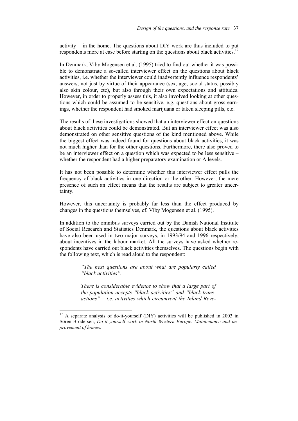activity – in the home. The questions about DIY work are thus included to put respondents more at ease before starting on the questions about black activities.<sup>17</sup>

In Denmark, Viby Mogensen et al. (1995) tried to find out whether it was possible to demonstrate a so-called interviewer effect on the questions about black activities, i.e. whether the interviewer could inadvertently influence respondents' answers, not just by virtue of their appearance (sex, age, social status, possibly also skin colour, etc), but also through their own expectations and attitudes. However, in order to properly assess this, it also involved looking at other questions which could be assumed to be sensitive, e.g. questions about gross earnings, whether the respondent had smoked marijuana or taken sleeping pills, etc.

The results of these investigations showed that an interviewer effect on questions about black activities could be demonstrated. But an interviewer effect was also demonstrated on other sensitive questions of the kind mentioned above. While the biggest effect was indeed found for questions about black activities, it was not much higher than for the other questions. Furthermore, there also proved to be an interviewer effect on a question which was expected to be less sensitive – whether the respondent had a higher preparatory examination or A levels.

It has not been possible to determine whether this interviewer effect pulls the frequency of black activities in one direction or the other. However, the mere presence of such an effect means that the results are subject to greater uncertainty.

However, this uncertainty is probably far less than the effect produced by changes in the questions themselves, cf. Viby Mogensen et al. (1995).

In addition to the omnibus surveys carried out by the Danish National Institute of Social Research and Statistics Denmark, the questions about black activities have also been used in two major surveys, in 1993/94 and 1996 respectively, about incentives in the labour market. All the surveys have asked whether respondents have carried out black activities themselves. The questions begin with the following text, which is read aloud to the respondent:

> *"The next questions are about what are popularly called "black activities".*

> *There is considerable evidence to show that a large part of the population accepts "black activities" and "black transactions" – i.e. activities which circumvent the Inland Reve-*

 $17$  A separate analysis of do-it-yourself (DIY) activities will be published in 2003 in Søren Brodersen, *Do-it-yourself work in North-Western Europe. Maintenance and improvement of homes*.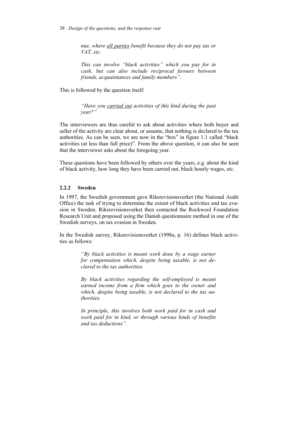*nue, where all parties benefit because they do not pay tax or VAT, etc.* 

*This can involve "black activities" which you pay for in cash, but can also include reciprocal favours between friends, acquaintances and family members".* 

This is followed by the question itself:

*"Have you carried out activities of this kind during the past year?"* 

The interviewers are thus careful to ask about activities where both buyer and seller of the activity are clear about, or assume, that nothing is declared to the tax authorities. As can be seen, we are now in the "box" in figure 1.1 called "black activities (at less than full price)". From the above question, it can also be seen that the interviewer asks about the foregoing year.

These questions have been followed by others over the years, e.g. about the kind of black activity, how long they have been carried out, black hourly wages, etc.

#### **2.2.2 Sweden**

In 1997, the Swedish government gave Riksrevisionsverket (the National Audit Office) the task of trying to determine the extent of black activities and tax evasion in Sweden. Riksrevisionsverket then contacted the Rockwool Foundation Research Unit and proposed using the Danish questionnaire method in one of the Swedish surveys, on tax evasion in Sweden.

In the Swedish survey, Riksrevisionsverket (1998a, p. 16) defines black activities as follows:

> *"By black activities is meant work done by a wage earner for compensation which, despite being taxable, is not declared to the tax authorities.*

> *By black activities regarding the self-employed is meant earned income from a firm which goes to the owner and which, despite being taxable, is not declared to the tax authorities.*

> *In principle, this involves both work paid for in cash and work paid for in kind, or through various kinds of benefits and tax deductions".*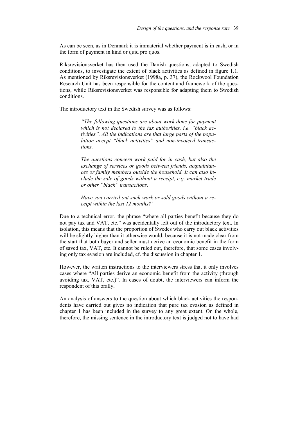As can be seen, as in Denmark it is immaterial whether payment is in cash, or in the form of payment in kind or quid pro quos.

Riksrevisionsverket has then used the Danish questions, adapted to Swedish conditions, to investigate the extent of black activities as defined in figure 1.1. As mentioned by Riksrevisionsverket (1998a, p. 37), the Rockwool Foundation Research Unit has been responsible for the content and framework of the questions, while Riksrevisionsverket was responsible for adapting them to Swedish conditions.

The introductory text in the Swedish survey was as follows:

*"The following questions are about work done for payment which is not declared to the tax authorities, i.e. "black activities". All the indications are that large parts of the population accept "black activities" and non-invoiced transactions.* 

*The questions concern work paid for in cash, but also the exchange of services or goods between friends, acquaintances or family members outside the household. It can also include the sale of goods without a receipt, e.g. market trade or other "black" transactions.* 

*Have you carried out such work or sold goods without a receipt within the last 12 months?"* 

Due to a technical error, the phrase "where all parties benefit because they do not pay tax and VAT, etc." was accidentally left out of the introductory text. In isolation, this means that the proportion of Swedes who carry out black activities will be slightly higher than it otherwise would, because it is not made clear from the start that both buyer and seller must derive an economic benefit in the form of saved tax, VAT, etc. It cannot be ruled out, therefore, that some cases involving only tax evasion are included, cf. the discussion in chapter 1.

However, the written instructions to the interviewers stress that it only involves cases where "All parties derive an economic benefit from the activity (through avoiding tax, VAT, etc.)". In cases of doubt, the interviewers can inform the respondent of this orally.

An analysis of answers to the question about which black activities the respondents have carried out gives no indication that pure tax evasion as defined in chapter 1 has been included in the survey to any great extent. On the whole, therefore, the missing sentence in the introductory text is judged not to have had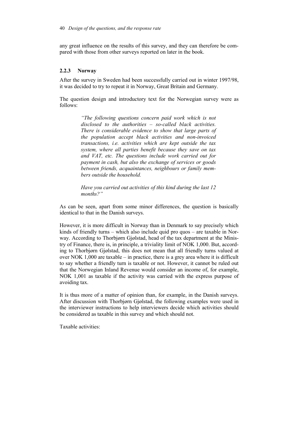any great influence on the results of this survey, and they can therefore be compared with those from other surveys reported on later in the book.

# **2.2.3 Norway**

After the survey in Sweden had been successfully carried out in winter 1997/98, it was decided to try to repeat it in Norway, Great Britain and Germany.

The question design and introductory text for the Norwegian survey were as follows:

> *"The following questions concern paid work which is not disclosed to the authorities – so-called black activities. There is considerable evidence to show that large parts of the population accept black activities and non-invoiced transactions, i.e. activities which are kept outside the tax system, where all parties benefit because they save on tax and VAT, etc. The questions include work carried out for payment in cash, but also the exchange of services or goods between friends, acquaintances, neighbours or family members outside the household.*

> *Have you carried out activities of this kind during the last 12 months?"*

As can be seen, apart from some minor differences, the question is basically identical to that in the Danish surveys.

However, it is more difficult in Norway than in Denmark to say precisely which kinds of friendly turns – which also include quid pro quos – are taxable in Norway. According to Thorbjørn Gjølstad, head of the tax department at the Ministry of Finance, there is, in principle, a triviality limit of NOK 1,000. But, according to Thorbjørn Gjølstad, this does not mean that all friendly turns valued at over NOK 1,000 are taxable – in practice, there is a grey area where it is difficult to say whether a friendly turn is taxable or not. However, it cannot be ruled out that the Norwegian Inland Revenue would consider an income of, for example, NOK 1,001 as taxable if the activity was carried with the express purpose of avoiding tax.

It is thus more of a matter of opinion than, for example, in the Danish surveys. After discussion with Thorbjørn Gjølstad, the following examples were used in the interviewer instructions to help interviewers decide which activities should be considered as taxable in this survey and which should not.

Taxable activities: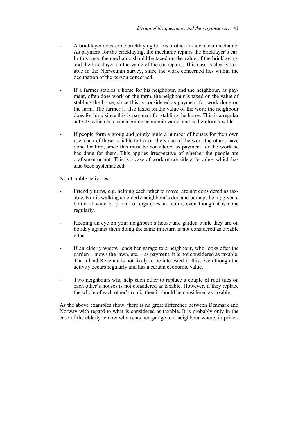- A bricklayer does some bricklaying for his brother-in-law, a car mechanic. As payment for the bricklaying, the mechanic repairs the bricklayer's car. In this case, the mechanic should be taxed on the value of the bricklaying, and the bricklayer on the value of the car repairs. This case is clearly taxable in the Norwegian survey, since the work concerned lies within the occupation of the person concerned.
- If a farmer stables a horse for his neighbour, and the neighbour, as payment, often does work on the farm, the neighbour is taxed on the value of stabling the horse, since this is considered as payment for work done on the farm. The farmer is also taxed on the value of the work the neighbour does for him, since this is payment for stabling the horse. This is a regular activity which has considerable economic value, and is therefore taxable.
- If people form a group and jointly build a number of houses for their own use, each of these is liable to tax on the value of the work the others have done for him, since this must be considered as payment for the work he has done for them. This applies irrespective of whether the people are craftsmen or not. This is a case of work of considerable value, which has also been systematized.

Non-taxable activities:

- Friendly turns, e.g. helping each other to move, are not considered as taxable. Nor is walking an elderly neighbour's dog and perhaps being given a bottle of wine or packet of cigarettes in return, even though it is done regularly.
- Keeping an eye on your neighbour's house and garden while they are on holiday against them doing the same in return is not considered as taxable either.
- If an elderly widow lends her garage to a neighbour, who looks after the garden – mows the lawn, etc. – as payment, it is not considered as taxable. The Inland Revenue is not likely to be interested in this, even though the activity occurs regularly and has a certain economic value.
- Two neighbours who help each other to replace a couple of roof tiles on each other's houses is not considered as taxable. However, if they replace the whole of each other's roofs, then it should be considered as taxable.

As the above examples show, there is no great difference between Denmark and Norway with regard to what is considered as taxable. It is probably only in the case of the elderly widow who rents her garage to a neighbour where, in princi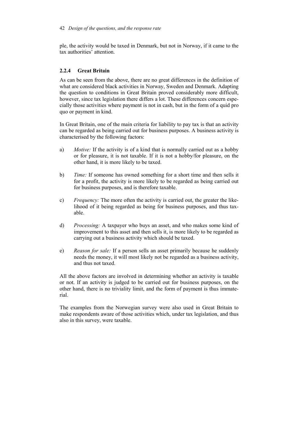ple, the activity would be taxed in Denmark, but not in Norway, if it came to the tax authorities' attention.

# **2.2.4 Great Britain**

As can be seen from the above, there are no great differences in the definition of what are considered black activities in Norway, Sweden and Denmark. Adapting the question to conditions in Great Britain proved considerably more difficult, however, since tax legislation there differs a lot. These differences concern especially those activities where payment is not in cash, but in the form of a quid pro quo or payment in kind.

In Great Britain, one of the main criteria for liability to pay tax is that an activity can be regarded as being carried out for business purposes. A business activity is characterised by the following factors:

- a) *Motive:* If the activity is of a kind that is normally carried out as a hobby or for pleasure, it is not taxable. If it is not a hobby/for pleasure, on the other hand, it is more likely to be taxed.
- b) *Time:* If someone has owned something for a short time and then sells it for a profit, the activity is more likely to be regarded as being carried out for business purposes, and is therefore taxable.
- c) *Frequency:* The more often the activity is carried out, the greater the likelihood of it being regarded as being for business purposes, and thus taxable.
- d) *Processing:* A taxpayer who buys an asset, and who makes some kind of improvement to this asset and then sells it, is more likely to be regarded as carrying out a business activity which should be taxed.
- e) *Reason for sale:* If a person sells an asset primarily because he suddenly needs the money, it will most likely not be regarded as a business activity, and thus not taxed.

All the above factors are involved in determining whether an activity is taxable or not. If an activity is judged to be carried out for business purposes, on the other hand, there is no triviality limit, and the form of payment is thus immaterial.

The examples from the Norwegian survey were also used in Great Britain to make respondents aware of those activities which, under tax legislation, and thus also in this survey, were taxable.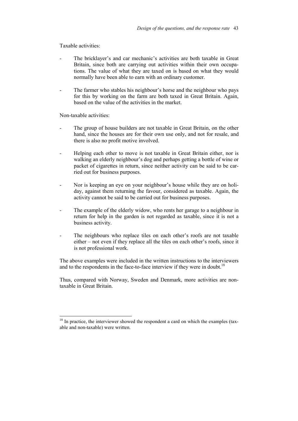Taxable activities:

- The bricklayer's and car mechanic's activities are both taxable in Great Britain, since both are carrying out activities within their own occupations. The value of what they are taxed on is based on what they would normally have been able to earn with an ordinary customer.
- The farmer who stables his neighbour's horse and the neighbour who pays for this by working on the farm are both taxed in Great Britain. Again, based on the value of the activities in the market.

Non-taxable activities:

 $\overline{a}$ 

- The group of house builders are not taxable in Great Britain, on the other hand, since the houses are for their own use only, and not for resale, and there is also no profit motive involved.
- Helping each other to move is not taxable in Great Britain either, nor is walking an elderly neighbour's dog and perhaps getting a bottle of wine or packet of cigarettes in return, since neither activity can be said to be carried out for business purposes.
- Nor is keeping an eye on your neighbour's house while they are on holiday, against them returning the favour, considered as taxable. Again, the activity cannot be said to be carried out for business purposes.
- The example of the elderly widow, who rents her garage to a neighbour in return for help in the garden is not regarded as taxable, since it is not a business activity.
- The neighbours who replace tiles on each other's roofs are not taxable either – not even if they replace all the tiles on each other's roofs, since it is not professional work.

The above examples were included in the written instructions to the interviewers and to the respondents in the face-to-face interview if they were in doubt.<sup>18</sup>

Thus, compared with Norway, Sweden and Denmark, more activities are nontaxable in Great Britain.

 $18$  In practice, the interviewer showed the respondent a card on which the examples (taxable and non-taxable) were written.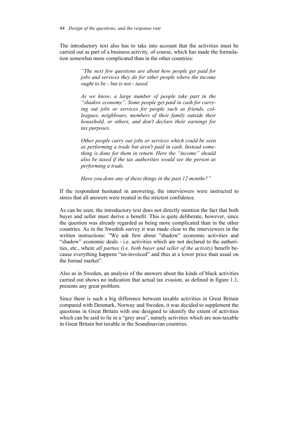The introductory text also has to take into account that the activities must be carried out as part of a business activity, of course, which has made the formulation somewhat more complicated than in the other countries:

> *"The next few questions are about how people get paid for jobs and services they do for other people where the income ought to be - but is not - taxed.*

> *As we know, a large number of people take part in the "shadow economy". Some people get paid in cash for carrying out jobs or services for people such as friends, colleagues, neighbours, members of their family outside their household, or others, and don't declare their earnings for tax purposes.*

> *Other people carry out jobs or services which could be seen as performing a trade but aren't paid in cash. Instead something is done for them in return. Here the "income" should also be taxed if the tax authorities would see the person as performing a trade.*

*Have you done any of these things in the past 12 months?"* 

If the respondent hesitated in answering, the interviewers were instructed to stress that all answers were treated in the strictest confidence.

As can be seen, the introductory text does not directly mention the fact that both buyer and seller must derive a benefit. This is quite deliberate, however, since the question was already regarded as being more complicated than in the other countries. As in the Swedish survey it was made clear to the interviewers in the written instructions: "We ask first about "shadow" economic activities and "shadow" economic deals - i.e. activities which are not declared to the authorities, etc., where *all parties (i.e. both buyer and seller of the activity)* benefit because everything happens "un-invoiced" and thus at a lower price than usual on the formal market".

Also as in Sweden, an analysis of the answers about the kinds of black activities carried out shows no indication that actual tax evasion, as defined in figure 1.1, presents any great problem.

Since there is such a big difference between taxable activities in Great Britain compared with Denmark, Norway and Sweden, it was decided to supplement the questions in Great Britain with one designed to identify the extent of activities which can be said to lie in a "grey area", namely activities which are non-taxable in Great Britain but taxable in the Scandinavian countries.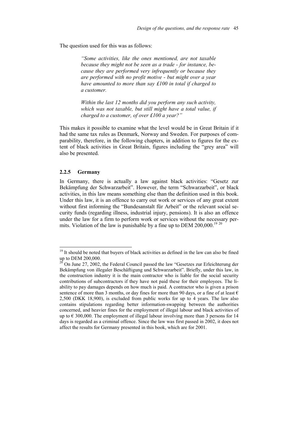The question used for this was as follows:

*"Some activities, like the ones mentioned, are not taxable because they might not be seen as a trade - for instance, because they are performed very infrequently or because they are performed with no profit motive - but might over a year have amounted to more than say £100 in total if charged to a customer.* 

*Within the last 12 months did you perform any such activity, which was not taxable, but still might have a total value, if charged to a customer, of over £100 a year?"* 

This makes it possible to examine what the level would be in Great Britain if it had the same tax rules as Denmark, Norway and Sweden. For purposes of comparability, therefore, in the following chapters, in addition to figures for the extent of black activities in Great Britain, figures including the "grey area" will also be presented.

#### **2.2.5 Germany**

 $\overline{a}$ 

In Germany, there is actually a law against black activities: "Gesetz zur Bekämpfung der Schwarzarbeit". However, the term "Schwarzarbeit", or black activities, in this law means something else than the definition used in this book. Under this law, it is an offence to carry out work or services of any great extent without first informing the "Bundesanstalt für Arbeit" or the relevant social security funds (regarding illness, industrial injury, pensions). It is also an offence under the law for a firm to perform work or services without the necessary permits. Violation of the law is punishable by a fine up to DEM 200,000.<sup>19 20</sup>

 $19$ <sup>19</sup> It should be noted that buyers of black activities as defined in the law can also be fined up to DEM 200,000.

<sup>20</sup> On June 27, 2002, the Federal Council passed the law "Gesetzes zur Erleichterung der Bekämpfung von illegaler Beschäftigung und Schwarzarbeit". Briefly, under this law, in the construction industry it is the main contractor who is liable for the social security contributions of subcontractors if they have not paid these for their employees. The liability to pay damages depends on how much is paid. A contractor who is given a prison sentence of more than 3 months, or day fines for more than 90 days, or a fine of at least  $\epsilon$ 2,500 (DKK 18,900), is excluded from public works for up to 4 years. The law also contains stipulations regarding better information-swapping between the authorities concerned, and heavier fines for the employment of illegal labour and black activities of up to  $\epsilon$  300,000. The employment of illegal labour involving more than 3 persons for 14 days is regarded as a criminal offence. Since the law was first passed in 2002, it does not affect the results for Germany presented in this book, which are for 2001.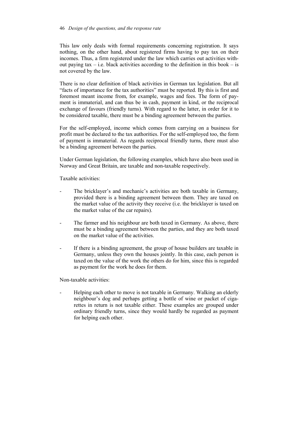#### 46 *Design of the questions, and the response rate*

This law only deals with formal requirements concerning registration. It says nothing, on the other hand, about registered firms having to pay tax on their incomes. Thus, a firm registered under the law which carries out activities without paying tax – i.e. black activities according to the definition in this book – is not covered by the law.

There is no clear definition of black activities in German tax legislation. But all "facts of importance for the tax authorities" must be reported. By this is first and foremost meant income from, for example, wages and fees. The form of payment is immaterial, and can thus be in cash, payment in kind, or the reciprocal exchange of favours (friendly turns). With regard to the latter, in order for it to be considered taxable, there must be a binding agreement between the parties.

For the self-employed, income which comes from carrying on a business for profit must be declared to the tax authorities. For the self-employed too, the form of payment is immaterial. As regards reciprocal friendly turns, there must also be a binding agreement between the parties.

Under German legislation, the following examples, which have also been used in Norway and Great Britain, are taxable and non-taxable respectively.

Taxable activities:

- The bricklayer's and mechanic's activities are both taxable in Germany, provided there is a binding agreement between them. They are taxed on the market value of the activity they receive (i.e. the bricklayer is taxed on the market value of the car repairs).
- The farmer and his neighbour are both taxed in Germany. As above, there must be a binding agreement between the parties, and they are both taxed on the market value of the activities.
- If there is a binding agreement, the group of house builders are taxable in Germany, unless they own the houses jointly. In this case, each person is taxed on the value of the work the others do for him, since this is regarded as payment for the work he does for them.

Non-taxable activities:

Helping each other to move is not taxable in Germany. Walking an elderly neighbour's dog and perhaps getting a bottle of wine or packet of cigarettes in return is not taxable either. These examples are grouped under ordinary friendly turns, since they would hardly be regarded as payment for helping each other.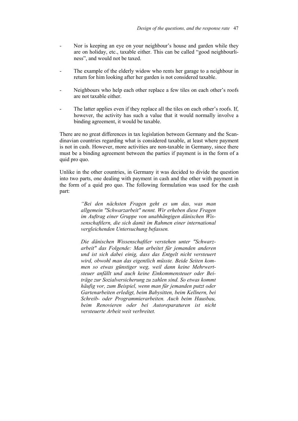- Nor is keeping an eye on your neighbour's house and garden while they are on holiday, etc., taxable either. This can be called "good neighbourliness", and would not be taxed.
- The example of the elderly widow who rents her garage to a neighbour in return for him looking after her garden is not considered taxable.
- Neighbours who help each other replace a few tiles on each other's roofs are not taxable either.
- The latter applies even if they replace all the tiles on each other's roofs. If, however, the activity has such a value that it would normally involve a binding agreement, it would be taxable.

There are no great differences in tax legislation between Germany and the Scandinavian countries regarding what is considered taxable, at least where payment is not in cash. However, more activities are non-taxable in Germany, since there must be a binding agreement between the parties if payment is in the form of a quid pro quo.

Unlike in the other countries, in Germany it was decided to divide the question into two parts, one dealing with payment in cash and the other with payment in the form of a quid pro quo. The following formulation was used for the cash part:

> *"Bei den nächsten Fragen geht es um das, was man allgemein "Schwarzarbeit" nennt. Wir erheben diese Fragen im Auftrag einer Gruppe von unabhängigen dänischen Wissenschaftlern, die sich damit im Rahmen einer international vergleichenden Untersuchung befassen.*

> *Die dänischen Wissenschaftler verstehen unter "Schwarzarbeit" das Folgende: Man arbeitet für jemanden anderen und ist sich dabei einig, dass das Entgelt nicht versteuert wird, obwohl man das eigentlich müsste. Beide Seiten kommen so etwas günstiger weg, weil dann keine Mehrwertsteuer anfällt und auch keine Einkommensteuer oder Beiträge zur Sozialversicherung zu zahlen sind. So etwas kommt häufig vor, zum Beispiel, wenn man für jemanden putzt oder Gartenarbeiten erledigt, beim Babysitten, beim Kellnern, bei Schreib- oder Programmierarbeiten. Auch beim Hausbau, beim Renovieren oder bei Autoreparaturen ist nicht versteuerte Arbeit weit verbreitet.*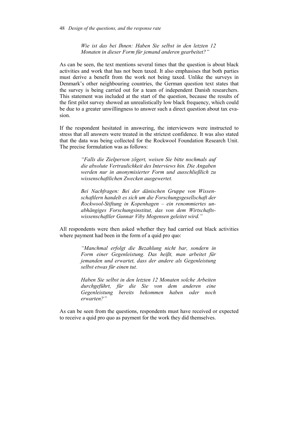*Wie ist das bei Ihnen: Haben Sie selbst in den letzten 12 Monaten in dieser Form für jemand anderen gearbeitet?"*

As can be seen, the text mentions several times that the question is about black activities and work that has not been taxed. It also emphasises that both parties must derive a benefit from the work not being taxed. Unlike the surveys in Denmark's other neighbouring countries, the German question text states that the survey is being carried out for a team of independent Danish researchers. This statement was included at the start of the question, because the results of the first pilot survey showed an unrealistically low black frequency, which could be due to a greater unwillingness to answer such a direct question about tax evasion.

If the respondent hesitated in answering, the interviewers were instructed to stress that all answers were treated in the strictest confidence. It was also stated that the data was being collected for the Rockwool Foundation Research Unit. The precise formulation was as follows:

> *"Falls die Zielperson zögert, weisen Sie bitte nochmals auf die absolute Vertraulichkeit des Interviews hin. Die Angaben werden nur in anonymisierter Form und ausschließlich zu wissenschaftlichen Zwecken ausgewertet.*

> *Bei Nachfragen: Bei der dänischen Gruppe von Wissenschaftlern handelt es sich um die Forschungsgesellschaft der Rockwool-Stiftung in Kopenhagen – ein renommiertes unabhängiges Forschungsinstitut, das von dem Wirtschaftswissenschaftler Gunnar Viby Mogensen geleitet wird."*

All respondents were then asked whether they had carried out black activities where payment had been in the form of a quid pro quo:

> *"Manchmal erfolgt die Bezahlung nicht bar, sondern in Form einer Gegenleistung. Das heißt, man arbeitet für jemanden und erwartet, dass der andere als Gegenleistung selbst etwas für einen tut.*

> *Haben Sie selbst in den letzten 12 Monaten solche Arbeiten durchgeführt, für die Sie von dem anderen eine Gegenleistung bereits bekommen haben oder noch erwarten?"*

As can be seen from the questions, respondents must have received or expected to receive a quid pro quo as payment for the work they did themselves.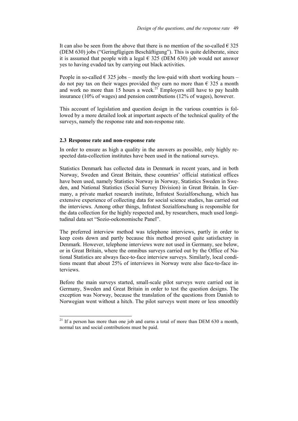It can also be seen from the above that there is no mention of the so-called  $\epsilon$  325 (DEM 630) jobs ("Geringfügigen Beschäftigung"). This is quite deliberate, since it is assumed that people with a legal  $\epsilon$  325 (DEM 630) job would not answer yes to having evaded tax by carrying out black activities.

People in so-called  $\epsilon$  325 jobs – mostly the low-paid with short working hours – do not pay tax on their wages provided they earn no more than  $\epsilon$  325 a month and work no more than 15 hours a week.<sup>21</sup> Employers still have to pay health insurance (10% of wages) and pension contributions (12% of wages), however.

This account of legislation and question design in the various countries is followed by a more detailed look at important aspects of the technical quality of the surveys, namely the response rate and non-response rate.

#### **2.3 Response rate and non-response rate**

 $\overline{a}$ 

In order to ensure as high a quality in the answers as possible, only highly respected data-collection institutes have been used in the national surveys.

Statistics Denmark has collected data in Denmark in recent years, and in both Norway, Sweden and Great Britain, these countries' official statistical offices have been used, namely Statistics Norway in Norway, Statistics Sweden in Sweden, and National Statistics (Social Survey Division) in Great Britain. In Germany, a private market research institute, Infratest Sozialforschung, which has extensive experience of collecting data for social science studies, has carried out the interviews. Among other things, Infratest Sozialforschung is responsible for the data collection for the highly respected and, by researchers, much used longitudinal data set "Sozio-oekonomische Panel".

The preferred interview method was telephone interviews, partly in order to keep costs down and partly because this method proved quite satisfactory in Denmark. However, telephone interviews were not used in Germany, see below, or in Great Britain, where the omnibus surveys carried out by the Office of National Statistics are always face-to-face interview surveys. Similarly, local conditions meant that about 25% of interviews in Norway were also face-to-face interviews.

Before the main surveys started, small-scale pilot surveys were carried out in Germany, Sweden and Great Britain in order to test the question designs. The exception was Norway, because the translation of the questions from Danish to Norwegian went without a hitch. The pilot surveys went more or less smoothly

 $21$  If a person has more than one job and earns a total of more than DEM 630 a month, normal tax and social contributions must be paid.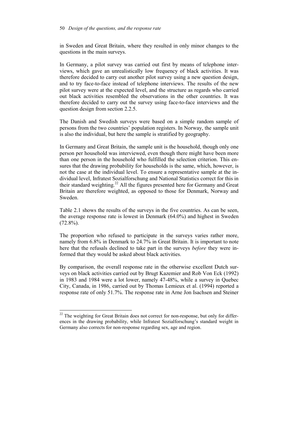in Sweden and Great Britain, where they resulted in only minor changes to the questions in the main surveys.

In Germany, a pilot survey was carried out first by means of telephone interviews, which gave an unrealistically low frequency of black activities. It was therefore decided to carry out another pilot survey using a new question design, and to try face-to-face instead of telephone interviews. The results of the new pilot survey were at the expected level, and the structure as regards who carried out black activities resembled the observations in the other countries. It was therefore decided to carry out the survey using face-to-face interviews and the question design from section 2.2.5.

The Danish and Swedish surveys were based on a simple random sample of persons from the two countries' population registers. In Norway, the sample unit is also the individual, but here the sample is stratified by geography.

In Germany and Great Britain, the sample unit is the household, though only one person per household was interviewed, even though there might have been more than one person in the household who fulfilled the selection criterion. This ensures that the drawing probability for households is the same, which, however, is not the case at the individual level. To ensure a representative sample at the individual level, Infratest Sozialforschung and National Statistics correct for this in their standard weighting.<sup>22</sup> All the figures presented here for Germany and Great Britain are therefore weighted, as opposed to those for Denmark, Norway and Sweden.

Table 2.1 shows the results of the surveys in the five countries. As can be seen, the average response rate is lowest in Denmark (64.0%) and highest in Sweden  $(72.8\%)$ .

The proportion who refused to participate in the surveys varies rather more, namely from 6.8% in Denmark to 24.7% in Great Britain. It is important to note here that the refusals declined to take part in the surveys *before* they were informed that they would be asked about black activities.

By comparison, the overall response rate in the otherwise excellent Dutch surveys on black activities carried out by Brugt Kazemier and Rob Von Eck (1992) in 1983 and 1984 were a lot lower, namely 47-48%, while a survey in Quebec City, Canada, in 1986, carried out by Thomas Lemieux et al. (1994) reported a response rate of only 51.7%. The response rate in Arne Jon Isachsen and Steiner

 $22$  The weighting for Great Britain does not correct for non-response, but only for differences in the drawing probability, while Infratest Sozialforschung's standard weight in Germany also corrects for non-response regarding sex, age and region.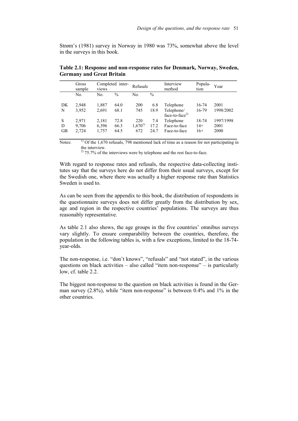Strøm's (1981) survey in Norway in 1980 was 73%, somewhat above the level in the surveys in this book.

|    | Gross<br>sample | Completed inter-<br>views |               | Refusals    |               | Interview<br>method                      | Popula-<br>tion | Year      |
|----|-----------------|---------------------------|---------------|-------------|---------------|------------------------------------------|-----------------|-----------|
|    | No.             | No.                       | $\frac{0}{0}$ | No.         | $\frac{0}{0}$ |                                          |                 |           |
| DK | 2.948           | 1,887                     | 64.0          | 200         | 6.8           | Telephone                                | 16-74           | 2001      |
| N  | 3,952           | 2,691                     | 68.1          | 745         | 18.9          | Telephone/<br>face-to-face <sup>2)</sup> | 16-79           | 1998/2002 |
| S  | 2,971           | 2,181                     | 72.8          | 220         | 7.4           | Telephone                                | 18-74           | 1997/1998 |
| D  | 9,706           | 6,396                     | 66.3          | $1,670^{1}$ | 17.2          | Face-to-face                             | $14+$           | 2001      |
| GB | 2,724           | 1,757                     | 64.5          | 672         | 24.7          | Face-to-face                             | $16+$           | 2000      |

**Table 2.1: Response and non-response rates for Denmark, Norway, Sweden, Germany and Great Britain** 

Notes: <sup>1)</sup> Of the 1,670 refusals, 798 mentioned lack of time as a reason for not participating in the interview.

 $^{2)}$  75.7% of the interviews were by telephone and the rest face-to-face.

With regard to response rates and refusals, the respective data-collecting institutes say that the surveys here do not differ from their usual surveys, except for the Swedish one, where there was actually a higher response rate than Statistics Sweden is used to.

As can be seen from the appendix to this book, the distribution of respondents in the questionnaire surveys does not differ greatly from the distribution by sex, age and region in the respective countries' populations. The surveys are thus reasonably representative.

As table 2.1 also shows, the age groups in the five countries' omnibus surveys vary slightly. To ensure comparability between the countries, therefore, the population in the following tables is, with a few exceptions, limited to the 18-74 year-olds.

The non-response, i.e. "don't knows", "refusals" and "not stated", in the various questions on black activities – also called "item non-response" – is particularly low, cf. table 2.2.

The biggest non-response to the question on black activities is found in the German survey (2.8%), while "item non-response" is between 0.4% and 1% in the other countries.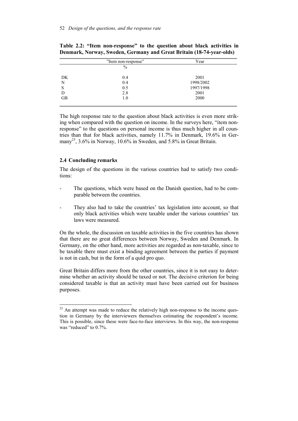|           | "Item non-response" | Year      |  |  |
|-----------|---------------------|-----------|--|--|
|           | $\%$                |           |  |  |
| DK        | 0.4                 | 2001      |  |  |
| N         | 0.4                 | 1998/2002 |  |  |
| S         | 0.5                 | 1997/1998 |  |  |
| D         | 2.8                 | 2001      |  |  |
| <b>GB</b> | 1.0                 | 2000      |  |  |
|           |                     |           |  |  |

**Table 2.2: "Item non-response" to the question about black activities in Denmark, Norway, Sweden, Germany and Great Britain (18-74-year-olds)** 

The high response rate to the question about black activities is even more striking when compared with the question on income. In the surveys here, "item nonresponse" to the questions on personal income is thus much higher in all countries than that for black activities, namely 11.7% in Denmark, 19.6% in Germany<sup>23</sup>, 3.6% in Norway, 10.6% in Sweden, and 5.8% in Great Britain.

#### **2.4 Concluding remarks**

l

The design of the questions in the various countries had to satisfy two conditions:

- The questions, which were based on the Danish question, had to be comparable between the countries.
- They also had to take the countries' tax legislation into account, so that only black activities which were taxable under the various countries' tax laws were measured.

On the whole, the discussion on taxable activities in the five countries has shown that there are no great differences between Norway, Sweden and Denmark. In Germany, on the other hand, more activities are regarded as non-taxable, since to be taxable there must exist a binding agreement between the parties if payment is not in cash, but in the form of a quid pro quo.

Great Britain differs more from the other countries, since it is not easy to determine whether an activity should be taxed or not. The decisive criterion for being considered taxable is that an activity must have been carried out for business purposes.

 $23$  An attempt was made to reduce the relatively high non-response to the income question in Germany by the interviewers themselves estimating the respondent's income. This is possible, since these were face-to-face interviews. In this way, the non-response was "reduced" to  $0.7\%$ .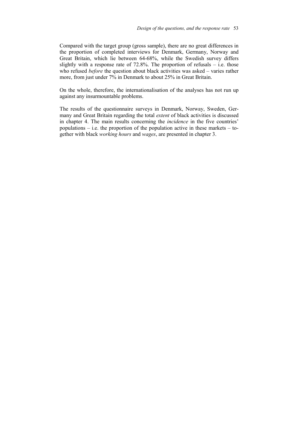Compared with the target group (gross sample), there are no great differences in the proportion of completed interviews for Denmark, Germany, Norway and Great Britain, which lie between 64-68%, while the Swedish survey differs slightly with a response rate of  $72.8\%$ . The proportion of refusals – i.e. those who refused *before* the question about black activities was asked – varies rather more, from just under 7% in Denmark to about 25% in Great Britain.

On the whole, therefore, the internationalisation of the analyses has not run up against any insurmountable problems.

The results of the questionnaire surveys in Denmark, Norway, Sweden, Germany and Great Britain regarding the total *extent* of black activities is discussed in chapter 4. The main results concerning the *incidence* in the five countries' populations  $-$  i.e. the proportion of the population active in these markets  $-$  together with black *working hours* and *wages*, are presented in chapter 3.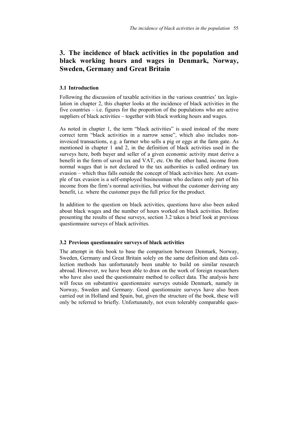# **3. The incidence of black activities in the population and black working hours and wages in Denmark, Norway, Sweden, Germany and Great Britain**

## **3.1 Introduction**

Following the discussion of taxable activities in the various countries' tax legislation in chapter 2, this chapter looks at the incidence of black activities in the five countries – i.e. figures for the proportion of the populations who are active suppliers of black activities – together with black working hours and wages.

As noted in chapter 1, the term "black activities" is used instead of the more correct term "black activities in a narrow sense", which also includes noninvoiced transactions, e.g. a farmer who sells a pig or eggs at the farm gate. As mentioned in chapter 1 and 2, in the definition of black activities used in the surveys here, both buyer and seller of a given economic activity must derive a benefit in the form of saved tax and VAT, etc. On the other hand, income from normal wages that is not declared to the tax authorities is called ordinary tax evasion – which thus falls outside the concept of black activities here. An example of tax evasion is a self-employed businessman who declares only part of his income from the firm's normal activities, but without the customer deriving any benefit, i.e. where the customer pays the full price for the product.

In addition to the question on black activities, questions have also been asked about black wages and the number of hours worked on black activities. Before presenting the results of these surveys, section 3.2 takes a brief look at previous questionnaire surveys of black activities.

#### **3.2 Previous questionnaire surveys of black activities**

The attempt in this book to base the comparison between Denmark, Norway, Sweden, Germany and Great Britain solely on the same definition and data collection methods has unfortunately been unable to build on similar research abroad. However, we have been able to draw on the work of foreign researchers who have also used the questionnaire method to collect data. The analysis here will focus on substantive questionnaire surveys outside Denmark, namely in Norway, Sweden and Germany. Good questionnaire surveys have also been carried out in Holland and Spain, but, given the structure of the book, these will only be referred to briefly. Unfortunately, not even tolerably comparable ques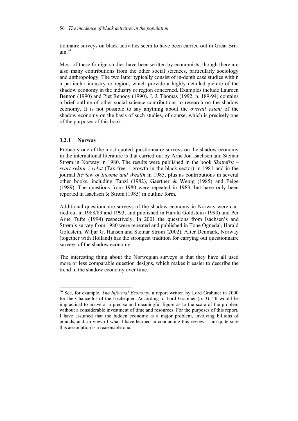tionnaire surveys on black activities seem to have been carried out in Great Brit $ain.<sup>24</sup>$ 

Most of these foreign studies have been written by economists, though there are also many contributions from the other social sciences, particularly sociology and anthropology. The two latter typically consist of in-depth case studies within a particular industry or region, which provide a highly detailed picture of the shadow economy in the industry or region concerned. Examples include Laureen Benton (1990) and Piet Renooy (1990). J. J. Thomas (1992, p. 189-94) contains a brief outline of other social science contributions to research on the shadow economy. It is not possible to say anything about the *overall extent* of the shadow economy on the basis of such studies, of course, which is precisely one of the purposes of this book.

## **3.2.1 Norway**

l

Probably one of the most quoted questionnaire surveys on the shadow economy in the international literature is that carried out by Arne Jon Isachsen and Steinar Strøm in Norway in 1980. The results were published in the book *Skattefrit – svart sektor i vekst* (Tax-free – growth in the black sector) in 1981 and in the journal *Review of Income and Wealth* in 1985, plus as contributions in several other books, including Tanzi (1982), Gaertner & Wenig (1985) and Feige (1989). The questions from 1980 were repeated in 1983, but have only been reported in Isachsen & Strøm (1985) in outline form.

Additional questionnaire surveys of the shadow economy in Norway were carried out in 1988/89 and 1993, and published in Harald Goldstein (1990) and Per Arne Tufte (1994) respectively. In 2001 the questions from Isachsen's and Strøm's survey from 1980 were repeated and published in Tone Ognedal, Harald Goldstein, Wiljar G. Hansen and Steinar Strøm (2002). After Denmark, Norway (together with Holland) has the strongest tradition for carrying out questionnaire surveys of the shadow economy.

The interesting thing about the Norwegian surveys is that they have all used more or less comparable question designs, which makes it easier to describe the trend in the shadow economy over time.

<sup>&</sup>lt;sup>24</sup> See, for example, *The Informal Economy*, a report written by Lord Grabiner in 2000 for the Chancellor of the Exchequer. According to Lord Grabiner (p. 3): "It would be impractical to arrive at a precise and meaningful figure as to the scale of the problem without a considerable investment of time and resources. For the purposes of this report, I have assumed that the hidden economy is a major problem, involving billions of pounds, and, in view of what I have learned in conducting this review, I am quite sure this assumption is a reasonable one."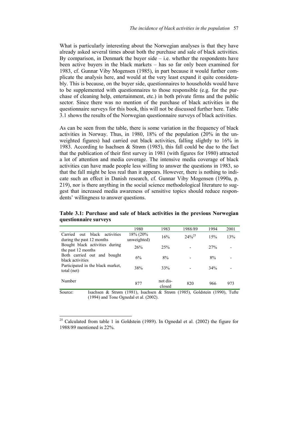What is particularly interesting about the Norwegian analyses is that they have already asked several times about both the purchase and sale of black activities. By comparison, in Denmark the buyer side  $-$  i.e. whether the respondents have been active buyers in the black markets – has so far only been examined for 1983, cf. Gunnar Viby Mogensen (1985), in part because it would further complicate the analysis here, and would at the very least expand it quite considerably. This is because, on the buyer side, questionnaires to households would have to be supplemented with questionnaires to those responsible (e.g. for the purchase of cleaning help, entertainment, etc.) in both private firms and the public sector. Since there was no mention of the purchase of black activities in the questionnaire surveys for this book, this will not be discussed further here. Table 3.1 shows the results of the Norwegian questionnaire surveys of black activities.

As can be seen from the table, there is some variation in the frequency of black activities in Norway. Thus, in 1980, 18% of the population  $(20\%$  in the unweighted figures) had carried out black activities, falling slightly to 16% in 1983. According to Isachsen & Strøm (1985), this fall could be due to the fact that the publication of their first survey in 1981 (with figures for 1980) attracted a lot of attention and media coverage. The intensive media coverage of black activities can have made people less willing to answer the questions in 1983, so that the fall might be less real than it appears. However, there is nothing to indicate such an effect in Danish research, cf. Gunnar Viby Mogensen (1990a, p. 219), nor is there anything in the social science methodological literature to suggest that increased media awareness of sensitive topics should reduce respondents' willingness to answer questions.

|                                                                                      | 1980                    | 1983               | 1988/89      | 1994 | 2001 |
|--------------------------------------------------------------------------------------|-------------------------|--------------------|--------------|------|------|
| black<br>Carried<br>activities<br>out<br>during the past 12 months                   | 18% (20%<br>unweighted) | 16%                | $2.4\%^{25}$ | 15%  | 13%  |
| Bought black activities during<br>the past 12 months                                 | 26%                     | 25%                |              | 27%  |      |
| Both carried out and bought<br>black activities                                      | 6%                      | 8%                 |              | 8%   |      |
| Participated in the black market,<br>total (net)                                     | 38%                     | 33%                |              | 34%  |      |
| Number                                                                               | 877                     | not dis-<br>closed | 820          | 966  | 973  |
| Isachsen & Strøm (1981), Isachsen & Strøm (1985), Goldstein (1990), Tufte<br>Source: |                         |                    |              |      |      |

**Table 3.1: Purchase and sale of black activities in the previous Norwegian questionnaire surveys** 

(1994) and Tone Ognedal et al. (2002).

<sup>&</sup>lt;sup>25</sup> Calculated from table 1 in Goldstein (1989). In Ognedal et al. (2002) the figure for 1988/89 mentioned is 22%.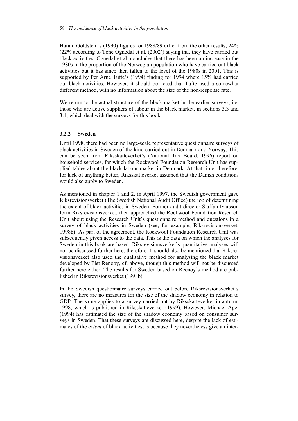Harald Goldstein's (1990) figures for 1988/89 differ from the other results, 24% (22% according to Tone Ognedal et al. (2002)) saying that they have carried out black activities. Ognedal et al. concludes that there has been an increase in the 1980s in the proportion of the Norwegian population who have carried out black activities but it has since then fallen to the level of the 1980s in 2001. This is supported by Per Arne Tufte's (1994) finding for 1994 where 15% had carried out black activities. However, it should be noted that Tufte used a somewhat different method, with no information about the size of the non-response rate.

We return to the actual structure of the black market in the earlier surveys, i.e. those who are active suppliers of labour in the black market, in sections 3.3 and 3.4, which deal with the surveys for this book.

## **3.2.2 Sweden**

Until 1998, there had been no large-scale representative questionnaire surveys of black activities in Sweden of the kind carried out in Denmark and Norway. This can be seen from Riksskatteverket's (National Tax Board, 1996) report on household services, for which the Rockwool Foundation Research Unit has supplied tables about the black labour market in Denmark. At that time, therefore, for lack of anything better, Riksskatteverket assumed that the Danish conditions would also apply to Sweden.

As mentioned in chapter 1 and 2, in April 1997, the Swedish government gave Riksrevisionsverket (The Swedish National Audit Office) the job of determining the extent of black activities in Sweden. Former audit director Staffan Ivarsson form Riksrevisionsverket, then approached the Rockwool Foundation Research Unit about using the Research Unit's questionnaire method and questions in a survey of black activities in Sweden (see, for example, Riksrevisionsverket, 1998b). As part of the agreement, the Rockwool Foundation Research Unit was subsequently given access to the data. This is the data on which the analyses for Sweden in this book are based. Riksrevisionsverket's quantitative analyses will not be discussed further here, therefore. It should also be mentioned that Riksrevisionsverket also used the qualitative method for analysing the black market developed by Piet Renooy, cf. above, though this method will not be discussed further here either. The results for Sweden based on Reenoy's method are published in Riksrevisionsverket (1998b).

In the Swedish questionnaire surveys carried out before Riksrevisionsverket's survey, there are no measures for the size of the shadow economy in relation to GDP. The same applies to a survey carried out by Riksskatteverket in autumn 1998, which is published in Riksskatteverket (1999). However, Michael Apel (1994) has estimated the size of the shadow economy based on consumer surveys in Sweden. That these surveys are discussed here, despite the lack of estimates of the *extent* of black activities, is because they nevertheless give an inter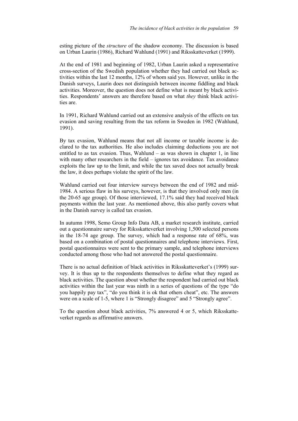esting picture of the *structure* of the shadow economy. The discussion is based on Urban Laurin (1986), Richard Wahlund (1991) and Riksskatteverket (1999).

At the end of 1981 and beginning of 1982, Urban Laurin asked a representative cross-section of the Swedish population whether they had carried out black activities within the last 12 months, 12% of whom said yes. However, unlike in the Danish surveys, Laurin does not distinguish between income fiddling and black activities. Moreover, the question does not define what is meant by black activities. Respondents' answers are therefore based on what *they* think black activities are.

In 1991, Richard Wahlund carried out an extensive analysis of the effects on tax evasion and saving resulting from the tax reform in Sweden in 1982 (Wahlund, 1991).

By tax evasion, Wahlund means that not all income or taxable income is declared to the tax authorities. He also includes claiming deductions you are not entitled to as tax evasion. Thus, Wahlund – as was shown in chapter 1, in line with many other researchers in the field – ignores tax avoidance. Tax avoidance exploits the law up to the limit, and while the tax saved does not actually break the law, it does perhaps violate the spirit of the law.

Wahlund carried out four interview surveys between the end of 1982 and mid-1984. A serious flaw in his surveys, however, is that they involved only men (in the 20-65 age group). Of those interviewed, 17.1% said they had received black payments within the last year. As mentioned above, this also partly covers what in the Danish survey is called tax evasion.

In autumn 1998, Semo Group Info Data AB, a market research institute, carried out a questionnaire survey for Riksskatteverket involving 1,500 selected persons in the 18-74 age group. The survey, which had a response rate of 68%, was based on a combination of postal questionnaires and telephone interviews. First, postal questionnaires were sent to the primary sample, and telephone interviews conducted among those who had not answered the postal questionnaire.

There is no actual definition of black activities in Riksskatteverket's (1999) survey. It is thus up to the respondents themselves to define what they regard as black activities. The question about whether the respondent had carried out black activities within the last year was ninth in a series of questions of the type "do you happily pay tax", "do you think it is ok that others cheat", etc. The answers were on a scale of 1-5, where 1 is "Strongly disagree" and 5 "Strongly agree".

To the question about black activities, 7% answered 4 or 5, which Riksskatteverket regards as affirmative answers.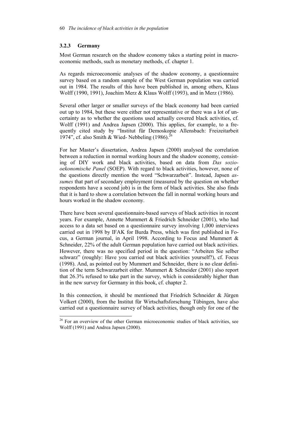## **3.2.3 Germany**

 $\overline{a}$ 

Most German research on the shadow economy takes a starting point in macroeconomic methods, such as monetary methods, cf. chapter 1.

As regards microeconomic analyses of the shadow economy, a questionnaire survey based on a random sample of the West German population was carried out in 1984. The results of this have been published in, among others, Klaus Wolff (1990, 1991), Joachim Merz & Klaus Wolff (1993), and in Merz (1986).

Several other larger or smaller surveys of the black economy had been carried out up to 1984, but these were either not representative or there was a lot of uncertainty as to whether the questions used actually covered black activities, cf. Wolff (1991) and Andrea Japsen (2000). This applies, for example, to a frequently cited study by "Institut für Demoskopie Allensbach: Freizeitarbeit 1974", cf. also Smith & Wied- Nebbeling  $(1986)$ <sup>26</sup>

For her Master's dissertation, Andrea Japsen (2000) analysed the correlation between a reduction in normal working hours and the shadow economy, consisting of DIY work and black activities, based on data from *Das soziooekonomische Panel* (SOEP). With regard to black activities, however, none of the questions directly mention the word "Schwarzarbeit". Instead, Japsen *assumes* that part of secondary employment (measured by the question on whether respondents have a second job) is in the form of black activities. She also finds that it is hard to show a correlation between the fall in normal working hours and hours worked in the shadow economy.

There have been several questionnaire-based surveys of black activities in recent years. For example, Annette Mummert & Friedrich Schneider (2001), who had access to a data set based on a questionnaire survey involving 1,000 interviews carried out in 1998 by IFAK for Burda Press, which was first published in Focus, a German journal, in April 1998. According to Focus and Mummert & Schneider, 22% of the adult German population have carried out black activities. However, there was no specified period in the question: "Arbeiten Sie selber schwarz" (roughly: Have you carried out black activities yourself?), cf. Focus (1998). And, as pointed out by Mummert and Schneider, there is no clear definition of the term Schwarzarbeit either. Mummert & Schneider (2001) also report that 26.3% refused to take part in the survey, which is considerably higher than in the new survey for Germany in this book, cf. chapter 2.

In this connection, it should be mentioned that Friedrich Schneider & Jürgen Volkert (2000), from the Institut für Wirtschaftsforschung Tübingen, have also carried out a questionnaire survey of black activities, though only for one of the

<sup>&</sup>lt;sup>26</sup> For an overview of the other German microeconomic studies of black activities, see Wolff (1991) and Andrea Japsen (2000).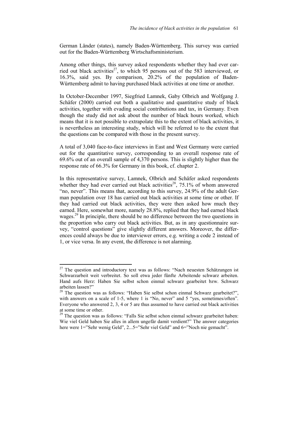German Länder (states), namely Baden-Württemberg. This survey was carried out for the Baden-Württemberg Wirtschaftsministerium.

Among other things, this survey asked respondents whether they had ever carried out black activities<sup>27</sup>, to which 95 persons out of the 583 interviewed, or 16.3%, said yes. By comparison, 20.2% of the population of Baden-Württemberg admit to having purchased black activities at one time or another.

In October-December 1997, Siegfried Lamnek, Gaby Olbrich and Wolfgang J. Schäfer (2000) carried out both a qualitative and quantitative study of black activities, together with evading social contributions and tax, in Germany. Even though the study did not ask about the number of black hours worked, which means that it is not possible to extrapolate this to the extent of black activities, it is nevertheless an interesting study, which will be referred to to the extent that the questions can be compared with those in the present survey.

A total of 3,040 face-to-face interviews in East and West Germany were carried out for the quantitative survey, corresponding to an overall response rate of 69.6% out of an overall sample of 4,370 persons. This is slightly higher than the response rate of 66.3% for Germany in this book, cf. chapter 2.

In this representative survey, Lamnek, Olbrich and Schäfer asked respondents whether they had ever carried out black activities<sup>28</sup>, 75.1% of whom answered "no, never". This means that, according to this survey, 24.9% of the adult German population over 18 has carried out black activities at some time or other. If they had carried out black activities, they were then asked how much they earned. Here, somewhat more, namely 28.8%, replied that they had earned black wages.<sup>29</sup> In principle, there should be no difference between the two questions in the proportion who carry out black activities. But, as in any questionnaire survey, "control questions" give slightly different answers. Moreover, the differences could always be due to interviewer errors, e.g. writing a code 2 instead of 1, or vice versa. In any event, the difference is not alarming.

 $27$  The question and introductory text was as follows: "Nach neuesten Schätzungen ist Schwarzarbeit weit verbreitet. So soll etwa jeder fünfte Arbeitende schwarz arbeiten. Hand aufs Herz: Haben Sie selbst schon einmal schwarz gearbeitet bzw. Schwarz arbeiten lassen?"

<sup>&</sup>lt;sup>28</sup> The question was as follows: "Haben Sie selbst schon einmal Schwarz gearbeitet?", with answers on a scale of 1-5, where 1 is "No, never" and 5 "yes, sometimes/often". Everyone who answered 2, 3, 4 or 5 are thus assumed to have carried out black activities at some time or other.

<sup>&</sup>lt;sup>29</sup> The question was as follows: "Falls Sie selbst schon einmal schwarz gearbeitet haben: Wie viel Geld haben Sie alles in allem ungefär damit verdient?" The answer categories here were 1="Sehr wenig Geld", 2...5="Sehr viel Geld" and 6="Noch nie gemacht".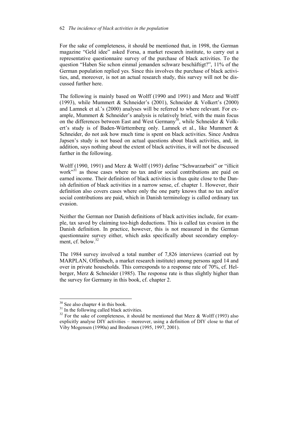For the sake of completeness, it should be mentioned that, in 1998, the German magazine "Geld idee" asked Forsa, a market research institute, to carry out a representative questionnaire survey of the purchase of black activities. To the question "Haben Sie schon einmal jemanden schwarz beschäftigt?", 11% of the German population replied yes. Since this involves the purchase of black activities, and, moreover, is not an actual research study, this survey will not be discussed further here.

The following is mainly based on Wolff (1990 and 1991) and Merz and Wolff (1993), while Mummert & Schneider's (2001), Schneider & Volkert's (2000) and Lamnek et al.'s (2000) analyses will be referred to where relevant. For example, Mummert & Schneider's analysis is relatively brief, with the main focus on the differences between East and West Germany<sup>30</sup>, while Schneider & Volkert's study is of Baden-Württemberg only. Lamnek et al., like Mummert & Schneider, do not ask how much time is spent on black activities. Since Andrea Japsen's study is not based on actual questions about black activities, and, in addition, says nothing about the extent of black activities, it will not be discussed further in the following.

Wolff (1990, 1991) and Merz & Wolff (1993) define "Schwarzarbeit" or "illicit work $^{331}$  as those cases where no tax and/or social contributions are paid on earned income. Their definition of black activities is thus quite close to the Danish definition of black activities in a narrow sense, cf. chapter 1. However, their definition also covers cases where only the one party knows that no tax and/or social contributions are paid, which in Danish terminology is called ordinary tax evasion.

Neither the German nor Danish definitions of black activities include, for example, tax saved by claiming too-high deductions. This is called tax evasion in the Danish definition. In practice, however, this is not measured in the German questionnaire survey either, which asks specifically about secondary employment, cf. below.<sup>32</sup>

The 1984 survey involved a total number of 7,826 interviews (carried out by MARPLAN, Offenbach, a market research institute) among persons aged 14 and over in private households. This corresponds to a response rate of 70%, cf. Helberger, Merz & Schneider (1985). The response rate is thus slightly higher than the survey for Germany in this book, cf. chapter 2.

 $30$  See also chapter 4 in this book.

 $31$  In the following called black activities.

<sup>&</sup>lt;sup>32</sup> For the sake of completeness, it should be mentioned that Merz & Wolff (1993) also explicitly analyse DIY activities – moreover, using a definition of DIY close to that of Viby Mogensen (1990a) and Brodersen (1995, 1997, 2001).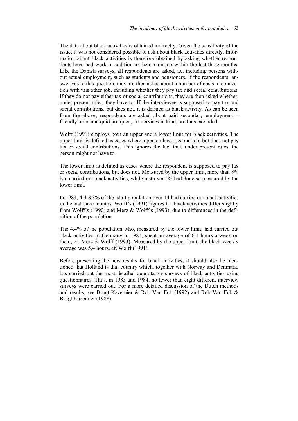The data about black activities is obtained indirectly. Given the sensitivity of the issue, it was not considered possible to ask about black activities directly. Information about black activities is therefore obtained by asking whether respondents have had work in addition to their main job within the last three months. Like the Danish surveys, all respondents are asked, i.e. including persons without actual employment, such as students and pensioners. If the respondents answer yes to this question, they are then asked about a number of costs in connection with this other job, including whether they pay tax and social contributions. If they do not pay either tax or social contributions, they are then asked whether, under present rules, they have to. If the interviewee is supposed to pay tax and social contributions, but does not, it is defined as black activity. As can be seen from the above, respondents are asked about paid secondary employment – friendly turns and quid pro quos, i.e. services in kind, are thus excluded.

Wolff (1991) employs both an upper and a lower limit for black activities. The upper limit is defined as cases where a person has a second job, but does not pay tax or social contributions. This ignores the fact that, under present rules, the person might not have to.

The lower limit is defined as cases where the respondent is supposed to pay tax or social contributions, but does not. Measured by the upper limit, more than 8% had carried out black activities, while just over 4% had done so measured by the lower limit.

In 1984, 4.4-8.3% of the adult population over 14 had carried out black activities in the last three months. Wolff's (1991) figures for black activities differ slightly from Wolff's (1990) and Merz & Wolff's (1993), due to differences in the definition of the population.

The 4.4% of the population who, measured by the lower limit, had carried out black activities in Germany in 1984, spent an average of 6.1 hours a week on them, cf. Merz & Wolff (1993). Measured by the upper limit, the black weekly average was 5.4 hours, cf. Wolff (1991).

Before presenting the new results for black activities, it should also be mentioned that Holland is that country which, together with Norway and Denmark, has carried out the most detailed quantitative surveys of black activities using questionnaires. Thus, in 1983 and 1984, no fewer than eight different interview surveys were carried out. For a more detailed discussion of the Dutch methods and results, see Brugt Kazemier & Rob Van Eck (1992) and Rob Van Eck & Brugt Kazemier (1988).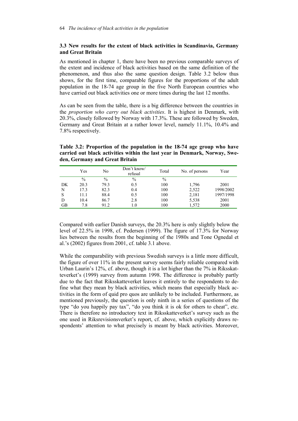## **3.3 New results for the extent of black activities in Scandinavia, Germany and Great Britain**

As mentioned in chapter 1, there have been no previous comparable surveys of the extent and incidence of black activities based on the same definition of the phenomenon, and thus also the same question design. Table 3.2 below thus shows, for the first time, comparable figures for the proportions of the adult population in the 18-74 age group in the five North European countries who have carried out black activities one or more times during the last 12 months.

As can be seen from the table, there is a big difference between the countries in the *proportion who carry out black activities*. It is highest in Denmark, with 20.3%, closely followed by Norway with 17.3%. These are followed by Sweden, Germany and Great Britain at a rather lower level, namely 11.1%, 10.4% and 7.8% respectively.

|    | Yes  | No   | Don't know/<br>refusal | Total | No. of persons | Year      |
|----|------|------|------------------------|-------|----------------|-----------|
|    | $\%$ | $\%$ | $\frac{0}{0}$          | $\%$  |                |           |
| DK | 20.3 | 79.3 | 0.5                    | 100   | 1,796          | 2001      |
| N  | 17.3 | 82.3 | 0.4                    | 100   | 2,522          | 1998/2002 |
| S  | 11.1 | 88.4 | 0.5                    | 100   | 2,181          | 1997/1998 |
| D  | 10.4 | 86.7 | 2.8                    | 100   | 5,538          | 2001      |
| GВ | 7.8  | 91.2 | 1.0                    | 100   | 1,572          | 2000      |

**Table 3.2: Proportion of the population in the 18-74 age group who have carried out black activities within the last year in Denmark, Norway, Sweden, Germany and Great Britain** 

Compared with earlier Danish surveys, the 20.3% here is only slightly below the level of 22.5% in 1998, cf. Pedersen (1999). The figure of 17.3% for Norway lies between the results from the beginning of the 1980s and Tone Ognedal et al.'s (2002) figures from 2001, cf. table 3.1 above.

While the comparability with previous Swedish surveys is a little more difficult, the figure of over 11% in the present survey seems fairly reliable compared with Urban Laurin's 12%, cf. above, though it is a lot higher than the 7% in Riksskatteverket's (1999) survey from autumn 1998. The difference is probably partly due to the fact that Riksskatteverket leaves it entirely to the respondents to define what they mean by black activities, which means that especially black activities in the form of quid pro quos are unlikely to be included. Furthermore, as mentioned previously, the question is only ninth in a series of questions of the type "do you happily pay tax", "do you think it is ok for others to cheat", etc. There is therefore no introductory text in Riksskatteverket's survey such as the one used in Riksrevisionsverket's report, cf. above, which explicitly draws respondents' attention to what precisely is meant by black activities. Moreover,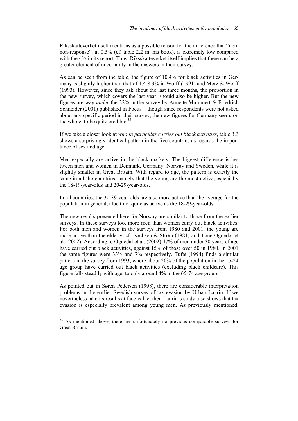Riksskatteverket itself mentions as a possible reason for the difference that "item non-response", at 0.5% (cf. table 2.2 in this book), is extremely low compared with the 4% in its report. Thus, Riksskatteverket itself implies that there can be a greater element of uncertainty in the answers in their survey.

As can be seen from the table, the figure of 10.4% for black activities in Germany is slightly higher than that of 4.4-8.3% in Wolff (1991) and Merz & Wolff (1993). However, since they ask about the last three months, the proportion in the new survey, which covers the last year, should also be higher. But the new figures are way *under* the 22% in the survey by Annette Mummert & Friedrich Schneider (2001) published in Focus – though since respondents were not asked about any specific period in their survey, the new figures for Germany seem, on the whole, to be quite credible. $33$ 

If we take a closer look at *who in particular carries out black activities*, table 3.3 shows a surprisingly identical pattern in the five countries as regards the importance of sex and age.

Men especially are active in the black markets. The biggest difference is between men and women in Denmark, Germany, Norway and Sweden, while it is slightly smaller in Great Britain. With regard to age, the pattern is exactly the same in all the countries, namely that the young are the most active, especially the 18-19-year-olds and 20-29-year-olds.

In all countries, the 30-39-year-olds are also more active than the average for the population in general, albeit not quite as active as the 18-29-year-olds.

The new results presented here for Norway are similar to those from the earlier surveys. In these surveys too, more men than women carry out black activities. For both men and women in the surveys from 1980 and 2001, the young are more active than the elderly, cf. Isachsen & Strøm (1981) and Tone Ognedal et al. (2002). According to Ognedal et al. (2002) 47% of men under 30 years of age have carried out black activities, against 15% of those over 50 in 1980. In 2001 the same figures were 33% and 7% respectively. Tufte (1994) finds a similar pattern in the survey from 1993, where about 20% of the population in the 15-24 age group have carried out black activities (excluding black childcare). This figure falls steadily with age, to only around 4% in the 65-74 age group.

As pointed out in Søren Pedersen (1998), there are considerable interpretation problems in the earlier Swedish survey of tax evasion by Urban Laurin. If we nevertheless take its results at face value, then Laurin's study also shows that tax evasion is especially prevalent among young men. As previously mentioned,

<sup>&</sup>lt;sup>33</sup> As mentioned above, there are unfortunately no previous comparable surveys for Great Britain.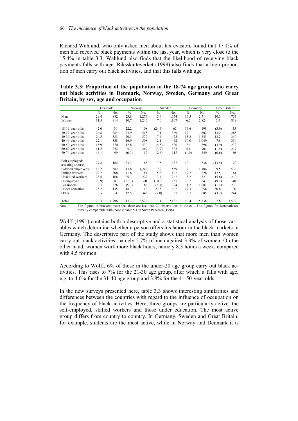Richard Wahlund, who only asked men about tax evasion, found that 17.1% of men had received black payments within the last year, which is very close to the 15.4% in table 3.3. Wahlund also finds that the likelihood of receiving black payments falls with age. Riksskatteverket (1999) also finds that a high proportion of men carry out black activities, and that this falls with age.

**Table 3.3: Proportion of the population in the 18-74 age group who carry out black activities in Denmark, Norway, Sweden, Germany and Great Britain, by sex, age and occupation** 

|                    | Denmark                                                                                                        |       |               | Norway |               | Sweden | Germany       |       | <b>Great Britain</b> |       |
|--------------------|----------------------------------------------------------------------------------------------------------------|-------|---------------|--------|---------------|--------|---------------|-------|----------------------|-------|
|                    | $\frac{0}{0}$                                                                                                  | No.   | $\frac{0}{0}$ | No.    | $\frac{0}{0}$ | No.    | $\frac{0}{0}$ | No.   | $\frac{0}{0}$        | No.   |
| Men                | 29.4                                                                                                           | 882   | 23.8          | 1,276  | 15.4          | 1,074  | 14.5          | 2,714 | 10.3                 | 753   |
| Women              | 11.5                                                                                                           | 914   | 10.7          | 1,246  | 7.0           | 1,107  | 6.5           | 2,824 | 5.4                  | 819   |
|                    |                                                                                                                |       |               |        |               |        |               |       |                      |       |
| 18-19-year-olds    | 42.0                                                                                                           | 50    | 22.2          | 108    | (24.6)        | 65     | 16.6          | 198   | (3.9)                | 55    |
| 20-29-year-olds    | 26.8                                                                                                           | 284   | 23.9          | 518    | 17.1          | 369    | 19.1          | 802   | 13.0                 | 268   |
| 30-39-year-olds    | 24.5                                                                                                           | 383   | 20.3          | 572    | 17.4          | 425    | 13.2          | 1,243 | 13.2                 | 340   |
| 40-49-year-olds    | 22.1                                                                                                           | 358   | 16.9          | 508    | 12.1          | 462    | 10.0          | 1,049 | 7.8                  | 334   |
| 50-59-year-olds    | 15.9                                                                                                           | 370   | 12.8          | 430    | (4.5)         | 420    | 7.4           | 896   | (3.9)                | 272   |
| 60-69-year-olds    | 11.5                                                                                                           | 252   | 9.3           | 269    | (3.7)         | 323    | 5.6           | 901   | (1.5)                | 217   |
| 70-74-year-olds    | (6.1)                                                                                                          | 99    | (6.0)         | 117    | (2.6)         | 117    | (1.0)         | 449   | (0.6)                | 86    |
| Self-employed/     |                                                                                                                |       |               |        |               |        |               |       |                      |       |
| assisting spouse   | 27.8                                                                                                           | 162   | 33.3          | 165    | 17.5          | 137    | 12.1          | 336   | (13.5)               | 122   |
| Salaried employees | 18.2                                                                                                           | 582   | 13.8          | 1,242  | 7.2           | 559    | 7.1           | 1,184 | 9.5                  | 536   |
| Skilled workers    | 29.2                                                                                                           | 308   | 41.8          | 184    | 15.8          | 462    | 19.2          | 826   | 12.5                 | 161   |
| Unskilled workers  | 28.6                                                                                                           | 168   | 20.3          | 227    | 13.4          | 262    | 8.2           | 723   | (5.6)                | 210   |
| Unemployed         | (9.9)                                                                                                          | 81    | (21.7)        | 60     | (10.6)        | 151    | 20.7          | 247   | (9.2)                | 40    |
| Pensioners         | 9.5                                                                                                            | 326   | (5.9)         | 186    | (3.3)         | 394    | 4.2           | 1,281 | (1.1)                | 233   |
| Under education    | 25.2                                                                                                           | 135   | 18.7          | 112    | 23.5          | 162    | 27.3          | 256   | 30.6                 | 26    |
| Other              |                                                                                                                | 34    | 12.5          | 346    | (7.8)         | 51     | 8.7           | 685   | (3.7)                | 244   |
| Total              | 20.3                                                                                                           | 1,796 | 17.3          | 2,522  | 11.1          | 2,181  | 10.4          | 5,538 | 7.8                  | 1,572 |
| Note:              | The figures in brackets mean that there are less than 20 observations in the cell. The figures for Denmark are |       |               |        |               |        |               |       |                      |       |

directly comparable with those in table 5.1 in Søren Pedersen (1998).

Wolff (1991) contains both a descriptive and a statistical analysis of those variables which determine whether a person offers his labour in the black markets in Germany. The descriptive part of the study shows that more men than women carry out black activities, namely 5.7% of men against 3.3% of women. On the other hand, women work more black hours, namely 8.3 hours a week, compared with 4.5 for men.

According to Wolff, 6% of those in the under-20 age group carry out black activities. This rises to 7% for the 21-30 age group, after which it falls with age, e.g. to 4.6% for the 31-40 age group and 3.8% for the 41-50-year-olds.

In the new surveys presented here, table 3.3 shows interesting similarities and differences between the countries with regard to the influence of occupation on the frequency of black activities. Here, three groups are particularly active: the self-employed, skilled workers and those under education. The most active group differs from country to country. In Germany, Sweden and Great Britain, for example, students are the most active, while in Norway and Denmark it is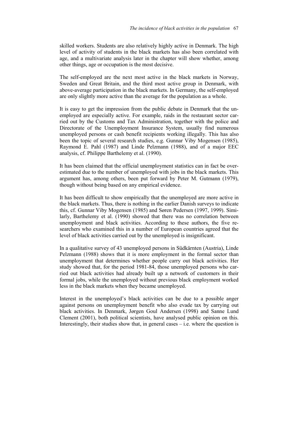skilled workers. Students are also relatively highly active in Denmark. The high level of activity of students in the black markets has also been correlated with age, and a multivariate analysis later in the chapter will show whether, among other things, age or occupation is the most decisive.

The self-employed are the next most active in the black markets in Norway, Sweden and Great Britain, and the third most active group in Denmark, with above-average participation in the black markets. In Germany, the self-employed are only slightly more active than the average for the population as a whole.

It is easy to get the impression from the public debate in Denmark that the unemployed are especially active. For example, raids in the restaurant sector carried out by the Customs and Tax Administration, together with the police and Directorate of the Unemployment Insurance System, usually find numerous unemployed persons or cash benefit recipients working illegally. This has also been the topic of several research studies, e.g. Gunnar Viby Mogensen (1985), Raymond E. Pahl (1987) and Linde Pelzmann (1988), and of a major EEC analysis, cf. Philippe Barthelemy et al. (1990).

It has been claimed that the official unemployment statistics can in fact be overestimated due to the number of unemployed with jobs in the black markets. This argument has, among others, been put forward by Peter M. Gutmann (1979), though without being based on any empirical evidence.

It has been difficult to show empirically that the unemployed are more active in the black markets. Thus, there is nothing in the earlier Danish surveys to indicate this, cf. Gunnar Viby Mogensen (1985) and Søren Pedersen (1997, 1999). Similarly, Barthelemy et al. (1990) showed that there was no correlation between unemployment and black activities. According to these authors, the five researchers who examined this in a number of European countries agreed that the level of black activities carried out by the unemployed is insignificant.

In a qualitative survey of 43 unemployed persons in Südkärnten (Austria), Linde Pelzmann (1988) shows that it is more employment in the formal sector than unemployment that determines whether people carry out black activities. Her study showed that, for the period 1981-84, those unemployed persons who carried out black activities had already built up a network of customers in their formal jobs, while the unemployed without previous black employment worked less in the black markets when they became unemployed.

Interest in the unemployed's black activities can be due to a possible anger against persons on unemployment benefit who also evade tax by carrying out black activities. In Denmark, Jørgen Goul Andersen (1998) and Sanne Lund Clement (2001), both political scientists, have analysed public opinion on this. Interestingly, their studies show that, in general cases  $-i.e.$  where the question is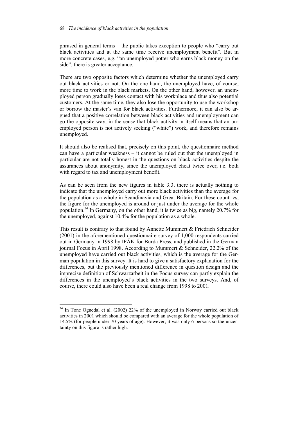phrased in general terms – the public takes exception to people who "carry out black activities and at the same time receive unemployment benefit". But in more concrete cases, e.g. "an unemployed potter who earns black money on the side", there is greater acceptance.

There are two opposite factors which determine whether the unemployed carry out black activities or not. On the one hand, the unemployed have, of course, more time to work in the black markets. On the other hand, however, an unemployed person gradually loses contact with his workplace and thus also potential customers. At the same time, they also lose the opportunity to use the workshop or borrow the master's van for black activities. Furthermore, it can also be argued that a positive correlation between black activities and unemployment can go the opposite way, in the sense that black activity in itself means that an unemployed person is not actively seeking ("white") work, and therefore remains unemployed.

It should also be realised that, precisely on this point, the questionnaire method can have a particular weakness – it cannot be ruled out that the unemployed in particular are not totally honest in the questions on black activities despite the assurances about anonymity, since the unemployed cheat twice over, i.e. both with regard to tax and unemployment benefit.

As can be seen from the new figures in table 3.3, there is actually nothing to indicate that the unemployed carry out more black activities than the average for the population as a whole in Scandinavia and Great Britain. For these countries, the figure for the unemployed is around or just under the average for the whole population.<sup>34</sup> In Germany, on the other hand, it is twice as big, namely 20.7% for the unemployed, against 10.4% for the population as a whole.

This result is contrary to that found by Annette Mummert & Friedrich Schneider (2001) in the aforementioned questionnaire survey of 1,000 respondents carried out in Germany in 1998 by IFAK for Burda Press, and published in the German journal Focus in April 1998. According to Mummert & Schneider, 22.2% of the unemployed have carried out black activities, which is the average for the German population in this survey. It is hard to give a satisfactory explanation for the differences, but the previously mentioned difference in question design and the imprecise definition of Schwarzarbeit in the Focus survey can partly explain the differences in the unemployed's black activities in the two surveys. And, of course, there could also have been a real change from 1998 to 2001.

l

 $34$  In Tone Ognedal et al. (2002) 22% of the unemployed in Norway carried out black activities in 2001 which should be compared with an average for the whole population of 14.5% (for people under 70 years of age). However, it was only 6 persons so the uncertainty on this figure is rather high.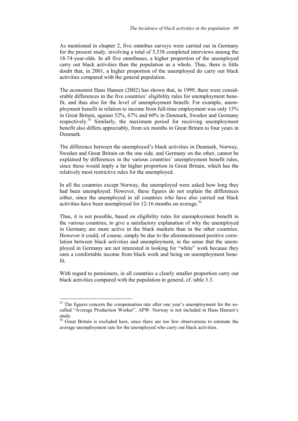As mentioned in chapter 2, five omnibus surveys were carried out in Germany for the present study, involving a total of 5,538 completed interviews among the 18-74-year-olds. In all five omnibuses, a higher proportion of the unemployed carry out black activities than the population as a whole. Thus, there is little doubt that, in 2001, a higher proportion of the unemployed do carry out black activities compared with the general population.

The economist Hans Hansen (2002) has shown that, in 1999, there were considerable differences in the five countries' eligibility rules for unemployment benefit, and thus also for the level of unemployment benefit. For example, unemployment benefit in relation to income from full-time employment was only 15% in Great Britain, against 52%, 67% and 60% in Denmark, Sweden and Germany respectively.<sup>35</sup> Similarly, the maximum period for receiving unemployment benefit also differs appreciably, from six months in Great Britain to four years in Denmark.

The difference between the unemployed's black activities in Denmark, Norway, Sweden and Great Britain on the one side, and Germany on the other, cannot be explained by differences in the various countries' unemployment benefit rules, since these would imply a far higher proportion in Great Britain, which has the relatively most restrictive rules for the unemployed.

In all the countries except Norway, the unemployed were asked how long they had been unemployed. However, these figures do not explain the differences either, since the unemployed in all countries who have also carried out black activities have been unemployed for  $12-16$  months on average.<sup>36</sup>

Thus, it is not possible, based on eligibility rules for unemployment benefit in the various countries, to give a satisfactory explanation of why the unemployed in Germany are more active in the black markets than in the other countries. However it could, of course, simply be due to the aforementioned positive correlation between black activities and unemployment, in the sense that the unemployed in Germany are not interested in looking for "white" work because they earn a comfortable income from black work and being on unemployment benefit.

With regard to pensioners, in all countries a clearly smaller proportion carry out black activities compared with the population in general, cf. table 3.3.

 $35$  The figures concern the compensation rate after one year's unemployment for the socalled "Average Production Worker", APW. Norway is not included in Hans Hansen's study.

<sup>&</sup>lt;sup>36</sup> Great Britain is excluded here, since there are too few observations to estimate the average unemployment rate for the unemployed who carry out black activities.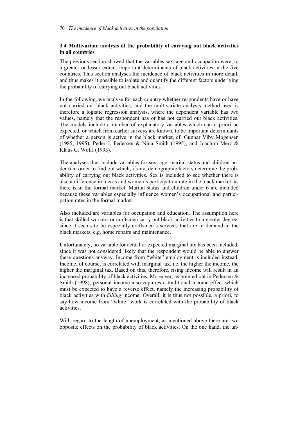# **3.4 Multivariate analysis of the probability of carrying out black activities in all countries**

The previous section showed that the variables sex, age and occupation were, to a greater or lesser extent, important determinants of black activities in the five countries. This section analyses the incidence of black activities in more detail, and thus makes it possible to isolate and quantify the different factors underlying the probability of carrying out black activities.

In the following, we analyse for each country whether respondents have or have not carried out black activities, and the multivariate analysis method used is therefore a logistic regression analysis, where the dependent variable has two values, namely that the respondent has or has not carried out black activities. The models include a number of explanatory variables which can a priori be expected, or which from earlier surveys are known, to be important determinants of whether a person is active in the black market, cf. Gunnar Viby Mogensen (1985, 1995), Peder J. Pedersen & Nina Smith (1995), and Joachim Merz  $\&$ Klaus G. Wolff (1993).

The analyses thus include variables for sex, age, marital status and children under 6 in order to find out which, if any, demographic factors determine the probability of carrying out black activities. Sex is included to see whether there is also a difference in men's and women's participation rate in the black market, as there is in the formal market. Marital status and children under 6 are included because these variables especially influence women's occupational and participation rates in the formal market.

Also included are variables for occupation and education. The assumption here is that skilled workers or craftsmen carry out black activities to a greater degree, since it seems to be especially craftsmen's services that are in demand in the black markets, e.g. home repairs and maintenance.

Unfortunately, no variable for actual or expected marginal tax has been included, since it was not considered likely that the respondent would be able to answer these questions anyway. Income from "white" employment is included instead. Income, of course, is correlated with marginal tax, i.e. the higher the income, the higher the marginal tax. Based on this, therefore, rising income will result in an increased probability of black activities. Moreover, as pointed out in Pedersen  $\&$ Smith (1998), personal income also captures a traditional income effect which must be expected to have a reverse effect, namely the increasing probability of black activities with *falling* income. Overall, it is thus not possible, a priori, to say how income from "white" work is correlated with the probability of black activities.

With regard to the length of unemployment, as mentioned above there are two opposite effects on the probability of black activities. On the one hand, the un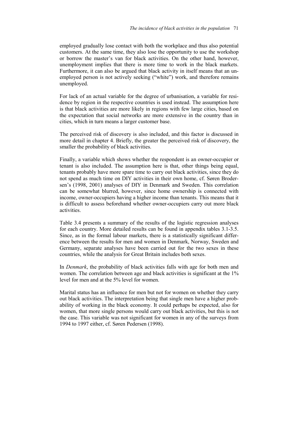employed gradually lose contact with both the workplace and thus also potential customers. At the same time, they also lose the opportunity to use the workshop or borrow the master's van for black activities. On the other hand, however, unemployment implies that there is more time to work in the black markets. Furthermore, it can also be argued that black activity in itself means that an unemployed person is not actively seeking ("white") work, and therefore remains unemployed.

For lack of an actual variable for the degree of urbanisation, a variable for residence by region in the respective countries is used instead. The assumption here is that black activities are more likely in regions with few large cities, based on the expectation that social networks are more extensive in the country than in cities, which in turn means a larger customer base.

The perceived risk of discovery is also included, and this factor is discussed in more detail in chapter 4. Briefly, the greater the perceived risk of discovery, the smaller the probability of black activities.

Finally, a variable which shows whether the respondent is an owner-occupier or tenant is also included. The assumption here is that, other things being equal, tenants probably have more spare time to carry out black activities, since they do not spend as much time on DIY activities in their own home, cf. Søren Brodersen's (1998, 2001) analyses of DIY in Denmark and Sweden. This correlation can be somewhat blurred, however, since home ownership is connected with income, owner-occupiers having a higher income than tenants. This means that it is difficult to assess beforehand whether owner-occupiers carry out more black activities.

Table 3.4 presents a summary of the results of the logistic regression analyses for each country. More detailed results can be found in appendix tables 3.1-3.5. Since, as in the formal labour markets, there is a statistically significant difference between the results for men and women in Denmark, Norway, Sweden and Germany, separate analyses have been carried out for the two sexes in these countries, while the analysis for Great Britain includes both sexes.

In *Denmark*, the probability of black activities falls with age for both men and women. The correlation between age and black activities is significant at the 1% level for men and at the 5% level for women.

Marital status has an influence for men but not for women on whether they carry out black activities. The interpretation being that single men have a higher probability of working in the black economy. It could perhaps be expected, also for women, that more single persons would carry out black activities, but this is not the case. This variable was not significant for women in any of the surveys from 1994 to 1997 either, cf. Søren Pedersen (1998).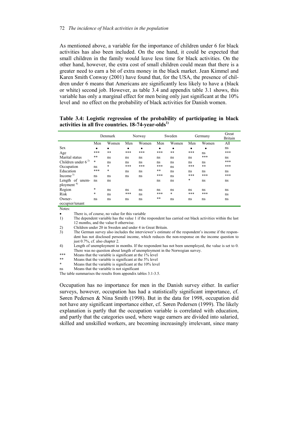As mentioned above, a variable for the importance of children under 6 for black activities has also been included. On the one hand, it could be expected that small children in the family would leave less time for black activities. On the other hand, however, the extra cost of small children could mean that there is a greater need to earn a bit of extra money in the black market. Jean Kimmel and Karen Smith Conway (2001) have found that, for the USA, the presence of children under 6 means that Americans are significantly less likely to have a (black or white) second job. However, as table 3.4 and appendix table 3.1 shows, this variable has only a marginal effect for men being only just significant at the 10% level and no effect on the probability of black activities for Danish women.

**Table 3.4: Logistic regression of the probability of participating in black activities in all five countries. 18-74-year-olds1)**

|                        | Denmark |        | Norway    |       | Sweden |       | Germany |           | Great<br><b>Britain</b> |
|------------------------|---------|--------|-----------|-------|--------|-------|---------|-----------|-------------------------|
|                        | Men     | Women  | Men       | Women | Men    | Women | Men     | Women     | All                     |
| Sex                    | ٠       | ٠      | $\bullet$ | ٠     | ٠      | ٠     | ٠       | $\bullet$ | ns                      |
| Age                    | ***     | $***$  | ***       | ***   | ***    | **    | ***     | ns        | ***                     |
| Marital status         | **      | ns     | ns        | ns    | ns     | ns    | ns      | ***       | ns                      |
| Children under $6^{2}$ | *       | ns     | ns        | ns    | ns     | ns    | ns      | ns        | ***                     |
| Occupation             | ns      | *      | ***       | ***   | ***    | ns    | ***     | $***$     | ***                     |
| Education              | ***     | $\ast$ | ns        | ns    | **     | ns    | ns      | ns        | ns                      |
| Income $3$             | ns      | ns     | ns        | ns    | ***    | ns    | ***     | ***       | ***                     |
| Length of unem-        | ns      | ns     |           |       | ns     | ns    | $\ast$  | ns        | ns                      |
| ployment <sup>4)</sup> |         |        |           |       |        |       |         |           |                         |
| Region                 | $\ast$  | ns     | ns        | ns    | ns     | ns    | ns      | ns        | ns                      |
| Risk                   | *       | ns     | ***       | ns    | ***    | *     | ***     | ***       | ns                      |
| Owner-                 | ns      | ns     | ns        | ns    | **     | ns    | ns      | ns        | ns                      |
| occupier/tenant        |         |        |           |       |        |       |         |           |                         |
| Notes:                 |         |        |           |       |        |       |         |           |                         |

There is, of course, no value for this variable

1) The dependent variable has the value 1 if the respondent has carried out black activities within the last 12 months, and the value 0 otherwise.

2) Children under 20 in Sweden and under 4 in Great Britain.

3) The German survey also includes the interviewer's estimate of the respondent's income if the respondent has not disclosed personal income, which reduces the non-response on the income question to just 0.7%, cf. also chapter 2.

4) Length of unemployment in months. If the respondent has not been unemployed, the value is set to 0. There was no question about length of unemployment in the Norwegian survey.

\*\*\* Means that the variable is significant at the 1% level<br>\*\* Means that the variable is significant at the 5% level

\*\* Means that the variable is significant at the 5% level<br>\* Means that the variable is significant at the 10% level

Means that the variable is significant at the 10% level

ns Means that the variable is not significant

The table summarises the results from appendix tables 3.1-3.5.

Occupation has no importance for men in the Danish survey either. In earlier surveys, however, occupation has had a statistically significant importance, cf. Søren Pedersen & Nina Smith (1998). But in the data for 1998, occupation did not have any significant importance either, cf. Søren Pedersen (1999). The likely explanation is partly that the occupation variable is correlated with education, and partly that the categories used, where wage earners are divided into salaried, skilled and unskilled workers, are becoming increasingly irrelevant, since many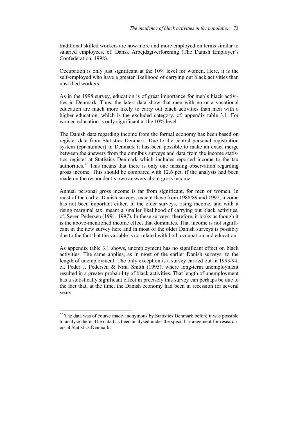traditional skilled workers are now more and more employed on terms similar to salaried employees, cf. Dansk Arbejdsgiverforening (The Danish Employer's Confederation, 1998).

Occupation is only just significant at the 10% level for women. Here, it is the self-employed who have a greater likelihood of carrying out black activities than unskilled workers.

As in the 1998 survey, education is of great importance for men's black activities in Denmark. Thus, the latest data show that men with no or a vocational education are much more likely to carry out black activities than men with a higher education, which is the excluded category, cf. appendix table 3.1. For women education is only significant at the 10% level.

The Danish data regarding income from the formal economy has been based on register data from Statistics Denmark. Due to the central personal registration system (cpr-number) in Denmark it has been possible to make an exact merge between the answers from the omnibus surveys and data from the income statistics register at Statistics Denmark which includes reported income to the tax authorities.<sup>37</sup> This means that there is only one missing observation regarding gross income. This should be compared with 12.6 pct. if the analysis had been made on the respondent's own answers about gross income.

Annual personal gross income is far from significant, for men or women. In most of the earlier Danish surveys, except those from 1988/89 and 1997, income has not been important either. In the older surveys, rising income, and with it rising marginal tax, meant a smaller likelihood of carrying out black activities, cf. Søren Pedersen (1991, 1997). In these surveys, therefore, it looks as though it is the above-mentioned income effect that dominates. That income is not significant in the new survey here and in most of the older Danish surveys is possibly due to the fact that the variable is correlated with both occupation and education.

As appendix table 3.1 shows, unemployment has no significant effect on black activities. The same applies, as in most of the earlier Danish surveys, to the length of unemployment. The only exception is a survey carried out in 1993/94, cf. Peder J. Pedersen & Nina Smith (1995), where long-term unemployment resulted in a greater probability of black activities. That length of unemployment has a statistically significant effect in precisely this survey can perhaps be due to the fact that, at the time, the Danish economy had been in recession for several years.

 $\overline{a}$ 

 $37$  The data was of course made anonymous by Statistics Denmark before it was possible to analyse them. The data has been analysed under the special arrangement for researchers at Statistics Denmark.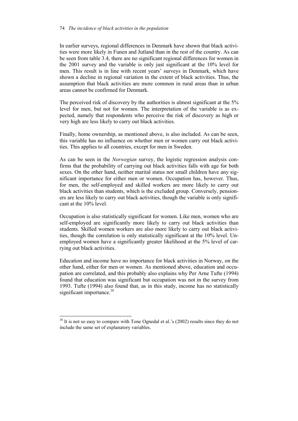#### 74 *The incidence of black activities in the population*

In earlier surveys, regional differences in Denmark have shown that black activities were more likely in Funen and Jutland than in the rest of the country. As can be seen from table 3.4, there are no significant regional differences for women in the 2001 survey and the variable is only just significant at the 10% level for men. This result is in line with recent years' surveys in Denmark, which have shown a decline in regional variation in the extent of black activities. Thus, the assumption that black activities are more common in rural areas than in urban areas cannot be confirmed for Denmark.

The perceived risk of discovery by the authorities is almost significant at the 5% level for men, but not for women. The interpretation of the variable is as expected, namely that respondents who perceive the risk of discovery as high or very high are less likely to carry out black activities.

Finally, home ownership, as mentioned above, is also included. As can be seen, this variable has no influence on whether men or women carry out black activities. This applies to all countries, except for men in Sweden.

As can be seen in the *Norwegian* survey, the logistic regression analysis confirms that the probability of carrying out black activities falls with age for both sexes. On the other hand, neither marital status nor small children have any significant importance for either men or women. Occupation has, however. Thus, for men, the self-employed and skilled workers are more likely to carry out black activities than students, which is the excluded group. Conversely, pensioners are less likely to carry out black activities, though the variable is only significant at the 10% level.

Occupation is also statistically significant for women. Like men, women who are self-employed are significantly more likely to carry out black activities than students. Skilled women workers are also more likely to carry out black activities, though the correlation is only statistically significant at the 10% level. Unemployed women have a significantly greater likelihood at the 5% level of carrying out black activities.

Education and income have no importance for black activities in Norway, on the other hand, either for men or women. As mentioned above, education and occupation are correlated, and this probably also explains why Per Arne Tufte (1994) found that education was significant but occupation was not in the survey from 1993. Tufte (1994) also found that, as in this study, income has no statistically significant importance.<sup>38</sup>

 $\overline{a}$ 

 $38$  It is not so easy to compare with Tone Ognedal et al.'s (2002) results since they do not include the same set of explanatory variables.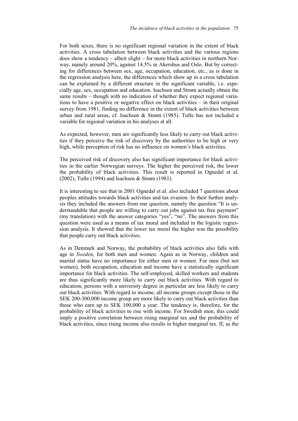For both sexes, there is no significant regional variation in the extent of black activities. A cross tabulation between black activities and the various regions does show a tendency – albeit slight – for more black activities in northern Norway, namely around 20%, against 14.5% in Akershus and Oslo. But by correcting for differences between sex, age, occupation, education, etc., as is done in the regression analysis here, the differences which show up in a cross tabulation can be explained by a different structure in the significant variable, i.e. especially age, sex, occupation and education. Isachsen and Strøm actually obtain the same results – though with no indication of whether they expect regional variations to have a positive or negative effect on black activities – in their original survey from 1981, finding no difference in the extent of black activities between urban and rural areas, cf. Isachsen & Strøm (1985). Tufte has not included a variable for regional variation in his analyses at all.

As expected, however, men are significantly less likely to carry out black activities if they perceive the risk of discovery by the authorities to be high or very high, while perception of risk has no influence on women's black activities.

The perceived risk of discovery also has significant importance for black activities in the earlier Norwegian surveys. The higher the perceived risk, the lower the probability of black activities. This result is reported in Ognedal et al. (2002), Tufte (1994) and Isachsen & Strøm (1981).

It is interesting to see that in 2001 Ognedal et al. also included 7 questions about peoples attitudes towards black activities and tax evasion. In their further analysis they included the answers from one question, namely the question "It is understandable that people are willing to carry out jobs against tax free payment" (my translation) with the answer categories "yes", "no". The answers from this question were used as a means of tax moral and included in the logistic regression analysis. It showed that the lower tax moral the higher was the possibility that people carry out black activities.

As in Denmark and Norway, the probability of black activities also falls with age in *Sweden*, for both men and women. Again as in Norway, children and marital status have no importance for either men or women. For men (but not women), both occupation, education and income have a statistically significant importance for black activities. The self-employed, skilled workers and students are thus significantly more likely to carry out black activities. With regard to education, persons with a university degree in particular are less likely to carry out black activities. With regard to income, all income groups except those in the SEK 200-300,000 income group are more likely to carry out black activities than those who earn up to SEK 100,000 a year. The tendency is, therefore, for the probability of black activities to rise with income. For Swedish men, this could imply a positive correlation between rising marginal tax and the probability of black activities, since rising income also results in higher marginal tax. If, as the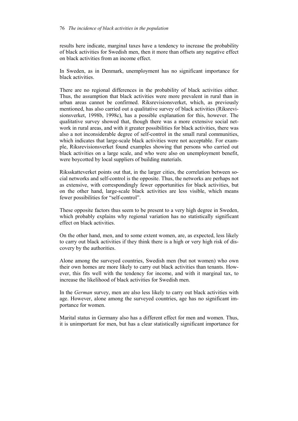results here indicate, marginal taxes have a tendency to increase the probability of black activities for Swedish men, then it more than offsets any negative effect on black activities from an income effect.

In Sweden, as in Denmark, unemployment has no significant importance for black activities.

There are no regional differences in the probability of black activities either. Thus, the assumption that black activities were more prevalent in rural than in urban areas cannot be confirmed. Riksrevisionsverket, which, as previously mentioned, has also carried out a qualitative survey of black activities (Riksrevisionsverket, 1998b, 1998c), has a possible explanation for this, however. The qualitative survey showed that, though there was a more extensive social network in rural areas, and with it greater possibilities for black activities, there was also a not inconsiderable degree of self-control in the small rural communities, which indicates that large-scale black activities were not acceptable. For example, Riksrevisionsverket found examples showing that persons who carried out black activities on a large scale, and who were also on unemployment benefit, were boycotted by local suppliers of building materials.

Riksskatteverket points out that, in the larger cities, the correlation between social networks and self-control is the opposite. Thus, the networks are perhaps not as extensive, with correspondingly fewer opportunities for black activities, but on the other hand, large-scale black activities are less visible, which means fewer possibilities for "self-control".

These opposite factors thus seem to be present to a very high degree in Sweden, which probably explains why regional variation has no statistically significant effect on black activities.

On the other hand, men, and to some extent women, are, as expected, less likely to carry out black activities if they think there is a high or very high risk of discovery by the authorities.

Alone among the surveyed countries, Swedish men (but not women) who own their own homes are more likely to carry out black activities than tenants. However, this fits well with the tendency for income, and with it marginal tax, to increase the likelihood of black activities for Swedish men.

In the *German* survey, men are also less likely to carry out black activities with age. However, alone among the surveyed countries, age has no significant importance for women.

Marital status in Germany also has a different effect for men and women. Thus, it is unimportant for men, but has a clear statistically significant importance for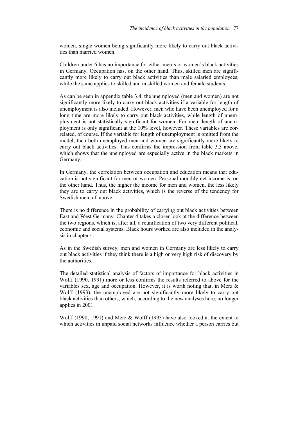women, single women being significantly more likely to carry out black activities than married women.

Children under 6 has no importance for either men's or women's black activities in Germany. Occupation has, on the other hand. Thus, skilled men are significantly more likely to carry out black activities than male salaried employees, while the same applies to skilled and unskilled women and female students.

As can be seen in appendix table 3.4, the unemployed (men and women) are not significantly more likely to carry out black activities if a variable for length of unemployment is also included. However, men who have been unemployed for a long time are more likely to carry out black activities, while length of unemployment is not statistically significant for women. For men, length of unemployment is only significant at the 10% level, however. These variables are correlated, of course. If the variable for length of unemployment is omitted from the model, then both unemployed men and women are significantly more likely to carry out black activities. This confirms the impression from table 3.3 above, which shows that the unemployed are especially active in the black markets in Germany.

In Germany, the correlation between occupation and education means that education is not significant for men or women. Personal monthly net income is, on the other hand. Thus, the higher the income for men and women, the less likely they are to carry out black activities, which is the reverse of the tendency for Swedish men, cf. above.

There is no difference in the probability of carrying out black activities between East and West Germany. Chapter 4 takes a closer look at the difference between the two regions, which is, after all, a reunification of two very different political, economic and social systems. Black hours worked are also included in the analysis in chapter 4.

As in the Swedish survey, men and women in Germany are less likely to carry out black activities if they think there is a high or very high risk of discovery by the authorities.

The detailed statistical analysis of factors of importance for black activities in Wolff (1990, 1991) more or less confirms the results referred to above for the variables sex, age and occupation. However, it is worth noting that, in Merz  $\&$ Wolff (1993), the unemployed are not significantly more likely to carry out black activities than others, which, according to the new analyses here, no longer applies in 2001.

Wolff (1990, 1991) and Merz & Wolff (1993) have also looked at the extent to which activities in unpaid social networks influence whether a person carries out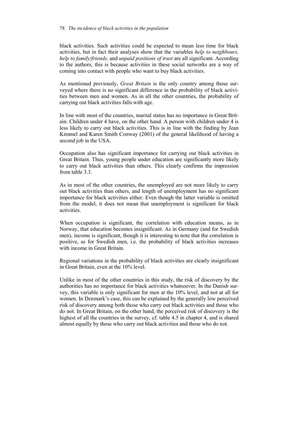#### 78 *The incidence of black activities in the population*

black activities. Such activities could be expected to mean less time for black activities, but in fact their analyses show that the variables *help to neighbours, help to family/friends,* and *unpaid positions of trust* are all significant. According to the authors, this is because activities in these social networks are a way of coming into contact with people who want to buy black activities.

As mentioned previously, *Great Britain* is the only country among those surveyed where there is no significant difference in the probability of black activities between men and women. As in all the other countries, the probability of carrying out black activities falls with age.

In line with most of the countries, marital status has no importance in Great Britain. Children under 4 have, on the other hand. A person with children under 4 is less likely to carry out black activities. This is in line with the finding by Jean Kimmel and Karen Smith Conway (2001) of the general likelihood of having a second job in the USA.

Occupation also has significant importance for carrying out black activities in Great Britain. Thus, young people under education are significantly more likely to carry out black activities than others. This clearly confirms the impression from table 3.3.

As in most of the other countries, the unemployed are not more likely to carry out black activities than others, and length of unemployment has no significant importance for black activities either. Even though the latter variable is omitted from the model, it does not mean that unemployment is significant for black activities.

When occupation is significant, the correlation with education means, as in Norway, that education becomes insignificant. As in Germany (and for Swedish men), income is significant, though it is interesting to note that the correlation is positive, as for Swedish men, i.e. the probability of black activities increases with income in Great Britain.

Regional variations in the probability of black activities are clearly insignificant in Great Britain, even at the 10% level.

Unlike in most of the other countries in this study, the risk of discovery by the authorities has no importance for black activities whatsoever. In the Danish survey, this variable is only significant for men at the 10% level, and not at all for women. In Denmark's case, this can be explained by the generally low perceived risk of discovery among both those who carry out black activities and those who do not. In Great Britain, on the other hand, the perceived risk of discovery is the highest of all the countries in the survey, cf. table 4.5 in chapter 4, and is shared almost equally by those who carry out black activities and those who do not.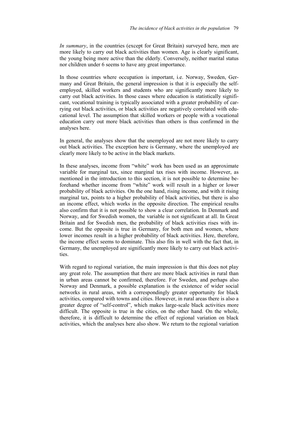*In summary*, in the countries (except for Great Britain) surveyed here, men are more likely to carry out black activities than women. Age is clearly significant, the young being more active than the elderly. Conversely, neither marital status nor children under 6 seems to have any great importance.

In those countries where occupation is important, i.e. Norway, Sweden, Germany and Great Britain, the general impression is that it is especially the selfemployed, skilled workers and students who are significantly more likely to carry out black activities. In those cases where education is statistically significant, vocational training is typically associated with a greater probability of carrying out black activities, or black activities are negatively correlated with educational level. The assumption that skilled workers or people with a vocational education carry out more black activities than others is thus confirmed in the analyses here.

In general, the analyses show that the unemployed are not more likely to carry out black activities. The exception here is Germany, where the unemployed are clearly more likely to be active in the black markets.

In these analyses, income from "white" work has been used as an approximate variable for marginal tax, since marginal tax rises with income. However, as mentioned in the introduction to this section, it is not possible to determine beforehand whether income from "white" work will result in a higher or lower probability of black activities. On the one hand, rising income, and with it rising marginal tax, points to a higher probability of black activities, but there is also an income effect, which works in the opposite direction. The empirical results also confirm that it is not possible to show a clear correlation. In Denmark and Norway, and for Swedish women, the variable is not significant at all. In Great Britain and for Swedish men, the probability of black activities rises with income. But the opposite is true in Germany, for both men and women, where lower incomes result in a higher probability of black activities. Here, therefore, the income effect seems to dominate. This also fits in well with the fact that, in Germany, the unemployed are significantly more likely to carry out black activities.

With regard to regional variation, the main impression is that this does not play any great role. The assumption that there are more black activities in rural than in urban areas cannot be confirmed, therefore. For Sweden, and perhaps also Norway and Denmark, a possible explanation is the existence of wider social networks in rural areas, with a correspondingly greater opportunity for black activities, compared with towns and cities. However, in rural areas there is also a greater degree of "self-control", which makes large-scale black activities more difficult. The opposite is true in the cities, on the other hand. On the whole, therefore, it is difficult to determine the effect of regional variation on black activities, which the analyses here also show. We return to the regional variation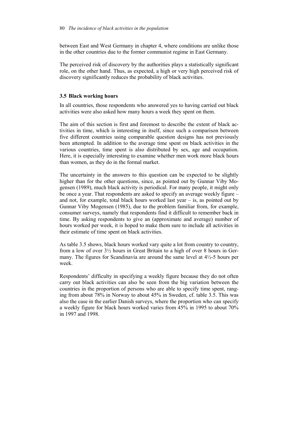between East and West Germany in chapter 4, where conditions are unlike those in the other countries due to the former communist regime in East Germany.

The perceived risk of discovery by the authorities plays a statistically significant role, on the other hand. Thus, as expected, a high or very high perceived risk of discovery significantly reduces the probability of black activities.

## **3.5 Black working hours**

In all countries, those respondents who answered yes to having carried out black activities were also asked how many hours a week they spent on them.

The aim of this section is first and foremost to describe the extent of black activities in time, which is interesting in itself, since such a comparison between five different countries using comparable question designs has not previously been attempted. In addition to the average time spent on black activities in the various countries, time spent is also distributed by sex, age and occupation. Here, it is especially interesting to examine whether men work more black hours than women, as they do in the formal market.

The uncertainty in the answers to this question can be expected to be slightly higher than for the other questions, since, as pointed out by Gunnar Viby Mogensen (1989), much black activity is periodical. For many people, it might only be once a year. That respondents are asked to specify an average weekly figure – and not, for example, total black hours worked last year  $-$  is, as pointed out by Gunnar Viby Mogensen (1985), due to the problem familiar from, for example, consumer surveys, namely that respondents find it difficult to remember back in time. By asking respondents to give an (approximate and average) number of hours worked per week, it is hoped to make them sure to include all activities in their estimate of time spent on black activities.

As table 3.5 shows, black hours worked vary quite a lot from country to country, from a low of over 3½ hours in Great Britain to a high of over 8 hours in Germany. The figures for Scandinavia are around the same level at 4½-5 hours per week.

Respondents' difficulty in specifying a weekly figure because they do not often carry out black activities can also be seen from the big variation between the countries in the proportion of persons who are able to specify time spent, ranging from about 78% in Norway to about 45% in Sweden, cf. table 3.5. This was also the case in the earlier Danish surveys, where the proportion who can specify a weekly figure for black hours worked varies from 45% in 1995 to about 70% in 1997 and 1998.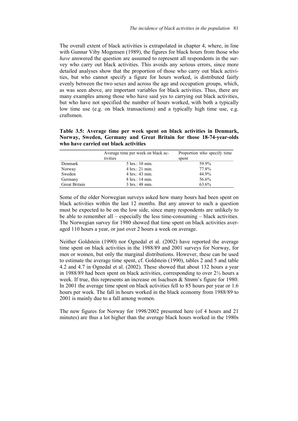The overall extent of black activities is extrapolated in chapter 4, where, in line with Gunnar Viby Mogensen (1989), the figures for black hours from those who *have* answered the question are assumed to represent all respondents in the survey who carry out black activities. This avoids any serious errors, since more detailed analyses show that the proportion of those who carry out black activities, but who cannot specify a figure for hours worked, is distributed fairly evenly between the two sexes and across the age and occupation groups, which, as was seen above, are important variables for black activities. Thus, there are many examples among those who have said yes to carrying out black activities, but who have not specified the number of hours worked, with both a typically low time use (e.g. on black transactions) and a typically high time use, e.g. craftsmen.

**Table 3.5: Average time per week spent on black activities in Denmark, Norway, Sweden, Germany and Great Britain for those 18-74-year-olds who have carried out black activities** 

|                      | Average time per week on black ac-<br>tivities | Proportion who specify time<br>spent |
|----------------------|------------------------------------------------|--------------------------------------|
| Denmark              | 5 hrs.: 10 min.                                | 59.9%                                |
|                      |                                                |                                      |
| Norway               | $4 \text{ hrs}$ : 21 min.                      | 77.8%                                |
| Sweden               | 4 hrs.: 43 min.                                | 44.9%                                |
| Germany              | 8 hrs.: 14 min.                                | 56.6%                                |
| <b>Great Britain</b> | 3 hrs.: 48 min.                                | 63.6%                                |

Some of the older Norwegian surveys asked how many hours had been spent on black activities within the last 12 months. But any answer to such a question must be expected to be on the low side, since many respondents are unlikely to be able to remember all – especially the less time-consuming – black activities. The Norwegian survey for 1980 showed that time spent on black activities averaged 110 hours a year, or just over 2 hours a week on average.

Neither Goldstein (1990) nor Ognedal et al. (2002) have reported the average time spent on black activities in the 1988/89 and 2001 surveys for Norway, for men or women, but only the marginal distributions. However, these can be used to estimate the average time spent, cf. Goldstein (1990), tables 2 and 5 and table 4.2 and 4.7 in Ognedal et al. (2002). These showed that about 132 hours a year in 1988/89 had been spent on black activities, corresponding to over 2½ hours a week. If true, this represents an increase on Isachsen & Strøm's figure for 1980. In 2001 the average time spent on black activities fell to 85 hours per year or 1.6 hours per week. The fall in hours worked in the black economy from 1988/89 to 2001 is mainly due to a fall among women.

The new figures for Norway for 1998/2002 presented here (of 4 hours and 21 minutes) are thus a lot higher than the average black hours worked in the 1980s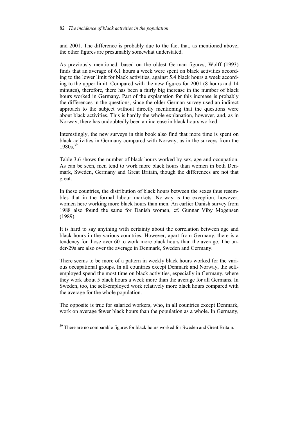and 2001. The difference is probably due to the fact that, as mentioned above, the other figures are presumably somewhat understated.

As previously mentioned, based on the oldest German figures, Wolff (1993) finds that an average of 6.1 hours a week were spent on black activities according to the lower limit for black activities, against 5.4 black hours a week according to the upper limit. Compared with the new figures for 2001 (8 hours and 14 minutes), therefore, there has been a fairly big increase in the number of black hours worked in Germany. Part of the explanation for this increase is probably the differences in the questions, since the older German survey used an indirect approach to the subject without directly mentioning that the questions were about black activities. This is hardly the whole explanation, however, and, as in Norway, there has undoubtedly been an increase in black hours worked.

Interestingly, the new surveys in this book also find that more time is spent on black activities in Germany compared with Norway, as in the surveys from the  $1980s.<sup>39</sup>$ 

Table 3.6 shows the number of black hours worked by sex, age and occupation. As can be seen, men tend to work more black hours than women in both Denmark, Sweden, Germany and Great Britain, though the differences are not that great.

In these countries, the distribution of black hours between the sexes thus resembles that in the formal labour markets. Norway is the exception, however, women here working more black hours than men. An earlier Danish survey from 1988 also found the same for Danish women, cf. Gunnar Viby Mogensen (1989).

It is hard to say anything with certainty about the correlation between age and black hours in the various countries. However, apart from Germany, there is a tendency for those over 60 to work more black hours than the average. The under-29s are also over the average in Denmark, Sweden and Germany.

There seems to be more of a pattern in weekly black hours worked for the various occupational groups. In all countries except Denmark and Norway, the selfemployed spend the most time on black activities, especially in Germany, where they work about 5 black hours a week more than the average for all Germans. In Sweden, too, the self-employed work relatively more black hours compared with the average for the whole population.

The opposite is true for salaried workers, who, in all countries except Denmark, work on average fewer black hours than the population as a whole. In Germany,

l

<sup>&</sup>lt;sup>39</sup> There are no comparable figures for black hours worked for Sweden and Great Britain.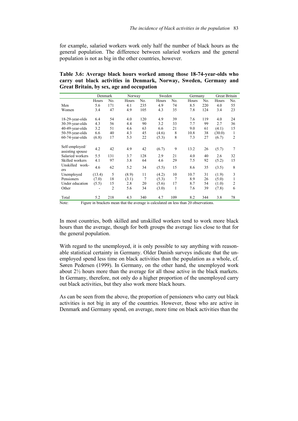for example, salaried workers work only half the number of black hours as the general population. The difference between salaried workers and the general population is not as big in the other countries, however.

| carry out black activities in Denmark, Norway, Sweden, Germany and<br>Great Britain, by sex, age and occupation |              |     |        |           |           |         |     |               |     |
|-----------------------------------------------------------------------------------------------------------------|--------------|-----|--------|-----------|-----------|---------|-----|---------------|-----|
|                                                                                                                 | Denmark      |     | Norway |           | Sweden    | Germany |     | Great Britain |     |
|                                                                                                                 | <b>Hours</b> | No. |        | Hours No. | Hours No. | Hours   | No. | Hours         | No. |

**Table 3.6: Average black hours worked among those 18-74-year-olds who** 

|                                    | Hours  | No.            | Hours                                                                                | No. | Hours | No. | Hours | No. | Hours  | No.            |
|------------------------------------|--------|----------------|--------------------------------------------------------------------------------------|-----|-------|-----|-------|-----|--------|----------------|
| Men                                | 5.6    | 171            | 4.1                                                                                  | 235 | 4.9   | 74  | 8.5   | 220 | 4.0    | 55             |
| Women                              | 3.4    | 47             | 4.9                                                                                  | 105 | 4.3   | 35  | 7.8   | 124 | 3.4    | 23             |
|                                    |        |                |                                                                                      |     |       |     |       |     |        |                |
| $18-29$ -year-olds                 | 6.4    | 54             | 4.0                                                                                  | 120 | 4.9   | 39  | 7.6   | 119 | 4.0    | 24             |
| $30-39$ -year-olds                 | 4.3    | 56             | 4.4                                                                                  | 90  | 3.2   | 33  | 7.7   | 99  | 2.7    | 36             |
| 40-49-year-olds                    | 3.2    | 51             | 4.6                                                                                  | 63  | 6.6   | 21  | 9.0   | 61  | (4.1)  | 15             |
| $50-59$ -year-olds                 | 6.6    | 40             | 4.3                                                                                  | 45  | (4.6) | 8   | 10.8  | 38  | (30.0) | $\mathbf{1}$   |
| $60-74$ -year-olds                 | (6.8)  | 17             | 5.3                                                                                  | 22  | (5.3) | 8   | 7.3   | 27  | (6.7)  | $\overline{2}$ |
|                                    |        |                |                                                                                      |     |       |     |       |     |        |                |
| Self-employed/<br>assisting spouse | 4.2    | 42             | 4.9                                                                                  | 42  | (6.7) | 9   | 13.2  | 26  | (5.7)  | 7              |
| Salaried workers                   | 5.5    | 131            | 3.7                                                                                  | 128 | 2.9   | 21  | 4.0   | 40  | 2.6    | 32             |
| Skilled workers                    | 4.1    | 97             | 3.8                                                                                  | 64  | 4.6   | 29  | 7.5   | 92  | (5.2)  | 15             |
| Unskilled work-<br>ers             | 4.6    | 62             | 5.2                                                                                  | 34  | (5.5) | 15  | 8.6   | 35  | (3.5)  | 8              |
| Unemployed                         | (13.4) | 5              | (8.9)                                                                                | 11  | (4.2) | 10  | 10.7  | 31  | (1.9)  | 3              |
| Pensioners                         | (7.0)  | 18             | (3.1)                                                                                | 7   | (5.3) | 7   | 8.9   | 26  | (5.0)  | 1              |
| Under education                    | (5.5)  | 15             | 2.8                                                                                  | 20  | (5.6) | 17  | 8.7   | 54  | (1.0)  | 2              |
| Other                              |        | $\overline{2}$ | 5.6                                                                                  | 34  | (3.0) | 1   | 7.6   | 39  | (7.8)  | 6              |
| Total                              | 5.2    | 218            | 4.3                                                                                  | 340 | 4.7   | 109 | 8.2   | 344 | 3.8    | 78             |
| Note:                              |        |                | Figure in brackets mean that the average is calculated on less than 20 observations. |     |       |     |       |     |        |                |

In most countries, both skilled and unskilled workers tend to work more black hours than the average, though for both groups the average lies close to that for the general population.

With regard to the unemployed, it is only possible to say anything with reasonable statistical certainty in Germany. Older Danish surveys indicate that the unemployed spend less time on black activities than the population as a whole, cf. Søren Pedersen (1999). In Germany, on the other hand, the unemployed work about 2½ hours more than the average for all those active in the black markets. In Germany, therefore, not only do a higher proportion of the unemployed carry out black activities, but they also work more black hours.

As can be seen from the above, the proportion of pensioners who carry out black activities is not big in any of the countries. However, those who are active in Denmark and Germany spend, on average, more time on black activities than the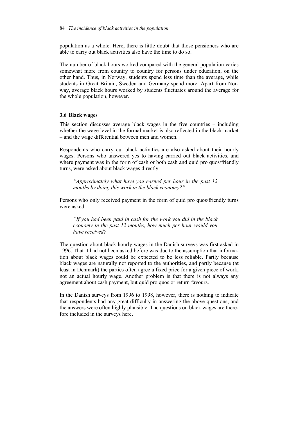population as a whole. Here, there is little doubt that those pensioners who are able to carry out black activities also have the time to do so.

The number of black hours worked compared with the general population varies somewhat more from country to country for persons under education, on the other hand. Thus, in Norway, students spend less time than the average, while students in Great Britain, Sweden and Germany spend more. Apart from Norway, average black hours worked by students fluctuates around the average for the whole population, however.

#### **3.6 Black wages**

This section discusses average black wages in the five countries – including whether the wage level in the formal market is also reflected in the black market – and the wage differential between men and women.

Respondents who carry out black activities are also asked about their hourly wages. Persons who answered yes to having carried out black activities, and where payment was in the form of cash or both cash and quid pro quos/friendly turns, were asked about black wages directly:

*"Approximately what have you earned per hour in the past 12 months by doing this work in the black economy?"* 

Persons who only received payment in the form of quid pro quos/friendly turns were asked:

*"If you had been paid in cash for the work you did in the black economy in the past 12 months, how much per hour would you have received?"* 

The question about black hourly wages in the Danish surveys was first asked in 1996. That it had not been asked before was due to the assumption that information about black wages could be expected to be less reliable. Partly because black wages are naturally not reported to the authorities, and partly because (at least in Denmark) the parties often agree a fixed price for a given piece of work, not an actual hourly wage. Another problem is that there is not always any agreement about cash payment, but quid pro quos or return favours.

In the Danish surveys from 1996 to 1998, however, there is nothing to indicate that respondents had any great difficulty in answering the above questions, and the answers were often highly plausible. The questions on black wages are therefore included in the surveys here.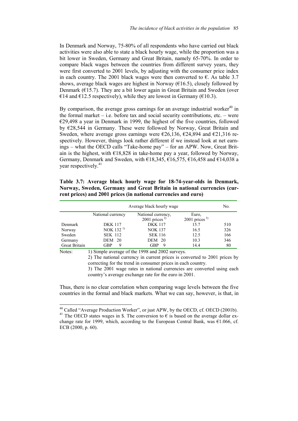In Denmark and Norway, 75-80% of all respondents who have carried out black activities were also able to state a black hourly wage, while the proportion was a bit lower in Sweden, Germany and Great Britain, namely 65-70%. In order to compare black wages between the countries from different survey years, they were first converted to 2001 levels, by adjusting with the consumer price index in each country. The 2001 black wages were then converted to  $\epsilon$ . As table 3.7 shows, average black wages are highest in Norway  $(\epsilon 16.5)$ , closely followed by Denmark ( $E$ 15.7). They are a bit lower again in Great Britain and Sweden (over €14 and €12.5 respectively), while they are lowest in Germany (€10.3).

By comparison, the average gross earnings for an average industrial worker<sup>40</sup> in the formal market  $-$  i.e. before tax and social security contributions, etc.  $-$  were €29,498 a year in Denmark in 1999, the highest of the five countries, followed by €28,544 in Germany. These were followed by Norway, Great Britain and Sweden, where average gross earnings were  $\epsilon$ 26,136,  $\epsilon$ 24,894 and  $\epsilon$ 21,316 respectively. However, things look rather different if we instead look at net earnings – what the OECD calls "Take-home pay" – for an APW. Now, Great Britain is the highest, with  $\epsilon$ 18,828 in take-home pay a year, followed by Norway, Germany, Denmark and Sweden, with  $\epsilon$ 18,345,  $\epsilon$ 16,575,  $\epsilon$ 16,458 and  $\epsilon$ 14,038 a year respectively.<sup>41</sup>

**Table 3.7: Average black hourly wage for 18-74-year-olds in Denmark, Norway, Sweden, Germany and Great Britain in national currencies (current prices) and 2001 prices (in national currencies and euro)**

|               | Average black hourly wage                                                   |                                                 | No.                                  |     |  |  |  |  |  |
|---------------|-----------------------------------------------------------------------------|-------------------------------------------------|--------------------------------------|-----|--|--|--|--|--|
|               | National currency                                                           | National currency,<br>2001 prices <sup>2)</sup> | Euro,<br>$2001$ prices <sup>3)</sup> |     |  |  |  |  |  |
| Denmark       | <b>DKK</b> 117                                                              | <b>DKK</b> 117                                  | 15.7                                 | 510 |  |  |  |  |  |
| Norway        | NOK $132^{1}$                                                               | <b>NOK 137</b>                                  | 16.5                                 | 326 |  |  |  |  |  |
| Sweden        | <b>SEK 112</b>                                                              | <b>SEK 116</b>                                  | 12.5                                 | 166 |  |  |  |  |  |
| Germany       | DEM 20                                                                      | DEM 20                                          | 10.3                                 | 346 |  |  |  |  |  |
| Great Britain | GBP<br>9                                                                    | <b>GBP</b><br>- 9                               | 14.4                                 | 80  |  |  |  |  |  |
| Notes:        |                                                                             | 1) Simple average of the 1998 and 2002 surveys. |                                      |     |  |  |  |  |  |
|               | 2) The notice of compared in compact prices is concentral to 2001 prices by |                                                 |                                      |     |  |  |  |  |  |

 2) The national currency in current prices is converted to 2001 prices by correcting for the trend in consumer prices in each country.

 3) The 2001 wage rates in national currencies are converted using each country's average exchange rate for the euro in 2001.

Thus, there is no clear correlation when comparing wage levels between the five countries in the formal and black markets. What we can say, however, is that, in

l

<sup>&</sup>lt;sup>40</sup> Called "Average Production Worker", or just APW, by the OECD, cf. OECD (2001b). <sup>41</sup> The OECD states wages in \$. The conversion to  $\epsilon$  is based on the average dollar exchange rate for 1999, which, according to the European Central Bank, was  $\epsilon$ 1.066, cf. ECB (2000, p. 60).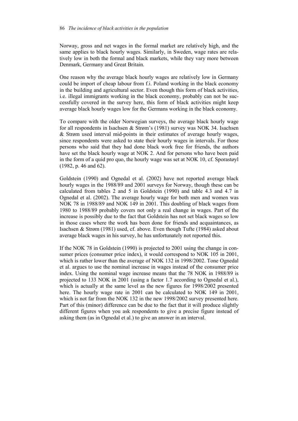Norway, gross and net wages in the formal market are relatively high, and the same applies to black hourly wages. Similarly, in Sweden, wage rates are relatively low in both the formal and black markets, while they vary more between Denmark, Germany and Great Britain.

One reason why the average black hourly wages are relatively low in Germany could be import of cheap labour from f.i. Poland working in the black economy in the building and agricultural sector. Even though this form of black activities, i.e. illegal immigrants working in the black economy, probably can not be successfully covered in the survey here, this form of black activities might keep average black hourly wages low for the Germans working in the black economy.

To compare with the older Norwegian surveys, the average black hourly wage for all respondents in Isachsen & Strøm's (1981) survey was NOK 34. Isachsen & Strøm used interval mid-points in their estimates of average hourly wages, since respondents were asked to state their hourly wages in intervals. For those persons who said that they had done black work free for friends, the authors have set the black hourly wage at NOK 2. And for persons who have been paid in the form of a quid pro quo, the hourly wage was set at NOK 10, cf. Sporastøyl (1982, p. 46 and 62).

Goldstein (1990) and Ognedal et al. (2002) have not reported average black hourly wages in the 1988/89 and 2001 surveys for Norway, though these can be calculated from tables 2 and 5 in Goldstein (1990) and table 4.3 and 4.7 in Ognedal et al. (2002). The average hourly wage for both men and women was NOK 78 in 1988/89 and NOK 149 in 2001. This doubling of black wages from 1980 to 1988/89 probably covers not only a real change in wages. Part of the increase is possibly due to the fact that Goldstein has not set black wages so low in those cases where the work has been done for friends and acquaintances, as Isachsen & Strøm (1981) used, cf. above. Even though Tufte (1984) asked about average black wages in his survey, he has unfortunately not reported this.

If the NOK 78 in Goldstein (1990) is projected to 2001 using the change in consumer prices (consumer price index), it would correspond to NOK 105 in 2001, which is rather lower than the average of NOK 132 in 1998/2002. Tone Ognedal et al. argues to use the nominal increase in wages instead of the consumer price index. Using the nominal wage increase means that the 78 NOK in 1988/89 is projected to 133 NOK in 2001 (using a factor 1.7 according to Ognedal et al.), which is actually at the same level as the new figures for 1998/2002 presented here. The hourly wage rate in 2001 can be calculated to NOK 149 in 2001, which is not far from the NOK 132 in the new 1998/2002 survey presented here. Part of this (minor) difference can be due to the fact that it will produce slightly different figures when you ask respondents to give a precise figure instead of asking them (as in Ognedal et al.) to give an answer in an interval.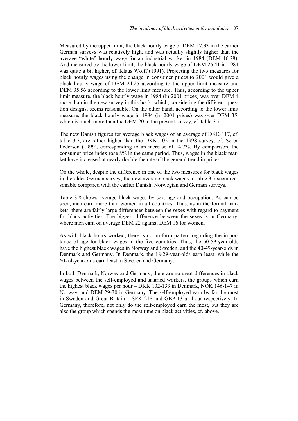Measured by the upper limit, the black hourly wage of DEM 17.33 in the earlier German surveys was relatively high, and was actually slightly higher than the average "white" hourly wage for an industrial worker in 1984 (DEM 16.28). And measured by the lower limit, the black hourly wage of DEM 25.41 in 1984 was quite a bit higher, cf. Klaus Wolff (1991). Projecting the two measures for black hourly wages using the change in consumer prices to 2001 would give a black hourly wage of DEM 24.25 according to the upper limit measure and DEM 35.56 according to the lower limit measure. Thus, according to the upper limit measure, the black hourly wage in 1984 (in 2001 prices) was over DEM 4 more than in the new survey in this book, which, considering the different question designs, seems reasonable. On the other hand, according to the lower limit measure, the black hourly wage in 1984 (in 2001 prices) was over DEM 35, which is much more than the DEM 20 in the present survey, cf. table 3.7.

The new Danish figures for average black wages of an average of DKK 117, cf. table 3.7, are rather higher than the DKK 102 in the 1998 survey, cf. Søren Pedersen (1999), corresponding to an increase of 14.7%. By comparison, the consumer price index rose 8% in the same period. Thus, wages in the black market have increased at nearly double the rate of the general trend in prices.

On the whole, despite the difference in one of the two measures for black wages in the older German survey, the new average black wages in table 3.7 seem reasonable compared with the earlier Danish, Norwegian and German surveys.

Table 3.8 shows average black wages by sex, age and occupation. As can be seen, men earn more than women in all countries. Thus, as in the formal markets, there are fairly large differences between the sexes with regard to payment for black activities. The biggest difference between the sexes is in Germany, where men earn on average DEM 22 against DEM 16 for women.

As with black hours worked, there is no uniform pattern regarding the importance of age for black wages in the five countries. Thus, the 50-59-year-olds have the highest black wages in Norway and Sweden, and the 40-49-year-olds in Denmark and Germany. In Denmark, the 18-29-year-olds earn least, while the 60-74-year-olds earn least in Sweden and Germany.

In both Denmark, Norway and Germany, there are no great differences in black wages between the self-employed and salaried workers, the groups which earn the highest black wages per hour – DKK 132-133 in Denmark, NOK 146-147 in Norway, and DEM 29-30 in Germany. The self-employed earn by far the most in Sweden and Great Britain – SEK 218 and GBP 13 an hour respectively. In Germany, therefore, not only do the self-employed earn the most, but they are also the group which spends the most time on black activities, cf. above.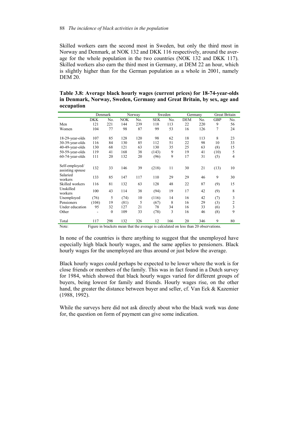Skilled workers earn the second most in Sweden, but only the third most in Norway and Denmark, at NOK 132 and DKK 116 respectively, around the average for the whole population in the two countries (NOK 132 and DKK 117). Skilled workers also earn the third most in Germany, at DEM 22 an hour, which is slightly higher than for the German population as a whole in 2001, namely DEM 20.

| occupation                         |            |              |            |        |            |        |            |     |                      |                |  |
|------------------------------------|------------|--------------|------------|--------|------------|--------|------------|-----|----------------------|----------------|--|
|                                    |            | Denmark      |            | Norway |            | Sweden | Germany    |     | <b>Great Britain</b> |                |  |
|                                    | <b>DKK</b> | No.          | <b>NOK</b> | No.    | <b>SEK</b> | No.    | <b>DEM</b> | No. | <b>GBP</b>           | No.            |  |
| Men                                | 121        | 221          | 144        | 239    | 118        | 113    | 22         | 220 | 9                    | 56             |  |
| Women                              | 104        | 77           | 98         | 87     | 99         | 53     | 16         | 126 | $\overline{7}$       | 24             |  |
| 18-29-year-olds                    | 107        | 85           | 128        | 120    | 98         | 62     | 18         | 113 | 8                    | 23             |  |
| 30-39-year-olds                    | 116        | 84           | 130        | 85     | 112        | 51     | 22         | 98  | 10                   | 33             |  |
|                                    | 130        | 68           | 121        |        | 130        |        | 25         |     |                      |                |  |
| 40-49-year-olds                    |            |              |            | 63     |            | 35     |            | 63  | (8)                  | 15             |  |
| 50-59-year-olds                    | 119        | 41           | 168        | 38     | (143)      | 9      | 19         | 41  | (10)                 | 5              |  |
| $60-74$ -year-olds                 | 111        | 20           | 132        | 20     | (96)       | 9      | 17         | 31  | (5)                  | $\overline{4}$ |  |
| Self-employed/<br>assisting spouse | 132        | 33           | 146        | 39     | (218)      | 11     | 30         | 21  | (13)                 | 10             |  |
| Salaried<br>workers                | 133        | 85           | 147        | 117    | 110        | 29     | 29         | 46  | 9                    | 30             |  |
| Skilled workers                    | 116        | 81           | 132        | 63     | 128        | 48     | 22         | 87  | (9)                  | 15             |  |
| Unskilled<br>workers               | 100        | 43           | 114        | 38     | (94)       | 19     | 17         | 42  | (9)                  | 8              |  |
| Unemployed                         | (76)       | 5            | (74)       | 10     | (116)      | 14     | 16         | 42  | (7)                  | 3              |  |
| Pensioners                         | (104)      | 19           | (81)       | 5      | (67)       | 8      | 16         | 29  | (3)                  |                |  |
| Under education                    | 95         | 32           | 127        | 21     | 78         | 34     | 16         | 33  | (6)                  | $\frac{2}{3}$  |  |
| Other                              | ۰          | $\mathbf{0}$ | 109        | 33     | (78)       | 3      | 16         | 46  | (8)                  | 9              |  |
| Total                              | 117        | 298          | 132        | 326    | 12         | 166    | 20         | 346 | 9                    | 80             |  |

**Table 3.8: Average black hourly wages (current prices) for 18-74-year-olds in Denmark, Norway, Sweden, Germany and Great Britain, by sex, age and occupation** 

Note: Figure in brackets mean that the average is calculated on less than 20 observations.

In none of the countries is there anything to suggest that the unemployed have especially high black hourly wages, and the same applies to pensioners. Black hourly wages for the unemployed are thus around or just below the average.

Black hourly wages could perhaps be expected to be lower where the work is for close friends or members of the family. This was in fact found in a Dutch survey for 1984, which showed that black hourly wages varied for different groups of buyers, being lowest for family and friends. Hourly wages rise, on the other hand, the greater the distance between buyer and seller, cf. Van Eck & Kazemier (1988, 1992).

While the surveys here did not ask directly about who the black work was done for, the question on form of payment can give some indication.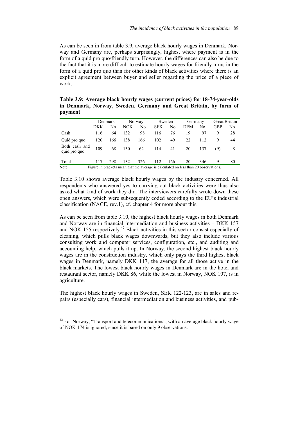As can be seen in from table 3.9, average black hourly wages in Denmark, Norway and Germany are, perhaps surprisingly, highest where payment is in the form of a quid pro quo/friendly turn. However, the differences can also be due to the fact that it is more difficult to estimate hourly wages for friendly turns in the form of a quid pro quo than for other kinds of black activities where there is an explicit agreement between buyer and seller regarding the price of a piece of work.

**Table 3.9: Average black hourly wages (current prices) for 18-74-year-olds in Denmark, Norway, Sweden, Germany and Great Britain, by form of payment**

|                                                                                               |     | Denmark |     | Norway |            | Sweden | Germany |     | Great Britain |     |
|-----------------------------------------------------------------------------------------------|-----|---------|-----|--------|------------|--------|---------|-----|---------------|-----|
|                                                                                               | DKK | No.     | NOK | No.    | <b>SEK</b> | No.    | DEM     | No. | GBP           | No. |
| Cash                                                                                          | 116 | 64      | 132 | 98     | 116        | 76     | 19      | 97  | 9             | 28  |
| Quid pro quo                                                                                  | 120 | 166     | 138 | 166    | 102        | 49     | 22      | 112 | 9             | 44  |
| Both cash and<br>quid pro quo                                                                 | 109 | 68      | 130 | 62     | 114        | 41     | 20      | 137 | (9)           | 8   |
| Total                                                                                         | 117 | 298     | 132 | 326    | 112        | 166    | 20      | 346 | 9             | 80  |
| Note:<br>Figure in brackets mean that the average is calculated on less than 20 observations. |     |         |     |        |            |        |         |     |               |     |

Table 3.10 shows average black hourly wages by the industry concerned. All respondents who answered yes to carrying out black activities were thus also asked what kind of work they did. The interviewers carefully wrote down these open answers, which were subsequently coded according to the EU's industrial classification (NACE, rev.1), cf. chapter 4 for more about this.

As can be seen from table 3.10, the highest black hourly wages in both Denmark and Norway are in financial intermediation and business activities – DKK 157 and NOK 155 respectively.<sup>42</sup> Black activities in this sector consist especially of cleaning, which pulls black wages downwards, but they also include various consulting work and computer services, configuration, etc., and auditing and accounting help, which pulls it up. In Norway, the second highest black hourly wages are in the construction industry, which only pays the third highest black wages in Denmark, namely DKK 117, the average for all those active in the black markets. The lowest black hourly wages in Denmark are in the hotel and restaurant sector, namely DKK 86, while the lowest in Norway, NOK 107, is in agriculture.

The highest black hourly wages in Sweden, SEK 122-123, are in sales and repairs (especially cars), financial intermediation and business activities, and pub-

 $\overline{a}$ 

 $42$  For Norway, "Transport and telecommunications", with an average black hourly wage of NOK 174 is ignored, since it is based on only 9 observations.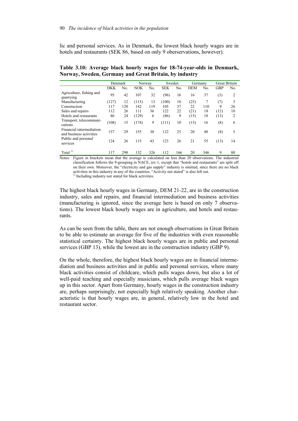lic and personal services. As in Denmark, the lowest black hourly wages are in hotels and restaurants (SEK 86, based on only 9 oberservations, however).

|  |  | Table 3.10: Average black hourly wages for 18-74-year-olds in Denmark, |  |
|--|--|------------------------------------------------------------------------|--|
|  |  | Norway, Sweden, Germany and Great Britain, by industry                 |  |

|                                                     | Denmark |     | Norway     |     | Sweden     |     | Germany    |     | Great Britain |     |
|-----------------------------------------------------|---------|-----|------------|-----|------------|-----|------------|-----|---------------|-----|
|                                                     | DKK     | No. | <b>NOK</b> | No. | <b>SEK</b> | No. | <b>DEM</b> | No. | <b>GBP</b>    | No. |
| Agriculture, fishing and<br>quarrying               | 95      | 42  | 107        | 32  | (96)       | 16  | 16         | 37  | (3)           | 2   |
| Manufacturing                                       | (127)   | 12  | (115)      | 13  | (100)      | 10  | (25)       | 7   | (7)           | 5   |
| Construction                                        | 117     | 120 | 142        | 119 | 105        | 37  | 22         | 110 | 9             | 26  |
| Sales and repairs                                   | 112     | 26  | 111        | 36  | 122        | 22  | (21)       | 18  | (12)          | 10  |
| Hotels and restaurants                              | 86      | 24  | (129)      | 6   | (86)       | 9   | (15)       | 18  | (13)          | 2   |
| Transport, telecommuni-<br>cations                  | (108)   | 15  | (174)      | 9   | (111)      | 10  | (15)       | 16  | (8)           | 6   |
| Financial intermediation<br>and business activities | 157     | 29  | 155        | 30  | 122        | 25  | 20         | 48  | (8)           | 5   |
| Public and personal<br>services                     | 124     | 26  | 115        | 43  | 123        | 26  | 21         | 55  | (13)          | 14  |
| Total $^{1)}$                                       | 117     | 298 | 132        | 326 | 112        | 166 | 20         | 346 | 9             | 80  |

Notes: Figure in brackets mean that the average is calculated on less than 20 observations. The industrial classification follows the 9-grouping in NACE, rev.1, except that "hotels and restaurants" are split off on their own. Moreover, the "electricity and gas supply" industry is omitted, since there are no black activities in this industry in any of the countries. "Activity not stated" is also left out.

<sup>1)</sup> Including industry not stated for black activities.

The highest black hourly wages in Germany, DEM 21-22, are in the construction industry, sales and repairs, and financial intermediation and business activities (manufacturing is ignored, since the average here is based on only 7 observations). The lowest black hourly wages are in agriculture, and hotels and restaurants.

As can be seen from the table, there are not enough observations in Great Britain to be able to estimate an average for five of the industries with even reasonable statistical certainty. The highest black hourly wages are in public and personal services (GBP 13), while the lowest are in the construction industry (GBP 9).

On the whole, therefore, the highest black hourly wages are in financial intermediation and business activities and in public and personal services, where many black activities consist of childcare, which pulls wages down, but also a lot of well-paid teaching and especially musicians, which pulls average black wages up in this sector. Apart from Germany, hourly wages in the construction industry are, perhaps surprisingly, not especially high relatively speaking. Another characteristic is that hourly wages are, in general, relatively low in the hotel and restaurant sector.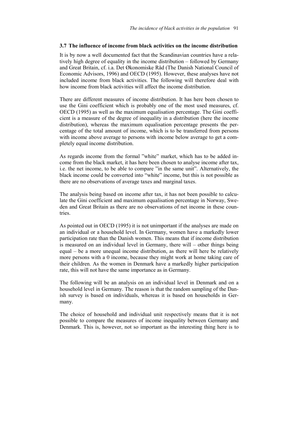#### **3.7 The influence of income from black activities on the income distribution**

It is by now a well documented fact that the Scandinavian countries have a relatively high degree of equality in the income distribution – followed by Germany and Great Britain, cf. i.a. Det Økonomiske Råd (The Danish National Council of Economic Advisors, 1996) and OECD (1995). However, these analyses have not included income from black activities. The following will therefore deal with how income from black activities will affect the income distribution.

There are different measures of income distribution. It has here been chosen to use the Gini coefficient which is probably one of the most used measures, cf. OECD (1995) as well as the maximum equalisation percentage. The Gini coefficient is a measure of the degree of inequality in a distribution (here the income distribution), whereas the maximum equalisation percentage presents the percentage of the total amount of income, which is to be transferred from persons with income above average to persons with income below average to get a completely equal income distribution.

As regards income from the formal "white" market, which has to be added income from the black market, it has here been chosen to analyse income after tax, i.e. the net income, to be able to compare "in the same unit". Alternatively, the black income could be converted into "white" income, but this is not possible as there are no observations of average taxes and marginal taxes.

The analysis being based on income after tax, it has not been possible to calculate the Gini coefficient and maximum equalisation percentage in Norway, Sweden and Great Britain as there are no observations of net income in these countries.

As pointed out in OECD (1995) it is not unimportant if the analyses are made on an individual or a household level. In Germany, women have a markedly lower participation rate than the Danish women. This means that if income distribution is measured on an individual level in Germany, there will – other things being equal – be a more unequal income distribution, as there will here be relatively more persons with a 0 income, because they might work at home taking care of their children. As the women in Denmark have a markedly higher participation rate, this will not have the same importance as in Germany.

The following will be an analysis on an individual level in Denmark and on a household level in Germany. The reason is that the random sampling of the Danish survey is based on individuals, whereas it is based on households in Germany.

The choice of household and individual unit respectively means that it is not possible to compare the measures of income inequality between Germany and Denmark. This is, however, not so important as the interesting thing here is to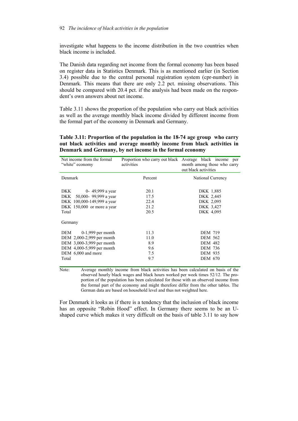investigate what happens to the income distribution in the two countries when black income is included.

The Danish data regarding net income from the formal economy has been based on register data in Statistics Denmark. This is as mentioned earlier (in Section 3.4) possible due to the central personal registration system (cpr-number) in Denmark. This means that there are only 2.2 pct. missing observations. This should be compared with 20.4 pct. if the analysis had been made on the respondent's own answers about net income.

Table 3.11 shows the proportion of the population who carry out black activities as well as the average monthly black income divided by different income from the formal part of the economy in Denmark and Germany.

**Table 3.11: Proportion of the population in the 18-74 age group who carry out black activities and average monthly income from black activities in Denmark and Germany, by net income in the formal economy** 

| Net income from the formal<br>"white" economy                                                                                                        | Proportion who carry out black Average black income<br>activities | per<br>month among those who carry<br>out black activities                                               |  |  |
|------------------------------------------------------------------------------------------------------------------------------------------------------|-------------------------------------------------------------------|----------------------------------------------------------------------------------------------------------|--|--|
| Denmark                                                                                                                                              | Percent                                                           | National Currency                                                                                        |  |  |
| 0- 49,999 a year<br>DKK<br>DKK 50,000-99,999 a year<br>DKK 100,000-149,999 a year<br>DKK $150,000$ or more a year<br>Total<br>Germany                | 20.1<br>17.5<br>22.4<br>21.2<br>20.5                              | DKK 1,885<br>DKK 2,445<br>DKK 2,095<br>DKK 3,427<br>DKK 4,095                                            |  |  |
| $DEM \qquad 0-1,999$ per month<br>DEM 2,000-2,999 per month<br>DEM 3,000-3,999 per month<br>DEM 4,000-5,999 per month<br>DEM 6,000 and more<br>Total | 11.3<br>11.0<br>8.9<br>9.6<br>7.5<br>9.7                          | <b>DEM 719</b><br><b>DEM 562</b><br><b>DEM 482</b><br><b>DEM 736</b><br><b>DEM 935</b><br><b>DEM 670</b> |  |  |

Note: Average monthly income from black activities has been calculated on basis of the observed hourly black wages and black hours worked per week times 52/12. The proportion of the population has been calculated for those with an observed income from the formal part of the economy and might therefore differ from the other tables. The German data are based on household level and thus not weighted here.

For Denmark it looks as if there is a tendency that the inclusion of black income has an opposite "Robin Hood" effect. In Germany there seems to be an Ushaped curve which makes it very difficult on the basis of table 3.11 to say how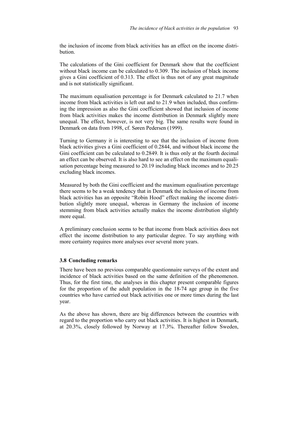the inclusion of income from black activities has an effect on the income distribution.

The calculations of the Gini coefficient for Denmark show that the coefficient without black income can be calculated to 0.309. The inclusion of black income gives a Gini coefficient of 0.313. The effect is thus not of any great magnitude and is not statistically significant.

The maximum equalisation percentage is for Denmark calculated to 21.7 when income from black activities is left out and to 21.9 when included, thus confirming the impression as also the Gini coefficient showed that inclusion of income from black activities makes the income distribution in Denmark slightly more unequal. The effect, however, is not very big. The same results were found in Denmark on data from 1998, cf. Søren Pedersen (1999).

Turning to Germany it is interesting to see that the inclusion of income from black activities gives a Gini coefficient of 0.2844, and without black income the Gini coefficient can be calculated to 0.2849. It is thus only at the fourth decimal an effect can be observed. It is also hard to see an effect on the maximum equalisation percentage being measured to 20.19 including black incomes and to 20.25 excluding black incomes.

Measured by both the Gini coefficient and the maximum equalisation percentage there seems to be a weak tendency that in Denmark the inclusion of income from black activities has an opposite "Robin Hood" effect making the income distribution slightly more unequal, whereas in Germany the inclusion of income stemming from black activities actually makes the income distribution slightly more equal.

A preliminary conclusion seems to be that income from black activities does not effect the income distribution to any particular degree. To say anything with more certainty requires more analyses over several more years.

# **3.8 Concluding remarks**

There have been no previous comparable questionnaire surveys of the extent and incidence of black activities based on the same definition of the phenomenon. Thus, for the first time, the analyses in this chapter present comparable figures for the proportion of the adult population in the 18-74 age group in the five countries who have carried out black activities one or more times during the last year.

As the above has shown, there are big differences between the countries with regard to the proportion who carry out black activities. It is highest in Denmark, at 20.3%, closely followed by Norway at 17.3%. Thereafter follow Sweden,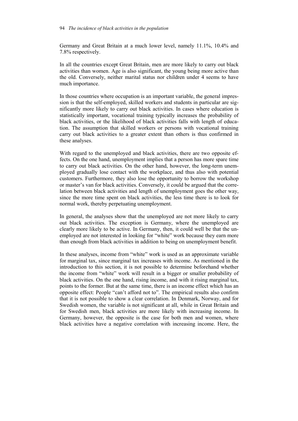#### 94 *The incidence of black activities in the population*

Germany and Great Britain at a much lower level, namely 11.1%, 10.4% and 7.8% respectively.

In all the countries except Great Britain, men are more likely to carry out black activities than women. Age is also significant, the young being more active than the old. Conversely, neither marital status nor children under 4 seems to have much importance.

In those countries where occupation is an important variable, the general impression is that the self-employed, skilled workers and students in particular are significantly more likely to carry out black activities. In cases where education is statistically important, vocational training typically increases the probability of black activities, or the likelihood of black activities falls with length of education. The assumption that skilled workers or persons with vocational training carry out black activities to a greater extent than others is thus confirmed in these analyses.

With regard to the unemployed and black activities, there are two opposite effects. On the one hand, unemployment implies that a person has more spare time to carry out black activities. On the other hand, however, the long-term unemployed gradually lose contact with the workplace, and thus also with potential customers. Furthermore, they also lose the opportunity to borrow the workshop or master's van for black activities. Conversely, it could be argued that the correlation between black activities and length of unemployment goes the other way, since the more time spent on black activities, the less time there is to look for normal work, thereby perpetuating unemployment.

In general, the analyses show that the unemployed are not more likely to carry out black activities. The exception is Germany, where the unemployed are clearly more likely to be active. In Germany, then, it could well be that the unemployed are not interested in looking for "white" work because they earn more than enough from black activities in addition to being on unemployment benefit.

In these analyses, income from "white" work is used as an approximate variable for marginal tax, since marginal tax increases with income. As mentioned in the introduction to this section, it is not possible to determine beforehand whether the income from "white" work will result in a bigger or smaller probability of black activities. On the one hand, rising income, and with it rising marginal tax, points to the former. But at the same time, there is an income effect which has an opposite effect: People "can't afford not to". The empirical results also confirm that it is not possible to show a clear correlation. In Denmark, Norway, and for Swedish women, the variable is not significant at all, while in Great Britain and for Swedish men, black activities are more likely with increasing income. In Germany, however, the opposite is the case for both men and women, where black activities have a negative correlation with increasing income. Here, the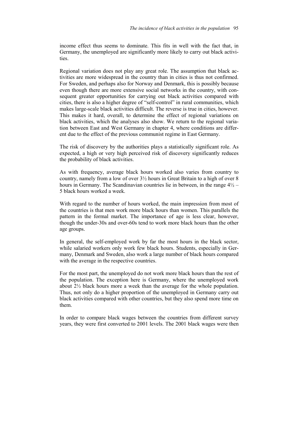income effect thus seems to dominate. This fits in well with the fact that, in Germany, the unemployed are significantly more likely to carry out black activities.

Regional variation does not play any great role. The assumption that black activities are more widespread in the country than in cities is thus not confirmed. For Sweden, and perhaps also for Norway and Denmark, this is possibly because even though there are more extensive social networks in the country, with consequent greater opportunities for carrying out black activities compared with cities, there is also a higher degree of "self-control" in rural communities, which makes large-scale black activities difficult. The reverse is true in cities, however. This makes it hard, overall, to determine the effect of regional variations on black activities, which the analyses also show. We return to the regional variation between East and West Germany in chapter 4, where conditions are different due to the effect of the previous communist regime in East Germany.

The risk of discovery by the authorities plays a statistically significant role. As expected, a high or very high perceived risk of discovery significantly reduces the probability of black activities.

As with frequency, average black hours worked also varies from country to country, namely from a low of over 3½ hours in Great Britain to a high of over 8 hours in Germany. The Scandinavian countries lie in between, in the range  $4\frac{1}{2}$  – 5 black hours worked a week.

With regard to the number of hours worked, the main impression from most of the countries is that men work more black hours than women. This parallels the pattern in the formal market. The importance of age is less clear, however, though the under-30s and over-60s tend to work more black hours than the other age groups.

In general, the self-employed work by far the most hours in the black sector, while salaried workers only work few black hours. Students, especially in Germany, Denmark and Sweden, also work a large number of black hours compared with the average in the respective countries.

For the most part, the unemployed do not work more black hours than the rest of the population. The exception here is Germany, where the unemployed work about  $2\frac{1}{2}$  black hours more a week than the average for the whole population. Thus, not only do a higher proportion of the unemployed in Germany carry out black activities compared with other countries, but they also spend more time on them.

In order to compare black wages between the countries from different survey years, they were first converted to 2001 levels. The 2001 black wages were then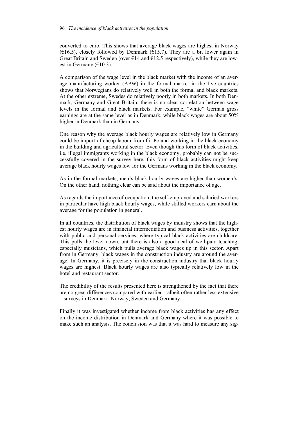converted to euro. This shows that average black wages are highest in Norway ( $\epsilon$ 16.5), closely followed by Denmark ( $\epsilon$ 15.7). They are a bit lower again in Great Britain and Sweden (over  $\epsilon$ 14 and  $\epsilon$ 12.5 respectively), while they are lowest in Germany  $(€10.3)$ .

A comparison of the wage level in the black market with the income of an average manufacturing worker (APW) in the formal market in the five countries shows that Norwegians do relatively well in both the formal and black markets. At the other extreme, Swedes do relatively poorly in both markets. In both Denmark, Germany and Great Britain, there is no clear correlation between wage levels in the formal and black markets. For example, "white" German gross earnings are at the same level as in Denmark, while black wages are about 50% higher in Denmark than in Germany.

One reason why the average black hourly wages are relatively low in Germany could be import of cheap labour from f.i. Poland working in the black economy in the building and agricultural sector. Even though this form of black activities, i.e. illegal immigrants working in the black economy, probably can not be successfully covered in the survey here, this form of black activities might keep average black hourly wages low for the Germans working in the black economy.

As in the formal markets, men's black hourly wages are higher than women's. On the other hand, nothing clear can be said about the importance of age.

As regards the importance of occupation, the self-employed and salaried workers in particular have high black hourly wages, while skilled workers earn about the average for the population in general.

In all countries, the distribution of black wages by industry shows that the highest hourly wages are in financial intermediation and business activities, together with public and personal services, where typical black activities are childcare. This pulls the level down, but there is also a good deal of well-paid teaching, especially musicians, which pulls average black wages up in this sector. Apart from in Germany, black wages in the construction industry are around the average. In Germany, it is precisely in the construction industry that black hourly wages are highest. Black hourly wages are also typically relatively low in the hotel and restaurant sector.

The credibility of the results presented here is strengthened by the fact that there are no great differences compared with earlier – albeit often rather less extensive – surveys in Denmark, Norway, Sweden and Germany.

Finally it was investigated whether income from black activities has any effect on the income distribution in Denmark and Germany where it was possible to make such an analysis. The conclusion was that it was hard to measure any sig-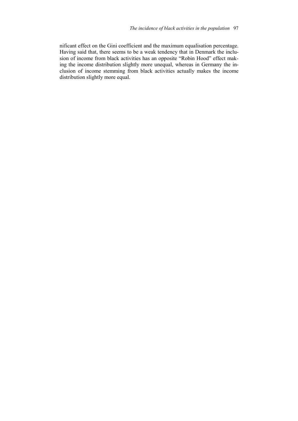nificant effect on the Gini coefficient and the maximum equalisation percentage. Having said that, there seems to be a weak tendency that in Denmark the inclusion of income from black activities has an opposite "Robin Hood" effect making the income distribution slightly more unequal, whereas in Germany the inclusion of income stemming from black activities actually makes the income distribution slightly more equal.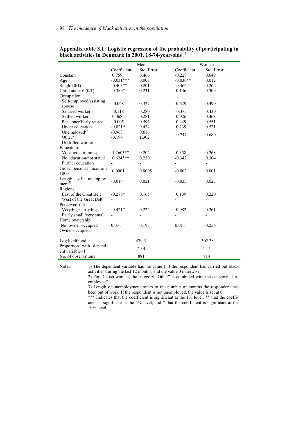|                                                |                          | Men                      | Women                    |            |  |  |
|------------------------------------------------|--------------------------|--------------------------|--------------------------|------------|--|--|
|                                                | Coefficient              | Std. Error               | Coefficient              | Std. Error |  |  |
| Constant                                       | 0.759                    | 0.466                    | $-0.229$                 | 0.649      |  |  |
| Age                                            | $-0.031***$              | 0.008                    | $-0.030**$               | 0.012      |  |  |
| Single $(0/1)$                                 | $-0.403**$               | 0.201                    | $-0.366$                 | 0.262      |  |  |
| Child under $6(0/1)$                           | $-0.389*$                | 0.231                    | 0.146                    | 0.309      |  |  |
| Occupation:                                    |                          |                          |                          |            |  |  |
| Self-employed/assisting<br>spouse              | $-0.068$                 | 0.327                    | 0.629                    | 0.490      |  |  |
| Salaried worker                                | $-0.118$                 | 0.280                    | $-0.375$                 | 0.430      |  |  |
| Skilled worker                                 | 0.068                    | 0.281                    | 0.026                    | 0.468      |  |  |
| Pensioner/Early retiree                        | $-0.005$                 | 0.596                    | 0.449                    | 0.551      |  |  |
| Under education                                | $-0.821*$                | 0.434                    | 0.239                    | 0.521      |  |  |
| Unemployed <sup>2)</sup>                       | $-0.963$                 | 0.616                    |                          |            |  |  |
| Other <sup>2)</sup>                            | $-0.194$                 | 1.302                    | $-0.747$                 | 0.680      |  |  |
| Unskilled worker                               |                          | Ξ.                       |                          |            |  |  |
| Education:                                     |                          |                          |                          |            |  |  |
| Vocational training                            | 1.260***                 | 0.202                    | 0.358                    | 0.268      |  |  |
| No education/not stated                        | $0.624***$               | 0.230                    | $-0.342$                 | 0.304      |  |  |
| Further education                              |                          | $\overline{a}$           |                          |            |  |  |
| Gross personal income /                        |                          |                          |                          |            |  |  |
| 1000                                           | 0.0001                   | 0.0005                   | $-0.002$                 | 0.001      |  |  |
| Length<br>of<br>unemploy-<br>ment <sup>3</sup> | $-0.014$                 | 0.021                    | $-0.033$                 | 0.023      |  |  |
| Regions:                                       |                          |                          |                          |            |  |  |
| East of the Great Belt                         | $-0.278*$                | 0.165                    | 0.139                    | 0.220      |  |  |
| West of the Great Belt                         | $\overline{\phantom{0}}$ | $\overline{\phantom{0}}$ | $\overline{\phantom{0}}$ | Ξ.         |  |  |
| Perceived risk:                                |                          |                          |                          |            |  |  |
| Very big /fairly big                           | $-0.421*$                | 0.224                    | 0.082                    | 0.261      |  |  |
| Fairly small /very small                       |                          |                          |                          |            |  |  |
| Home ownership:                                |                          |                          |                          |            |  |  |
| Not owner-occupied                             | 0.031                    | 0.193                    | 0.011                    | 0.256      |  |  |
| Owner-occupied                                 |                          |                          |                          |            |  |  |
|                                                |                          |                          |                          |            |  |  |
| Log likelihood                                 |                          | $-479.31$                |                          | $-302.38$  |  |  |
| Proportion with depend-                        |                          | 29.4                     |                          | 11.5       |  |  |
| ent variable=1                                 |                          |                          |                          |            |  |  |
| No. of observations                            |                          | 881                      |                          | 914        |  |  |

**Appendix table 3.1: Logistic regression of the probability of participating in black activities in Denmark in 2001. 18-74-year-olds 1)**

Notes: 1) The dependent variable has the value 1 if the respondent has carried out black activities during the last 12 months, and the value 0 otherwise.

 2) For Danish women, the category "Other" is combined with the category "Unemployed".

 3) Length of unemployment refers to the number of months the respondent has been out of work. If the respondent is not unemployed, the value is set at 0.

\*\*\* Indicates that the coefficient is significant at the 1% level, \*\* that the coefficient is significant at the 5% level, and \* that the coefficient is significant at the 10% level.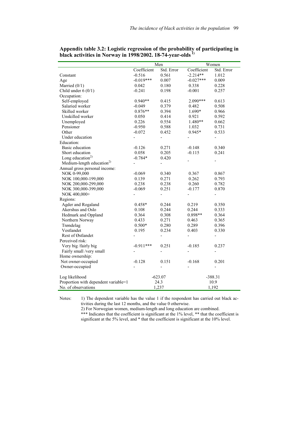|                                       |                          | Men                      | Women                    |                              |  |  |
|---------------------------------------|--------------------------|--------------------------|--------------------------|------------------------------|--|--|
|                                       | Coefficient              | Std. Error               | Coefficient              | Std. Error                   |  |  |
| Constant                              | $-0.516$                 | 0.561                    | $-2.214**$               | 1.012                        |  |  |
| Age                                   | $-0.019***$              | 0.007                    | $-0.027***$              | 0.009                        |  |  |
| Married $(0/1)$                       | 0.042                    | 0.180                    | 0.338                    | 0.228                        |  |  |
| Child under $6(0/1)$                  | $-0.241$                 | 0.198                    | $-0.001$                 | 0.257                        |  |  |
| Occupation:                           |                          |                          |                          |                              |  |  |
| Self-employed                         | $0.940**$                | 0.415                    | 2.090***                 | 0.613                        |  |  |
| Salaried worker                       | $-0.049$                 | 0.379                    | 0.482                    | 0.508                        |  |  |
| Skilled worker                        | $0.876**$                | 0.394                    | 1.690*                   | 0.966                        |  |  |
| Unskilled worker                      | 0.050                    | 0.414                    | 0.921                    | 0.592                        |  |  |
| Unemployed                            | 0.226                    | 0.554                    | 1.480**                  | 0.662                        |  |  |
| Pensioner                             | $-0.950$                 | 0.588                    | 1.032                    | 0.731                        |  |  |
| Other                                 | $-0.072$                 | 0.452                    | 0.945*                   | 0.533                        |  |  |
| Under education                       |                          | $\overline{\phantom{0}}$ |                          | $\frac{1}{2}$                |  |  |
| Education:                            |                          |                          |                          |                              |  |  |
| Basic education                       | $-0.126$                 | 0.271                    | $-0.148$                 | 0.340                        |  |  |
| Short education                       | 0.058                    | 0.205                    | $-0.115$                 | 0.241                        |  |  |
| Long education <sup>2)</sup>          | $-0.784*$                | 0.420                    |                          |                              |  |  |
| Medium-length education <sup>2)</sup> |                          | $\overline{a}$           | -                        | -                            |  |  |
| Annual gross personal income:         |                          |                          |                          |                              |  |  |
| NOK 0-99,000                          | $-0.069$                 | 0.340                    | 0.367                    | 0.867                        |  |  |
| NOK 100,000-199,000                   | 0.139                    | 0.271                    | 0.262                    | 0.793                        |  |  |
| NOK 200,000-299,000                   | 0.238                    | 0.238                    | 0.260                    | 0.782                        |  |  |
| NOK 300,000-399,000                   | $-0.069$                 | 0.251                    | $-0.177$                 | 0.870                        |  |  |
| NOK 400,000+                          | $\overline{\phantom{0}}$ | $\frac{1}{2}$            | $\overline{\phantom{0}}$ |                              |  |  |
| Regions:                              |                          |                          |                          |                              |  |  |
| Agder and Rogaland                    | $0.458*$                 | 0.244                    | 0.219                    | 0.350                        |  |  |
| Akershus and Oslo                     | 0.108                    | 0.244                    | 0.244                    | 0.333                        |  |  |
| Hedmark and Oppland                   | 0.364                    | 0.308                    | 0.898**                  | 0.364                        |  |  |
| Northern Norway                       | 0.433                    | 0.271                    | 0.463                    | 0.365                        |  |  |
| Trøndelag                             | $0.500*$                 | 0.280                    | 0.289                    | 0.396                        |  |  |
| Vestlandet                            | 0.195                    | 0.234                    | 0.403                    | 0.330                        |  |  |
| Rest of Østlandet                     |                          |                          | $\overline{a}$           |                              |  |  |
| Perceived risk:                       |                          |                          |                          |                              |  |  |
| Very big /fairly big                  | $-0.911***$              | 0.251                    | $-0.185$                 | 0.237                        |  |  |
| Fairly small /very small              |                          | $\overline{a}$           | $\overline{\phantom{0}}$ | $\overline{a}$               |  |  |
| Home ownership:                       |                          |                          |                          |                              |  |  |
| Not owner-occupied                    | $-0.128$                 | 0.151                    | $-0.168$                 | 0.201                        |  |  |
| Owner-occupied                        |                          |                          |                          | $\qquad \qquad \blacksquare$ |  |  |
| Log likelihood                        |                          | $-623.07$                |                          | $-388.31$                    |  |  |
| Proportion with dependent variable=1  |                          | 24.3                     |                          | 10.9                         |  |  |
| No. of observations                   |                          | 1,237                    | 1,192                    |                              |  |  |

**Appendix table 3.2: Logistic regression of the probability of participating in black activities in Norway in 1998/2002. 18-74-year-olds 1)** 

Notes: 1) The dependent variable has the value 1 if the respondent has carried out black activities during the last 12 months, and the value 0 otherwise.

 2) For Norwegian women, medium-length and long education are combined. \*\*\* Indicates that the coefficient is significant at the 1% level, \*\* that the coefficient is significant at the 5% level, and \* that the coefficient is significant at the 10% level.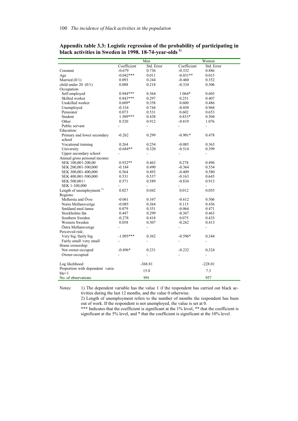|                                      |                | Men            | Women          |                |  |  |
|--------------------------------------|----------------|----------------|----------------|----------------|--|--|
|                                      | Coefficient    | Std. Error     | Coefficient    | Std. Error     |  |  |
| Constant                             | $-0.679$       | 0.736          | $-0.332$       | 0.886          |  |  |
| Age                                  | $-0.042***$    | 0.011          | $-0.031**$     | 0.015          |  |  |
| Married $(0/1)$                      | 0.093          | 0.244          | $-0.460$       | 0.352          |  |  |
| child under $20(0/1)$                | 0.088          | 0.218          | $-0.334$       | 0.306          |  |  |
| Occupation:                          |                |                |                |                |  |  |
| Self-employed                        | $0.944***$     | 0.364          | $1.064*$       | 0.603          |  |  |
| Skilled worker                       | $0.843***$     | 0.297          | 0.251          | 0.407          |  |  |
| Unskilled worker                     | $0.609*$       | 0.358          | 0.600          | 0.486          |  |  |
| Unemployed                           | $-0.334$       | 0.744          | $-0.058$       | 0.968          |  |  |
| Pensioner                            | 0.073          | 0.531          | 0.602          | 0.653          |  |  |
| Student                              | $1.509***$     | 0.438          | $0.853*$       | 0.504          |  |  |
| Other                                | 0.520          | 0.912          | $-0.819$       | 1.076          |  |  |
| Public servant                       | $\blacksquare$ | $\blacksquare$ | $\blacksquare$ | ÷,             |  |  |
| Education:                           |                |                |                |                |  |  |
| Primary and lower secondary          | $-0.262$       | 0.299          | $-0.901*$      | 0.478          |  |  |
| school                               |                |                |                |                |  |  |
| Vocational training                  | 0.264          | 0.254          | $-0.085$       | 0.363          |  |  |
| University                           | $-0.684**$     | 0.320          | $-0.514$       | 0.399          |  |  |
| Upper secondary school               |                |                |                |                |  |  |
| Annual gross personal income:        |                |                |                |                |  |  |
| SEK 100,001-200,00                   | $0.932**$      | 0.463          | 0.278          | 0.496          |  |  |
| SEK 200,001-300,000                  | $-0.184$       | 0.490          | $-0.364$       | 0.534          |  |  |
| SEK 300,001-400,000                  | 0.564          | 0.493          | $-0.409$       | 0.580          |  |  |
| SEK 400,001-500,000                  | 0.531          | 0.537          | $-0.163$       | 0.645          |  |  |
| SEK 500,001+                         | 0.571          | 0.589          | $-0.834$       | 0.913          |  |  |
| SEK 1-100,000                        |                |                |                |                |  |  |
| Length of unemployment <sup>2)</sup> | 0.027          | 0.042          | 0.012          | 0.055          |  |  |
| Regions:                             |                |                |                |                |  |  |
| Mellersta and Övre                   | $-0.061$       | 0.347          | $-0.612$       | 0.506          |  |  |
| Norra Mellansverige                  | $-0.085$       | 0.364          | 0.115          | 0.456          |  |  |
| Småland med öarna                    | 0.079          | 0.351          | $-0.064$       | 0.471          |  |  |
| Stockholms län                       | 0.447          | 0.299          | $-0.367$       | 0.463          |  |  |
| Southern Sweden                      | $-0.278$       | 0.418          | 0.075          | 0.435          |  |  |
| Western Sweden                       | 0.058          | 0.307          | $-0.262$       | 0.413          |  |  |
| Östra Mellansverige                  |                | ÷,             | ÷,             | $\overline{a}$ |  |  |
| Perceived risk:                      |                |                |                |                |  |  |
| Very big /fairly big                 | $-1.095***$    | 0.362          | $-0.596*$      | 0,344          |  |  |
| Fairly small /very small             | $\blacksquare$ | L,             | $\blacksquare$ | ÷,             |  |  |
| Home ownership:                      |                |                |                |                |  |  |
| Not owner-occuped                    | $-0.496*$      | 0.231          | $-0.232$       | 0,324          |  |  |
| Owner-occupied                       |                | $\overline{a}$ |                | L,             |  |  |
| Log likelihood                       |                | $-368.81$      |                | $-228.01$      |  |  |
| Proportion with dependent varia-     |                |                |                |                |  |  |
| $ble=1$                              |                | 15.8           |                | 7.3            |  |  |
| No. of observations                  |                | 991            |                | 957            |  |  |

# **Appendix table 3.3: Logistic regression of the probability of participating in black activities in Sweden in 1998. 18-74-year-olds 1)**

Notes: 1) The dependent variable has the value 1 if the respondent has carried out black activities during the last 12 months, and the value 0 otherwise.

 2) Length of unemployment refers to the number of months the respondent has been out of work. If the respondent is not unemployed, the value is set at 0.

\*\*\* Indicates that the coefficient is significant at the 1% level, \*\* that the coefficient is significant at the 5% level, and \* that the coefficient is significant at the 10% level.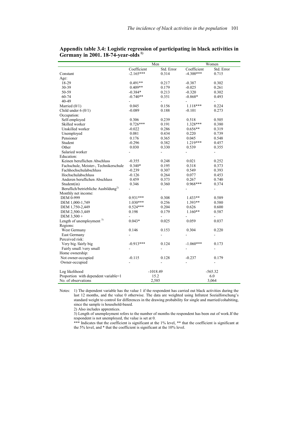|                                                 | Men            |                          | Women          |               |  |
|-------------------------------------------------|----------------|--------------------------|----------------|---------------|--|
|                                                 | Coefficient    | Std. Error               | Coefficient    | Std. Error    |  |
| Constant                                        | $-2.165***$    | 0.314                    | $-4.300***$    | 0.715         |  |
| Age:                                            |                |                          |                |               |  |
| 18-29                                           | $0.491**$      | 0.217                    | $-0.387$       | 0.302         |  |
| 30-39                                           | $0.409**$      | 0.179                    | $-0.025$       | 0.261         |  |
| 50-59                                           | $-0.384*$      | 0.213                    | $-0.320$       | 0.302         |  |
| $60 - 74$                                       | $-0.740**$     | 0.351                    | $-0.868*$      | 0.493         |  |
| 40-49                                           |                | $\overline{\phantom{0}}$ | $\frac{1}{2}$  | ÷             |  |
| Married $(0/1)$                                 | 0.045          | 0.156                    | 1.118***       | 0.224         |  |
| Child under $6(0/1)$                            | $-0.089$       | 0.188                    | $-0.101$       | 0.273         |  |
| Occupation:                                     |                |                          |                |               |  |
| Self-employed                                   | 0.306          |                          |                |               |  |
| Skilled worker                                  | $0.726***$     | 0.239                    | 0.518          | 0.505         |  |
|                                                 |                | 0.191                    | 1.328***       | 0.380         |  |
| Unskilled worker                                | $-0.022$       | 0.286                    | $0.656**$      | 0.319         |  |
| Unemployed                                      | 0.081          | 0.434                    | 0.220          | 0.739         |  |
| Pensioner                                       | 0.176          | 0.365                    | 0.045          | 0.548         |  |
| Student                                         | $-0.296$       | 0.382                    | $1.219***$     | 0.457         |  |
| Other                                           | 0.030          | 0.330                    | 0.539          | 0.355         |  |
| Salaried worker                                 | $\overline{a}$ | $\overline{\phantom{a}}$ | $\overline{a}$ | $\frac{1}{2}$ |  |
| Education:                                      |                |                          |                |               |  |
| Keinen beruflichen Abschluss                    | $-0.355$       | 0.248                    | 0.021          | 0.252         |  |
| Fachschule, Meister-, Technikerschule           | $0.340*$       | 0.195                    | 0.318          | 0.373         |  |
| Fachhochschulabschluss                          | $-0.239$       | 0.307                    | 0.549          | 0.393         |  |
| Hochschulabschluss                              | $-0.126$       | 0.264                    | 0.077          | 0.453         |  |
| Anderen beruflichen Abschluss                   | 0.459          | 0.373                    | 0.267          | 0.740         |  |
| Student(in)                                     | 0.346          | 0.360                    | $0.968***$     | 0.374         |  |
| Beruflich/betriebliche Ausbildung <sup>2)</sup> |                | $\overline{\phantom{0}}$ |                |               |  |
| Monthly net income:                             |                |                          |                |               |  |
| DEM 0-999                                       | $0.931***$     | 0.308                    | $1.433**$      | 0.589         |  |
| DEM 1,000-1,749                                 | $1.030***$     | 0.256                    | $1.393**$      | 0.580         |  |
| DEM 1,750-2,449                                 | $0.524***$     | 0.204                    | 0.626          | 0.600         |  |
| DEM 2,500-3,449                                 | 0.198          | 0.179                    | $1.160**$      | 0.587         |  |
| DEM 3,500 +                                     | $\frac{1}{2}$  | $\blacksquare$           | $\frac{1}{2}$  | $\frac{1}{2}$ |  |
| Length of unemployment $3)$                     | $0.043*$       | 0.025                    | 0.059          | 0.037         |  |
| Regions:                                        |                |                          |                |               |  |
| West Germany                                    | 0.146          | 0.153                    | 0.304          | 0.220         |  |
| East Germany                                    |                | $\overline{\phantom{a}}$ | ÷,             |               |  |
| Perceived risk:                                 |                |                          |                |               |  |
| Very big /fairly big                            | $-0.913***$    | 0.124                    | $-1.060***$    | 0.173         |  |
| Fairly small /very small                        |                | $\overline{\phantom{0}}$ | ÷,             |               |  |
| Home ownership:                                 |                |                          |                |               |  |
| Not owner-occupied                              | $-0.115$       | 0.128                    | $-0.237$       | 0.179         |  |
| Owner-occupied                                  |                |                          |                |               |  |
|                                                 |                |                          |                |               |  |
| Log likelihood                                  |                | $-1018.49$               | $-565.32$      |               |  |
| Proportion with dependent variable=1            |                | 15.2                     |                | 6.0           |  |
| No. of observations                             | 2,585          |                          | 3,064          |               |  |

**Appendix table 3.4: Logistic regression of participating in black activities in Germany in 2001. 18-74-year-olds 1)** 

Notes: 1) The dependent variable has the value 1 if the respondent has carried out black activities during the last 12 months, and the value 0 otherwise. The data are weighted using Infratest Sozialforschung's standard weight to control for differences in the drawing probability for single and married/cohabiting, since the sample is household-based.

2) Also includes apprentices.

3) Length of unemployment refers to the number of months the respondent has been out of work.If the respondent is not unemployed, the value is set at 0.

 \*\*\* Indicates that the coefficient is significant at the 1% level, \*\* that the coefficient is significant at the 5% level, and \* that the coefficient is significant at the 10% level.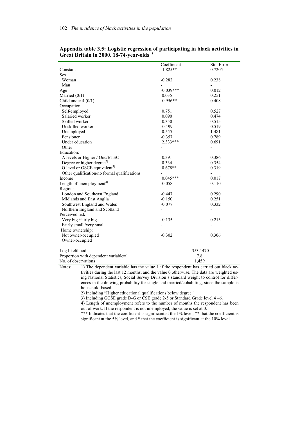|                                                                                                      | Coefficient    | Std. Error               |
|------------------------------------------------------------------------------------------------------|----------------|--------------------------|
| Constant                                                                                             | $-1.825**$     | 0.7205                   |
| Sex:                                                                                                 |                |                          |
| Woman                                                                                                | $-0.282$       | 0.238                    |
| Man                                                                                                  |                |                          |
| Age                                                                                                  | $-0.039***$    | 0.012                    |
| Married $(0/1)$                                                                                      | 0.035          | 0.251                    |
| Child under $4(0/1)$                                                                                 | $-0.956**$     | 0.408                    |
| Occupation:                                                                                          |                |                          |
| Self-employed                                                                                        | 0.751          | 0.527                    |
| Salaried worker                                                                                      |                |                          |
|                                                                                                      | 0.090          | 0.474                    |
| Skilled worker                                                                                       | 0.350          | 0.515                    |
| Unskilled worker                                                                                     | $-0.199$       | 0.519                    |
| Unemployed                                                                                           | 0.555          | 1.481                    |
| Pensioner                                                                                            | $-0.357$       | 0.789                    |
| Under education                                                                                      | $2.333***$     | 0.691                    |
| Other                                                                                                |                | $\overline{\phantom{a}}$ |
| Education:                                                                                           |                |                          |
| A levels or Higher / Onc/BTEC                                                                        | 0.391          | 0.386                    |
| Degree or higher degree <sup>2)</sup>                                                                | 0.334          | 0.354                    |
| O level or GSCE equivalent <sup>3)</sup>                                                             | $0.678**$      | 0.319                    |
| Other qualification/no formal qualifications                                                         |                | $\overline{\phantom{0}}$ |
| Income                                                                                               | $0.045***$     | 0.017                    |
| Length of unemployment <sup>4)</sup>                                                                 | $-0.058$       | 0.110                    |
| Regions:                                                                                             |                |                          |
| London and Southeast England                                                                         | $-0.447$       | 0.290                    |
| Midlands and East Anglia                                                                             | $-0.150$       | 0.251                    |
| Southwest England and Wales                                                                          | $-0.077$       | 0.332                    |
| Northern England and Scotland                                                                        | $\overline{a}$ | $\overline{\phantom{0}}$ |
| Perceived risk:                                                                                      |                |                          |
| Very big /fairly big                                                                                 | $-0.135$       | 0.213                    |
| Fairly small /very small                                                                             |                |                          |
| Home ownership:                                                                                      |                |                          |
| Not owner-occupied                                                                                   | $-0.302$       | 0.306                    |
| Owner-occupied                                                                                       |                |                          |
|                                                                                                      |                |                          |
| Log likelihood                                                                                       | $-353.1470$    |                          |
| Proportion with dependent variable=1                                                                 | 7.8            |                          |
| No. of observations                                                                                  | 1,459          |                          |
| Notes: $\qquad$ 1) The dependent variable has the value 1 if the respondent has carried out black ac |                |                          |

**Appendix table 3.5: Logistic regression of participating in black activities in Great Britain in 2000. 18-74-year-olds 1)** 

e dependent variable has the value 1 if the respondent has carried out black activities during the last 12 months, and the value 0 otherwise. The data are weighted using National Statistics, Social Survey Division's standard weight to control for differences in the drawing probability for single and married/cohabiting, since the sample is household-based.

2) Including "Higher educational qualifications below degree".

3) Including GCSE grade D-G or CSE grade 2-5 or Standard Grade level 4 –6.

 4) Length of unemployment refers to the number of months the respondent has been out of work. If the respondent is not unemployed, the value is set at 0.

\*\*\* Indicates that the coefficient is significant at the 1% level, \*\* that the coefficient is significant at the 5% level, and \* that the coefficient is significant at the 10% level.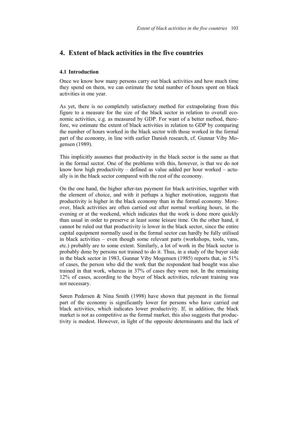# **4. Extent of black activities in the five countries**

## **4.1 Introduction**

Once we know how many persons carry out black activities and how much time they spend on them, we can estimate the total number of hours spent on black activities in one year.

As yet, there is no completely satisfactory method for extrapolating from this figure to a measure for the size of the black sector in relation to overall economic activities, e.g. as measured by GDP. For want of a better method, therefore, we estimate the extent of black activities in relation to GDP by comparing the number of hours worked in the black sector with those worked in the formal part of the economy, in line with earlier Danish research, cf. Gunnar Viby Mogensen (1989).

This implicitly assumes that productivity in the black sector is the same as that in the formal sector. One of the problems with this, however, is that we do not know how high productivity – defined as value added per hour worked – actually is in the black sector compared with the rest of the economy.

On the one hand, the higher after-tax payment for black activities, together with the element of choice, and with it perhaps a higher motivation, suggests that productivity is higher in the black economy than in the formal economy. Moreover, black activities are often carried out after normal working hours, in the evening or at the weekend, which indicates that the work is done more quickly than usual in order to preserve at least some leisure time. On the other hand, it cannot be ruled out that productivity is lower in the black sector, since the entire capital equipment normally used in the formal sector can hardly be fully utilised in black activities – even though some relevant parts (workshops, tools, vans, etc.) probably are to some extent. Similarly, a lot of work in the black sector is probably done by persons not trained to do it. Thus, in a study of the buyer side in the black sector in 1983, Gunnar Viby Mogensen (1985) reports that, in 51% of cases, the person who did the work that the respondent had bought was also trained in that work, whereas in 37% of cases they were not. In the remaining 12% of cases, according to the buyer of black activities, relevant training was not necessary.

Søren Pedersen & Nina Smith (1998) have shown that payment in the formal part of the economy is significantly lower for persons who have carried out black activities, which indicates lower productivity. If, in addition, the black market is not as competitive as the formal market, this also suggests that productivity is modest. However, in light of the opposite determinants and the lack of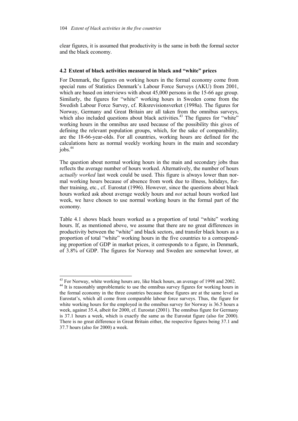clear figures, it is assumed that productivity is the same in both the formal sector and the black economy.

## **4.2 Extent of black activities measured in black and "white" prices**

For Denmark, the figures on working hours in the formal economy come from special runs of Statistics Denmark's Labour Force Surveys (AKU) from 2001, which are based on interviews with about 45,000 persons in the 15-66 age group. Similarly, the figures for "white" working hours in Sweden come from the Swedish Labour Force Survey, cf. Riksrevisionsverket (1998a). The figures for Norway, Germany and Great Britain are all taken from the omnibus surveys, which also included questions about black activities.<sup>43</sup> The figures for "white" working hours in the omnibus are used because of the possibility this gives of defining the relevant population groups, which, for the sake of comparability, are the 18-66-year-olds. For all countries, working hours are defined for the calculations here as normal weekly working hours in the main and secondary  $i$ obs. $44$ 

The question about normal working hours in the main and secondary jobs thus reflects the average number of hours worked. Alternatively, the number of hours *actually worked* last week could be used. This figure is always lower than normal working hours because of absence from work due to illness, holidays, further training, etc., cf. Eurostat (1996). However, since the questions about black hours worked ask about average weekly hours and *not* actual hours worked last week, we have chosen to use normal working hours in the formal part of the economy.

Table 4.1 shows black hours worked as a proportion of total "white" working hours. If, as mentioned above, we assume that there are no great differences in productivity between the "white" and black sectors, and transfer black hours as a proportion of total "white" working hours in the five countries to a corresponding proportion of GDP in market prices, it corresponds to a figure, in Denmark, of 3.8% of GDP. The figures for Norway and Sweden are somewhat lower, at

l

<sup>&</sup>lt;sup>43</sup> For Norway, white working hours are, like black hours, an average of 1998 and 2002. <sup>44</sup> It is reasonably unproblematic to use the omnibus survey figures for working hours in the formal economy in the three countries because these figures are at the same level as Eurostat's, which all come from comparable labour force surveys. Thus, the figure for white working hours for the employed in the omnibus survey for Norway is 36.5 hours a week, against 35.4, albeit for 2000, cf. Eurostat (2001). The omnibus figure for Germany is 37.1 hours a week, which is exactly the same as the Eurostat figure (also for 2000). There is no great difference in Great Britain either, the respective figures being 37.1 and 37.7 hours (also for 2000) a week.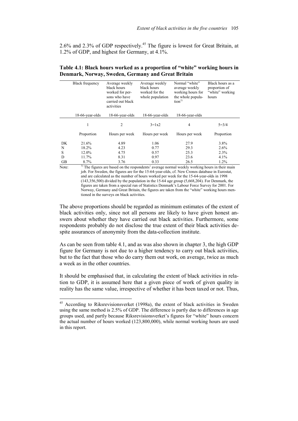2.6% and 2.3% of GDP respectively.<sup>45</sup> The figure is lowest for Great Britain, at 1.2% of GDP, and highest for Germany, at 4.1%.

|    | <b>Black frequency</b> | Average weekly<br>black hours<br>worked for per-<br>sons who have<br>carried out black<br>activities | Average weekly<br>black hours<br>worked for the<br>whole population | Normal "white"<br>average weekly<br>working hours for<br>the whole popula-<br>tion <sup>1</sup> | Black hours as a<br>proportion of<br>"white" working<br>hours |  |
|----|------------------------|------------------------------------------------------------------------------------------------------|---------------------------------------------------------------------|-------------------------------------------------------------------------------------------------|---------------------------------------------------------------|--|
|    | 18-66-year-olds        | 18-66-year-olds                                                                                      | 18-66-year-olds                                                     | 18-66-year-olds                                                                                 |                                                               |  |
|    | 1                      | 2                                                                                                    | $3=1x2$                                                             | 4                                                                                               | $5 = 3/4$                                                     |  |
|    | Proportion             | Hours per week                                                                                       | Hours per week                                                      | Hours per week                                                                                  | Proportion                                                    |  |
| DK | 21.6%                  | 4.89                                                                                                 | 1.06                                                                | 27.9                                                                                            | 3.8%                                                          |  |
| N  | 18.2%                  | 4.23                                                                                                 | 0.77                                                                | 29.3                                                                                            | $2.6\%$                                                       |  |
| S  | 12.0%                  | 4.75                                                                                                 | 0.57                                                                | 25.3                                                                                            | 2.3%                                                          |  |
| D  | 11.7%                  | 8.31                                                                                                 | 0.97                                                                | 23.6                                                                                            | 4.1%                                                          |  |
| GВ | 8.7%                   | 3.76                                                                                                 | 0.33                                                                | 26.5                                                                                            | 1.2%                                                          |  |

# **Table 4.1: Black hours worked as a proportion of "white" working hours in Denmark, Norway, Sweden, Germany and Great Britain**

 $\overline{a}$ 

Note: 1) The figures are based on the respondents' average normal weekly working hours in their main job. For Sweden, the figures are for the 15-64-year-olds, cf. New Cronos database in Eurostat, and are calculated as the number of hours worked per week for the 15-64-year-olds in 1998 (143,356,500) divided by the population in the 15-64 age group (5,668,204). For Denmark, the figures are taken from a special run of Statistics Denmark's Labour Force Survey for 2001. For Norway, Germany and Great Britain, the figures are taken from the "white" working hours mentioned in the surveys on black activities.

The above proportions should be regarded as minimum estimates of the extent of black activities only, since not all persons are likely to have given honest answers about whether they have carried out black activities. Furthermore, some respondents probably do not disclose the true extent of their black activities despite assurances of anonymity from the data-collection institute.

As can be seen from table 4.1, and as was also shown in chapter 3, the high GDP figure for Germany is not due to a higher tendency to carry out black activities, but to the fact that those who do carry them out work, on average, twice as much a week as in the other countries.

It should be emphasised that, in calculating the extent of black activities in relation to GDP, it is assumed here that a given piece of work of given quality in reality has the same value, irrespective of whether it has been taxed or not. Thus,

<sup>&</sup>lt;sup>45</sup> According to Riksrevisionsverket (1998a), the extent of black activities in Sweden using the same method is 2.5% of GDP. The difference is partly due to differences in age groups used, and partly because Riksrevisionsverket's figures for "white" hours concern the actual number of hours worked (123,800,000), while normal working hours are used in this report.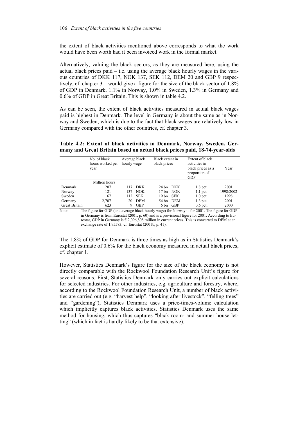the extent of black activities mentioned above corresponds to what the work would have been worth had it been invoiced work in the formal market.

Alternatively, valuing the black sectors, as they are measured here, using the actual black prices paid – i.e. using the average black hourly wages in the various countries of DKK 117, NOK 137, SEK 112, DEM 20 and GBP 9 respectively, cf. chapter 3 – would give a figure for the size of the black sector of 1.8% of GDP in Denmark, 1.1% in Norway, 1.0% in Sweden, 1.3% in Germany and 0.6% of GDP in Great Britain. This is shown in table 4.2.

As can be seen, the extent of black activities measured in actual black wages paid is highest in Denmark. The level in Germany is about the same as in Norway and Sweden, which is due to the fact that black wages are relatively low in Germany compared with the other countries, cf. chapter 3.

**Table 4.2: Extent of black activities in Denmark, Norway, Sweden, Germany and Great Britain based on actual black prices paid, 18-74-year-olds** 

|               | No. of black<br>hours worked per<br>year | Average black<br>hourly wage |            | Black extent in<br>black prices |            | Extent of black<br>activities in<br>black prices as a<br>proportion of<br><b>GDP</b> | Year      |
|---------------|------------------------------------------|------------------------------|------------|---------------------------------|------------|--------------------------------------------------------------------------------------|-----------|
|               | Million hours                            |                              |            |                                 |            |                                                                                      |           |
| Denmark       | 207                                      | 117                          | <b>DKK</b> |                                 | 24 bn DKK  | $1.8$ pct.                                                                           | 2001      |
| Norway        | 121                                      | 137                          | NOK.       |                                 | 17 bn NOK  | $1.1$ pct.                                                                           | 1998/2002 |
| Sweden        | 167                                      | 112                          | <b>SEK</b> | 19 bn                           | <b>SEK</b> | $1.0$ pct.                                                                           | 1998      |
| Germany       | 2,707                                    | 20                           | <b>DEM</b> | 54 bn                           | <b>DEM</b> | $1.3$ pct.                                                                           | 2001      |
| Great Britain | 623                                      | 9                            | <b>GBP</b> | 6 bn                            | <b>GBP</b> | $0.6$ pct.                                                                           | 2000      |

Note: The figure for GDP (and average black hourly wage) for Norway is for 2001. The figure for GDP in Germany is from Eurostat (2001, p. 60) and is a provisional figure for 2001. According to Eurostat, GDP in Germany is  $\epsilon$  2,096,808 million in current prices. This is converted to DEM at an exchange rate of 1.95583, cf. Eurostat (2001b, p. 41).

The 1.8% of GDP for Denmark is three times as high as in Statistics Denmark's explicit estimate of 0.6% for the black economy measured in actual black prices, cf. chapter 1.

However, Statistics Denmark's figure for the size of the black economy is not directly comparable with the Rockwool Foundation Research Unit's figure for several reasons. First, Statistics Denmark only carries out explicit calculations for selected industries. For other industries, e.g. agriculture and forestry, where, according to the Rockwool Foundation Research Unit, a number of black activities are carried out (e.g. "harvest help", "looking after livestock", "felling trees" and "gardening"), Statistics Denmark uses a price-times-volume calculation which implicitly captures black activities. Statistics Denmark uses the same method for housing, which thus captures "black room- and summer house letting" (which in fact is hardly likely to be that extensive).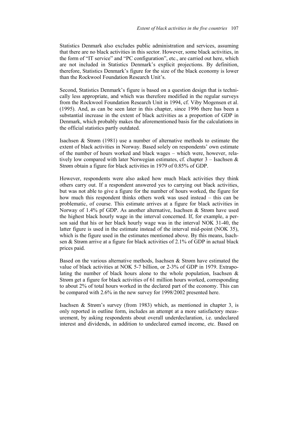Statistics Denmark also excludes public administration and services, assuming that there are no black activities in this sector. However, some black activities, in the form of "IT service" and "PC configuration", etc., are carried out here, which are not included in Statistics Denmark's explicit projections. By definition, therefore, Statistics Denmark's figure for the size of the black economy is lower than the Rockwool Foundation Research Unit's.

Second, Statistics Denmark's figure is based on a question design that is technically less appropriate, and which was therefore modified in the regular surveys from the Rockwool Foundation Research Unit in 1994, cf. Viby Mogensen et al. (1995). And, as can be seen later in this chapter, since 1996 there has been a substantial increase in the extent of black activities as a proportion of GDP in Denmark, which probably makes the aforementioned basis for the calculations in the official statistics partly outdated.

Isachsen & Strøm (1981) use a number of alternative methods to estimate the extent of black activities in Norway. Based solely on respondents' own estimate of the number of hours worked and black wages – which were, however, relatively low compared with later Norwegian estimates, cf. chapter  $3$  – Isachsen  $\&$ Strøm obtain a figure for black activities in 1979 of 0.85% of GDP.

However, respondents were also asked how much black activities they think others carry out. If a respondent answered yes to carrying out black activities, but was not able to give a figure for the number of hours worked, the figure for how much this respondent thinks others work was used instead – this can be problematic, of course. This estimate arrives at a figure for black activities in Norway of 1.4% pf GDP. As another alternative, Isachsen & Strøm have used the highest black hourly wage in the interval concerned. If, for example, a person said that his or her black hourly wage was in the interval NOK 31-40, the latter figure is used in the estimate instead of the interval mid-point (NOK 35), which is the figure used in the estimates mentioned above. By this means, Isachsen & Strøm arrive at a figure for black activities of 2.1% of GDP in actual black prices paid.

Based on the various alternative methods, Isachsen & Strøm have estimated the value of black activities at NOK 5-7 billion, or 2-3% of GDP in 1979. Extrapolating the number of black hours alone to the whole population, Isachsen  $\&$ Strøm get a figure for black activities of 61 million hours worked, corresponding to about 2% of total hours worked in the declared part of the economy. This can be compared with 2.6% in the new survey for 1998/2002 presented here.

Isachsen & Strøm's survey (from 1983) which, as mentioned in chapter 3, is only reported in outline form, includes an attempt at a more satisfactory measurement, by asking respondents about overall underdeclaration, i.e. undeclared interest and dividends, in addition to undeclared earned income, etc. Based on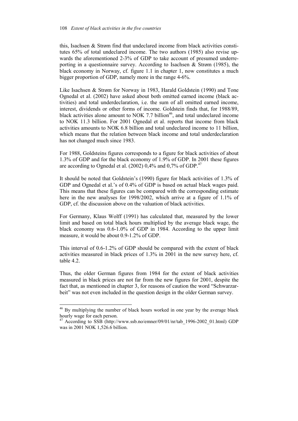this, Isachsen & Strøm find that undeclared income from black activities constitutes 65% of total undeclared income. The two authors (1985) also revise upwards the aforementioned 2-3% of GDP to take account of presumed underreporting in a questionnaire survey. According to Isachsen & Strøm (1985), the black economy in Norway, cf. figure 1.1 in chapter 1, now constitutes a much bigger proportion of GDP, namely more in the range 4-6%.

Like Isachsen & Strøm for Norway in 1983, Harald Goldstein (1990) and Tone Ognedal et al. (2002) have asked about both omitted earned income (black activities) and total underdeclaration, i.e. the sum of all omitted earned income, interest, dividends or other forms of income. Goldstein finds that, for 1988/89, black activities alone amount to NOK 7.7 billion<sup>46</sup>, and total undeclared income to NOK 11.3 billion. For 2001 Ognedal et al. reports that income from black activities amounts to NOK 6.8 billion and total undeclared income to 11 billion, which means that the relation between black income and total underdeclaration has not changed much since 1983.

For 1988, Goldsteins figures corresponds to a figure for black activities of about 1.3% of GDP and for the black economy of 1.9% of GDP. In 2001 these figures are according to Ognedal et al. (2002) 0,4% and 0,7% of GDP.<sup>47</sup>

It should be noted that Goldstein's (1990) figure for black activities of 1.3% of GDP and Ognedal et al.'s of 0.4% of GDP is based on actual black wages paid. This means that these figures can be compared with the corresponding estimate here in the new analyses for 1998/2002, which arrive at a figure of 1.1% of GDP, cf. the discussion above on the valuation of black activities.

For Germany, Klaus Wolff (1991) has calculated that, measured by the lower limit and based on total black hours multiplied by the average black wage, the black economy was 0.6-1.0% of GDP in 1984. According to the upper limit measure, it would be about 0.9-1.2% of GDP.

This interval of 0.6-1.2% of GDP should be compared with the extent of black activities measured in black prices of 1.3% in 2001 in the new survey here, cf. table 4.2

Thus, the older German figures from 1984 for the extent of black activities measured in black prices are not far from the new figures for 2001, despite the fact that, as mentioned in chapter 3, for reasons of caution the word "Schwarzarbeit" was not even included in the question design in the older German survey.

l

<sup>&</sup>lt;sup>46</sup> By multiplying the number of black hours worked in one year by the average black hourly wage for each person.

<sup>47</sup> According to SSB (http://www.ssb.no/emner/09/01/nr/tab\_1996-2002\_01.html) GDP was in 2001 NOK 1,526.6 billion.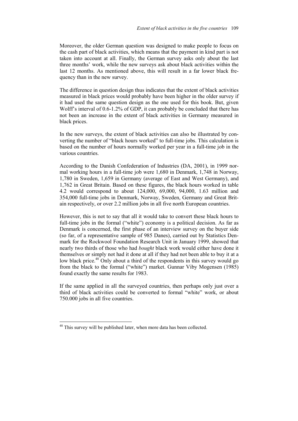Moreover, the older German question was designed to make people to focus on the cash part of black activities, which means that the payment in kind part is not taken into account at all. Finally, the German survey asks only about the last three months' work, while the new surveys ask about black activities within the last 12 months. As mentioned above, this will result in a far lower black frequency than in the new survey.

The difference in question design thus indicates that the extent of black activities measured in black prices would probably have been higher in the older survey if it had used the same question design as the one used for this book. But, given Wolff's interval of 0.6-1.2% of GDP, it can probably be concluded that there has not been an increase in the extent of black activities in Germany measured in black prices.

In the new surveys, the extent of black activities can also be illustrated by converting the number of "black hours worked" to full-time jobs. This calculation is based on the number of hours normally worked per year in a full-time job in the various countries.

According to the Danish Confederation of Industries (DA, 2001), in 1999 normal working hours in a full-time job were 1,680 in Denmark, 1,748 in Norway, 1,780 in Sweden, 1,659 in Germany (average of East and West Germany), and 1,762 in Great Britain. Based on these figures, the black hours worked in table 4.2 would correspond to about 124,000, 69,000, 94,000, 1.63 million and 354,000 full-time jobs in Denmark, Norway, Sweden, Germany and Great Britain respectively, or over 2.2 million jobs in all five north European countries.

However, this is not to say that all it would take to convert these black hours to full-time jobs in the formal ("white") economy is a political decision. As far as Denmark is concerned, the first phase of an interview survey on the buyer side (so far, of a representative sample of 985 Danes), carried out by Statistics Denmark for the Rockwool Foundation Research Unit in January 1999, showed that nearly two thirds of those who had *bought* black work would either have done it themselves or simply not had it done at all if they had not been able to buy it at a low black price.<sup>48</sup> Only about a third of the respondents in this survey would go from the black to the formal ("white") market. Gunnar Viby Mogensen (1985) found exactly the same results for 1983.

If the same applied in all the surveyed countries, then perhaps only just over a third of black activities could be converted to formal "white" work, or about 750.000 jobs in all five countries.

l

 $48$  This survey will be published later, when more data has been collected.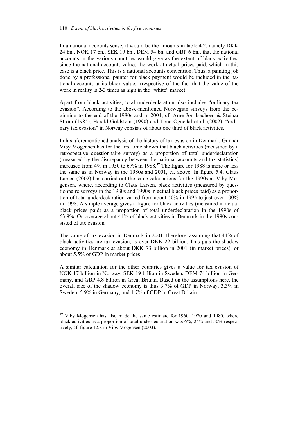In a national accounts sense, it would be the amounts in table 4.2, namely DKK 24 bn., NOK 17 bn., SEK 19 bn., DEM 54 bn. and GBP 6 bn., that the national accounts in the various countries would give as the extent of black activities, since the national accounts values the work at actual prices paid, which in this case is a black price. This is a national accounts convention. Thus, a painting job done by a professional painter for black payment would be included in the national accounts at its black value, irrespective of the fact that the value of the work in reality is 2-3 times as high in the "white" market.

Apart from black activities, total underdeclaration also includes "ordinary tax evasion". According to the above-mentioned Norwegian surveys from the beginning to the end of the 1980s and in 2001, cf. Arne Jon Isachsen & Steinar Strøm (1985), Harald Goldstein (1990) and Tone Ognedal et al. (2002), "ordinary tax evasion" in Norway consists of about one third of black activities.

In his aforementioned analysis of the history of tax evasion in Denmark, Gunnar Viby Mogensen has for the first time shown that black activities (measured by a retrospective questionnaire survey) as a proportion of total underdeclaration (measured by the discrepancy between the national accounts and tax statistics) increased from 4% in 1950 to 67% in 1988.<sup>49</sup> The figure for 1988 is more or less the same as in Norway in the 1980s and 2001, cf. above. In figure 5.4, Claus Larsen (2002) has carried out the same calculations for the 1990s as Viby Mogensen, where, according to Claus Larsen, black activities (measured by questionnaire surveys in the 1980s and 1990s in actual black prices paid) as a proportion of total underdeclaration varied from about 50% in 1995 to just over 100% in 1998. A simple average gives a figure for black activities (measured in actual black prices paid) as a proportion of total underdeclaration in the 1990s of 63.9%. On average about 44% of black activities in Denmark in the 1990s consisted of tax evasion.

The value of tax evasion in Denmark in 2001, therefore, assuming that 44% of black activities are tax evasion, is over DKK 22 billion. This puts the shadow economy in Denmark at about DKK 73 billion in 2001 (in market prices), or about 5.5% of GDP in market prices

A similar calculation for the other countries gives a value for tax evasion of NOK 17 billion in Norway, SEK 19 billion in Sweden, DEM 74 billion in Germany, and GBP 4.8 billion in Great Britain. Based on the assumptions here, the overall size of the shadow economy is thus 3.7% of GDP in Norway, 3.3% in Sweden, 5.9% in Germany, and 1.7% of GDP in Great Britain.

 $\overline{a}$ 

 $49$  Viby Mogensen has also made the same estimate for 1960, 1970 and 1980, where black activities as a proportion of total underdeclaration was 6%, 24% and 50% respectively, cf. figure 12.8 in Viby Mogensen (2003).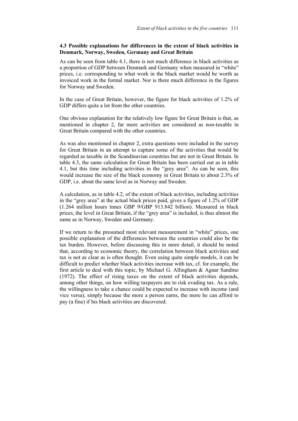# **4.3 Possible explanations for differences in the extent of black activities in Denmark, Norway, Sweden, Germany and Great Britain**

As can be seen from table 4.1, there is not much difference in black activities as a proportion of GDP between Denmark and Germany when measured in "white" prices, i.e. corresponding to what work in the black market would be worth as invoiced work in the formal market. Nor is there much difference in the figures for Norway and Sweden.

In the case of Great Britain, however, the figure for black activities of 1.2% of GDP differs quite a lot from the other countries.

One obvious explanation for the relatively low figure for Great Britain is that, as mentioned in chapter 2, far more activities are considered as non-taxable in Great Britain compared with the other countries.

As was also mentioned in chapter 2, extra questions were included in the survey for Great Britain in an attempt to capture some of the activities that would be regarded as taxable in the Scandinavian countries but are not in Great Britain. In table 4.3, the same calculation for Great Britain has been carried out as in table 4.1, but this time including activities in the "grey area". As can be seen, this would increase the size of the black economy in Great Britain to about 2.3% of GDP, i.e. about the same level as in Norway and Sweden.

A calculation, as in table 4.2, of the extent of black activities, including activities in the "grey area" at the actual black prices paid, gives a figure of 1.2% of GDP (1.264 million hours times GBP 9/GBP 913.842 billion). Measured in black prices, the level in Great Britain, if the "grey area" is included, is thus almost the same as in Norway, Sweden and Germany.

If we return to the presumed most relevant measurement in "white" prices, one possible explanation of the differences between the countries could also be the tax burden. However, before discussing this in more detail, it should be noted that, according to economic theory, the correlation between black activities and tax is not as clear as is often thought. Even using quite simple models, it can be difficult to predict whether black activities increase with tax, cf. for example, the first article to deal with this topic, by Michael G. Allingham & Agnar Sandmo (1972). The effect of rising taxes on the extent of black activities depends, among other things, on how willing taxpayers are to risk evading tax. As a rule, the willingness to take a chance could be expected to increase with income (and vice versa), simply because the more a person earns, the more he can afford to pay (a fine) if his black activities are discovered.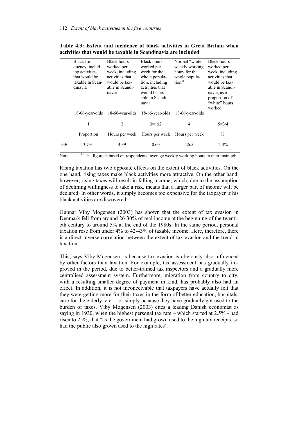|           | Black fre-<br>quency, includ-<br>ing activities<br>that would be<br>taxable in Scan-<br>dinavia | <b>Black hours</b><br>worked per<br>week, including<br>activities that<br>would be tax-<br>able in Scandi-<br>navia | Black hours<br>worked per<br>week for the<br>whole popula-<br>tion, including<br>activities that<br>would be tax-<br>able in Scandi-<br>navia | Normal "white"<br>weekly working<br>hours for the<br>whole popula-<br>tion <sup>1</sup> | <b>Black hours</b><br>worked per<br>week, including<br>activities that<br>would be tax-<br>able in Scandi-<br>navia, as a<br>proportion of<br>"white" hours<br>worked |
|-----------|-------------------------------------------------------------------------------------------------|---------------------------------------------------------------------------------------------------------------------|-----------------------------------------------------------------------------------------------------------------------------------------------|-----------------------------------------------------------------------------------------|-----------------------------------------------------------------------------------------------------------------------------------------------------------------------|
|           | 18-66-year-olds                                                                                 | 18-66-year-olds                                                                                                     | 18-66-year-olds                                                                                                                               | 18-66-year-olds                                                                         |                                                                                                                                                                       |
|           | 1                                                                                               | 2                                                                                                                   | $3 = 1x2$                                                                                                                                     | 4                                                                                       | $5 = 3/4$                                                                                                                                                             |
|           | Proportion                                                                                      | Hours per week                                                                                                      | Hours per week                                                                                                                                | Hours per week                                                                          | $\frac{0}{0}$                                                                                                                                                         |
| <b>GB</b> | 13.7%                                                                                           | 4.39                                                                                                                | 0.60                                                                                                                                          | 26.5                                                                                    | 2.3%                                                                                                                                                                  |

**Table 4.3: Extent and incidence of black activities in Great Britain when activities that would be taxable in Scandinavia are included**

Note:  $\frac{1}{1}$  The figure is based on respondents' average weekly working hours in their main job.

Rising taxation has two opposite effects on the extent of black activities. On the one hand, rising taxes make black activities more attractive. On the other hand, however, rising taxes will result in falling income, which, due to the assumption of declining willingness to take a risk, means that a larger part of income will be declared. In other words, it simply becomes too expensive for the taxpayer if his black activities are discovered.

Gunnar Viby Mogensen (2003) has shown that the extent of tax evasion in Denmark fell from around 26-30% of real income at the beginning of the twentieth century to around 5% at the end of the 1980s. In the same period, personal taxation rose from under 4% to 42-43% of taxable income. Here, therefore, there is a direct inverse correlation between the extent of tax evasion and the trend in taxation.

This, says Viby Mogensen, is because tax evasion is obviously also influenced by other factors than taxation. For example, tax assessment has gradually improved in the period, due to better-trained tax inspectors and a gradually more centralised assessment system. Furthermore, migration from country to city, with a resulting smaller degree of payment in kind, has probably also had an effect. In addition, it is not inconceivable that taxpayers have actually felt that they were getting more for their taxes in the form of better education, hospitals, care for the elderly, etc. – or simply because they have gradually got used to the burden of taxes. Viby Mogensen (2003) cites a leading Danish economist as saying in 1930, when the highest personal tax rate – which started at 2.5% - had risen to 25%, that "as the government had grown used to the high tax receipts, so had the public also grown used to the high rates".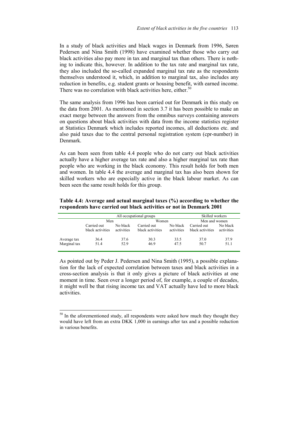In a study of black activities and black wages in Denmark from 1996, Søren Pedersen and Nina Smith (1998) have examined whether those who carry out black activities also pay more in tax and marginal tax than others. There is nothing to indicate this, however. In addition to the tax rate and marginal tax rate, they also included the so-called expanded marginal tax rate as the respondents themselves understood it, which, in addition to marginal tax, also includes any reduction in benefits, e.g. student grants or housing benefit, with earned income. There was no correlation with black activities here, either.<sup>50</sup>

The same analysis from 1996 has been carried out for Denmark in this study on the data from 2001. As mentioned in section 3.7 it has been possible to make an exact merge between the answers from the omnibus surveys containing answers on questions about black activities with data from the income statistics register at Statistics Denmark which includes reported incomes, all deductions etc. and also paid taxes due to the central personal registration system (cpr-number) in Denmark.

As can been seen from table 4.4 people who do not carry out black activities actually have a higher average tax rate and also a higher marginal tax rate than people who are working in the black economy. This result holds for both men and women. In table 4.4 the average and marginal tax has also been shown for skilled workers who are especially active in the black labour market. As can been seen the same result holds for this group.

**Table 4.4: Average and actual marginal taxes (%) according to whether the respondents have carried out black activities or not in Denmark 2001** 

|              | All occupational groups         |                        |                                 |                        |                                 | Skilled workers        |  |
|--------------|---------------------------------|------------------------|---------------------------------|------------------------|---------------------------------|------------------------|--|
|              | Men                             |                        | Women                           |                        | Men and women                   |                        |  |
|              | Carried out<br>black activities | No black<br>activities | Carried out<br>black activities | No black<br>activities | Carried out<br>black activities | No black<br>activities |  |
| Average tax  | 36.4                            | 37.6                   | 30.3                            | 33.5                   | 37.0                            | 37.9                   |  |
| Marginal tax | 51.4                            | 52.9                   | 46.9                            | 47.5                   | 50.7                            | 51.1                   |  |

As pointed out by Peder J. Pedersen and Nina Smith (1995), a possible explanation for the lack of expected correlation between taxes and black activities in a cross-section analysis is that it only gives a picture of black activities at one moment in time. Seen over a longer period of, for example, a couple of decades, it might well be that rising income tax and VAT actually have led to more black activities.

 $\overline{a}$ 

<sup>&</sup>lt;sup>50</sup> In the aforementioned study, all respondents were asked how much they thought they would have left from an extra DKK 1,000 in earnings after tax and a possible reduction in various benefits.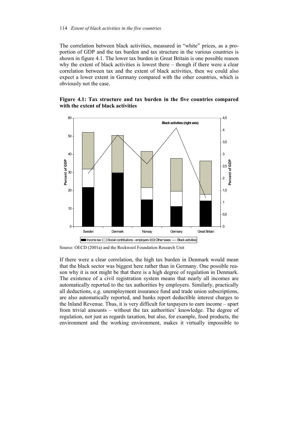The correlation between black activities, measured in "white" prices, as a proportion of GDP and the tax burden and tax structure in the various countries is shown in figure 4.1. The lower tax burden in Great Britain is one possible reason why the extent of black activities is lowest there – though if there were a clear correlation between tax and the extent of black activities, then we could also expect a lower extent in Germany compared with the other countries, which is obviously not the case.

# **Figure 4.1: Tax structure and tax burden in the five countries compared with the extent of black activities**



Source: OECD (2001a) and the Rockwool Foundation Research Unit

If there were a clear correlation, the high tax burden in Denmark would mean that the black sector was biggest here rather than in Germany. One possible reason why it is not might be that there is a high degree of regulation in Denmark. The existence of a civil registration system means that nearly all incomes are automatically reported to the tax authorities by employers. Similarly, practically all deductions, e.g. unemployment insurance fund and trade union subscriptions, are also automatically reported, and banks report deductible interest charges to the Inland Revenue. Thus, it is very difficult for taxpayers to earn income – apart from trivial amounts – without the tax authorities' knowledge. The degree of regulation, not just as regards taxation, but also, for example, food products, the environment and the working environment, makes it virtually impossible to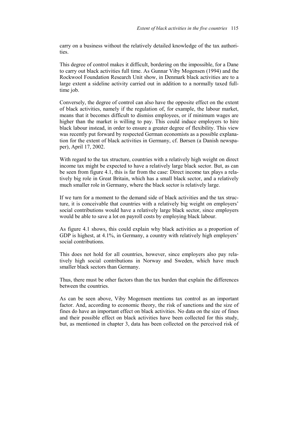carry on a business without the relatively detailed knowledge of the tax authorities.

This degree of control makes it difficult, bordering on the impossible, for a Dane to carry out black activities full time. As Gunnar Viby Mogensen (1994) and the Rockwool Foundation Research Unit show, in Denmark black activities are to a large extent a sideline activity carried out in addition to a normally taxed fulltime job.

Conversely, the degree of control can also have the opposite effect on the extent of black activities, namely if the regulation of, for example, the labour market, means that it becomes difficult to dismiss employees, or if minimum wages are higher than the market is willing to pay. This could induce employers to hire black labour instead, in order to ensure a greater degree of flexibility. This view was recently put forward by respected German economists as a possible explanation for the extent of black activities in Germany, cf. Børsen (a Danish newspaper), April 17, 2002.

With regard to the tax structure, countries with a relatively high weight on direct income tax might be expected to have a relatively large black sector. But, as can be seen from figure 4.1, this is far from the case: Direct income tax plays a relatively big role in Great Britain, which has a small black sector, and a relatively much smaller role in Germany, where the black sector is relatively large.

If we turn for a moment to the demand side of black activities and the tax structure, it is conceivable that countries with a relatively big weight on employers' social contributions would have a relatively large black sector, since employers would be able to save a lot on payroll costs by employing black labour.

As figure 4.1 shows, this could explain why black activities as a proportion of GDP is highest, at 4.1%, in Germany, a country with relatively high employers' social contributions.

This does not hold for all countries, however, since employers also pay relatively high social contributions in Norway and Sweden, which have much smaller black sectors than Germany.

Thus, there must be other factors than the tax burden that explain the differences between the countries.

As can be seen above, Viby Mogensen mentions tax control as an important factor. And, according to economic theory, the risk of sanctions and the size of fines do have an important effect on black activities. No data on the size of fines and their possible effect on black activities have been collected for this study, but, as mentioned in chapter 3, data has been collected on the perceived risk of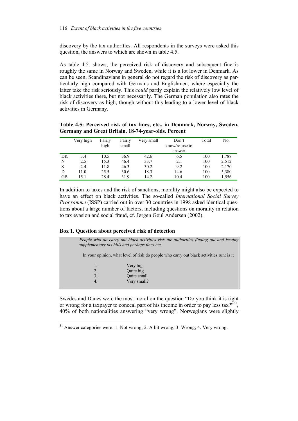discovery by the tax authorities. All respondents in the surveys were asked this question, the answers to which are shown in table 4.5.

As table 4.5, shows, the perceived risk of discovery and subsequent fine is roughly the same in Norway and Sweden, while it is a lot lower in Denmark. As can be seen, Scandinavians in general do not regard the risk of discovery as particularly high compared with Germans and Englishmen, where especially the latter take the risk seriously. This *could* partly explain the relatively low level of black activities there, but not necessarily. The German population also rates the risk of discovery as high, though without this leading to a lower level of black activities in Germany.

**Table 4.5: Perceived risk of tax fines, etc., in Denmark, Norway, Sweden, Germany and Great Britain. 18-74-year-olds. Percent** 

|    | Very high | Fairly<br>high | Fairly<br>small | Very small | Don't<br>know/refuse to | Total | No.   |
|----|-----------|----------------|-----------------|------------|-------------------------|-------|-------|
| DK | 3.4       | 10.5           | 36.9            | 42.6       | answer<br>6.5           | 100   | 1,788 |
| N  | 2.5       | 15.3           | 46.4            | 33.7       | 2.1                     | 100   | 2,512 |
| S  | 2.4       | 11.8           | 46.3            | 30.2       | 9.2                     | 100   | 2,170 |
| D  | 11.0      | 25.5           | 30.6            | 18.3       | 14.6                    | 100   | 5,380 |
| GВ | 15.1      | 28.4           | 31.9            | 14.2       | 10.4                    | 100   | 1,556 |

In addition to taxes and the risk of sanctions, morality might also be expected to have an effect on black activities. The so-called *International Social Survey Programme* (ISSP) carried out in over 30 countries in 1998 asked identical questions about a large number of factors, including questions on morality in relation to tax evasion and social fraud, cf. Jørgen Goul Andersen (2002).

# **Box 1. Question about perceived risk of detection**

l



Swedes and Danes were the most moral on the question "Do you think it is right or wrong for a taxpayer to conceal part of his income in order to pay less tax?"<sup>51</sup>, 40% of both nationalities answering "very wrong". Norwegians were slightly

<sup>&</sup>lt;sup>51</sup> Answer categories were: 1. Not wrong; 2. A bit wrong; 3. Wrong; 4. Very wrong.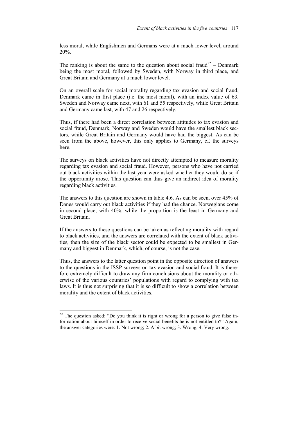less moral, while Englishmen and Germans were at a much lower level, around 20%.

The ranking is about the same to the question about social fraud<sup>52</sup> – Denmark being the most moral, followed by Sweden, with Norway in third place, and Great Britain and Germany at a much lower level.

On an overall scale for social morality regarding tax evasion and social fraud, Denmark came in first place (i.e. the most moral), with an index value of 63. Sweden and Norway came next, with 61 and 55 respectively, while Great Britain and Germany came last, with 47 and 26 respectively.

Thus, if there had been a direct correlation between attitudes to tax evasion and social fraud, Denmark, Norway and Sweden would have the smallest black sectors, while Great Britain and Germany would have had the biggest. As can be seen from the above, however, this only applies to Germany, cf. the surveys here.

The surveys on black activities have not directly attempted to measure morality regarding tax evasion and social fraud. However, persons who have not carried out black activities within the last year were asked whether they would do so if the opportunity arose. This question can thus give an indirect idea of morality regarding black activities.

The answers to this question are shown in table 4.6. As can be seen, over 45% of Danes would carry out black activities if they had the chance. Norwegians come in second place, with 40%, while the proportion is the least in Germany and Great Britain.

If the answers to these questions can be taken as reflecting morality with regard to black activities, and the answers are correlated with the extent of black activities, then the size of the black sector could be expected to be smallest in Germany and biggest in Denmark, which, of course, is not the case.

Thus, the answers to the latter question point in the opposite direction of answers to the questions in the ISSP surveys on tax evasion and social fraud. It is therefore extremely difficult to draw any firm conclusions about the morality or otherwise of the various countries' populations with regard to complying with tax laws. It is thus not surprising that it is so difficult to show a correlation between morality and the extent of black activities.

 $\overline{a}$ 

 $52$  The question asked: "Do you think it is right or wrong for a person to give false information about himself in order to receive social benefits he is not entitled to?" Again, the answer categories were: 1. Not wrong; 2. A bit wrong; 3. Wrong; 4. Very wrong.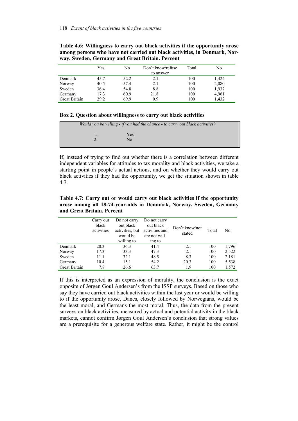|                      | Yes  | No   | Don't know/refuse<br>to answer | Total | No.   |
|----------------------|------|------|--------------------------------|-------|-------|
|                      |      |      |                                |       |       |
| Denmark              | 45.7 | 52.2 | 2.1                            | 100   | 1,424 |
| Norway               | 40.5 | 57.4 | 2.1                            | 100   | 2,080 |
| Sweden               | 36.4 | 54.8 | 8.8                            | 100   | 1,937 |
| Germany              | 17.3 | 60.9 | 21.8                           | 100   | 4,961 |
| <b>Great Britain</b> | 29.2 | 69.9 | 0.9                            | 100   | 1,432 |

**Table 4.6: Willingness to carry out black activities if the opportunity arose among persons who have not carried out black activities, in Denmark, Norway, Sweden, Germany and Great Britain. Percent** 

# **Box 2. Question about willingness to carry out black activities**

| Would you be willing - if you had the chance - to carry out black activities? |  |                  |  |  |
|-------------------------------------------------------------------------------|--|------------------|--|--|
|                                                                               |  | <b>Yes</b><br>Nο |  |  |
|                                                                               |  |                  |  |  |

If, instead of trying to find out whether there is a correlation between different independent variables for attitudes to tax morality and black activities, we take a starting point in people's actual actions, and on whether they would carry out black activities if they had the opportunity, we get the situation shown in table 4.7.

**Table 4.7: Carry out or would carry out black activities if the opportunity arose among all 18-74-year-olds in Denmark, Norway, Sweden, Germany and Great Britain. Percent** 

|                | Carry out<br>black<br>activities | Do not carry<br>out black<br>activities, but<br>would be<br>willing to | Do not carry<br>out black<br>activities and<br>are not will-<br>ing to | Don't know/not<br>stated | Total | No.   |
|----------------|----------------------------------|------------------------------------------------------------------------|------------------------------------------------------------------------|--------------------------|-------|-------|
| <b>Denmark</b> | 20.3                             | 36.3                                                                   | 41.4                                                                   | 2.1                      | 100   | 1,796 |
| Norway         | 17.3                             | 33.3                                                                   | 47.3                                                                   | 2.1                      | 100   | 2,522 |
| Sweden         | 11.1                             | 32.1                                                                   | 48.5                                                                   | 8.3                      | 100   | 2,181 |
| Germany        | 10.4                             | 15.1                                                                   | 54.2                                                                   | 20.3                     | 100   | 5,538 |
| Great Britain  | 7.8                              | 26.6                                                                   | 63.7                                                                   | 1.9                      | 100   | 1,572 |

If this is interpreted as an expression of morality, the conclusion is the exact opposite of Jørgen Goul Andersen's from the ISSP surveys. Based on those who say they have carried out black activities within the last year or would be willing to if the opportunity arose, Danes, closely followed by Norwegians, would be the least moral, and Germans the most moral. Thus, the data from the present surveys on black activities, measured by actual and potential activity in the black markets, cannot confirm Jørgen Goul Andersen's conclusion that strong values are a prerequisite for a generous welfare state. Rather, it might be the control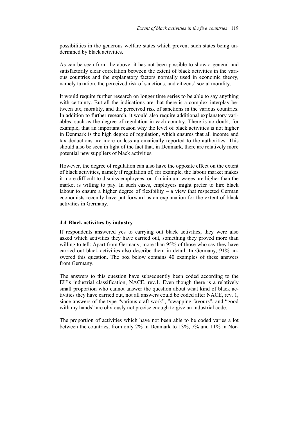possibilities in the generous welfare states which prevent such states being undermined by black activities.

As can be seen from the above, it has not been possible to show a general and satisfactorily clear correlation between the extent of black activities in the various countries and the explanatory factors normally used in economic theory, namely taxation, the perceived risk of sanctions, and citizens' social morality.

It would require further research on longer time series to be able to say anything with certainty. But all the indications are that there is a complex interplay between tax, morality, and the perceived risk of sanctions in the various countries. In addition to further research, it would also require additional explanatory variables, such as the degree of regulation in each country. There is no doubt, for example, that an important reason why the level of black activities is not higher in Denmark is the high degree of regulation, which ensures that all income and tax deductions are more or less automatically reported to the authorities. This should also be seen in light of the fact that, in Denmark, there are relatively more potential new suppliers of black activities.

However, the degree of regulation can also have the opposite effect on the extent of black activities, namely if regulation of, for example, the labour market makes it more difficult to dismiss employees, or if minimum wages are higher than the market is willing to pay. In such cases, employers might prefer to hire black labour to ensure a higher degree of flexibility – a view that respected German economists recently have put forward as an explanation for the extent of black activities in Germany.

# **4.4 Black activities by industry**

If respondents answered yes to carrying out black activities, they were also asked which activities they have carried out, something they proved more than willing to tell: Apart from Germany, more than 95% of those who say they have carried out black activities also describe them in detail. In Germany, 91% answered this question. The box below contains 40 examples of these answers from Germany.

The answers to this question have subsequently been coded according to the EU's industrial classification, NACE, rev.1. Even though there is a relatively small proportion who cannot answer the question about what kind of black activities they have carried out, not all answers could be coded after NACE, rev. 1, since answers of the type "various craft work", "swapping favours", and "good with my hands" are obviously not precise enough to give an industrial code.

The proportion of activities which have not been able to be coded varies a lot between the countries, from only 2% in Denmark to 13%, 7% and 11% in Nor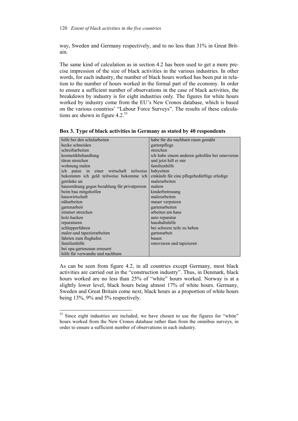way, Sweden and Germany respectively, and to no less than 31% in Great Britain.

The same kind of calculation as in section 4.2 has been used to get a more precise impression of the size of black activities in the various industries. In other words, for each industry, the number of black hours worked has been put in relation to the number of hours worked in the formal part of the economy. In order to ensure a sufficient number of observations in the case of black activities, the breakdown by industry is for eight industries only. The figures for white hours worked by industry come from the EU's New Cronos database, which is based on the various countries' "Labour Force Surveys". The results of these calculations are shown in figure  $4.2^{53}$ 

| Box 3. Type of black activities in Germany as stated by 40 respondents |  |
|------------------------------------------------------------------------|--|
|------------------------------------------------------------------------|--|

| hilfe bei den schularbeiten                  | habe für die nachbarn rasen gemäht             |
|----------------------------------------------|------------------------------------------------|
| hecke schneiden                              | gartenpflege                                   |
| schreibarbeiten                              | streichen                                      |
| kosmetikbehandlung                           | ich habe einem anderen geholfen bei renovieren |
| türen streichen                              | und jetzt hift er mir                          |
| wohnung malen                                | familienhilfe                                  |
| ich putze in<br>einer wirtschaft teilweise   | babysitten                                     |
| bekommm ich geld teilweise bekomme ich       | einkäufe für eine pflegebedürftige erledige    |
| getränke un                                  | malerarbeiten                                  |
| hausordnung gegen bezahlung für privatperson | malern                                         |
| beim bau mitgeholfen                         | kinderbetreuung                                |
| hauswirtschaft                               | malerarbeiten                                  |
| näharbeiten                                  | mauer verputzen                                |
| gartenarbeit                                 | gartenarbeiten                                 |
| zimmer streichen                             | arbeiten am haus                               |
| holz hacken                                  | auto reparatur                                 |
| reparaturen                                  | haushaltshilfe                                 |
| schlepperfahren                              | bei schwere teile zu heben                     |
| maler-und tapezierarbeiten                   | gartenarbeit                                   |
| fahrten zum flughafen                        | bauen                                          |
| familienhilfe                                | renovieren und tapizieren                      |
| bei opa gartenzaun erneuert                  |                                                |
| hilfe für verwandte und nachbarn             |                                                |

As can be seen from figure 4.2, in all countries except Germany, most black activities are carried out in the "construction industry". Thus, in Denmark, black hours worked are no less than 25% of "white" hours worked. Norway is at a slightly lower level, black hours being almost 17% of white hours. Germany, Sweden and Great Britain come next, black hours as a proportion of white hours being 13%, 9% and 5% respectively.

 $\overline{a}$ 

<sup>&</sup>lt;sup>53</sup> Since eight industries are included, we have chosen to use the figures for "white" hours worked from the New Cronos database rather than from the omnibus surveys, in order to ensure a sufficient number of observations in each industry.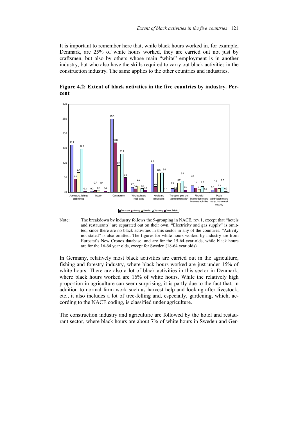It is important to remember here that, while black hours worked in, for example, Denmark, are 25% of white hours worked, they are carried out not just by craftsmen, but also by others whose main "white" employment is in another industry, but who also have the skills required to carry out black activities in the construction industry. The same applies to the other countries and industries.



**Figure 4.2: Extent of black activities in the five countries by industry. Percent** 

Note: The breakdown by industry follows the 9-grouping in NACE, rev.1, except that "hotels and restaurants" are separated out on their own. "Electricity and gas supply" is omitted, since there are no black activities in this sector in any of the countries. "Activity not stated" is also omitted. The figures for white hours worked by industry are from Eurostat's New Cronos database, and are for the 15-64-year-olds, while black hours are for the 16-64 year olds, except for Sweden (18-64 year olds).

In Germany, relatively most black activities are carried out in the agriculture, fishing and forestry industry, where black hours worked are just under 15% of white hours. There are also a lot of black activities in this sector in Denmark, where black hours worked are 16% of white hours. While the relatively high proportion in agriculture can seem surprising, it is partly due to the fact that, in addition to normal farm work such as harvest help and looking after livestock, etc., it also includes a lot of tree-felling and, especially, gardening, which, according to the NACE coding, is classified under agriculture.

The construction industry and agriculture are followed by the hotel and restaurant sector, where black hours are about 7% of white hours in Sweden and Ger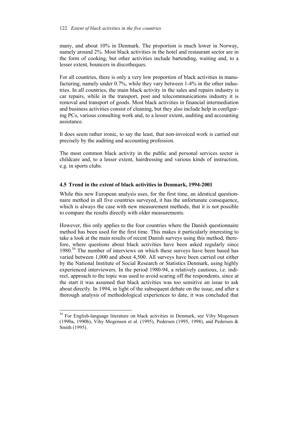many, and about 10% in Denmark. The proportion is much lower in Norway, namely around 2%. Most black activities in the hotel and restaurant sector are in the form of cooking, but other activities include bartending, waiting and, to a lesser extent, bouncers in discotheques.

For all countries, there is only a very low proportion of black activities in manufacturing, namely under 0.7%, while they vary between 1-4% in the other industries. In all countries, the main black activity in the sales and repairs industry is car repairs, while in the transport, post and telecommunications industry it is removal and transport of goods. Most black activities in financial intermediation and business activities consist of cleaning, but they also include help in configuring PCs, various consulting work and, to a lesser extent, auditing and accounting assistance.

It does seem rather ironic, to say the least, that non-invoiced work is carried out precisely by the auditing and accounting profession.

The most common black activity in the public and personal services sector is childcare and, to a lesser extent, hairdressing and various kinds of instruction, e.g. in sports clubs.

# **4.5 Trend in the extent of black activities in Denmark, 1994-2001**

While this new European analysis uses, for the first time, an identical questionnaire method in all five countries surveyed, it has the unfortunate consequence, which is always the case with new measurement methods, that it is not possible to compare the results directly with older measurements.

However, this only applies to the four countries where the Danish questionnaire method has been used for the first time. This makes it particularly interesting to take a look at the main results of recent Danish surveys using this method, therefore, where questions about black activities have been asked regularly since 1980.<sup>54</sup> The number of interviews on which these surveys have been based has varied between 1,000 and about 4,500. All surveys have been carried out either by the National Institute of Social Research or Statistics Denmark, using highly experienced interviewers. In the period 1980-94, a relatively cautious, i.e. indirect, approach to the topic was used to avoid scaring off the respondents, since at the start it was assumed that black activities was too sensitive an issue to ask about directly. In 1994, in light of the subsequent debate on the issue, and after a thorough analysis of methodological experiences to date, it was concluded that

 $\overline{a}$ 

<sup>&</sup>lt;sup>54</sup> For English-language literature on black activities in Denmark, see Viby Mogensen (1990a, 1990b), Viby Mogensen et al. (1995), Pedersen (1995, 1998), and Pedersen & Smith (1995).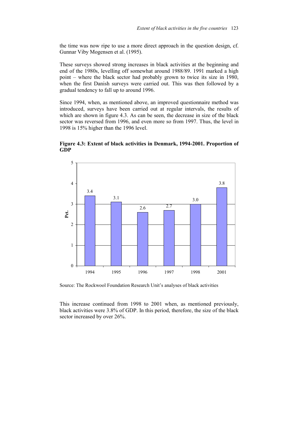the time was now ripe to use a more direct approach in the question design, cf. Gunnar Viby Mogensen et al. (1995).

These surveys showed strong increases in black activities at the beginning and end of the 1980s, levelling off somewhat around 1988/89. 1991 marked a high point – where the black sector had probably grown to twice its size in 1980, when the first Danish surveys were carried out. This was then followed by a gradual tendency to fall up to around 1996.

Since 1994, when, as mentioned above, an improved questionnaire method was introduced, surveys have been carried out at regular intervals, the results of which are shown in figure 4.3. As can be seen, the decrease in size of the black sector was reversed from 1996, and even more so from 1997. Thus, the level in 1998 is 15% higher than the 1996 level.



**Figure 4.3: Extent of black activities in Denmark, 1994-2001. Proportion of GDP** 

Source: The Rockwool Foundation Research Unit's analyses of black activities

This increase continued from 1998 to 2001 when, as mentioned previously, black activities were 3.8% of GDP. In this period, therefore, the size of the black sector increased by over 26%.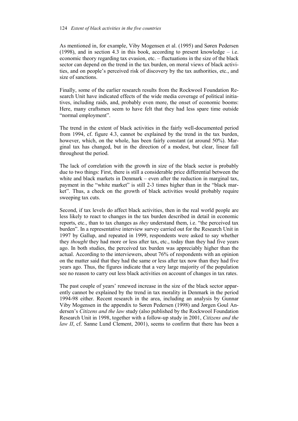### 124 *Extent of black activities in the five countries*

As mentioned in, for example, Viby Mogensen et al. (1995) and Søren Pedersen (1998), and in section 4.3 in this book, according to present knowledge – i.e. economic theory regarding tax evasion, etc. – fluctuations in the size of the black sector can depend on the trend in the tax burden, on moral views of black activities, and on people's perceived risk of discovery by the tax authorities, etc., and size of sanctions.

Finally, some of the earlier research results from the Rockwool Foundation Research Unit have indicated effects of the wide media coverage of political initiatives, including raids, and, probably even more, the onset of economic booms: Here, many craftsmen seem to have felt that they had less spare time outside "normal employment".

The trend in the extent of black activities in the fairly well-documented period from 1994, cf. figure 4.3, cannot be explained by the trend in the tax burden, however, which, on the whole, has been fairly constant (at around 50%). Marginal tax has changed, but in the direction of a modest, but clear, linear fall throughout the period.

The lack of correlation with the growth in size of the black sector is probably due to two things: First, there is still a considerable price differential between the white and black markets in Denmark – even after the reduction in marginal tax, payment in the "white market" is still 2-3 times higher than in the "black market". Thus, a check on the growth of black activities would probably require sweeping tax cuts.

Second, if tax levels do affect black activities, then in the real world people are less likely to react to changes in the tax burden described in detail in economic reports, etc., than to tax changes as *they* understand them, i.e. "the perceived tax burden". In a representative interview survey carried out for the Research Unit in 1997 by Gallup, and repeated in 1999, respondents were asked to say whether they *thought* they had more or less after tax, etc., today than they had five years ago. In both studies, the perceived tax burden was appreciably higher than the actual. According to the interviewers, about 76% of respondents with an opinion on the matter said that they had the same or less after tax now than they had five years ago. Thus, the figures indicate that a very large majority of the population see no reason to carry out less black activities on account of changes in tax rates.

The past couple of years' renewed increase in the size of the black sector apparently cannot be explained by the trend in tax morality in Denmark in the period 1994-98 either. Recent research in the area, including an analysis by Gunnar Viby Mogensen in the appendix to Søren Pedersen (1998) and Jørgen Goul Andersen's *Citizens and the law* study (also published by the Rockwool Foundation Research Unit in 1998, together with a follow-up study in 2001, *Citizens and the law II*, cf. Sanne Lund Clement, 2001), seems to confirm that there has been a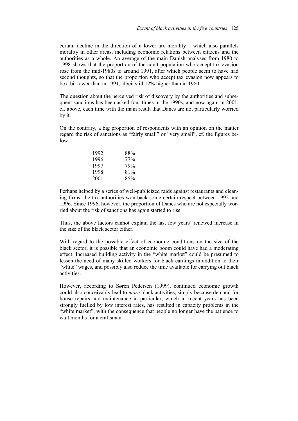certain decline in the direction of a lower tax morality – which also parallels morality in other areas, including economic relations between citizens and the authorities as a whole. An average of the main Danish analyses from 1980 to 1998 shows that the proportion of the adult population who accept tax evasion rose from the mid-1980s to around 1991, after which people seem to have had second thoughts, so that the proportion who accept tax evasion now appears to be a bit lower than in 1991, albeit still 12% higher than in 1980.

The question about the perceived risk of discovery by the authorities and subsequent sanctions has been asked four times in the 1990s, and now again in 2001. cf. above, each time with the main result that Danes are not particularly worried by it.

On the contrary, a big proportion of respondents with an opinion on the matter regard the risk of sanctions as "fairly small" or "very small", cf. the figures below:

| 1992 | 88% |
|------|-----|
| 1996 | 77% |
| 1997 | 79% |
| 1998 | 81% |
| 2001 | 85% |

Perhaps helped by a series of well-publicized raids against restaurants and cleaning firms, the tax authorities won back some certain respect between 1992 and 1996. Since 1996, however, the proportion of Danes who are not especially worried about the risk of sanctions has again started to rise.

Thus, the above factors cannot explain the last few years' renewed increase in the size of the black sector either.

With regard to the possible effect of economic conditions on the size of the black sector, it is possible that an economic boom could have had a moderating effect. Increased building activity in the "white market" could be presumed to lessen the need of many skilled workers for black earnings in addition to their "white" wages, and possibly also reduce the time available for carrying out black activities.

However, according to Søren Pedersen (1999), continued economic growth could also conceivably lead to *more* black activities, simply because demand for house repairs and maintenance in particular, which in recent years has been strongly fuelled by low interest rates, has resulted in capacity problems in the "white market", with the consequence that people no longer have the patience to wait months for a craftsman.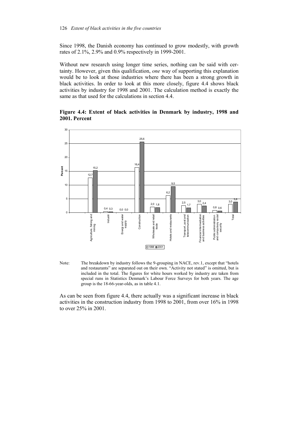Since 1998, the Danish economy has continued to grow modestly, with growth rates of 2.1%, 2.9% and 0.9% respectively in 1999-2001.

Without new research using longer time series, nothing can be said with certainty. However, given this qualification, *one* way of supporting this explanation would be to look at those industries where there has been a strong growth in black activities. In order to look at this more closely, figure 4.4 shows black activities by industry for 1998 and 2001. The calculation method is exactly the same as that used for the calculations in section 4.4.

**Figure 4.4: Extent of black activities in Denmark by industry, 1998 and 2001. Percent** 



Note: The breakdown by industry follows the 9-grouping in NACE, rev.1, except that "hotels and restaurants" are separated out on their own. "Activity not stated" is omitted, but is included in the total. The figures for white hours worked by industry are taken from special runs in Statistics Denmark's Labour Force Surveys for both years. The age group is the 18-66-year-olds, as in table 4.1.

As can be seen from figure 4.4, there actually was a significant increase in black activities in the construction industry from 1998 to 2001, from over 16% in 1998 to over 25% in 2001.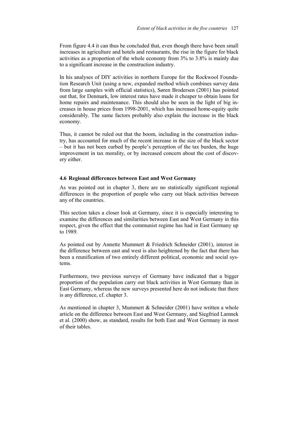From figure 4.4 it can thus be concluded that, even though there have been small increases in agriculture and hotels and restaurants, the rise in the figure for black activities as a proportion of the whole economy from 3% to 3.8% is mainly due to a significant increase in the construction industry.

In his analyses of DIY activities in northern Europe for the Rockwool Foundation Research Unit (using a new, expanded method which combines survey data from large samples with official statistics), Søren Brodersen (2001) has pointed out that, for Denmark, low interest rates have made it cheaper to obtain loans for home repairs and maintenance. This should also be seen in the light of big increases in house prices from 1998-2001, which has increased home-equity quite considerably. The same factors probably also explain the increase in the black economy.

Thus, it cannot be ruled out that the boom, including in the construction industry, has accounted for much of the recent increase in the size of the black sector – but it has not been curbed by people's perception of the tax burden, the huge improvement in tax morality, or by increased concern about the cost of discovery either.

# **4.6 Regional differences between East and West Germany**

As was pointed out in chapter 3, there are no statistically significant regional differences in the proportion of people who carry out black activities between any of the countries.

This section takes a closer look at Germany, since it is especially interesting to examine the differences and similarities between East and West Germany in this respect, given the effect that the communist regime has had in East Germany up to 1989.

As pointed out by Annette Mummert & Friedrich Schneider (2001), interest in the difference between east and west is also heightened by the fact that there has been a reunification of two entirely different political, economic and social systems.

Furthermore, two previous surveys of Germany have indicated that a bigger proportion of the population carry out black activities in West Germany than in East Germany, whereas the new surveys presented here do not indicate that there is any difference, cf. chapter 3.

As mentioned in chapter 3, Mummert & Schneider (2001) have written a whole article on the difference between East and West Germany, and Siegfried Lamnek et al. (2000) show, as standard, results for both East and West Germany in most of their tables.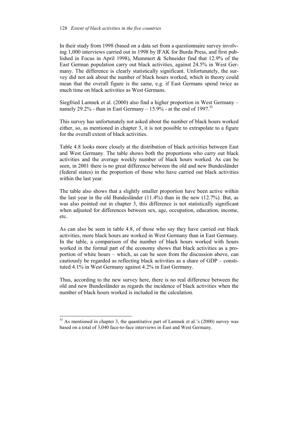# 128 *Extent of black activities in the five countries*

In their study from 1998 (based on a data set from a questionnaire survey involving 1,000 interviews carried out in 1998 by IFAK for Burda Press, and first published in Focus in April 1998), Mummert & Schneider find that 12.9% of the East German population carry out black activities, against 24.5% in West Germany. The difference is clearly statistically significant. Unfortunately, the survey did not ask about the number of black hours worked, which in theory could mean that the overall figure is the same, e.g. if East Germans spend twice as much time on black activities as West Germans.

Siegfried Lamnek et al. (2000) also find a higher proportion in West Germany – namely 29.2% - than in East Germany  $-15.9\%$  - at the end of 1997.<sup>55</sup>

This survey has unfortunately not asked about the number of black hours worked either, so, as mentioned in chapter 3, it is not possible to extrapolate to a figure for the overall extent of black activities.

Table 4.8 looks more closely at the distribution of black activities between East and West Germany. The table shows both the proportions who carry out black activities and the average weekly number of black hours worked. As can be seen, in 2001 there is no great difference between the old and new Bundesländer (federal states) in the proportion of those who have carried out black activities within the last year.

The table also shows that a slightly smaller proportion have been active within the last year in the old Bundesländer (11.4%) than in the new (12.7%). But, as was also pointed out in chapter 3, this difference is not statistically significant when adjusted for differences between sex, age, occupation, education, income, etc.

As can also be seen in table 4.8, of those who say they have carried out black activities, more black hours are worked in West Germany than in East Germany. In the table, a comparison of the number of black hours worked with hours worked in the formal part of the economy shows that black activities as a proportion of white hours – which, as can be seen from the discussion above, can cautiously be regarded as reflecting black activities as a share of GDP – constituted 4.1% in West Germany against 4.2% in East Germany.

Thus, according to the new survey here, there is no real difference between the old and new Bundesländer as regards the incidence of black activities when the number of black hours worked is included in the calculation.

 $\overline{a}$ 

 $55$  As mentioned in chapter 3, the quantitative part of Lamnek et al.'s (2000) survey was based on a total of 3,040 face-to-face interviews in East and West Germany.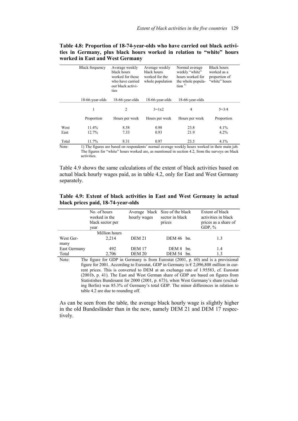|       | <b>Black frequency</b> | Average weekly<br>black hours<br>worked for those<br>who have carried<br>out black activi-<br>ties | Average weekly<br>black hours<br>worked for the<br>whole population | Normal average<br>weekly "white"<br>hours worked for<br>the whole popula-<br>$\[\tan^{-1}\]$   | <b>Black hours</b><br>worked as a<br>proportion of<br>"white" hours |
|-------|------------------------|----------------------------------------------------------------------------------------------------|---------------------------------------------------------------------|------------------------------------------------------------------------------------------------|---------------------------------------------------------------------|
|       | 18-66-year-olds        | 18-66-year-olds                                                                                    | 18-66-year-olds                                                     | 18-66-year-olds                                                                                |                                                                     |
|       | 1                      | 2                                                                                                  | $3=1x2$                                                             | 4                                                                                              | $5 = 3/4$                                                           |
|       | Proportion             | Hours per week                                                                                     | Hours per week                                                      | Hours per week                                                                                 | Proportion                                                          |
| West  | 11.4%                  | 8.58                                                                                               | 0.98                                                                | 23.8                                                                                           | 4.1%                                                                |
| East  | 12.7%                  | 7.33                                                                                               | 0.93                                                                | 21.9                                                                                           | 4.2%                                                                |
| Total | 11.7%                  | 8.31                                                                                               | 0.97                                                                | 23.5                                                                                           | 4.1%                                                                |
| Note: |                        |                                                                                                    |                                                                     | 1) The figures are based on respondents' normal average weekly hours worked in their main job. |                                                                     |

**Table 4.8: Proportion of 18-74-year-olds who have carried out black activities in Germany, plus black hours worked in relation to "white" hours worked in East and West Germany** 

The figures for "white" hours worked are, as mentioned in section 4.2, from the surveys on black activities.

Table 4.9 shows the same calculations of the extent of black activities based on actual black hourly wages paid, as in table 4.2, only for East and West Germany separately.

| Table 4.9: Extent of black activities in East and West Germany in actual |  |  |
|--------------------------------------------------------------------------|--|--|
| black prices paid, 18-74-year-olds                                       |  |  |

|              | No. of hours<br>worked in the<br>black sector per<br>year | Average black Size of the black<br>hourly wages | sector in black<br>prices | Extent of black<br>activities in black<br>prices as a share of<br>GDP, $%$                     |
|--------------|-----------------------------------------------------------|-------------------------------------------------|---------------------------|------------------------------------------------------------------------------------------------|
|              | Million hours                                             |                                                 |                           |                                                                                                |
| West Ger-    | 2.214                                                     | <b>DEM 21</b>                                   | DEM $46$ bn.              | 1.3                                                                                            |
| many         |                                                           |                                                 |                           |                                                                                                |
| East Germany | 492                                                       | <b>DEM 17</b>                                   | $DEM 8$ bn.               | 1.4                                                                                            |
| Total        | 2,706                                                     | <b>DEM 20</b>                                   | $DEM 54$ bn.              | 1.3                                                                                            |
| Note:        |                                                           |                                                 |                           | The figure for GDP in Germany is from Eurostat $(2001, p. 60)$ and is a provisional            |
|              |                                                           |                                                 |                           | figure for 2001. According to Eurostat, GDP in Germany is $\epsilon$ 2.096.808 million in cur- |

figure for 2001. According to Eurostat, GDP in Germany is  $\epsilon$  2,096,808 million in current prices. This is converted to DEM at an exchange rate of 1.95583, cf. Eurostat (2001b, p. 41). The East and West German share of GDP are based on figures from Statistishes Bundesamt for 2000 (2001, p. 673), when West Germany's share (excluding Berlin) was 85.3% of Germany's total GDP. The minor differences in relation to table 4.2 are due to rounding off.

As can be seen from the table, the average black hourly wage is slightly higher in the old Bundesländer than in the new, namely DEM 21 and DEM 17 respectively.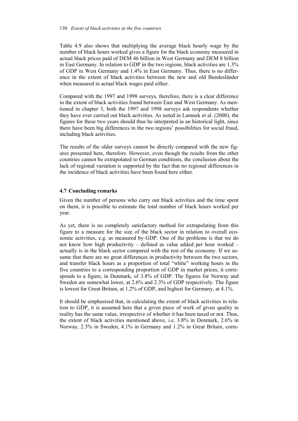### 130 *Extent of black activities in the five countries*

Table 4.9 also shows that multiplying the average black hourly wage by the number of black hours worked gives a figure for the black economy measured in actual black prices paid of DEM 46 billion in West Germany and DEM 8 billion in East Germany. In relation to GDP in the two regions, black activities are 1.3% of GDP in West Germany and 1.4% in East Germany. Thus, there is no difference in the extent of black activities between the new and old Bundesländer when measured in actual black wages paid either.

Compared with the 1997 and 1998 surveys, therefore, there is a clear difference in the extent of black activities found between East and West Germany. As mentioned in chapter 3, both the 1997 and 1998 surveys ask respondents whether they have ever carried out black activities. As noted in Lamnek et al. (2000), the figures for these two years should thus be interpreted in an historical light, since there have been big differences in the two regions' possibilities for social fraud, including black activities.

The results of the older surveys cannot be directly compared with the new figures presented here, therefore. However, even though the results from the other countries cannot be extrapolated to German conditions, the conclusion about the lack of regional variation is supported by the fact that no regional differences in the incidence of black activities have been found here either.

# **4.7 Concluding remarks**

Given the number of persons who carry out black activities and the time spent on them, it is possible to estimate the total number of black hours worked per year.

As yet, there is no completely satisfactory method for extrapolating from this figure to a measure for the size of the black sector in relation to overall economic activities, e.g. as measured by GDP. One of the problems is that we do not know how high productivity – defined as value added per hour worked – actually is in the black sector compared with the rest of the economy. If we assume that there are no great differences in productivity between the two sectors, and transfer black hours as a proportion of total "white" working hours in the five countries to a corresponding proportion of GDP in market prices, it corresponds to a figure, in Denmark, of 3.8% of GDP. The figures for Norway and Sweden are somewhat lower, at 2.6% and 2.3% of GDP respectively. The figure is lowest for Great Britain, at 1.2% of GDP, and highest for Germany, at 4.1%.

It should be emphasised that, in calculating the extent of black activities in relation to GDP, it is assumed here that a given piece of work of given quality in reality has the same value, irrespective of whether it has been taxed or not. Thus, the extent of black activities mentioned above, i.e. 3.8% in Denmark, 2.6% in Norway, 2.3% in Sweden, 4.1% in Germany and 1.2% in Great Britain, corre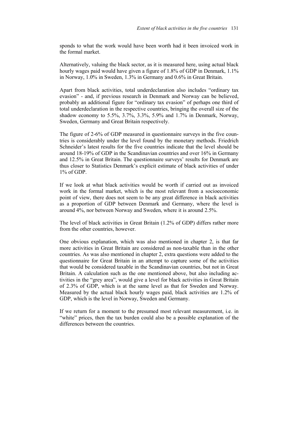sponds to what the work would have been worth had it been invoiced work in the formal market.

Alternatively, valuing the black sector, as it is measured here, using actual black hourly wages paid would have given a figure of 1.8% of GDP in Denmark, 1.1% in Norway, 1.0% in Sweden, 1.3% in Germany and 0.6% in Great Britain.

Apart from black activities, total underdeclaration also includes "ordinary tax evasion" - and, if previous research in Denmark and Norway can be believed, probably an additional figure for "ordinary tax evasion" of perhaps one third of total underdeclaration in the respective countries, bringing the overall size of the shadow economy to 5.5%,  $3.7\%$ ,  $3.3\%$ , 5.9% and 1.7% in Denmark, Norway, Sweden, Germany and Great Britain respectively.

The figure of 2-6% of GDP measured in questionnaire surveys in the five countries is considerably under the level found by the monetary methods. Friedrich Schneider's latest results for the five countries indicate that the level should be around 18-19% of GDP in the Scandinavian countries and over 16% in Germany and 12.5% in Great Britain. The questionnaire surveys' results for Denmark are thus closer to Statistics Denmark's explicit estimate of black activities of under 1% of GDP.

If we look at what black activities would be worth if carried out as invoiced work in the formal market, which is the most relevant from a socioeconomic point of view, there does not seem to be any great difference in black activities as a proportion of GDP between Denmark and Germany, where the level is around 4%, nor between Norway and Sweden, where it is around 2.5%.

The level of black activities in Great Britain (1.2% of GDP) differs rather more from the other countries, however.

One obvious explanation, which was also mentioned in chapter 2, is that far more activities in Great Britain are considered as non-taxable than in the other countries. As was also mentioned in chapter 2, extra questions were added to the questionnaire for Great Britain in an attempt to capture some of the activities that would be considered taxable in the Scandinavian countries, but not in Great Britain. A calculation such as the one mentioned above, but also including activities in the "grey area", would give a level for black activities in Great Britain of 2.3% of GDP, which is at the same level as that for Sweden and Norway. Measured by the actual black hourly wages paid, black activities are 1.2% of GDP, which is the level in Norway, Sweden and Germany.

If we return for a moment to the presumed most relevant measurement, i.e. in "white" prices, then the tax burden could also be a possible explanation of the differences between the countries.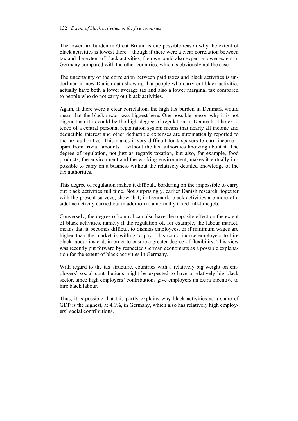The lower tax burden in Great Britain is one possible reason why the extent of black activities is lowest there – though if there were a clear correlation between tax and the extent of black activities, then we could also expect a lower extent in Germany compared with the other countries, which is obviously not the case.

The uncertainty of the correlation between paid taxes and black activities is underlined in new Danish data showing that people who carry out black activities actually have both a lower average tax and also a lower marginal tax compared to people who do not carry out black activities.

Again, if there were a clear correlation, the high tax burden in Denmark would mean that the black sector was biggest here. One possible reason why it is not bigger than it is could be the high degree of regulation in Denmark. The existence of a central personal registration system means that nearly all income and deductible interest and other deductible expenses are automatically reported to the tax authorities. This makes it very difficult for taxpayers to earn income – apart from trivial amounts – without the tax authorities knowing about it. The degree of regulation, not just as regards taxation, but also, for example, food products, the environment and the working environment, makes it virtually impossible to carry on a business without the relatively detailed knowledge of the tax authorities.

This degree of regulation makes it difficult, bordering on the impossible to carry out black activities full time. Not surprisingly, earlier Danish research, together with the present surveys, show that, in Denmark, black activities are more of a sideline activity carried out in addition to a normally taxed full-time job.

Conversely, the degree of control can also have the opposite effect on the extent of black activities, namely if the regulation of, for example, the labour market, means that it becomes difficult to dismiss employees, or if minimum wages are higher than the market is willing to pay. This could induce employers to hire black labour instead, in order to ensure a greater degree of flexibility. This view was recently put forward by respected German economists as a possible explanation for the extent of black activities in Germany.

With regard to the tax structure, countries with a relatively big weight on employers' social contributions might be expected to have a relatively big black sector, since high employers' contributions give employers an extra incentive to hire black labour.

Thus, it is possible that this partly explains why black activities as a share of GDP is the highest, at 4.1%, in Germany, which also has relatively high employers' social contributions.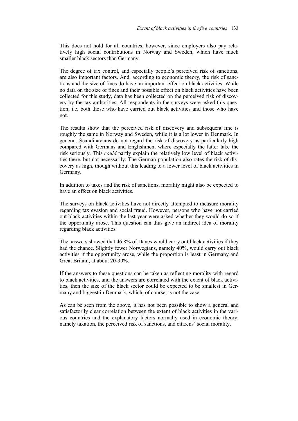This does not hold for all countries, however, since employers also pay relatively high social contributions in Norway and Sweden, which have much smaller black sectors than Germany.

The degree of tax control, and especially people's perceived risk of sanctions, are also important factors. And, according to economic theory, the risk of sanctions and the size of fines do have an important effect on black activities. While no data on the size of fines and their possible effect on black activities have been collected for this study, data has been collected on the perceived risk of discovery by the tax authorities. All respondents in the surveys were asked this question, i.e. both those who have carried out black activities and those who have not.

The results show that the perceived risk of discovery and subsequent fine is roughly the same in Norway and Sweden, while it is a lot lower in Denmark. In general, Scandinavians do not regard the risk of discovery as particularly high compared with Germans and Englishmen, where especially the latter take the risk seriously. This *could* partly explain the relatively low level of black activities there, but not necessarily. The German population also rates the risk of discovery as high, though without this leading to a lower level of black activities in Germany.

In addition to taxes and the risk of sanctions, morality might also be expected to have an effect on black activities.

The surveys on black activities have not directly attempted to measure morality regarding tax evasion and social fraud. However, persons who have not carried out black activities within the last year were asked whether they would do so if the opportunity arose. This question can thus give an indirect idea of morality regarding black activities.

The answers showed that 46.8% of Danes would carry out black activities if they had the chance. Slightly fewer Norwegians, namely 40%, would carry out black activities if the opportunity arose, while the proportion is least in Germany and Great Britain, at about 20-30%.

If the answers to these questions can be taken as reflecting morality with regard to black activities, and the answers are correlated with the extent of black activities, then the size of the black sector could be expected to be smallest in Germany and biggest in Denmark, which, of course, is not the case.

As can be seen from the above, it has not been possible to show a general and satisfactorily clear correlation between the extent of black activities in the various countries and the explanatory factors normally used in economic theory, namely taxation, the perceived risk of sanctions, and citizens' social morality.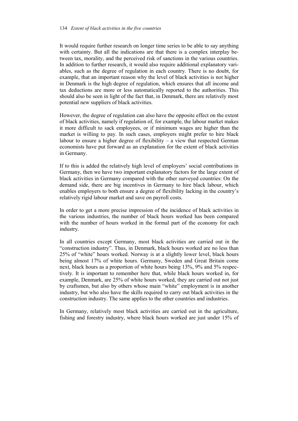#### 134 *Extent of black activities in the five countries*

It would require further research on longer time series to be able to say anything with certainty. But all the indications are that there is a complex interplay between tax, morality, and the perceived risk of sanctions in the various countries. In addition to further research, it would also require additional explanatory variables, such as the degree of regulation in each country. There is no doubt, for example, that an important reason why the level of black activities is not higher in Denmark is the high degree of regulation, which ensures that all income and tax deductions are more or less automatically reported to the authorities. This should also be seen in light of the fact that, in Denmark, there are relatively most potential new suppliers of black activities.

However, the degree of regulation can also have the opposite effect on the extent of black activities, namely if regulation of, for example, the labour market makes it more difficult to sack employees, or if minimum wages are higher than the market is willing to pay. In such cases, employers might prefer to hire black labour to ensure a higher degree of flexibility – a view that respected German economists have put forward as an explanation for the extent of black activities in Germany.

If to this is added the relatively high level of employers' social contributions in Germany, then we have two important explanatory factors for the large extent of black activities in Germany compared with the other surveyed countries: On the demand side, there are big incentives in Germany to hire black labour, which enables employers to both ensure a degree of flexibility lacking in the country's relatively rigid labour market and save on payroll costs.

In order to get a more precise impression of the incidence of black activities in the various industries, the number of black hours worked has been compared with the number of hours worked in the formal part of the economy for each industry.

In all countries except Germany, most black activities are carried out in the "construction industry". Thus, in Denmark, black hours worked are no less than 25% of "white" hours worked. Norway is at a slightly lower level, black hours being almost 17% of white hours. Germany, Sweden and Great Britain come next, black hours as a proportion of white hours being 13%, 9% and 5% respectively. It is important to remember here that, while black hours worked in, for example, Denmark, are 25% of white hours worked, they are carried out not just by craftsmen, but also by others whose main "white" employment is in another industry, but who also have the skills required to carry out black activities in the construction industry. The same applies to the other countries and industries.

In Germany, relatively most black activities are carried out in the agriculture, fishing and forestry industry, where black hours worked are just under 15% of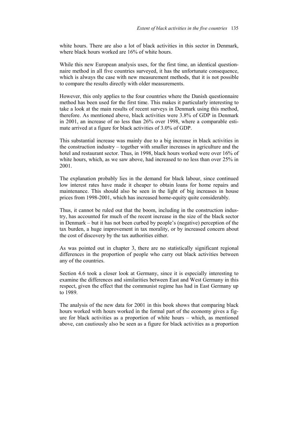white hours. There are also a lot of black activities in this sector in Denmark, where black hours worked are 16% of white hours.

While this new European analysis uses, for the first time, an identical questionnaire method in all five countries surveyed, it has the unfortunate consequence, which is always the case with new measurement methods, that it is not possible to compare the results directly with older measurements.

However, this only applies to the four countries where the Danish questionnaire method has been used for the first time. This makes it particularly interesting to take a look at the main results of recent surveys in Denmark using this method, therefore. As mentioned above, black activities were 3.8% of GDP in Denmark in 2001, an increase of no less than 26% over 1998, where a comparable estimate arrived at a figure for black activities of 3.0% of GDP.

This substantial increase was mainly due to a big increase in black activities in the construction industry – together with smaller increases in agriculture and the hotel and restaurant sector. Thus, in 1998, black hours worked were over 16% of white hours, which, as we saw above, had increased to no less than over 25% in 2001.

The explanation probably lies in the demand for black labour, since continued low interest rates have made it cheaper to obtain loans for home repairs and maintenance. This should also be seen in the light of big increases in house prices from 1998-2001, which has increased home-equity quite considerably.

Thus, it cannot be ruled out that the boom, including in the construction industry, has accounted for much of the recent increase in the size of the black sector in Denmark – but it has not been curbed by people's (negative) perception of the tax burden, a huge improvement in tax morality, or by increased concern about the cost of discovery by the tax authorities either.

As was pointed out in chapter 3, there are no statistically significant regional differences in the proportion of people who carry out black activities between any of the countries.

Section 4.6 took a closer look at Germany, since it is especially interesting to examine the differences and similarities between East and West Germany in this respect, given the effect that the communist regime has had in East Germany up to 1989.

The analysis of the new data for 2001 in this book shows that comparing black hours worked with hours worked in the formal part of the economy gives a figure for black activities as a proportion of white hours – which, as mentioned above, can cautiously also be seen as a figure for black activities as a proportion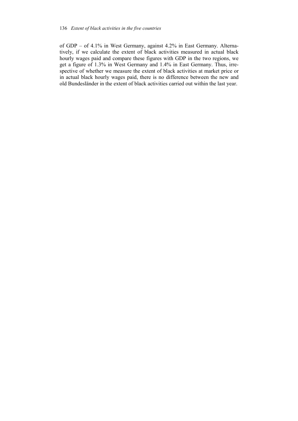of GDP – of 4.1% in West Germany, against 4.2% in East Germany. Alternatively, if we calculate the extent of black activities measured in actual black hourly wages paid and compare these figures with GDP in the two regions, we get a figure of 1.3% in West Germany and 1.4% in East Germany. Thus, irrespective of whether we measure the extent of black activities at market price or in actual black hourly wages paid, there is no difference between the new and old Bundesländer in the extent of black activities carried out within the last year.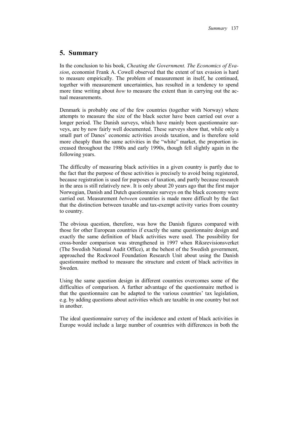# **5. Summary**

In the conclusion to his book, *Cheating the Government. The Economics of Evasion*, economist Frank A. Cowell observed that the extent of tax evasion is hard to measure empirically. The problem of measurement in itself, he continued, together with measurement uncertainties, has resulted in a tendency to spend more time writing about *how* to measure the extent than in carrying out the actual measurements.

Denmark is probably one of the few countries (together with Norway) where attempts to measure the size of the black sector have been carried out over a longer period. The Danish surveys, which have mainly been questionnaire surveys, are by now fairly well documented. These surveys show that, while only a small part of Danes' economic activities avoids taxation, and is therefore sold more cheaply than the same activities in the "white" market, the proportion increased throughout the 1980s and early 1990s, though fell slightly again in the following years.

The difficulty of measuring black activities in a given country is partly due to the fact that the purpose of these activities is precisely to avoid being registered, because registration is used for purposes of taxation, and partly because research in the area is still relatively new. It is only about 20 years ago that the first major Norwegian, Danish and Dutch questionnaire surveys on the black economy were carried out. Measurement *between* countries is made more difficult by the fact that the distinction between taxable and tax-exempt activity varies from country to country.

The obvious question, therefore, was how the Danish figures compared with those for other European countries if exactly the same questionnaire design and exactly the same definition of black activities were used. The possibility for cross-border comparison was strengthened in 1997 when Riksrevisionsverket (The Swedish National Audit Office), at the behest of the Swedish government, approached the Rockwool Foundation Research Unit about using the Danish questionnaire method to measure the structure and extent of black activities in Sweden.

Using the same question design in different countries overcomes some of the difficulties of comparison. A further advantage of the questionnaire method is that the questionnaire can be adapted to the various countries' tax legislation, e.g. by adding questions about activities which are taxable in one country but not in another.

The ideal questionnaire survey of the incidence and extent of black activities in Europe would include a large number of countries with differences in both the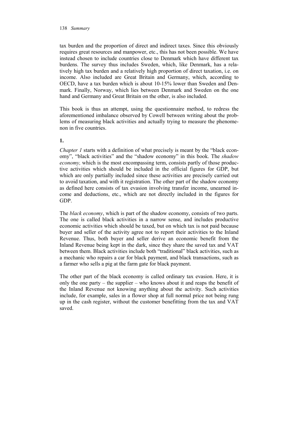#### 138 *Summary*

tax burden and the proportion of direct and indirect taxes. Since this obviously requires great resources and manpower, etc., this has not been possible. We have instead chosen to include countries close to Denmark which have different tax burdens. The survey thus includes Sweden, which, like Denmark, has a relatively high tax burden and a relatively high proportion of direct taxation, i.e. on income. Also included are Great Britain and Germany, which, according to OECD, have a tax burden which is about 10-15% lower than Sweden and Denmark. Finally, Norway, which lies between Denmark and Sweden on the one hand and Germany and Great Britain on the other, is also included.

This book is thus an attempt, using the questionnaire method, to redress the aforementioned imbalance observed by Cowell between writing about the problems of measuring black activities and actually trying to measure the phenomenon in five countries.

**1.**

*Chapter 1* starts with a definition of what precisely is meant by the "black economy", "black activities" and the "shadow economy" in this book. The *shadow economy*, which is the most encompassing term, consists partly of those productive activities which should be included in the official figures for GDP, but which are only partially included since these activities are precisely carried out to avoid taxation, and with it registration. The other part of the shadow economy as defined here consists of tax evasion involving transfer income, unearned income and deductions, etc., which are not directly included in the figures for GDP.

The *black economy*, which is part of the shadow economy, consists of two parts. The one is called black activities in a narrow sense, and includes productive economic activities which should be taxed, but on which tax is not paid because buyer and seller of the activity agree not to report their activities to the Inland Revenue. Thus, both buyer and seller derive an economic benefit from the Inland Revenue being kept in the dark, since they share the saved tax and VAT between them. Black activities include both "traditional" black activities, such as a mechanic who repairs a car for black payment, and black transactions, such as a farmer who sells a pig at the farm gate for black payment.

The other part of the black economy is called ordinary tax evasion. Here, it is only the one party – the supplier – who knows about it and reaps the benefit of the Inland Revenue not knowing anything about the activity. Such activities include, for example, sales in a flower shop at full normal price not being rung up in the cash register, without the customer benefitting from the tax and VAT saved.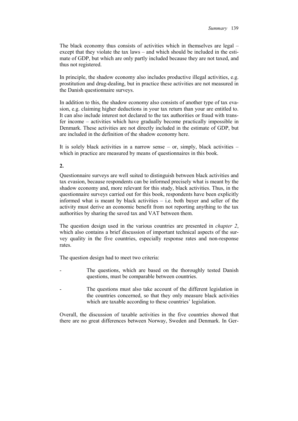The black economy thus consists of activities which in themselves are legal – except that they violate the tax laws – and which should be included in the estimate of GDP, but which are only partly included because they are not taxed, and thus not registered.

In principle, the shadow economy also includes productive illegal activities, e.g. prostitution and drug-dealing, but in practice these activities are not measured in the Danish questionnaire surveys.

In addition to this, the shadow economy also consists of another type of tax evasion, e.g. claiming higher deductions in your tax return than your are entitled to. It can also include interest not declared to the tax authorities or fraud with transfer income – activities which have gradually become practically impossible in Denmark. These activities are not directly included in the estimate of GDP, but are included in the definition of the shadow economy here.

It is solely black activities in a narrow sense – or, simply, black activities – which in practice are measured by means of questionnaires in this book.

# **2.**

Questionnaire surveys are well suited to distinguish between black activities and tax evasion, because respondents can be informed precisely what is meant by the shadow economy and, more relevant for this study, black activities. Thus, in the questionnaire surveys carried out for this book, respondents have been explicitly informed what is meant by black activities – i.e. both buyer and seller of the activity must derive an economic benefit from not reporting anything to the tax authorities by sharing the saved tax and VAT between them.

The question design used in the various countries are presented in *chapter 2*, which also contains a brief discussion of important technical aspects of the survey quality in the five countries, especially response rates and non-response rates.

The question design had to meet two criteria:

- The questions, which are based on the thoroughly tested Danish questions, must be comparable between countries.
- The questions must also take account of the different legislation in the countries concerned, so that they only measure black activities which are taxable according to these countries' legislation.

Overall, the discussion of taxable activities in the five countries showed that there are no great differences between Norway, Sweden and Denmark. In Ger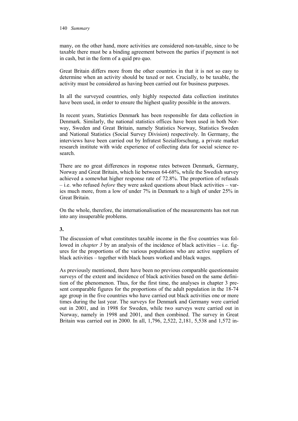many, on the other hand, more activities are considered non-taxable, since to be taxable there must be a binding agreement between the parties if payment is not in cash, but in the form of a quid pro quo.

Great Britain differs more from the other countries in that it is not so easy to determine when an activity should be taxed or not. Crucially, to be taxable, the activity must be considered as having been carried out for business purposes.

In all the surveyed countries, only highly respected data collection institutes have been used, in order to ensure the highest quality possible in the answers.

In recent years, Statistics Denmark has been responsible for data collection in Denmark. Similarly, the national statistics offices have been used in both Norway, Sweden and Great Britain, namely Statistics Norway, Statistics Sweden and National Statistics (Social Survey Division) respectively. In Germany, the interviews have been carried out by Infratest Sozialforschung, a private market research institute with wide experience of collecting data for social science research.

There are no great differences in response rates between Denmark, Germany, Norway and Great Britain, which lie between 64-68%, while the Swedish survey achieved a somewhat higher response rate of 72.8%. The proportion of refusals – i.e. who refused *before* they were asked questions about black activities – varies much more, from a low of under 7% in Denmark to a high of under 25% in Great Britain.

On the whole, therefore, the internationalisation of the measurements has not run into any insuperable problems.

# **3.**

The discussion of what constitutes taxable income in the five countries was followed in *chapter 3* by an analysis of the incidence of black activities – i.e. figures for the proportions of the various populations who are active suppliers of black activities – together with black hours worked and black wages.

As previously mentioned, there have been no previous comparable questionnaire surveys of the extent and incidence of black activities based on the same definition of the phenomenon. Thus, for the first time, the analyses in chapter 3 present comparable figures for the proportions of the adult population in the 18-74 age group in the five countries who have carried out black activities one or more times during the last year. The surveys for Denmark and Germany were carried out in 2001, and in 1998 for Sweden, while two surveys were carried out in Norway, namely in 1998 and 2001, and then combined. The survey in Great Britain was carried out in 2000. In all, 1,796, 2,522, 2,181, 5,538 and 1,572 in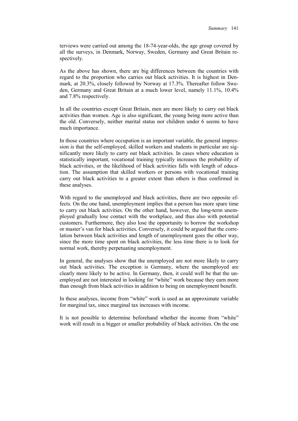terviews were carried out among the 18-74-year-olds, the age group covered by all the surveys, in Denmark, Norway, Sweden, Germany and Great Britain respectively.

As the above has shown, there are big differences between the countries with regard to the proportion who carries out black activities. It is highest in Denmark, at 20.3%, closely followed by Norway at 17.3%. Thereafter follow Sweden, Germany and Great Britain at a much lower level, namely 11.1%, 10.4% and 7.8% respectively.

In all the countries except Great Britain, men are more likely to carry out black activities than women. Age is also significant, the young being more active than the old. Conversely, neither marital status nor children under 6 seems to have much importance.

In those countries where occupation is an important variable, the general impression is that the self-employed, skilled workers and students in particular are significantly more likely to carry out black activities. In cases where education is statistically important, vocational training typically increases the probability of black activities, or the likelihood of black activities falls with length of education. The assumption that skilled workers or persons with vocational training carry out black activities to a greater extent than others is thus confirmed in these analyses.

With regard to the unemployed and black activities, there are two opposite effects. On the one hand, unemployment implies that a person has more spare time to carry out black activities. On the other hand, however, the long-term unemployed gradually lose contact with the workplace, and thus also with potential customers. Furthermore, they also lose the opportunity to borrow the workshop or master's van for black activities. Conversely, it could be argued that the correlation between black activities and length of unemployment goes the other way, since the more time spent on black activities, the less time there is to look for normal work, thereby perpetuating unemployment.

In general, the analyses show that the unemployed are not more likely to carry out black activities. The exception is Germany, where the unemployed are clearly more likely to be active. In Germany, then, it could well be that the unemployed are not interested in looking for "white" work because they earn more than enough from black activities in addition to being on unemployment benefit.

In these analyses, income from "white" work is used as an approximate variable for marginal tax, since marginal tax increases with income.

It is not possible to determine beforehand whether the income from "white" work will result in a bigger or smaller probability of black activities. On the one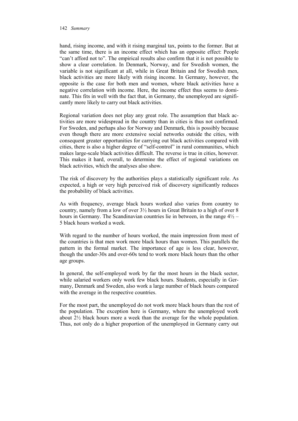#### 142 *Summary*

hand, rising income, and with it rising marginal tax, points to the former. But at the same time, there is an income effect which has an opposite effect: People "can't afford not to". The empirical results also confirm that it is not possible to show a clear correlation. In Denmark, Norway, and for Swedish women, the variable is not significant at all, while in Great Britain and for Swedish men, black activities are more likely with rising income. In Germany, however, the opposite is the case for both men and women, where black activities have a negative correlation with income. Here, the income effect thus seems to dominate. This fits in well with the fact that, in Germany, the unemployed are significantly more likely to carry out black activities.

Regional variation does not play any great role. The assumption that black activities are more widespread in the country than in cities is thus not confirmed. For Sweden, and perhaps also for Norway and Denmark, this is possibly because even though there are more extensive social networks outside the cities, with consequent greater opportunities for carrying out black activities compared with cities, there is also a higher degree of "self-control" in rural communities, which makes large-scale black activities difficult. The reverse is true in cities, however. This makes it hard, overall, to determine the effect of regional variations on black activities, which the analyses also show.

The risk of discovery by the authorities plays a statistically significant role. As expected, a high or very high perceived risk of discovery significantly reduces the probability of black activities.

As with frequency, average black hours worked also varies from country to country, namely from a low of over 3½ hours in Great Britain to a high of over 8 hours in Germany. The Scandinavian countries lie in between, in the range  $4\frac{1}{2}$  – 5 black hours worked a week.

With regard to the number of hours worked, the main impression from most of the countries is that men work more black hours than women. This parallels the pattern in the formal market. The importance of age is less clear, however, though the under-30s and over-60s tend to work more black hours than the other age groups.

In general, the self-employed work by far the most hours in the black sector, while salaried workers only work few black hours. Students, especially in Germany, Denmark and Sweden, also work a large number of black hours compared with the average in the respective countries.

For the most part, the unemployed do not work more black hours than the rest of the population. The exception here is Germany, where the unemployed work about 2½ black hours more a week than the average for the whole population. Thus, not only do a higher proportion of the unemployed in Germany carry out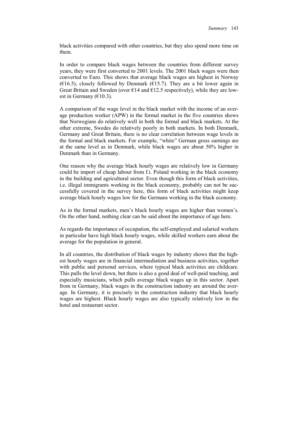black activities compared with other countries, but they also spend more time on them.

In order to compare black wages between the countries from different survey years, they were first converted to 2001 levels. The 2001 black wages were then converted to Euro. This shows that average black wages are highest in Norway ( $E16.5$ ), closely followed by Denmark ( $E15.7$ ). They are a bit lower again in Great Britain and Sweden (over  $\epsilon$ 14 and  $\epsilon$ 12.5 respectively), while they are lowest in Germany ( $€10.3$ ).

A comparison of the wage level in the black market with the income of an average production worker (APW) in the formal market in the five countries shows that Norwegians do relatively well in both the formal and black markets. At the other extreme, Swedes do relatively poorly in both markets. In both Denmark, Germany and Great Britain, there is no clear correlation between wage levels in the formal and black markets. For example, "white" German gross earnings are at the same level as in Denmark, while black wages are about 50% higher in Denmark than in Germany.

One reason why the average black hourly wages are relatively low in Germany could be import of cheap labour from f.i. Poland working in the black economy in the building and agricultural sector. Even though this form of black activities, i.e. illegal immigrants working in the black economy, probably can not be successfully covered in the survey here, this form of black activities might keep average black hourly wages low for the Germans working in the black economy.

As in the formal markets, men's black hourly wages are higher than women's. On the other hand, nothing clear can be said about the importance of age here.

As regards the importance of occupation, the self-employed and salaried workers in particular have high black hourly wages, while skilled workers earn about the average for the population in general.

In all countries, the distribution of black wages by industry shows that the highest hourly wages are in financial intermediation and business activities, together with public and personal services, where typical black activities are childcare. This pulls the level down, but there is also a good deal of well-paid teaching, and especially musicians, which pulls average black wages up in this sector. Apart from in Germany, black wages in the construction industry are around the average. In Germany, it is precisely in the construction industry that black hourly wages are highest. Black hourly wages are also typically relatively low in the hotel and restaurant sector.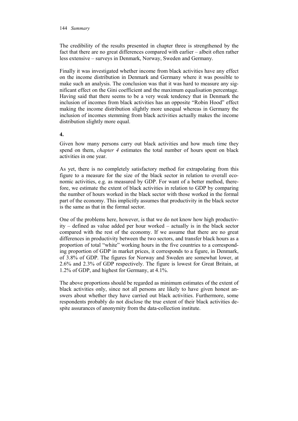#### 144 *Summary*

The credibility of the results presented in chapter three is strengthened by the fact that there are no great differences compared with earlier – albeit often rather less extensive – surveys in Denmark, Norway, Sweden and Germany.

Finally it was investigated whether income from black activities have any effect on the income distribution in Denmark and Germany where it was possible to make such an analysis. The conclusion was that it was hard to measure any significant effect on the Gini coefficient and the maximum equalisation percentage. Having said that there seems to be a very weak tendency that in Denmark the inclusion of incomes from black activities has an opposite "Robin Hood" effect making the income distribution slightly more unequal whereas in Germany the inclusion of incomes stemming from black activities actually makes the income distribution slightly more equal.

# **4.**

Given how many persons carry out black activities and how much time they spend on them, *chapter 4* estimates the total number of hours spent on black activities in one year.

As yet, there is no completely satisfactory method for extrapolating from this figure to a measure for the size of the black sector in relation to overall economic activities, e.g. as measured by GDP. For want of a better method, therefore, we estimate the extent of black activities in relation to GDP by comparing the number of hours worked in the black sector with those worked in the formal part of the economy. This implicitly assumes that productivity in the black sector is the same as that in the formal sector.

One of the problems here, however, is that we do not know how high productivity – defined as value added per hour worked – actually is in the black sector compared with the rest of the economy. If we assume that there are no great differences in productivity between the two sectors, and transfer black hours as a proportion of total "white" working hours in the five countries to a corresponding proportion of GDP in market prices, it corresponds to a figure, in Denmark, of 3.8% of GDP. The figures for Norway and Sweden are somewhat lower, at 2.6% and 2.3% of GDP respectively. The figure is lowest for Great Britain, at 1.2% of GDP, and highest for Germany, at 4.1%.

The above proportions should be regarded as minimum estimates of the extent of black activities only, since not all persons are likely to have given honest answers about whether they have carried out black activities. Furthermore, some respondents probably do not disclose the true extent of their black activities despite assurances of anonymity from the data-collection institute.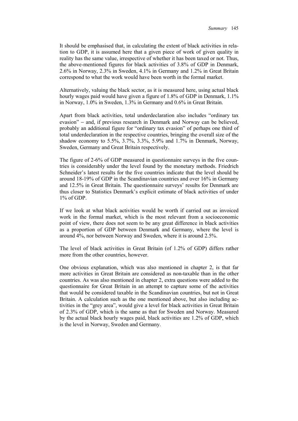It should be emphasised that, in calculating the extent of black activities in relation to GDP, it is assumed here that a given piece of work of given quality in reality has the same value, irrespective of whether it has been taxed or not. Thus, the above-mentioned figures for black activities of 3.8% of GDP in Denmark, 2.6% in Norway, 2.3% in Sweden, 4.1% in Germany and 1.2% in Great Britain correspond to what the work would have been worth in the formal market.

Alternatively, valuing the black sector, as it is measured here, using actual black hourly wages paid would have given a figure of 1.8% of GDP in Denmark, 1.1% in Norway, 1.0% in Sweden, 1.3% in Germany and 0.6% in Great Britain.

Apart from black activities, total underdeclaration also includes "ordinary tax evasion" − and, if previous research in Denmark and Norway can be believed, probably an additional figure for "ordinary tax evasion" of perhaps one third of total underdeclaration in the respective countries, bringing the overall size of the shadow economy to 5.5%, 3.7%, 3.3%, 5.9% and 1.7% in Denmark, Norway, Sweden, Germany and Great Britain respectively.

The figure of 2-6% of GDP measured in questionnaire surveys in the five countries is considerably under the level found by the monetary methods. Friedrich Schneider's latest results for the five countries indicate that the level should be around 18-19% of GDP in the Scandinavian countries and over 16% in Germany and 12.5% in Great Britain. The questionnaire surveys' results for Denmark are thus closer to Statistics Denmark's explicit estimate of black activities of under 1% of GDP.

If we look at what black activities would be worth if carried out as invoiced work in the formal market, which is the most relevant from a socioeconomic point of view, there does not seem to be any great difference in black activities as a proportion of GDP between Denmark and Germany, where the level is around 4%, nor between Norway and Sweden, where it is around 2.5%.

The level of black activities in Great Britain (of 1.2% of GDP) differs rather more from the other countries, however.

One obvious explanation, which was also mentioned in chapter 2, is that far more activities in Great Britain are considered as non-taxable than in the other countries. As was also mentioned in chapter 2, extra questions were added to the questionnaire for Great Britain in an attempt to capture some of the activities that would be considered taxable in the Scandinavian countries, but not in Great Britain. A calculation such as the one mentioned above, but also including activities in the "grey area", would give a level for black activities in Great Britain of 2.3% of GDP, which is the same as that for Sweden and Norway. Measured by the actual black hourly wages paid, black activities are 1.2% of GDP, which is the level in Norway, Sweden and Germany.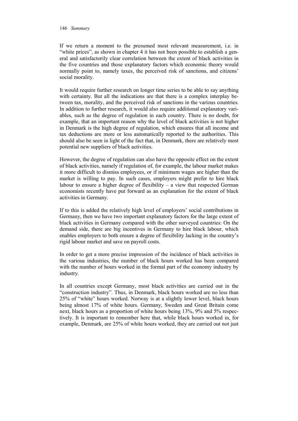#### 146 *Summary*

If we return a moment to the presumed most relevant measurement, i.e. in "white prices", as shown in chapter 4 it has not been possible to establish a general and satisfactorily clear correlation between the extent of black activities in the five countries and those explanatory factors which economic theory would normally point to, namely taxes, the perceived risk of sanctions, and citizens' social morality.

It would require further research on longer time series to be able to say anything with certainty. But all the indications are that there is a complex interplay between tax, morality, and the perceived risk of sanctions in the various countries. In addition to further research, it would also require additional explanatory variables, such as the degree of regulation in each country. There is no doubt, for example, that an important reason why the level of black activities is not higher in Denmark is the high degree of regulation, which ensures that all income and tax deductions are more or less automatically reported to the authorities. This should also be seen in light of the fact that, in Denmark, there are relatively most potential new suppliers of black activities.

However, the degree of regulation can also have the opposite effect on the extent of black activities, namely if regulation of, for example, the labour market makes it more difficult to dismiss employees, or if minimum wages are higher than the market is willing to pay. In such cases, employers might prefer to hire black labour to ensure a higher degree of flexibility – a view that respected German economists recently have put forward as an explanation for the extent of black activities in Germany.

If to this is added the relatively high level of employers' social contributions in Germany, then we have two important explanatory factors for the large extent of black activities in Germany compared with the other surveyed countries: On the demand side, there are big incentives in Germany to hire black labour, which enables employers to both ensure a degree of flexibility lacking in the country's rigid labour market and save on payroll costs.

In order to get a more precise impression of the incidence of black activities in the various industries, the number of black hours worked has been compared with the number of hours worked in the formal part of the economy industry by industry.

In all countries except Germany, most black activities are carried out in the "construction industry". Thus, in Denmark, black hours worked are no less than 25% of "white" hours worked. Norway is at a slightly lower level, black hours being almost 17% of white hours. Germany, Sweden and Great Britain come next, black hours as a proportion of white hours being 13%, 9% and 5% respectively. It is important to remember here that, while black hours worked in, for example, Denmark, are 25% of white hours worked, they are carried out not just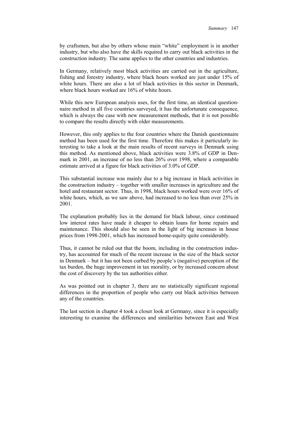by craftsmen, but also by others whose main "white" employment is in another industry, but who also have the skills required to carry out black activities in the construction industry. The same applies to the other countries and industries.

In Germany, relatively most black activities are carried out in the agriculture, fishing and forestry industry, where black hours worked are just under 15% of white hours. There are also a lot of black activities in this sector in Denmark, where black hours worked are 16% of white hours.

While this new European analysis uses, for the first time, an identical questionnaire method in all five countries surveyed, it has the unfortunate consequence, which is always the case with new measurement methods, that it is not possible to compare the results directly with older measurements.

However, this only applies to the four countries where the Danish questionnaire method has been used for the first time. Therefore this makes it particularly interesting to take a look at the main results of recent surveys in Denmark using this method. As mentioned above, black activities were 3.8% of GDP in Denmark in 2001, an increase of no less than 26% over 1998, where a comparable estimate arrived at a figure for black activities of 3.0% of GDP.

This substantial increase was mainly due to a big increase in black activities in the construction industry – together with smaller increases in agriculture and the hotel and restaurant sector. Thus, in 1998, black hours worked were over 16% of white hours, which, as we saw above, had increased to no less than over 25% in 2001.

The explanation probably lies in the demand for black labour, since continued low interest rates have made it cheaper to obtain loans for home repairs and maintenance. This should also be seen in the light of big increases in house prices from 1998-2001, which has increased home-equity quite considerably.

Thus, it cannot be ruled out that the boom, including in the construction industry, has accounted for much of the recent increase in the size of the black sector in Denmark – but it has not been curbed by people's (negative) perception of the tax burden, the huge improvement in tax morality, or by increased concern about the cost of discovery by the tax authorities either.

As was pointed out in chapter 3, there are no statistically significant regional differences in the proportion of people who carry out black activities between any of the countries.

The last section in chapter 4 took a closer look at Germany, since it is especially interesting to examine the differences and similarities between East and West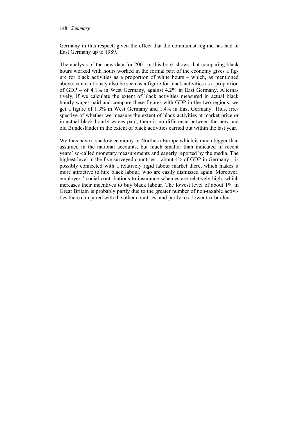#### 148 *Summary*

Germany in this respect, given the effect that the communist regime has had in East Germany up to 1989.

The analysis of the new data for 2001 in this book shows that comparing black hours worked with hours worked in the formal part of the economy gives a figure for black activities as a proportion of white hours – which, as mentioned above, can cautiously also be seen as a figure for black activities as a proportion of GDP – of 4.1% in West Germany, against 4.2% in East Germany. Alternatively, if we calculate the extent of black activities measured in actual black hourly wages paid and compare these figures with GDP in the two regions, we get a figure of 1.3% in West Germany and 1.4% in East Germany. Thus, irrespective of whether we measure the extent of black activities at market price or in actual black hourly wages paid, there is no difference between the new and old Bundesländer in the extent of black activities carried out within the last year.

We thus have a shadow economy in Northern Europe which is much bigger than assumed in the national accounts, but much smaller than indicated in recent years' so-called monetary measurements and eagerly reported by the media. The highest level in the five surveyed countries – about 4% of GDP in Germany – is possibly connected with a relatively rigid labour market there, which makes it more attractive to hire black labour, who are easily dismissed again. Moreover, employers' social contributions to insurance schemes are relatively high, which increases their incentives to buy black labour. The lowest level of about 1% in Great Britain is probably partly due to the greater number of non-taxable activities there compared with the other countries, and partly to a lower tax burden.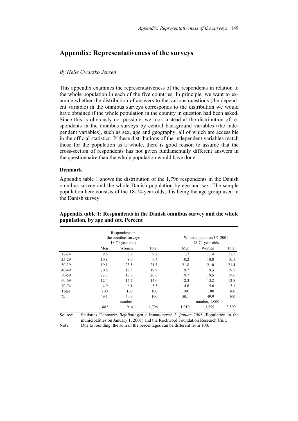# **Appendix: Representativeness of the surveys**

#### *By Helle Cwarzko Jensen*

This appendix examines the representativeness of the respondents in relation to the whole population in each of the five countries. In principle, we want to examine whether the distribution of answers to the various questions (the dependent variable) in the omnibus surveys corresponds to the distribution we would have obtained if the whole population in the country in question had been asked. Since this is obviously not possible, we look instead at the distribution of respondents in the omnibus surveys by central background variables (the independent variables), such as sex, age and geography, all of which are accessible in the official statistics. If these distributions of the independent variables match those for the population as a whole, there is good reason to assume that the cross-section of respondents has not given fundamentally different answers in the questionnaire than the whole population would have done.

#### **Denmark**

Appendix table 1 shows the distribution of the 1,796 respondents in the Danish omnibus survey and the whole Danish population by age and sex. The sample population here consists of the 18-74-year-olds, this being the age group used in the Danish survey.

|               |      | Respondents in<br>the omnibus surveys<br>18-74-year-olds |       |       | Whole population $1/1-2001$<br>18-74-year-olds |       |
|---------------|------|----------------------------------------------------------|-------|-------|------------------------------------------------|-------|
|               | Men  | Women                                                    | Total | Men   | Women                                          | Total |
| 18-24         | 9.6  | 8.9                                                      | 9.2   | 11.7  | 11.4                                           | 11.5  |
| $25-29$       | 10.8 | 8.0                                                      | 9.4   | 10.2  | 10.0                                           | 10.1  |
| 30-39         | 19.1 | 23.5                                                     | 21.3  | 21.8  | 21.0                                           | 21.4  |
| 40-49         | 20.6 | 19.3                                                     | 19.9  | 19.7  | 19.3                                           | 19.5  |
| 50-59         | 22.7 | 18.6                                                     | 20.6  | 19.7  | 19.5                                           | 19.6  |
| 60-69         | 12.4 | 15.7                                                     | 14.0  | 12.3  | 13.2                                           | 12.8  |
| $70 - 74$     | 4.9  | 6.1                                                      | 5.5   | 4.6   | 5.6                                            | 5.1   |
| Total         | 100  | 100                                                      | 100   | 100   | 100                                            | 100   |
| $\frac{0}{0}$ | 49.1 | 50.9                                                     | 100   | 50.1  | 49.9                                           | 100   |
|               |      | -number-                                                 |       |       | --number, 1,000--                              |       |
|               | 882  | 914                                                      | 1,796 | 1,910 | 1,899                                          | 3,809 |

**Appendix table 1: Respondents in the Danish omnibus survey and the whole population, by age and sex. Percent** 

Source: Statistics Denmark: *Befolkningen i kommunerne 1. januar 2001* (Population in the municipalities on January 1, 2001) and the Rockwool Foundation Research Unit. Note: Due to rounding, the sum of the percentages can be different from 100.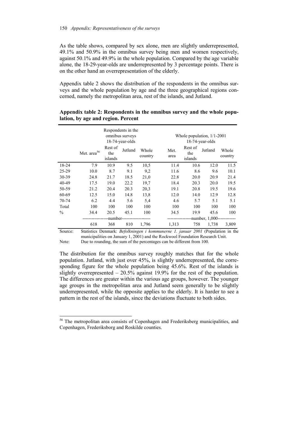As the table shows, compared by sex alone, men are slightly underrepresented, 49.1% and 50.9% in the omnibus survey being men and women respectively, against 50.1% and 49.9% in the whole population. Compared by the age variable alone, the 18-29-year-olds are underrepresented by 3 percentage points. There is on the other hand an overrepresentation of the elderly.

Appendix table 2 shows the distribution of the respondents in the omnibus surveys and the whole population by age and the three geographical regions concerned, namely the metropolitan area, rest of the islands, and Jutland.

|               | Respondents in the<br>omnibus surveys<br>18-74-year-olds |                           |         |                  |              | Whole population, $1/1-2001$<br>$18-74$ -year-olds |                    |                  |  |
|---------------|----------------------------------------------------------|---------------------------|---------|------------------|--------------|----------------------------------------------------|--------------------|------------------|--|
|               | Met. area <sup>56</sup>                                  | Rest of<br>the<br>islands | Jutland | Whole<br>country | Met.<br>area | Rest of<br>the<br>islands                          | Jutland            | Whole<br>country |  |
| 18-24         | 7.9                                                      | 10.9                      | 9.5     | 10.5             | 11.4         | 10.6                                               | 12.0               | 11.5             |  |
| $25 - 29$     | 10.0                                                     | 8.7                       | 9.1     | 9,2              | 11.6         | 8.6                                                | 9.6                | 10.1             |  |
| 30-39         | 24.8                                                     | 21.7                      | 18.5    | 21,0             | 22.8         | 20.0                                               | 20.9               | 21.4             |  |
| 40-49         | 17.5                                                     | 19.0                      | 22.2    | 19.7             | 18.4         | 20.3                                               | 20.0               | 19.5             |  |
| 50-59         | 21.2                                                     | 20.4                      | 20.3    | 20,3             | 19.1         | 20.8                                               | 19.5               | 19.6             |  |
| 60-69         | 12.5                                                     | 15.0                      | 14.8    | 13,8             | 12.0         | 14.0                                               | 12.9               | 12.8             |  |
| 70-74         | 6.2                                                      | 4.4                       | 5.6     | 5.4              | 4.6          | 5.7                                                | 5.1                | 5.1              |  |
| Total         | 100                                                      | 100                       | 100     | 100              | 100          | 100                                                | 100                | 100              |  |
| $\frac{0}{0}$ | 34.4                                                     | 20.5                      | 45.1    | 100              | 34.5         | 19.9                                               | 45.6               | 100              |  |
|               |                                                          | -number-                  |         |                  |              |                                                    | -number, 1,000---- |                  |  |
|               | 618                                                      | 368                       | 810     | 1,796            | 1,313        | 758                                                | 1,738              | 3,809            |  |

### **Appendix table 2: Respondents in the omnibus survey and the whole population, by age and region. Percent**

Source: Statistics Denmark: *Befolkningen i kommunerne 1. januar 2001* (Population in the municipalities on January 1, 2001) and the Rockwool Foundation Research Unit. Note: Due to rounding, the sum of the percentages can be different from 100.

The distribution for the omnibus survey roughly matches that for the whole population. Jutland, with just over 45%, is slightly underrepresented, the corresponding figure for the whole population being 45.6%. Rest of the islands is slightly overrepresented  $-20.5\%$  against 19.9% for the rest of the population. The differences are greater within the various age groups, however. The younger age groups in the metropolitan area and Jutland seem generally to be slightly underrepresented, while the opposite applies to the elderly. It is harder to see a pattern in the rest of the islands, since the deviations fluctuate to both sides.

 $\overline{a}$ 

<sup>&</sup>lt;sup>56</sup> The metropolitan area consists of Copenhagen and Frederiksberg municipalities, and Copenhagen, Frederiksborg and Roskilde counties.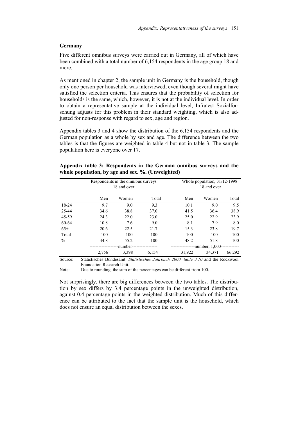#### **Germany**

Five different omnibus surveys were carried out in Germany, all of which have been combined with a total number of 6,154 respondents in the age group 18 and more.

As mentioned in chapter 2, the sample unit in Germany is the household, though only one person per household was interviewed, even though several might have satisfied the selection criteria. This ensures that the probability of selection for households is the same, which, however, it is not at the individual level. In order to obtain a representative sample at the individual level, Infratest Sozialforschung adjusts for this problem in their standard weighting, which is also adjusted for non-response with regard to sex, age and region.

Appendix tables 3 and 4 show the distribution of the 6,154 respondents and the German population as a whole by sex and age. The difference between the two tables is that the figures are weighted in table 4 but not in table 3. The sample population here is everyone over 17.

| Appendix table 3: Respondents in the German omnibus surveys and the |  |  |  |  |
|---------------------------------------------------------------------|--|--|--|--|
| whole population, by age and sex. %. (Unweighted)                   |  |  |  |  |

|               |       | Respondents in the omnibus surveys<br>18 and over |       |        | Whole population, $31/12-1998$<br>18 and over |        |  |
|---------------|-------|---------------------------------------------------|-------|--------|-----------------------------------------------|--------|--|
|               | Men   | Women                                             | Total | Men    | Women                                         | Total  |  |
| 18-24         | 9.7   | 9.0                                               | 9.3   | 10.1   | 9.0                                           | 9.5    |  |
| 25-44         | 34.6  | 38.8                                              | 37.0  | 41.5   | 36.4                                          | 38.9   |  |
| 45-59         | 24.3  | 22.0                                              | 23.0  | 25.0   | 22.9                                          | 23.9   |  |
| 60-64         | 10.8  | 7.6                                               | 9.0   | 8.1    | 7.9                                           | 8.0    |  |
| $65+$         | 20.6  | 22.5                                              | 21.7  | 15.3   | 23.8                                          | 19.7   |  |
| Total         | 100   | 100                                               | 100   | 100    | 100                                           | 100    |  |
| $\frac{0}{0}$ | 44.8  | 55.2                                              | 100   | 48.2   | 51.8                                          | 100    |  |
|               |       | -number-                                          |       |        | -number, 1,000--                              |        |  |
|               | 2,756 | 3,398                                             | 6,154 | 31,922 | 34.371                                        | 66,292 |  |

Source: Statistisches Bundesamt: *Statistisches Jahrbuch 2000, table 3.10* and the Rockwool Foundation Research Unit.

Note: Due to rounding, the sum of the percentages can be different from 100.

Not surprisingly, there are big differences between the two tables. The distribution by sex differs by 3.4 percentage points in the unweighted distribution, against 0.4 percentage points in the weighted distribution. Much of this difference can be attributed to the fact that the sample unit is the household, which does not ensure an equal distribution between the sexes.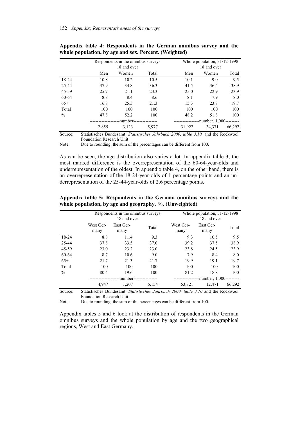|               |       | Respondents in the omnibus surveys |       |        | Whole population, $31/12-1998$ |        |  |
|---------------|-------|------------------------------------|-------|--------|--------------------------------|--------|--|
|               |       | 18 and over                        |       |        | 18 and over                    |        |  |
|               | Men   | Women                              | Total | Men    | Women                          | Total  |  |
| 18-24         | 10.8  | 10.2                               | 10.5  | 10.1   | 9.0                            | 9.5    |  |
| 25-44         | 37.9  | 34.8                               | 36.3  | 41.5   | 36.4                           | 38.9   |  |
| 45-59         | 25.7  | 21.1                               | 23.3  | 25.0   | 22.9                           | 23.9   |  |
| 60-64         | 8.8   | 8.4                                | 8.6   | 8.1    | 7.9                            | 8.0    |  |
| $65+$         | 16.8  | 25.5                               | 21.3  | 15.3   | 23.8                           | 19.7   |  |
| Total         | 100   | 100                                | 100   | 100    | 100                            | 100    |  |
| $\frac{0}{0}$ | 47.8  | 52.2                               | 100   | 48.2   | 51.8                           | 100    |  |
|               |       | -number-                           |       |        | -number, 1,000---------        |        |  |
|               | 2,855 | 3,123                              | 5,977 | 31,922 | 34.371                         | 66,292 |  |

**Appendix table 4: Respondents in the German omnibus survey and the whole population, by age and sex. Percent. (Weighted)**

Source: Statistisches Bundesamt: *Statistisches Jahrbuch 2000, table 3.10,* and the Rockwool Foundation Research Unit

Note: Due to rounding, the sum of the percentages can be different from 100.

As can be seen, the age distribution also varies a lot. In appendix table 3, the most marked difference is the overrepresentation of the 60-64-year-olds and underrepresentation of the oldest. In appendix table 4, on the other hand, there is an overrepresentation of the 18-24-year-olds of 1 percentage points and an underrepresentation of the 25-44-year-olds of 2.6 percentage points.

|               | Respondents in the omnibus surveys<br>18 and over |                   |       | Whole population, $31/12-1998$<br>18 and over |                   |        |
|---------------|---------------------------------------------------|-------------------|-------|-----------------------------------------------|-------------------|--------|
|               | West Ger-<br>many                                 | East Ger-<br>many | Total | West Ger-<br>many                             | East Ger-<br>many | Total  |
| 18-24         | 8.8                                               | 11.4              | 9.3   | 9.3                                           | 10.5              | 9.5    |
| 25-44         | 37.8                                              | 33.5              | 37.0  | 39.2                                          | 37.5              | 38.9   |
| 45-59         | 23.0                                              | 23.2              | 23.0  | 23.8                                          | 24.5              | 23.9   |
| 60-64         | 8.7                                               | 10.6              | 9.0   | 7.9                                           | 8.4               | 8.0    |
| $65+$         | 21.7                                              | 21.3              | 21.7  | 19.9                                          | 19.1              | 19.7   |
| Total         | 100                                               | 100               | 100   | 100                                           | 100               | 100    |
| $\frac{0}{0}$ | 80.4                                              | 19.6              | 100   | 81.2                                          | 18.8              | 100    |
|               |                                                   | -number-          |       |                                               | -number, 1,000--  |        |
|               | 4.947                                             | 1,207             | 6.154 | 53,821                                        | 12.471            | 66,292 |

**Appendix table 5: Respondents in the German omnibus surveys and the whole population, by age and geography. %. (Unweighted)** 

Source: Statistisches Bundesamt: *Statistisches Jahrbuch 2000, table 3.10* and the Rockwool Foundation Research Unit

Note: Due to rounding, the sum of the percentages can be different from 100.

Appendix tables 5 and 6 look at the distribution of respondents in the German omnibus surveys and the whole population by age and the two geographical regions, West and East Germany.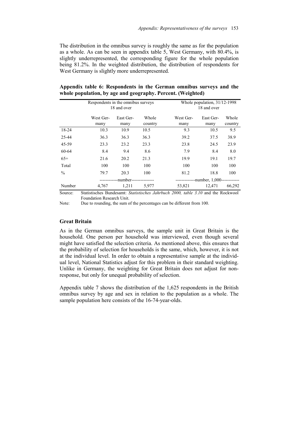The distribution in the omnibus survey is roughly the same as for the population as a whole. As can be seen in appendix table 5, West Germany, with 80.4%, is slightly underrepresented, the corresponding figure for the whole population being 81.2%. In the weighted distribution, the distribution of respondents for West Germany is slightly more underrepresented.

|               | Respondents in the omnibus surveys<br>18 and over |                   |                  |                   | Whole population, 31/12-1998<br>18 and over |                  |  |
|---------------|---------------------------------------------------|-------------------|------------------|-------------------|---------------------------------------------|------------------|--|
|               | West Ger-<br>many                                 | East Ger-<br>many | Whole<br>country | West Ger-<br>many | East Ger-<br>many                           | Whole<br>country |  |
| 18-24         | 10.3                                              | 10.9              | 10.5             | 9.3               | 10.5                                        | 9.5              |  |
| 25-44         | 36.3                                              | 36.3              | 36.3             | 39.2              | 37.5                                        | 38.9             |  |
| 45-59         | 23.3                                              | 23.2              | 23.3             | 23.8              | 24.5                                        | 23.9             |  |
| 60-64         | 8.4                                               | 9.4               | 8.6              | 7.9               | 8.4                                         | 8.0              |  |
| $65+$         | 21.6                                              | 20.2              | 21.3             | 19.9              | 19.1                                        | 19.7             |  |
| Total         | 100                                               | 100               | 100              | 100               | 100                                         | 100              |  |
| $\frac{0}{0}$ | 79.7                                              | 20.3              | 100              | 81.2              | 18.8                                        | 100              |  |
|               |                                                   | -number-          |                  |                   | --------------number, 1,000--               |                  |  |
| Number        | 4,767                                             | 1,211             | 5,977            | 53,821            | 12,471                                      | 66,292           |  |

**Appendix table 6: Respondents in the German omnibus surveys and the whole population, by age and geography. Percent. (Weighted)** 

Source: Statistisches Bundesamt: *Statistisches Jahrbuch 2000, table 3.10* and the Rockwool Foundation Research Unit.

Note: Due to rounding, the sum of the percentages can be different from 100.

#### **Great Britain**

As in the German omnibus surveys, the sample unit in Great Britain is the household. One person per household was interviewed, even though several might have satisfied the selection criteria. As mentioned above, this ensures that the probability of selection for households is the same, which, however, it is not at the individual level. In order to obtain a representative sample at the individual level, National Statistics adjust for this problem in their standard weighting. Unlike in Germany, the weighting for Great Britain does not adjust for nonresponse, but only for unequal probability of selection.

Appendix table 7 shows the distribution of the 1,625 respondents in the British omnibus survey by age and sex in relation to the population as a whole. The sample population here consists of the 16-74-year-olds.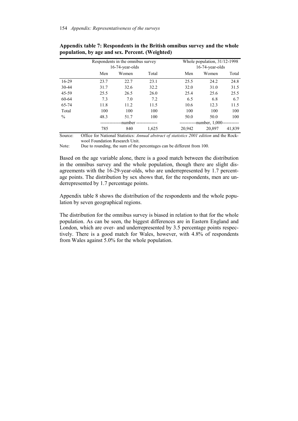|               |      | Respondents in the omnibus survey<br>$16-74$ -year-olds |       |           | Whole population, $31/12-1998$<br>$16-74$ -year-olds |         |  |
|---------------|------|---------------------------------------------------------|-------|-----------|------------------------------------------------------|---------|--|
|               | Men  | Women                                                   | Total | Men       | Women                                                | Total   |  |
| 16-29         | 23.7 | 22.7                                                    | 23.1  | 25.5      | 24.2                                                 | 24.8    |  |
| 30-44         | 31.7 | 32.6                                                    | 32.2  | 32.0      | 31.0                                                 | 31.5    |  |
| 45-59         | 25.5 | 26.5                                                    | 26.0  | 25.4      | 25.6                                                 | 25.5    |  |
| 60-64         | 7.3  | 7.0                                                     | 7.2   | 6.5       | 6.8                                                  | 6.7     |  |
| 65-74         | 11.8 | 11.2                                                    | 11.5  | 10.6      | 12.3                                                 | 11.5    |  |
| Total         | 100  | 100                                                     | 100   | 100       | 100                                                  | 100     |  |
| $\frac{0}{0}$ | 48.3 | 51.7                                                    | 100   | 50.0      | 50.0                                                 | 100     |  |
|               |      | -number --------------                                  |       | --------- | --number, 1,000--                                    | ------- |  |
|               | 785  | 840                                                     | 1,625 | 20.942    | 20,897                                               | 41,839  |  |

**Appendix table 7: Respondents in the British omnibus survey and the whole population, by age and sex. Percent. (Weighted)** 

Source: Office for National Statistics: *Annual abstract of statistics 2001 edition* and the Rockwool Foundation Research Unit.

Note: Due to rounding, the sum of the percentages can be different from 100.

Based on the age variable alone, there is a good match between the distribution in the omnibus survey and the whole population, though there are slight disagreements with the 16-29-year-olds, who are underrepresented by 1.7 percentage points. The distribution by sex shows that, for the respondents, men are underrepresented by 1.7 percentage points.

Appendix table 8 shows the distribution of the respondents and the whole population by seven geographical regions.

The distribution for the omnibus survey is biased in relation to that for the whole population. As can be seen, the biggest differences are in Eastern England and London, which are over- and underrepresented by 3.5 percentage points respectively. There is a good match for Wales, however, with 4.8% of respondents from Wales against 5.0% for the whole population.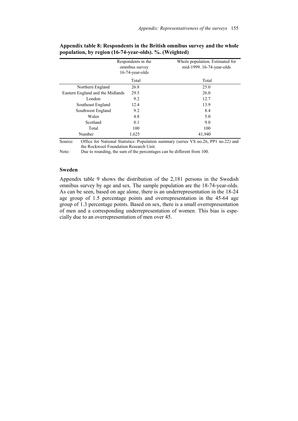|                                  | Respondents in the<br>omnibus survey<br>$16-74$ -year-olds | Whole population. Estimated for<br>mid-1999. 16-74-year-olds |
|----------------------------------|------------------------------------------------------------|--------------------------------------------------------------|
|                                  | Total                                                      | Total                                                        |
| Northern England                 | 26.8                                                       | 25.0                                                         |
| Eastern England and the Midlands | 29.5                                                       | 26.0                                                         |
| London                           | 9.2                                                        | 12.7                                                         |
| Southeast England                | 12.4                                                       | 13.9                                                         |
| Southwest England                | 9.2                                                        | 8.4                                                          |
| Wales                            | 4.8                                                        | 5.0                                                          |
| Scotland                         | 8.1                                                        | 9.0                                                          |
| Total                            | 100                                                        | 100                                                          |
| Number                           | 1,625                                                      | 41,940                                                       |

**Appendix table 8: Respondents in the British omnibus survey and the whole population, by region (16-74-year-olds). %. (Weighted)** 

Source: Office for National Statistics: Population summary (series VS no.26, PP1 no.22) and the Rockwool Foundation Research Unit.

Note: Due to rounding, the sum of the percentages can be different from 100.

#### **Sweden**

Appendix table 9 shows the distribution of the 2,181 persons in the Swedish omnibus survey by age and sex. The sample population are the 18-74-year-olds. As can be seen, based on age alone, there is an underrepresentation in the 18-24 age group of 1.5 percentage points and overrepresentation in the 45-64 age group of 1.3 percentage points. Based on sex, there is a small overrepresentation of men and a corresponding underrepresentation of women. This bias is especially due to an overrepresentation of men over 45.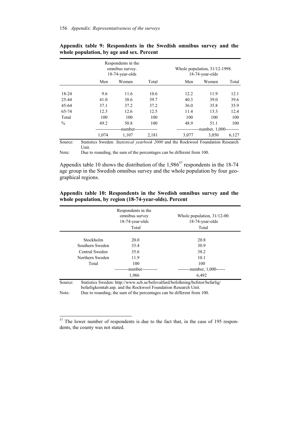|               |       | Respondents in the<br>omnibus survey.<br>18-74-year-olds |       |              | Whole population, $31/12-1998$ .<br>$18-74$ -year-olds |       |
|---------------|-------|----------------------------------------------------------|-------|--------------|--------------------------------------------------------|-------|
|               | Men   | Women                                                    | Total | Men          | Women                                                  | Total |
| 18-24         | 9.6   | 11.6                                                     | 10.6  | 12.2         | 11.9                                                   | 12.1  |
| 25-44         | 41.0  | 38.6                                                     | 39.7  | 40.3         | 39.0                                                   | 39.6  |
| 45-64         | 37.1  | 37.2                                                     | 37.2  | 36.0         | 35.8                                                   | 35.9  |
| 65-74         | 12.3  | 12.6                                                     | 12.5  | 11.4         | 13.3                                                   | 12.4  |
| Total         | 100   | 100                                                      | 100   | 100          | 100                                                    | 100   |
| $\frac{0}{0}$ | 49.2  | 50.8                                                     | 100   | 48.9         | 51.1                                                   | 100   |
|               |       | -number--                                                |       | ------------ | -number, $1,000$ -                                     |       |
|               | 1.074 | 1,107                                                    | 2,181 | 3.077        | 3,050                                                  | 6,127 |

**Appendix table 9: Respondents in the Swedish omnibus survey and the whole population, by age and sex. Percent** 

Source: Statistics Sweden: *Statistical yearbook 2000* and the Rockwool Foundation Research Unit.

Note: Due to rounding, the sum of the percentages can be different from 100.

Appendix table 10 shows the distribution of the  $1,986^{57}$  respondents in the 18-74 age group in the Swedish omnibus survey and the whole population by four geographical regions.

| Appendix table 10: Respondents in the Swedish omnibus survey and the |  |  |  |
|----------------------------------------------------------------------|--|--|--|
| whole population, by region (18-74-year-olds). Percent               |  |  |  |

|         |                 | Respondents in the<br>omnibus survey<br>18-74-year-olds<br>Total | Whole population, $31/12-00$ .<br>$18-74$ -year-olds<br>Total                 |
|---------|-----------------|------------------------------------------------------------------|-------------------------------------------------------------------------------|
|         |                 |                                                                  |                                                                               |
|         | Stockholm       | 20.0                                                             | 20.8                                                                          |
|         | Southern Sweden | 33.4                                                             | 30.9                                                                          |
|         | Central Sweden  | 35.6                                                             | 38.2                                                                          |
|         | Northern Sweden | 11.9                                                             | 10.1                                                                          |
|         | Total           | 100                                                              | 100                                                                           |
|         |                 | -number----------                                                | ---------number, $1,000$ ------                                               |
|         |                 | 1,986                                                            | 6,492                                                                         |
| Source: |                 |                                                                  | Statistics Sweden: http://www.scb.se/befovalfard/befolkning/befstor/befarlig/ |

befarligkomtab.asp. and the Rockwool Foundation Research Unit.

Note: Due to rounding, the sum of the percentages can be different from 100.

 $\overline{a}$ 

 $57$  The lower number of respondents is due to the fact that, in the case of 195 respondents, the county was not stated.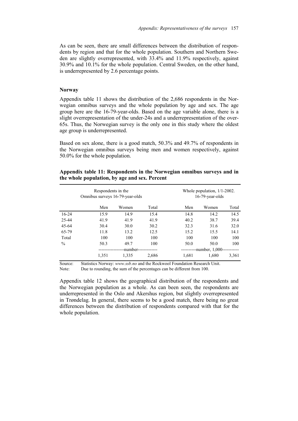As can be seen, there are small differences between the distribution of respondents by region and that for the whole population. Southern and Northern Sweden are slightly overrepresented, with 33.4% and 11.9% respectively, against 30.9% and 10.1% for the whole population. Central Sweden, on the other hand, is underrepresented by 2.6 percentage points.

#### **Norway**

Appendix table 11 shows the distribution of the 2,686 respondents in the Norwegian omnibus surveys and the whole population by age and sex. The age group here are the 16-79-year-olds. Based on the age variable alone, there is a slight overrepresentation of the under-24s and a underrepresentation of the over-65s. Thus, the Norwegian survey is the only one in this study where the oldest age group is underrepresented.

Based on sex alone, there is a good match, 50.3% and 49.7% of respondents in the Norwegian omnibus surveys being men and women respectively, against 50.0% for the whole population.

| Respondents in the<br>Omnibus surveys 16-79-year-olds |          |       |       |       | Whole population, $1/1$ -2002.<br>$16-79$ -year-olds |       |  |
|-------------------------------------------------------|----------|-------|-------|-------|------------------------------------------------------|-------|--|
|                                                       | Men      | Women | Total | Men   | Women                                                | Total |  |
| $16 - 24$                                             | 15.9     | 14.9  | 15.4  | 14.8  | 14.2                                                 | 14.5  |  |
| 25-44                                                 | 41.9     | 41.9  | 41.9  | 40.2  | 38.7                                                 | 39.4  |  |
| $45 - 64$                                             | 30.4     | 30.0  | 30.2  | 32.3  | 31.6                                                 | 32.0  |  |
| 65-79                                                 | 11.8     | 13.2  | 12.5  | 15.2  | 15.5                                                 | 14.1  |  |
| Total                                                 | 100      | 100   | 100   | 100   | 100                                                  | 100   |  |
| $\frac{0}{0}$                                         | 50.3     | 49.7  | 100   | 50.0  | 50.0                                                 | 100   |  |
|                                                       | -number- |       |       |       | --number, 1,000--                                    |       |  |
|                                                       | 1,351    | 1,335 | 2,686 | 1.681 | 1.680                                                | 3,361 |  |

**Appendix table 11: Respondents in the Norwegian omnibus surveys and in the whole population, by age and sex. Percent** 

Source: Statistics Norway: *www.ssb.no* and the Rockwool Foundation Research Unit. Note: Due to rounding, the sum of the percentages can be different from 100.

Appendix table 12 shows the geographical distribution of the respondents and the Norwegian population as a whole. As can been seen, the respondents are underrepresented in the Oslo and Akershus region, but slightly overrepresented in Trøndelag. In general, there seems to be a good match, there being no great differences between the distribution of respondents compared with that for the whole population.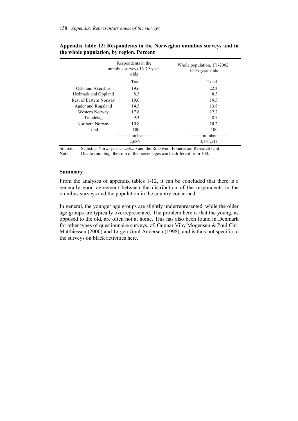|                        | Respondents in the<br>omnibus surveys 16-79-year-<br>olds | Whole population, $1/1-2002$ .<br>$16-79$ -year-olds |
|------------------------|-----------------------------------------------------------|------------------------------------------------------|
|                        | Total                                                     | Total                                                |
| Oslo and Akershus      | 19.6                                                      | 22.3                                                 |
| Hedmark and Oppland    | 8.3                                                       | 8.3                                                  |
| Rest of Eastern Norway | 19.6                                                      | 19.5                                                 |
| Agder and Rogaland     | 14.5                                                      | 13.8                                                 |
| Western Norway         | 17.8                                                      | 17.2                                                 |
| Trøndelag              | 9.3                                                       | 8.7                                                  |
| Northern Norway        | 10.8                                                      | 10.2                                                 |
| Total                  | 100                                                       | 100                                                  |
|                        | -number-------                                            | --number--                                           |
|                        | 2,686                                                     | 3,361,511                                            |

#### **Appendix table 12: Respondents in the Norwegian omnibus surveys and in the whole population, by region. Percent**

Source: Statistics Norway: *www.ssb.no* and the Rockwool Foundation Research Unit. Note: Due to rounding, the sum of the percentages can be different from 100.

#### **Summary**

From the analyses of appendix tables 1-12, it can be concluded that there is a generally good agreement between the distribution of the respondents in the omnibus surveys and the population in the country concerned.

In general, the younger age groups are slightly underrepresented, while the older age groups are typically overrepresented. The problem here is that the young, as opposed to the old, are often not at home. This has also been found in Denmark for other types of questionnaire surveys, cf. Gunnar Viby Mogensen & Poul Chr. Matthiessen (2000) and Jørgen Goul Andersen (1998), and is thus not specific to the surveys on black activities here.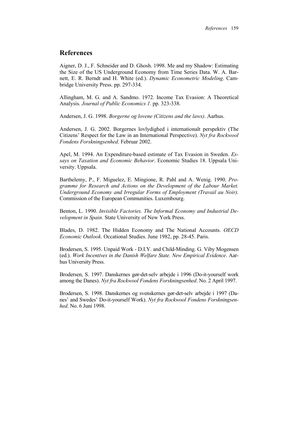# **References**

Aigner, D. J., F. Schneider and D. Ghosh. 1998. Me and my Shadow: Estimating the Size of the US Underground Economy from Time Series Data. W. A. Barnett, E. R. Berndt and H. White (ed.). *Dynamic Econometric Modeling*. Cambridge University Press. pp. 297-334.

Allingham, M. G. and A. Sandmo. 1972. Income Tax Evasion: A Theoretical Analysis. *Journal of Public Economics 1.* pp. 323-338.

Andersen, J. G. 1998. *Borgerne og lovene (Citizens and the laws)*. Aarhus.

Andersen, J. G. 2002. Borgernes lovlydighed i internationalt perspektiv (The Citizens' Respect for the Law in an International Perspective). *Nyt fra Rockwool Fondens Forskningsenhed*. Februar 2002.

Apel, M. 1994. An Expenditure-based estimate of Tax Evasion in Sweden. *Essays on Taxation and Economic Behavior*. Economic Studies 18. Uppsala University. Uppsala.

Barthelemy, P., F. Miguelez, E. Mingione, R. Pahl and A. Wenig. 1990. *Programme for Research and Actions on the Development of the Labour Market. Underground Economy and Irregular Forms of Employment (Travail au Noir).* Commission of the European Communities. Luxembourg.

Benton, L. 1990. *Invisible Factories. The Informal Economy and Industrial Development in Spain*. State University of New York Press.

Blades, D. 1982. The Hidden Economy and The National Accounts. *OECD Economic Outlook*. Occational Studies. June 1982, pp. 28-45. Paris.

Brodersen, S. 1995. Unpaid Work - D.I.Y. and Child-Minding. G. Viby Mogensen (ed.). *Work Incentives in the Danish Welfare State. New Empirical Evidence*. Aarhus University Press.

Brodersen, S. 1997. Danskernes gør-det-selv arbejde i 1996 (Do-it-yourself work among the Danes). *Nyt fra Rockwool Fondens Forskningsenhed*. No. 2 April 1997.

Brodersen, S. 1998. Danskernes og svenskernes gør-det-selv arbejde i 1997 (Danes' and Swedes' Do-it-yourself Work). *Nyt fra Rockwool Fondens Forskningsenhed*. No. 6 Juni 1998.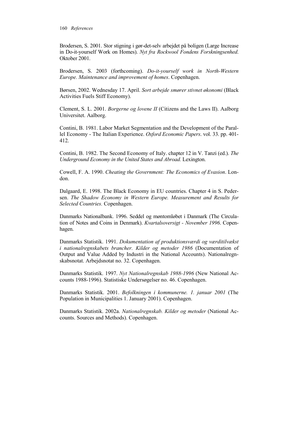Brodersen, S. 2001. Stor stigning i gør-det-selv arbejdet på boligen (Large Increase in Do-it-yourself Work on Homes). *Nyt fra Rockwool Fondens Forskningsenhed*. Oktober 2001.

Brodersen, S. 2003 (forthcoming). *Do-it-yourself work in North-Western Europe. Maintenance and improvement of homes*. Copenhagen.

Børsen, 2002. Wednesday 17. April. *Sort arbejde smører stivnet økonomi* (Black Activities Fuels Stiff Economy).

Clement, S. L. 2001. *Borgerne og lovene II* (Citizens and the Laws II). Aalborg Universitet. Aalborg.

Contini, B. 1981. Labor Market Segmentation and the Development of the Parallel Economy - The Italian Experience. *Oxford Economic Papers*. vol. 33. pp. 401- 412.

Contini, B. 1982. The Second Economy of Italy. chapter 12 in V. Tanzi (ed.). *The Underground Economy in the United States and Abroad.* Lexington.

Cowell, F. A. 1990. *Cheating the Government: The Economics of Evasion*. London.

Dalgaard, E. 1998. The Black Economy in EU countries. Chapter 4 in S. Pedersen. *The Shadow Economy in Western Europe. Measurement and Results for Selected Countries.* Copenhagen.

Danmarks Nationalbank. 1996. Seddel og møntomløbet i Danmark (The Circulation of Notes and Coins in Denmark). *Kvartalsoversigt - November 1996*. Copenhagen.

Danmarks Statistik. 1991. *Dokumentation af produktionsværdi og værditilvækst i nationalregnskabets brancher. Kilder og metoder 1986* (Documentation of Output and Value Added by Industri in the National Accounts). Nationalregnskabsnotat. Arbejdsnotat no. 32. Copenhagen.

Danmarks Statistik. 1997. *Nyt Nationalregnskab 1988-1996* (New National Accounts 1988-1996). Statistiske Undersøgelser no. 46. Copenhagen.

Danmarks Statistik. 2001. *Befolkningen i kommunerne. 1. januar 2001* (The Population in Municipalities 1. January 2001). Copenhagen.

Danmarks Statistik. 2002a. *Nationalregnskab. Kilder og metoder* (National Accounts. Sources and Methods). Copenhagen.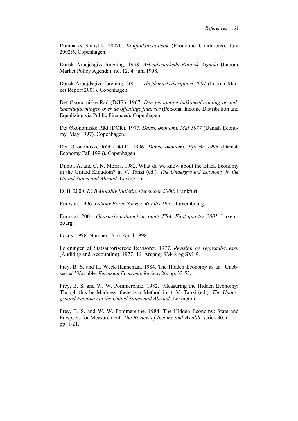Danmarks Statistik. 2002b. *Konjunkturstatistik* (Economic Conditions). Juni 2002:6. Copenhagen.

Dansk Arbejdsgiverforening. 1998. *Arbejdsmarkeds Politisk Agenda* (Labour Market Policy Agenda). no. 12. 4. juni 1998.

Dansk Arbejdsgiverforening. 2001. *Arbejdsmarkedsrapport 2001* (Labour Market Report 2001). Copenhagen.

Det Økonomiske Råd (DØR). 1967. *Den personlige indkomstfordeling og indkomstudjævningen over de offentlige finanser* (Personal Income Distribution and Equalizing via Public Finances). Copenhagen.

Det Økonomiske Råd (DØR). 1977. *Dansk økonomi. Maj 1977* (Danish Economy. May 1997). Copenhagen.

Det Økonomiske Råd (DØR). 1996. *Dansk økonomi. Efterår 1996* (Danish Economy Fall 1996). Copenhagen.

Dilnot, A. and C. N. Morris. 1982. What do we know about the Black Economy in the United Kingdom? in V. Tanzi (ed.). *The Underground Economy in the United States and Abroad*. Lexington.

ECB. 2000. *ECB Monthly Bulletin. December 2000*. Frankfurt.

Eurostat. 1996. *Labour Force Survey. Results 1995*. Luxembourg.

Eurostat. 2001. *Quarterly national accounts ESA. First quarter 2001*. Luxembourg.

Focus. 1998. Number 15. 6. April 1998.

Foreningen af Statsautoriserede Revisorer. 1977. *Revision og regnskabsvæsen*  (Auditing and Accounting). 1977. 46. Årgang. SM48 og SM49.

Frey, B. S. and H. Weck-Hanneman. 1984. The Hidden Economy as an "Unobserved" Variable. *European Economic Review*. 26. pp. 33-53.

Frey, B. S. and W. W. Pommerehne. 1982. Measuring the Hidden Economy: Though this be Madness, there is a Method in it. V. Tanzi (ed.). *The Underground Economy in the United States and Abroad*. Lexington.

Frey, B. S. and W. W. Pommerehne. 1984. The Hidden Economy: State and Prospects for Measurement. *The Review of Income and Wealth*. series 30. no. 1. pp. 1-21.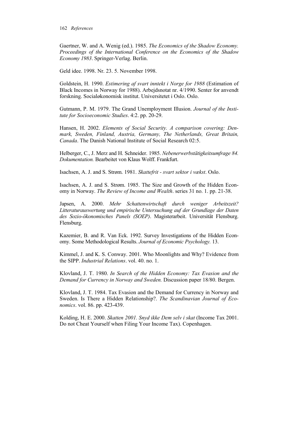Gaertner, W. and A. Wenig (ed.). 1985. *The Economics of the Shadow Economy. Proceedings of the International Conference on the Economics of the Shadow Economy 1983*. Springer-Verlag. Berlin.

Geld idee. 1998. Nr. 23. 5. November 1998.

Goldstein, H. 1990. *Estimering af svart inntekt i Norge for 1988* (Estimation of Black Incomes in Norway for 1988). Arbejdsnotat nr. 4/1990. Senter for anvendt forskning. Socialøkonomisk institut. Universitetet i Oslo. Oslo.

Gutmann, P. M. 1979. The Grand Unemployment Illusion. *Journal of the Institute for Socioeconomic Studies*. 4:2. pp. 20-29.

Hansen, H. 2002. *Elements of Social Security. A comparison covering: Denmark, Sweden, Finland, Austria, Germany, The Netherlands, Great Britain, Canada*. The Danish National Institute of Social Research 02:5.

Helberger, C., J. Merz and H. Schneider. 1985. *Nebenerwerbstätigkeitsumfrage 84. Dokumentation.* Bearbeitet von Klaus Wolff. Frankfurt.

Isachsen, A. J. and S. Strøm. 1981. *Skattefrit - svart sektor i vækst*. Oslo.

Isachsen, A. J. and S. Strøm. 1985. The Size and Growth of the Hidden Economy in Norway. *The Review of Income and Wealth*. series 31 no. 1. pp. 21-38.

Japsen, A. 2000. *Mehr Schattenwirtschaft durch weniger Arbeitszeit? Litteraturauswertung und empirische Untersuchung auf der Grundlage der Daten des Sozio-ökonomisches Panels (SOEP)*. Magisterarbeit. Universität Flensburg. Flensburg.

Kazemier, B. and R. Van Eck. 1992. Survey Investigations of the Hidden Economy. Some Methodological Results. *Journal of Economic Psychology.* 13.

Kimmel, J. and K. S. Conway. 2001. Who Moonlights and Why? Evidence from the SIPP. *Industrial Relations*. vol. 40. no. 1.

Klovland, J. T. 1980. *In Search of the Hidden Economy: Tax Evasion and the Demand for Currency in Norway and Sweden.* Discussion paper 18/80. Bergen.

Klovland, J. T. 1984. Tax Evasion and the Demand for Currency in Norway and Sweden. Is There a Hidden Relationship?. *The Scandinavian Journal of Economics*. vol. 86. pp. 423-439.

Kolding, H. E. 2000. *Skatten 2001. Snyd ikke Dem selv i skat* (Income Tax 2001. Do not Cheat Yourself when Filing Your Income Tax). Copenhagen.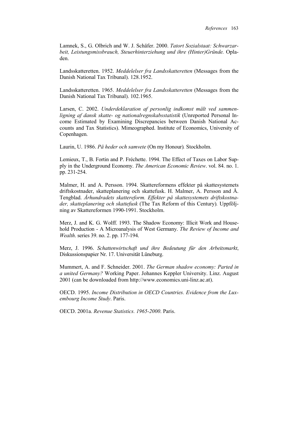Lamnek, S., G. Olbrich and W. J. Schäfer. 2000. *Tatort Sozialstaat: Schwarzarbeit, Leistungsmissbrauch, Steuerhinterziehung und ihre (Hinter)Gründe.* Opladen.

Landsskatteretten. 1952. *Meddelelser fra Landsskatteretten* (Messages from the Danish National Tax Tribunal). 128.1952.

Landsskatteretten. 1965. *Meddelelser fra Landsskatteretten* (Messages from the Danish National Tax Tribunal). 102.1965.

Larsen, C. 2002. *Underdeklaration af personlig indkomst målt ved sammenligning af dansk skatte- og nationalregnskabsstatistik* (Unreported Personal Income Estimated by Examining Discrepancies between Danish National Accounts and Tax Statistics). Mimeographed. Institute of Economics, University of Copenhagen.

Laurin, U. 1986. *På heder och samvete* (On my Honour)*.* Stockholm.

Lemieux, T., B. Fortin and P. Fréchette. 1994. The Effect of Taxes on Labor Supply in the Underground Economy. *The American Economic Review*. vol. 84. no. 1. pp. 231-254.

Malmer, H. and A. Persson. 1994. Skattereformens effekter på skattesystemets driftskostnader, skatteplanering och skattefusk. H. Malmer, A. Persson and Å. Tengblad. *Århundradets skattereform. Effekter på skattesystemets driftskostnader, skatteplanering och skattefusk* (The Tax Reform of this Century)*.* Uppföljning av Skattereformen 1990-1991. Stockholm.

Merz, J. and K. G. Wolff. 1993. The Shadow Economy: Illicit Work and Household Production - A Microanalysis of West Germany. *The Review of Income and Wealth*. series 39. no. 2. pp. 177-194.

Merz, J. 1996. *Schattenwirtschaft und ihre Bedeutung für den Arbeitsmarkt*, Diskussionspapier Nr. 17. Universität Lüneburg.

Mummert, A. and F. Schneider. 2001. *The German shadow economy: Parted in a united Germany?* Working Paper. Johannes Keppler University. Linz. August 2001 (can be downloaded from http://www.economics.uni-linz.ac.at).

OECD. 1995. *Income Distribution in OECD Countries. Evidence from the Luxembourg Income Study*. Paris.

OECD. 2001a. *Revenue Statistics. 1965-2000*. Paris.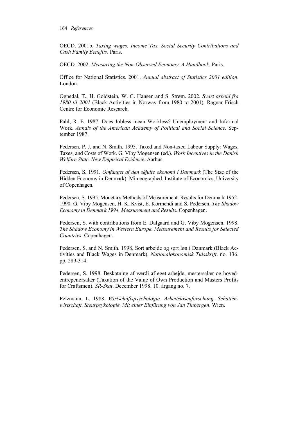OECD. 2001b. *Taxing wages. Income Tax, Social Security Contributions and Cash Family Benefits*. Paris.

OECD. 2002. *Measuring the Non-Observed Economy. A Handbook*. Paris.

Office for National Statistics. 2001. *Annual abstract of Statistics 2001 edition*. London.

Ognedal, T., H. Goldstein, W. G. Hansen and S. Strøm. 2002. *Svart arbeid fra 1980 til 2001* (Black Activities in Norway from 1980 to 2001)*.* Ragnar Frisch Centre for Economic Research.

Pahl, R. E. 1987. Does Jobless mean Workless? Unemployment and Informal Work. *Annals of the American Academy of Political and Social Science*. September 1987.

Pedersen, P. J. and N. Smith. 1995. Taxed and Non-taxed Labour Supply: Wages, Taxes, and Costs of Work. G. Viby Mogensen (ed.). *Work Incentives in the Danish Welfare State. New Empirical Evidence.* Aarhus.

Pedersen, S. 1991. *Omfanget af den skjulte økonomi i Danmark* (The Size of the Hidden Economy in Denmark). Mimeographed. Institute of Economics, University of Copenhagen.

Pedersen, S. 1995. Monetary Methods of Measurement: Results for Denmark 1952- 1990. G. Viby Mogensen, H. K. Kvist, E. Körmendi and S. Pedersen. *The Shadow Economy in Denmark 1994. Measurement and Results.* Copenhagen.

Pedersen, S. with contributions from E. Dalgaard and G. Viby Mogensen. 1998. *The Shadow Economy in Western Europe. Measurement and Results for Selected Countries*. Copenhagen.

Pedersen, S. and N. Smith. 1998. Sort arbejde og sort løn i Danmark (Black Activities and Black Wages in Denmark). *Nationaløkonomisk Tidsskrift*. no. 136. pp. 289-314.

Pedersen, S. 1998. Beskatning af værdi af eget arbejde, mestersalær og hovedentrepenørsalær (Taxation of the Value of Own Production and Masters Profits for Craftsmen). *SR-Skat*. December 1998. 10. årgang no. 7.

Pelzmann, L. 1988. *Wirtschaftspsychologie. Arbeitslosenforschung. Schattenwirtschaft. Steurpsykologie. Mit einer Einfürung von Jan Tinbergen*. Wien.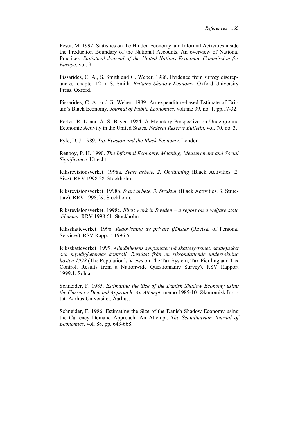Pesut, M. 1992. Statistics on the Hidden Economy and Informal Activities inside the Production Boundary of the National Accounts. An overview of National Practices. *Statistical Journal of the United Nations Economic Commission for Europe*. vol. 9.

Pissarides, C. A., S. Smith and G. Weber. 1986. Evidence from survey discrepancies. chapter 12 in S. Smith. *Britains Shadow Economy.* Oxford University Press. Oxford.

Pissarides, C. A. and G. Weber. 1989. An expenditure-based Estimate of Britain's Black Economy. *Journal of Public Economics*. volume 39. no. 1. pp.17-32.

Porter, R. D and A. S. Bayer. 1984. A Monetary Perspective on Underground Economic Activity in the United States. *Federal Reserve Bulletin*. vol. 70. no. 3.

Pyle, D. J. 1989. *Tax Evasion and the Black Economy*. London.

Renooy, P. H. 1990. *The Informal Economy. Meaning, Measurement and Social Significance*. Utrecht.

Riksrevisionsverket. 1998a. *Svart arbete. 2. Omfattning* (Black Activities. 2. Size)*.* RRV 1998:28. Stockholm.

Riksrevisionsverket. 1998b. *Svart arbete. 3. Struktur* (Black Activities. 3. Structure). RRV 1998:29. Stockholm.

Riksrevisionsverket. 1998c. *Illicit work in Sweden – a report on a welfare state dilemma.* RRV 1998:61. Stockholm.

Riksskatteverket. 1996. *Redovisning av private tjänster* (Revisal of Personal Services). RSV Rapport 1996:5.

Riksskatteverket. 1999. *Allmänhetens synpunkter på skattesystemet, skattefusket och myndigheternas kontroll. Resultat från en riksomfattende undersökning hösten 1998* (The Population's Views on The Tax System, Tax Fiddling and Tax Control. Results from a Nationwide Questionnaire Survey). RSV Rapport 1999:1. Solna.

Schneider, F. 1985. *Estimating the Size of the Danish Shadow Economy using the Currency Demand Approach: An Attempt*. memo 1985-10. Økonomisk Institut. Aarhus Universitet. Aarhus.

Schneider, F. 1986. Estimating the Size of the Danish Shadow Economy using the Currency Demand Approach: An Attempt. *The Scandinavian Journal of Economics*. vol. 88. pp. 643-668.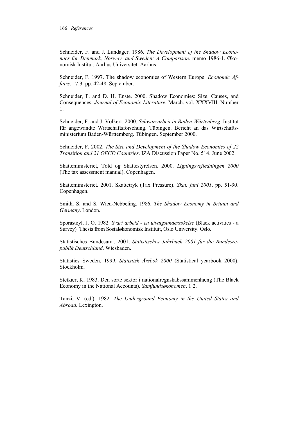Schneider, F. and J. Lundager. 1986. *The Development of the Shadow Economies for Denmark, Norway, and Sweden: A Comparison*. memo 1986-1. Økonomisk Institut. Aarhus Universitet. Aarhus.

Schneider, F. 1997. The shadow economies of Western Europe. *Economic Affairs*. 17:3: pp. 42-48. September.

Schneider, F. and D. H. Enste. 2000. Shadow Economies: Size, Causes, and Consequences. *Journal of Economic Literature.* March. vol. XXXVIII. Number 1.

Schneider, F. and J. Volkert. 2000. *Schwarzarbeit in Baden-Würtenberg*. Institut für angewandte Wirtschaftsforschung. Tübingen. Bericht an das Wirtschaftsministerium Baden-Württemberg. Tübingen. September 2000.

Schneider, F. 2002. *The Size and Development of the Shadow Economies of 22 Transition and 21 OECD Countries*. IZA Discussion Paper No. 514. June 2002.

Skatteministeriet, Told og Skattestyrelsen. 2000. *Ligningsvejledningen 2000* (The tax assessment manual). Copenhagen.

Skatteministeriet. 2001. Skattetryk (Tax Pressure). *Skat. juni 2001*. pp. 51-90. Copenhagen.

Smith, S. and S. Wied-Nebbeling. 1986. *The Shadow Economy in Britain and Germany*. London.

Sporastøyl, J. O. 1982. *Svart arbeid - en utvalgsundersøkelse* (Black activities - a Survey)*.* Thesis from Sosialøkonomisk Institutt, Oslo University. Oslo.

Statistisches Bundesamt. 2001. *Statistisches Jahrbuch 2001 für die Bundesrepublik Deutschland*. Wiesbaden.

Statistics Sweden. 1999. *Statistisk Årsbok 2000* (Statistical yearbook 2000). Stockholm.

Stetkær, K. 1983. Den sorte sektor i nationalregnskabssammenhæng (The Black Economy in the National Accounts). *Samfundsøkonomen*. 1:2.

Tanzi, V. (ed.). 1982. *The Underground Economy in the United States and Abroad.* Lexington.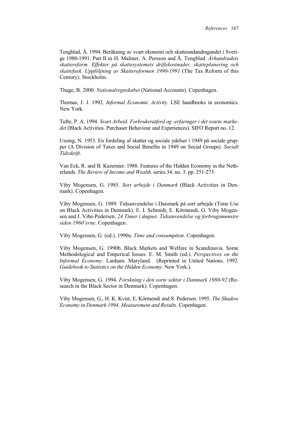Tengblad, Å. 1994. Beräkning av svart ekonomi och skatteundandragandet i Sverige 1980-1991. Part II in H. Malmer, A. Persson and Å. Tengblad. *Århundradets skattereform. Effekter på skattesystemets driftskostnader, skatteplanering och skattefusk. Uppföljning av Skattereformen 1990-1991* (The Tax Reform of this Century). Stockholm.

Thage, B. 2000. *Nationalregnskabet* (National Accounts). Copenhagen.

Thomas, J. J. 1992. *Informal Economic Activity*. LSE handbooks in economics. New York.

Tufte, P. A. 1994. *Svart Arbeid. Forbrukeratferd og -erfaringer i det svarte markedet* (Black Activities. Purchaser Behaviour and Experiences). SIFO Report no. 12.

Ussing, N. 1953. En fordeling af skatter og sociale ydelser i 1949 på sociale grupper (A Division of Taxes and Social Benefits in 1949 on Social Groups). *Socialt Tidsskrift*.

Van Eck, R. and B. Kazemier. 1988. Features of the Hidden Economy in the Netherlands. *The Review of Income and Wealth*. series 34. no. 3. pp. 251-273.

Viby Mogensen, G. 1985. *Sort arbejde i Danmark* (Black Activities in Denmark). Copenhagen.

Viby Mogensen, G. 1989. Tidsanvendelse i Danmark på sort arbejde (Time Use on Black Activities in Denmark). E. I. Schmidt, E. Körmendi, G. Viby Mogensen and J. Vibe-Pedersen. *24 Timer i døgnet. Tidsanvendelse og forbrugsmønstre siden 1960'erne*. Copenhagen.

Viby Mogensen, G. (ed.). 1990a. *Time and consumption*. Copenhagen.

Viby Mogensen, G. 1990b. Black Markets and Welfare in Scandinavia. Some Methodological and Emperical Issues. E. M. Smith (ed.). *Perspectives on the Informal Economy*. Lanham. Maryland. (Reprinted in United Nations. 1992. *Guidebook to Statistics on the Hidden Economy*. New York.).

Viby Mogensen, G. 1994. *Forskning i den sorte sektor i Danmark 1980-92* (Research in the Black Sector in Denmark). Copenhagen.

Viby Mogensen, G., H. K. Kvist, E. Körmendi and S. Pedersen. 1995. *The Shadow Economy in Denmark 1994. Measurement and Results.* Copenhagen.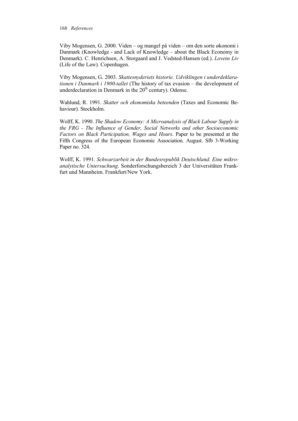Viby Mogensen, G. 2000. Viden – og mangel på viden – om den sorte økonomi i Danmark (Knowledge - and Lack of Knowledge – about the Black Economy in Denmark). C. Henrichsen, A. Storgaard and J. Vedsted-Hansen (ed.). *Lovens Liv*  (Life of the Law). Copenhagen.

Viby Mogensen, G. 2003. *Skattesnyderiets historie. Udviklingen i underdeklarationen i Danmark i 1900-tallet* (The history of tax evasion – the development of underdeclaration in Denmark in the  $20<sup>th</sup>$  century). Odense.

Wahlund, R. 1991. *Skatter och ekonomiska beteenden* (Taxes and Economic Behaviour). Stockholm.

Wolff, K. 1990. *The Shadow Economy: A Microanalysis of Black Labour Supply in the FRG - The Influence of Gender, Social Networks and other Socioeconomic Factors on Black Participation, Wages and Hours*. Paper to be presented at the Fifth Congress of the European Economic Association. August. Sfb 3-Working Paper no. 324.

Wolff, K. 1991. *Schwarzarbeit in der Bundesrepublik Deutschland. Eine mikroanalytische Untersuchung*. Sonderforschungsbereich 3 der Universitäten Frankfurt und Mannheim. Frankfurt/New York.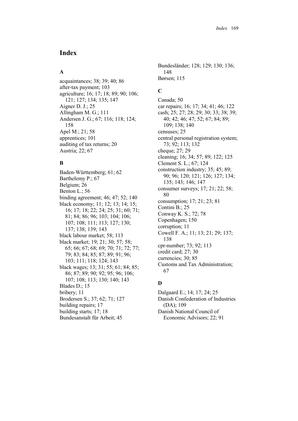# **Index**

### **A**

acquaintances; 38; 39; 40; 86 after-tax payment; 103 agriculture; 16; 17; 18; 89; 90; 106; 121; 127; 134; 135; 147 Aigner D. J.; 25 Allingham M. G.; 111 Andersen J. G.; 67; 116; 118; 124; 158 Apel M.; 21; 58 apprentices; 101 auditing of tax returns; 20 Austria; 22; 67

## **B**

Baden-Württemberg; 61; 62 Barthelemy P.; 67 Belgium; 26 Benton L.; 56 binding agreement; 46; 47; 52; 140 black economy; 11; 12; 13; 14; 15; 16; 17; 18; 22; 24; 25; 31; 60; 71; 81; 84; 86; 96; 103; 104; 106; 107; 108; 111; 113; 127; 130; 137; 138; 139; 143 black labour market; 58; 113 black market; 19; 21; 30; 57; 58; 65; 66; 67; 68; 69; 70; 71; 72; 77; 79; 83; 84; 85; 87; 89; 91; 96; 103; 111; 118; 124; 143 black wages; 13; 31; 55; 61; 84; 85; 86; 87; 89; 90; 92; 95; 96; 106; 107; 108; 113; 130; 140; 143 Blades D.; 15 bribery; 11 Brodersen S.; 37; 62; 71; 127 building repairs; 17 building starts; 17; 18 Bundesanstalt für Arbeit; 45

Bundesländer; 128; 129; 130; 136; 148 Børsen; 115

# **C**

Canada; 50 car repairs; 16; 17; 34; 41; 46; 122 cash; 25; 27; 28; 29; 30; 33; 38; 39; 40; 42; 46; 47; 52; 67; 84; 89; 109; 138; 140 censuses; 25 central personal registration system; 73; 92; 113; 132 cheque; 27; 29 cleaning; 16; 34; 57; 89; 122; 125 Clement S. L.; 67; 124 construction industry; 35; 45; 89; 90; 96; 120; 121; 126; 127; 134; 135; 143; 146; 147 consumer surveys; 17; 21; 22; 58; 80 consumption; 17; 21; 23; 81 Contini B.; 25 Conway K. S.; 72; 78 Copenhagen; 150 corruption; 11 Cowell F. A.; 11; 13; 21; 29; 137; 138 cpr-number; 73; 92; 113 credit card; 27; 30 currencies; 30; 85 Customs and Tax Administration; 67

## **D**

Dalgaard E.; 14; 17; 24; 25 Danish Confederation of Industries (DA); 109 Danish National Council of Economic Advisors; 22; 91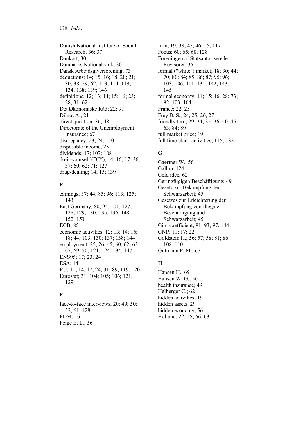Danish National Institute of Social Research; 36; 37 Dankort; 30 Danmarks Nationalbank; 30 Dansk Arbejdsgiverforening; 73 deductions; 14; 15; 16; 18; 20; 21; 30; 38; 59; 62; 113; 114; 119; 134; 138; 139; 146 definitions; 12; 13; 14; 15; 16; 23; 28; 31; 62 Det Økonomiske Råd; 22; 91 Dilnot A.; 21 direct question; 36; 48 Directorate of the Unemployment Insurance; 67 discrepancy; 23; 24; 110 disposable income; 25 dividends; 17; 107; 108 do-it-yourself (DIY); 14; 16; 17; 36; 37; 60; 62; 71; 127 drug-dealing; 14; 15; 139

## **E**

earnings; 37; 44; 85; 96; 113; 125; 143 East Germany; 80; 95; 101; 127; 128; 129; 130; 135; 136; 148; 152; 153 ECB; 85 economic activities; 12; 13; 14; 16; 18; 44; 103; 130; 137; 138; 144 employment; 25; 26; 45; 60; 62; 63; 67; 69; 70; 121; 124; 134; 147 ENS95; 17; 23; 24 ESA; 14 EU; 11; 14; 17; 24; 31; 89; 119; 120 Eurostat; 31; 104; 105; 106; 121; 129

## **F**

face-to-face interviews; 20; 49; 50; 52; 61; 128 FDM; 16 Feige E. L.; 56

firm; 19; 38; 45; 46; 55; 117 Focus; 60; 65; 68; 128 Foreningen af Statsautoriserede Revisorer; 35 formal ("white") market; 18; 30; 44; 70; 80; 84; 85; 86; 87; 95; 96; 103; 106; 111; 131; 142; 143; 145 formal economy; 11; 15; 16; 28; 73; 92; 103; 104 France; 22; 25 Frey B. S.; 24; 25; 26; 27 friendly turn; 29; 34; 35; 36; 40; 46; 63; 84; 89 full market price; 19 full time black activities; 115; 132

# **G**

Gaertner W.; 56 Gallup; 124 Geld idee; 62 Geringfügigen Beschäftigung; 49 Gesetz zur Bekämpfung der Schwarzarbeit; 45 Gesetzes zur Erleichterung der Bekämpfung von illegaler Beschäftigung und Schwarzarbeit; 45 Gini coefficient; 91; 93; 97; 144 GNP; 11; 17; 22 Goldstein H.; 56; 57; 58; 81; 86; 108; 110 Gutmann P. M.; 67

# **H**

Hansen H.; 69 Hansen W. G.; 56 health insurance; 49 Helberger C.; 62 hidden activities; 19 hidden assets; 29 hidden economy; 56 Holland; 22; 55; 56; 63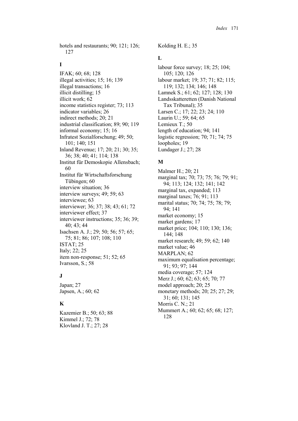hotels and restaurants; 90; 121; 126; 127

### **I**

IFAK; 60; 68; 128 illegal activities; 15; 16; 139 illegal transactions; 16 illicit distilling; 15 illicit work; 62 income statistics register; 73; 113 indicator variables; 26 indirect methods; 20; 21 industrial classification; 89; 90; 119 informal economy; 15; 16 Infratest Sozialforschung; 49; 50; 101; 140; 151 Inland Revenue; 17; 20; 21; 30; 35; 36; 38; 40; 41; 114; 138 Institut für Demoskopie Allensbach; 60 Institut für Wirtschaftsforschung Tübingen; 60 interview situation; 36 interview surveys; 49; 59; 63 interviewee; 63 interviewer; 36; 37; 38; 43; 61; 72 interviewer effect; 37 interviewer instructions; 35; 36; 39; 40; 43; 44 Isachsen A. J.; 29; 50; 56; 57; 65; 75; 81; 86; 107; 108; 110 ISTAT; 25 Italy; 22; 25 item non-response; 51; 52; 65 Ivarsson, S.; 58

## **J**

Japan; 27 Japsen, A.; 60; 62

## **K**

Kazemier B.; 50; 63; 88 Kimmel J.; 72; 78 Klovland J. T.; 27; 28

Kolding H. E.; 35

## **L**

labour force survey; 18; 25; 104; 105; 120; 126 labour market; 19; 37; 71; 82; 115; 119; 132; 134; 146; 148 Lamnek S.; 61; 62; 127; 128; 130 Landsskatteretten (Danish National Tax Tribunal); 35 Larsen C.; 17; 22; 23; 24; 110 Laurin U.; 59; 64; 65 Lemieux T.; 50 length of education; 94; 141 logistic regression; 70; 71; 74; 75 loopholes; 19 Lundager J.; 27; 28

# **M**

Malmer H.; 20; 21 marginal tax; 70; 73; 75; 76; 79; 91; 94; 113; 124; 132; 141; 142 marginal tax, expanded; 113 marginal taxes; 76; 91; 113 marital status; 70; 74; 75; 78; 79; 94; 141 market economy; 15 market gardens; 17 market price; 104; 110; 130; 136; 144; 148 market research; 49; 59; 62; 140 market value; 46 MARPLAN; 62 maximum equalisation percentage; 91; 93; 97; 144 media coverage; 57; 124 Merz J.; 60; 62; 63; 65; 70; 77 model approach; 20; 25 monetary methods; 20; 25; 27; 29; 31; 60; 131; 145 Morris C. N.; 21 Mummert A.; 60; 62; 65; 68; 127; 128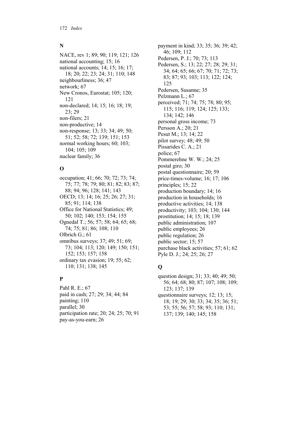### **N**

NACE, rev 1; 89; 90; 119; 121; 126 national accounting; 15; 16 national accounts; 14; 15; 16; 17; 18; 20; 22; 23; 24; 31; 110; 148 neighbourliness; 36; 47 network; 67 New Cronos, Eurostat; 105; 120; 121 non-declared; 14; 15; 16; 18; 19; 23; 29 non-filers; 21 non-productive; 14 non-response; 13; 33; 34; 49; 50; 51; 52; 58; 72; 139; 151; 153 normal working hours; 60; 103; 104; 105; 109 nuclear family; 36

## **O**

occupation; 41; 66; 70; 72; 73; 74; 75; 77; 78; 79; 80; 81; 82; 83; 87; 88; 94; 96; 128; 141; 143 OECD; 13; 14; 16; 25; 26; 27; 31; 85; 91; 114; 138 Office for National Statistics; 49; 50; 102; 140; 153; 154; 155 Ognedal T.; 56; 57; 58; 64; 65; 68; 74; 75; 81; 86; 108; 110 Olbrich G.; 61 omnibus surveys; 37; 49; 51; 69; 73; 104; 113; 120; 149; 150; 151; 152; 153; 157; 158 ordinary tax evasion; 19; 55; 62; 110; 131; 138; 145

## **P**

Pahl R. E.; 67 paid in cash; 27; 29; 34; 44; 84 painting; 110 parallel; 30 participation rate; 20; 24; 25; 70; 91 pay-as-you-earn; 26

payment in kind; 33; 35; 36; 39; 42; 46; 109; 112 Pedersen, P. J.; 70; 73; 113 Pedersen, S.; 13; 22; 27; 28; 29; 31; 34; 64; 65; 66; 67; 70; 71; 72; 73; 83; 87; 93; 103; 113; 122; 124; 125 Pedersen, Susanne; 35 Pelzmann L.; 67 perceived; 71; 74; 75; 78; 80; 95; 115; 116; 119; 124; 125; 133; 134; 142; 146 personal gross income; 73 Persson A.; 20; 21 Pesut M.; 13; 14; 22 pilot survey; 48; 49; 50 Pissarides C. A.; 21 police; 67 Pommerehne W. W.; 24; 25 postal giro; 30 postal questionnaire; 20; 59 price-times-volume; 16; 17; 106 principles; 15; 22 production boundary; 14; 16 production in households; 16 productive activities; 14; 138 productivity; 103; 104; 130; 144 prostitution; 14; 15; 18; 139 public administration; 107 public employees; 26 public regulation; 26 public sector; 15; 57 purchase black activities; 57; 61; 62 Pyle D. J.; 24; 25; 26; 27

# **Q**

question design; 31; 33; 40; 49; 50; 56; 64; 68; 80; 87; 107; 108; 109; 123; 137; 139 questionnaire surveys; 12; 13; 15; 18; 19; 29; 30; 33; 34; 35; 36; 51; 53; 55; 56; 57; 58; 93; 110; 131; 137; 139; 140; 145; 158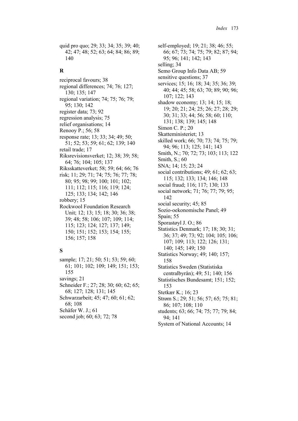quid pro quo; 29; 33; 34; 35; 39; 40; 42; 47; 48; 52; 63; 64; 84; 86; 89; 140

### **R**

reciprocal favours; 38 regional differences; 74; 76; 127; 130; 135; 147 regional variation; 74; 75; 76; 79; 95; 130; 142 register data; 73; 92 regression analysis; 75 relief organisations; 14 Renooy P.; 56; 58 response rate; 13; 33; 34; 49; 50; 51; 52; 53; 59; 61; 62; 139; 140 retail trade; 17 Riksrevisionsverket; 12; 38; 39; 58; 64; 76; 104; 105; 137 Riksskatteverket; 58; 59; 64; 66; 76 risk; 11; 29; 71; 74; 75; 76; 77; 78; 80; 95; 98; 99; 100; 101; 102; 111; 112; 115; 116; 119; 124; 125; 133; 134; 142; 146 robbery; 15 Rockwool Foundation Research Unit; 12; 13; 15; 18; 30; 36; 38; 39; 48; 58; 106; 107; 109; 114; 115; 123; 124; 127; 137; 149; 150; 151; 152; 153; 154; 155; 156; 157; 158

## **S**

sample; 17; 21; 50; 51; 53; 59; 60; 61; 101; 102; 109; 149; 151; 153; 155 savings; 21 Schneider F.; 27; 28; 30; 60; 62; 65; 68; 127; 128; 131; 145 Schwarzarbeit; 45; 47; 60; 61; 62; 68; 108 Schäfer W. J.; 61 second job; 60; 63; 72; 78

self-employed; 19; 21; 38; 46; 55; 66; 67; 73; 74; 75; 79; 82; 87; 94; 95; 96; 141; 142; 143 selling; 34 Semo Group Info Data AB; 59 sensitive questions; 37 services; 15; 16; 18; 34; 35; 36; 39; 40; 44; 45; 58; 63; 70; 89; 90; 96; 107; 122; 143 shadow economy; 13; 14; 15; 18; 19; 20; 21; 24; 25; 26; 27; 28; 29; 30; 31; 33; 44; 56; 58; 60; 110; 131; 138; 139; 145; 148 Simon C. P.; 20 Skatteministeriet; 13 skilled work; 66; 70; 73; 74; 75; 79; 94; 96; 113; 125; 141; 143 Smith, N.; 70; 72; 73; 103; 113; 122 Smith, S.; 60 SNA; 14; 15; 23; 24 social contributions; 49; 61; 62; 63; 115; 132; 133; 134; 146; 148 social fraud; 116; 117; 130; 133 social network; 71; 76; 77; 79; 95; 142 social security; 45; 85 Sozio-oekonomische Panel; 49 Spain; 55 Sporastøyl J. O.; 86 Statistics Denmark; 17; 18; 30; 31; 36; 37; 49; 73; 92; 104; 105; 106; 107; 109; 113; 122; 126; 131; 140; 145; 149; 150 Statistics Norway; 49; 140; 157; 158 Statistics Sweden (Statistiska centralbyrån); 49; 51; 140; 156 Statistisches Bundesamt; 151; 152; 153 Stetkær K.; 16; 23 Strøm S.; 29; 51; 56; 57; 65; 75; 81; 86; 107; 108; 110 students; 63; 66; 74; 75; 77; 79; 84; 94; 141 System of National Accounts; 14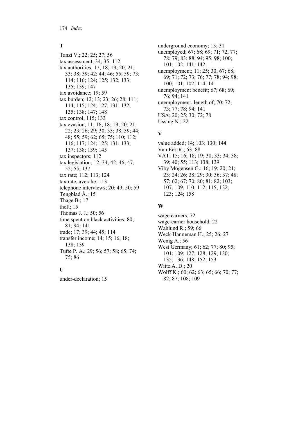### **T**

Tanzi V.; 22; 25; 27; 56 tax assessment; 34; 35; 112 tax authorities; 17; 18; 19; 20; 21; 33; 38; 39; 42; 44; 46; 55; 59; 73; 114; 116; 124; 125; 132; 133; 135; 139; 147 tax avoidance; 19; 59 tax burden; 12; 13; 23; 26; 28; 111; 114; 115; 124; 127; 131; 132; 135; 138; 147; 148 tax control; 115; 133 tax evasion; 11; 16; 18; 19; 20; 21; 22; 23; 26; 29; 30; 33; 38; 39; 44; 48; 55; 59; 62; 65; 75; 110; 112; 116; 117; 124; 125; 131; 133; 137; 138; 139; 145 tax inspectors; 112 tax legislation; 12; 34; 42; 46; 47; 52; 55; 137 tax rate; 112; 113; 124 tax rate, averahe; 113 telephone interviews; 20; 49; 50; 59 Tengblad Å.; 15 Thage B.; 17 theft; 15 Thomas J. J.; 50; 56 time spent on black activities; 80; 81; 94; 141 trade; 17; 39; 44; 45; 114 transfer income; 14; 15; 16; 18; 138; 139 Tufte P. A.; 29; 56; 57; 58; 65; 74; 75; 86

## **U**

under-declaration; 15

underground economy; 13; 31 unemployed; 67; 68; 69; 71; 72; 77; 78; 79; 83; 88; 94; 95; 98; 100; 101; 102; 141; 142 unemployment; 11; 25; 30; 67; 68; 69; 71; 72; 73; 76; 77; 78; 94; 98; 100; 101; 102; 114; 141 unemployment benefit; 67; 68; 69; 76; 94; 141 unemployment, length of; 70; 72; 73; 77; 78; 94; 141 USA; 20; 25; 30; 72; 78 Ussing N.; 22

## **V**

value added; 14; 103; 130; 144 Van Eck R.; 63; 88 VAT; 15; 16; 18; 19; 30; 33; 34; 38; 39; 40; 55; 113; 138; 139 Viby Mogensen G.; 16; 19; 20; 21; 23; 24; 26; 28; 29; 30; 36; 37; 48; 57; 62; 67; 70; 80; 81; 82; 103; 107; 109; 110; 112; 115; 122; 123; 124; 158

### **W**

wage earners; 72 wage-earner household; 22 Wahlund R.; 59; 66 Weck-Hanneman H.; 25; 26; 27 Wenig A.; 56 West Germany; 61; 62; 77; 80; 95; 101; 109; 127; 128; 129; 130; 135; 136; 148; 152; 153 Witte A. D.; 20 Wolff K.; 60; 62; 63; 65; 66; 70; 77; 82; 87; 108; 109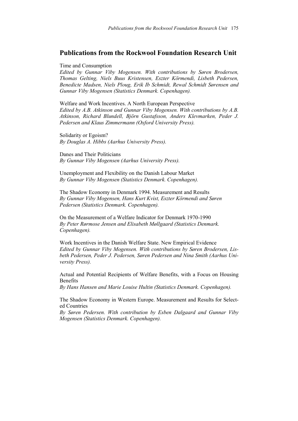## **Publications from the Rockwool Foundation Research Unit**

Time and Consumption

*Edited by Gunnar Viby Mogensen. With contributions by Søren Brodersen, Thomas Gelting, Niels Buus Kristensen, Eszter Körmendi, Lisbeth Pedersen, Benedicte Madsen, Niels Ploug, Erik Ib Schmidt, Rewal Schmidt Sørensen and Gunnar Viby Mogensen (Statistics Denmark. Copenhagen).* 

Welfare and Work Incentives. A North European Perspective *Edited by A.B. Atkinson and Gunnar Viby Mogensen. With contributions by A.B. Atkinson, Richard Blundell, Björn Gustafsson, Anders Klevmarken, Peder J. Pedersen and Klaus Zimmermann (Oxford University Press).* 

Solidarity or Egoism? *By Douglas A. Hibbs (Aarhus University Press).* 

Danes and Their Politicians *By Gunnar Viby Mogensen (Aarhus University Press).* 

Unemployment and Flexibility on the Danish Labour Market *By Gunnar Viby Mogensen (Statistics Denmark. Copenhagen).* 

The Shadow Economy in Denmark 1994. Measurement and Results *By Gunnar Viby Mogensen, Hans Kurt Kvist, Eszter Körmendi and Søren Pedersen (Statistics Denmark. Copenhagen).* 

On the Measurement of a Welfare Indicator for Denmark 1970-1990 *By Peter Rørmose Jensen and Elisabeth Møllgaard (Statistics Denmark. Copenhagen).* 

Work Incentives in the Danish Welfare State. New Empirical Evidence *Edited by Gunnar Viby Mogensen. With contributions by Søren Brodersen, Lisbeth Pedersen, Peder J. Pedersen, Søren Pedersen and Nina Smith (Aarhus University Press).* 

Actual and Potential Recipients of Welfare Benefits, with a Focus on Housing **Benefits** 

*By Hans Hansen and Marie Louise Hultin (Statistics Denmark. Copenhagen).* 

The Shadow Economy in Western Europe. Measurement and Results for Selected Countries

*By Søren Pedersen. With contribution by Esben Dalgaard and Gunnar Viby Mogensen (Statistics Denmark. Copenhagen).*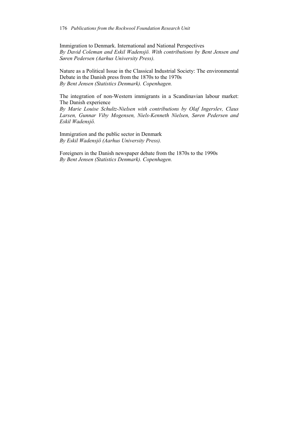Immigration to Denmark. International and National Perspectives *By David Coleman and Eskil Wadensjö. With contributions by Bent Jensen and Søren Pedersen (Aarhus University Press).* 

Nature as a Political Issue in the Classical Industrial Society: The environmental Debate in the Danish press from the 1870s to the 1970s *By Bent Jensen (Statistics Denmark). Copenhagen.* 

The integration of non-Western immigrants in a Scandinavian labour market: The Danish experience

*By Marie Louise Schultz-Nielsen with contributions by Olaf Ingerslev, Claus Larsen, Gunnar Viby Mogensen, Niels-Kenneth Nielsen, Søren Pedersen and Eskil Wadensjö.* 

Immigration and the public sector in Denmark *By Eskil Wadensjö (Aarhus University Press).* 

Foreigners in the Danish newspaper debate from the 1870s to the 1990s *By Bent Jensen (Statistics Denmark). Copenhagen.*